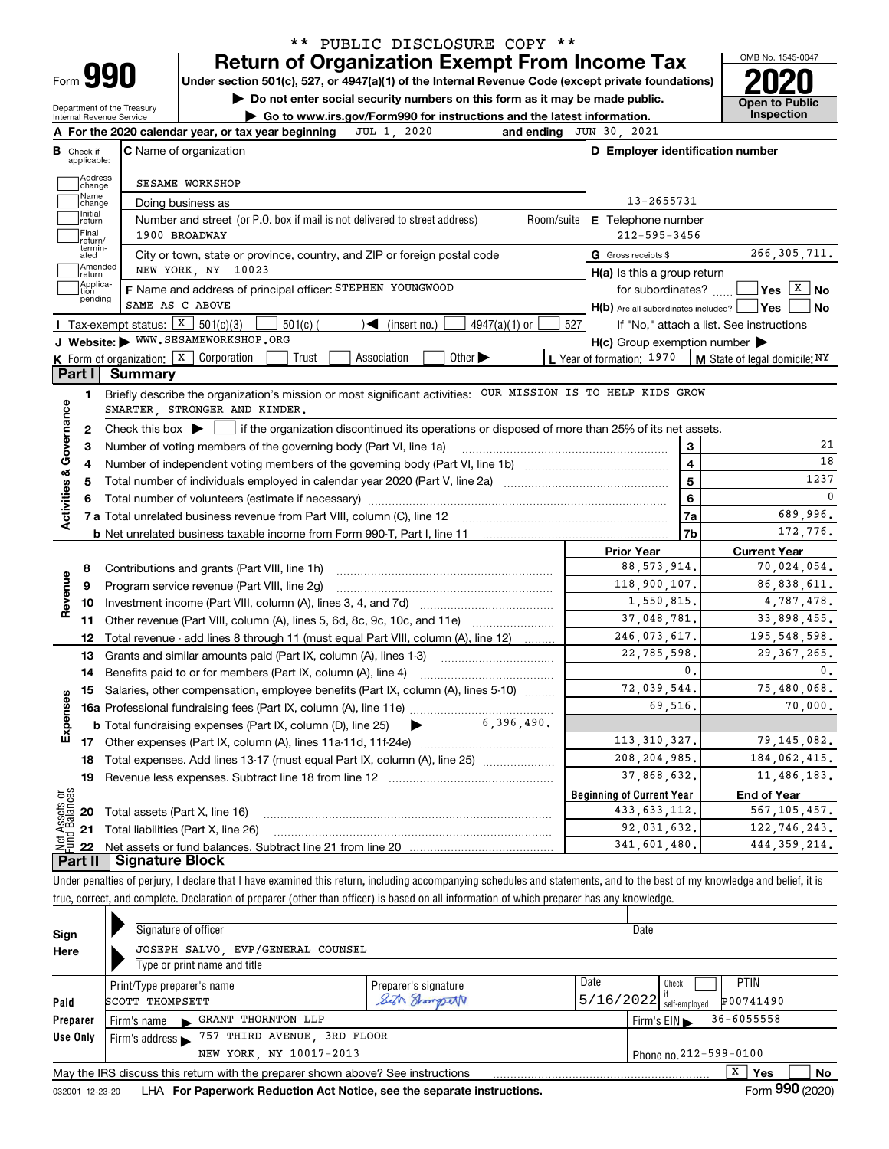| ⊢orm |  |
|------|--|

### **Return of Organization Exempt From Income Tax** \*\* PUBLIC DISCLOSURE COPY \*\*

**Under section 501(c), 527, or 4947(a)(1) of the Internal Revenue Code (except private foundations) 2020**

**| Do not enter social security numbers on this form as it may be made public.**

Department of the Treasury Internal Revenue Service

**| Go to www.irs.gov/Form990 for instructions and the latest information. Inspection**



|                         |                         | JUL 1, 2020<br>A For the 2020 calendar year, or tax year beginning                                                                                  |            | and ending JUN 30, 2021                             |    |                                                           |
|-------------------------|-------------------------|-----------------------------------------------------------------------------------------------------------------------------------------------------|------------|-----------------------------------------------------|----|-----------------------------------------------------------|
| В                       | Check if<br>applicable: | <b>C</b> Name of organization                                                                                                                       |            | D Employer identification number                    |    |                                                           |
|                         | Address<br>change       | <b>SESAME WORKSHOP</b>                                                                                                                              |            |                                                     |    |                                                           |
|                         | Name<br>change          | Doing business as                                                                                                                                   |            | 13-2655731                                          |    |                                                           |
|                         | Initial<br>return       | Number and street (or P.O. box if mail is not delivered to street address)                                                                          | Room/suite | <b>E</b> Telephone number                           |    |                                                           |
|                         | Final<br>return/        | 1900 BROADWAY                                                                                                                                       |            | $212 - 595 - 3456$                                  |    |                                                           |
|                         | termin-<br>ated         | City or town, state or province, country, and ZIP or foreign postal code                                                                            |            | G Gross receipts \$                                 |    | 266, 305, 711.                                            |
|                         | Amended<br>return       | NEW YORK, NY 10023                                                                                                                                  |            | $H(a)$ is this a group return                       |    |                                                           |
|                         | Applica-<br>tion        | F Name and address of principal officer: STEPHEN YOUNGWOOD                                                                                          |            |                                                     |    | for subordinates? $\frac{1}{2}$ Yes $\boxed{X}$ No        |
|                         | pending                 | SAME AS C ABOVE                                                                                                                                     |            | H(b) Are all subordinates included?   Yes           |    | $\overline{\phantom{a}}$ No                               |
|                         |                         | Tax-exempt status: $X$ 501(c)(3)<br>$\sqrt{2}$ (insert no.)<br>$4947(a)(1)$ or<br>$501(c)$ (                                                        | 527        |                                                     |    | If "No," attach a list. See instructions                  |
|                         |                         | J Website: WWW.SESAMEWORKSHOP.ORG                                                                                                                   |            | $H(c)$ Group exemption number $\blacktriangleright$ |    |                                                           |
|                         |                         | K Form of organization: $\boxed{\mathbf{X}}$ Corporation<br>Association<br>Other $\blacktriangleright$<br>Trust                                     |            |                                                     |    | L Year of formation: 1970   M State of legal domicile: NY |
|                         | Part I                  | Summary                                                                                                                                             |            |                                                     |    |                                                           |
|                         | 1.                      | Briefly describe the organization's mission or most significant activities: OUR MISSION IS TO HELP KIDS GROW                                        |            |                                                     |    |                                                           |
|                         |                         | SMARTER, STRONGER AND KINDER.                                                                                                                       |            |                                                     |    |                                                           |
| Activities & Governance | $\mathbf{2}$            | Check this box $\blacktriangleright$ $\blacksquare$ if the organization discontinued its operations or disposed of more than 25% of its net assets. |            |                                                     |    |                                                           |
|                         | 3                       | Number of voting members of the governing body (Part VI, line 1a)                                                                                   |            |                                                     | 3  | 21                                                        |
|                         | 4                       |                                                                                                                                                     |            |                                                     | 4  | 18                                                        |
|                         | 5                       |                                                                                                                                                     |            |                                                     | 5  | 1237                                                      |
|                         |                         |                                                                                                                                                     |            |                                                     | 6  | $\mathbf 0$                                               |
|                         |                         |                                                                                                                                                     |            |                                                     | 7a | 689.996.                                                  |
|                         |                         |                                                                                                                                                     |            |                                                     | 7b | 172,776.                                                  |
|                         |                         |                                                                                                                                                     |            | <b>Prior Year</b>                                   |    | <b>Current Year</b>                                       |
|                         | 8                       | Contributions and grants (Part VIII, line 1h)                                                                                                       |            | 88, 573, 914.                                       |    | 70,024,054.                                               |
| Revenue                 | 9                       | Program service revenue (Part VIII, line 2g)                                                                                                        |            | 118,900,107.                                        |    | 86,838,611.                                               |
|                         | 10                      |                                                                                                                                                     |            | 1,550,815.                                          |    | 4,787,478.                                                |
|                         | 11                      | Other revenue (Part VIII, column (A), lines 5, 6d, 8c, 9c, 10c, and 11e)                                                                            |            | 37.048.781.                                         |    | 33,898,455.                                               |
|                         | 12                      | Total revenue - add lines 8 through 11 (must equal Part VIII, column (A), line 12)                                                                  |            | 246,073,617.                                        |    | 195, 548, 598.                                            |
|                         | 13                      | Grants and similar amounts paid (Part IX, column (A), lines 1-3) <i>manumanonononononon</i>                                                         |            | 22,785,598.                                         |    | 29, 367, 265.                                             |
|                         | 14                      |                                                                                                                                                     |            |                                                     | 0. | 0.                                                        |
|                         | 15                      | Salaries, other compensation, employee benefits (Part IX, column (A), lines 5-10)                                                                   |            | 72,039,544.                                         |    | 75,480,068.                                               |
| Expenses                |                         |                                                                                                                                                     |            | 69,516.                                             |    | 70,000.                                                   |
|                         |                         | $\bullet$ 6,396,490.<br><b>b</b> Total fundraising expenses (Part IX, column (D), line 25)                                                          |            |                                                     |    |                                                           |
|                         |                         |                                                                                                                                                     |            | 113, 310, 327.                                      |    | 79, 145, 082.                                             |
|                         | 18                      | Total expenses. Add lines 13-17 (must equal Part IX, column (A), line 25) [11, 11, 11, 11, 11]                                                      |            | 208, 204, 985.                                      |    | 184,062,415.                                              |
|                         | 19                      |                                                                                                                                                     |            | 37,868,632.                                         |    | 11,486,183.                                               |
| ងខ្លី                   |                         |                                                                                                                                                     |            | <b>Beginning of Current Year</b>                    |    | <b>End of Year</b>                                        |
| ssets<br>Ralarr         |                         | <b>20</b> Total assets (Part X, line 16)                                                                                                            |            | 433, 633, 112.                                      |    | 567, 105, 457.                                            |
|                         |                         | 21 Total liabilities (Part X, line 26)                                                                                                              |            | 92,031,632.                                         |    | 122, 746, 243.                                            |
|                         | 22                      |                                                                                                                                                     |            | 341,601,480.                                        |    | 444.359.214.                                              |
|                         |                         | <b>Part II   Signature Block</b>                                                                                                                    |            |                                                     |    |                                                           |

Under penalties of perjury, I declare that I have examined this return, including accompanying schedules and statements, and to the best of my knowledge and belief, it is true, correct, and complete. Declaration of preparer (other than officer) is based on all information of which preparer has any knowledge.

| Sign            | Signature of officer                                                            |                      | Date      |                                                    |
|-----------------|---------------------------------------------------------------------------------|----------------------|-----------|----------------------------------------------------|
| Here            | JOSEPH SALVO, EVP/GENERAL COUNSEL                                               |                      |           |                                                    |
|                 | Type or print name and title                                                    |                      |           |                                                    |
|                 | Print/Type preparer's name                                                      | Preparer's signature | Date      | PTIN<br>Check                                      |
| Paid            | SCOTT THOMPSETT                                                                 | Seth Shompsett       | 5/16/2022 | P00741490<br>self-emploved                         |
| Preparer        | GRANT THORNTON LLP<br>Firm's name<br>$\blacktriangleright$                      |                      |           | $36 - 6055558$<br>Firm's $EIN \blacktriangleright$ |
| Use Only        | 757 THIRD AVENUE, 3RD FLOOR<br>Firm's address $\blacktriangleright$             |                      |           |                                                    |
|                 | NEW YORK, NY 10017-2013                                                         |                      |           | Phone no. 212-599-0100                             |
|                 | May the IRS discuss this return with the preparer shown above? See instructions |                      |           | x<br>No<br><b>Yes</b>                              |
| 032001 12-23-20 | LHA For Paperwork Reduction Act Notice, see the separate instructions.          |                      |           | Form 990 (2020)                                    |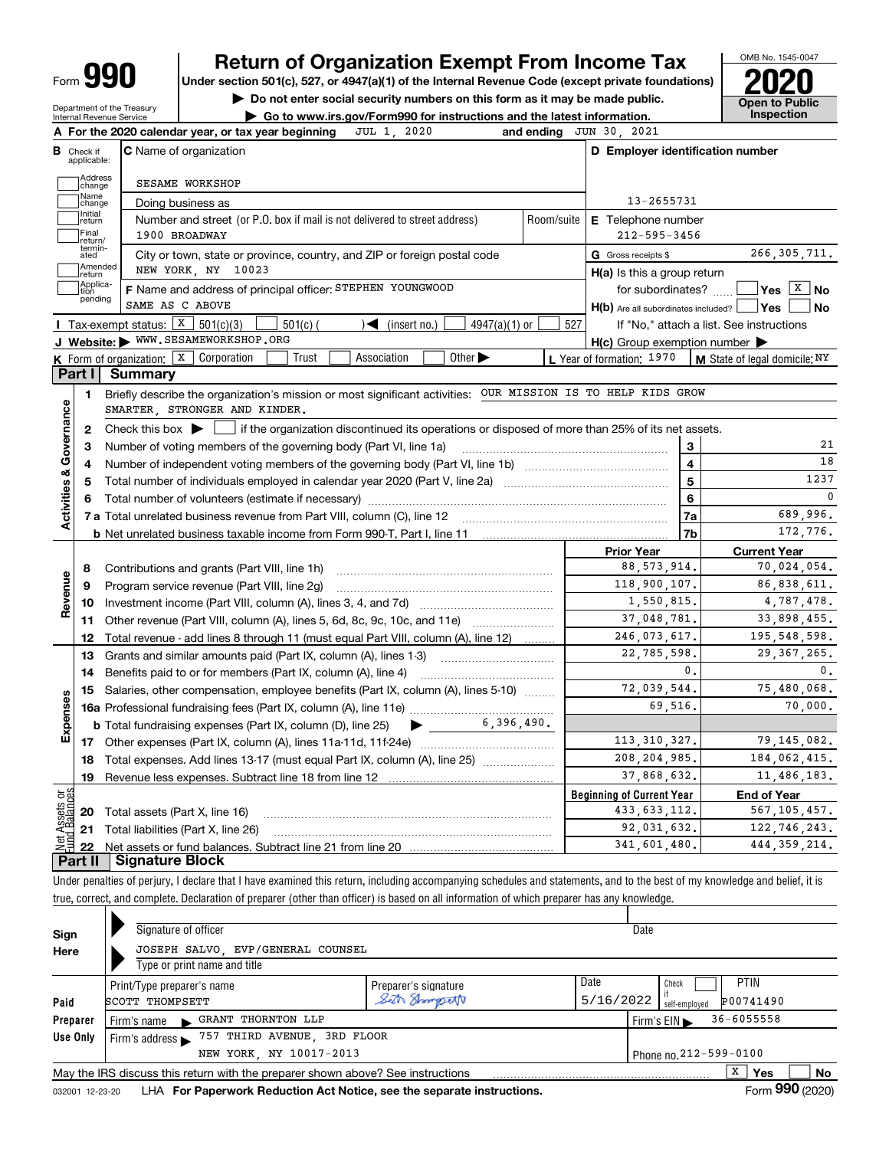| IГ<br>Form |
|------------|
|------------|

# **Return of Organization Exempt From Income Tax**

**Under section 501(c), 527, or 4947(a)(1) of the Internal Revenue Code (except private foundations) 2020**

**| Do not enter social security numbers on this form as it may be made public.**

Department of the Treasury Internal Revenue Service

**| Go to www.irs.gov/Form990 for instructions and the latest information. Inspection**



|                          |                             | JUL 1, 2020<br>A For the 2020 calendar year, or tax year beginning                                                                                  | and ending JUN 30, 2021 |                                                     |    |                                                    |
|--------------------------|-----------------------------|-----------------------------------------------------------------------------------------------------------------------------------------------------|-------------------------|-----------------------------------------------------|----|----------------------------------------------------|
| В                        | Check if<br>applicable:     | C Name of organization                                                                                                                              |                         | D Employer identification number                    |    |                                                    |
|                          | Address<br>change           | <b>SESAME WORKSHOP</b>                                                                                                                              |                         |                                                     |    |                                                    |
|                          | Name<br>change              | Doing business as                                                                                                                                   |                         | 13-2655731                                          |    |                                                    |
|                          | Initial<br>return           | Number and street (or P.O. box if mail is not delivered to street address)                                                                          | Room/suite              | <b>E</b> Telephone number                           |    |                                                    |
|                          | Final<br>return/            | 1900 BROADWAY                                                                                                                                       |                         | $212 - 595 - 3456$                                  |    |                                                    |
|                          | termin-<br>ated             | City or town, state or province, country, and ZIP or foreign postal code                                                                            |                         | G Gross receipts \$                                 |    | 266, 305, 711.                                     |
|                          | Amended<br>return           | NEW YORK, NY 10023                                                                                                                                  |                         | $H(a)$ is this a group return                       |    |                                                    |
|                          | Applica-<br>tion<br>pending | F Name and address of principal officer: STEPHEN YOUNGWOOD                                                                                          |                         |                                                     |    | for subordinates? $\frac{1}{2}$ Yes $\boxed{X}$ No |
|                          |                             | SAME AS C ABOVE                                                                                                                                     |                         | H(b) Are all subordinates included?   Yes           |    | ∣No                                                |
|                          |                             | Tax-exempt status: $X$ 501(c)(3)<br>$\sqrt{\frac{1}{1}}$ (insert no.)<br>$4947(a)(1)$ or<br>$501(c)$ (                                              | 527                     |                                                     |    | If "No," attach a list. See instructions           |
|                          |                             | J Website: WWW.SESAMEWORKSHOP.ORG                                                                                                                   |                         | $H(c)$ Group exemption number $\blacktriangleright$ |    |                                                    |
|                          |                             | K Form of organization: X Corporation<br>Association<br>Other $\blacktriangleright$<br>Trust                                                        |                         | L Year of formation: 1970                           |    | M State of legal domicile: NY                      |
|                          | Part I                      | Summary                                                                                                                                             |                         |                                                     |    |                                                    |
|                          | 1                           | Briefly describe the organization's mission or most significant activities: OUR MISSION IS TO HELP KIDS GROW<br>SMARTER STRONGER AND KINDER.        |                         |                                                     |    |                                                    |
| Activities & Governance  | $\mathbf{2}$                | Check this box $\blacktriangleright$ $\blacksquare$ if the organization discontinued its operations or disposed of more than 25% of its net assets. |                         |                                                     |    |                                                    |
|                          | З                           | Number of voting members of the governing body (Part VI, line 1a)                                                                                   |                         |                                                     | 3  | 21                                                 |
|                          | 4                           |                                                                                                                                                     |                         |                                                     | 4  | 18                                                 |
|                          | 5                           |                                                                                                                                                     |                         |                                                     | 5  | 1237                                               |
|                          |                             |                                                                                                                                                     |                         |                                                     | 6  | $\mathbf 0$                                        |
|                          |                             |                                                                                                                                                     |                         |                                                     | 7a | 689.996.                                           |
|                          |                             | <b>b</b> Net unrelated business taxable income from Form 990-T, Part I, line 11 <b>manual contract of the Contract Part</b>                         |                         |                                                     | 7b | 172,776.                                           |
|                          |                             |                                                                                                                                                     |                         | <b>Prior Year</b>                                   |    | <b>Current Year</b>                                |
|                          | 8                           | Contributions and grants (Part VIII, line 1h)                                                                                                       |                         | 88, 573, 914.                                       |    | 70,024,054.                                        |
| Revenue                  | 9                           | Program service revenue (Part VIII, line 2g)                                                                                                        |                         | 118,900,107.                                        |    | 86,838,611.                                        |
|                          | 10                          |                                                                                                                                                     |                         | 1,550,815.                                          |    | 4,787,478.                                         |
|                          | 11                          | Other revenue (Part VIII, column (A), lines 5, 6d, 8c, 9c, 10c, and 11e)                                                                            |                         | 37.048.781.                                         |    | 33,898,455.                                        |
|                          | 12                          | Total revenue - add lines 8 through 11 (must equal Part VIII, column (A), line 12)                                                                  |                         | 246,073,617.                                        |    | 195, 548, 598.                                     |
|                          | 13                          | Grants and similar amounts paid (Part IX, column (A), lines 1-3) <i>manumanonononononon</i>                                                         |                         | 22,785,598.                                         |    | 29, 367, 265.                                      |
|                          | 14                          |                                                                                                                                                     |                         |                                                     | 0. | 0.                                                 |
|                          | 15                          | Salaries, other compensation, employee benefits (Part IX, column (A), lines 5-10)                                                                   |                         | 72,039,544.                                         |    | 75,480,068.                                        |
| Expenses                 |                             |                                                                                                                                                     |                         | 69,516.                                             |    | 70,000.                                            |
|                          |                             | $\bullet$ 6,396,490.<br><b>b</b> Total fundraising expenses (Part IX, column (D), line 25)                                                          |                         |                                                     |    |                                                    |
|                          |                             |                                                                                                                                                     |                         | 113, 310, 327.                                      |    | 79, 145, 082.                                      |
|                          | 18                          | Total expenses. Add lines 13-17 (must equal Part IX, column (A), line 25) <i>marronomic</i>                                                         |                         | 208, 204, 985.                                      |    | 184,062,415.                                       |
|                          |                             |                                                                                                                                                     |                         | 37,868,632.                                         |    | 11,486,183.                                        |
|                          | 19                          |                                                                                                                                                     |                         |                                                     |    |                                                    |
|                          |                             |                                                                                                                                                     |                         | <b>Beginning of Current Year</b>                    |    | <b>End of Year</b>                                 |
|                          |                             | <b>20</b> Total assets (Part X, line 16)                                                                                                            |                         | 433, 633, 112.                                      |    |                                                    |
| ងខ្លី<br>ssets<br>Ralarr |                             | 21 Total liabilities (Part X, line 26)                                                                                                              |                         | 92,031,632.<br>341,601,480.                         |    | 567, 105, 457.<br>122,746,243.<br>444.359.214.     |

Under penalties of perjury, I declare that I have examined this return, including accompanying schedules and statements, and to the best of my knowledge and belief, it is true, correct, and complete. Declaration of preparer (other than officer) is based on all information of which preparer has any knowledge.

| Sign     | Signature of officer                                                            |                      | Date                                               |
|----------|---------------------------------------------------------------------------------|----------------------|----------------------------------------------------|
| Here     | JOSEPH SALVO EVP/GENERAL COUNSEL                                                |                      |                                                    |
|          | Type or print name and title                                                    |                      |                                                    |
|          | Print/Type preparer's name                                                      | Preparer's signature | Date<br><b>PTIN</b><br>Check                       |
| Paid     | SCOTT THOMPSETT                                                                 | Seth Strongpett      | 5/16/2022<br>P00741490<br>self-employed            |
| Preparer | <b>GRANT THORNTON LLP</b><br>Firm's name<br>$\blacksquare$                      |                      | $36 - 6055558$<br>Firm's $EIN \blacktriangleright$ |
| Use Only | 757 THIRD AVENUE, 3RD FLOOR<br>Firm's address $\blacktriangleright$             |                      |                                                    |
|          | NEW YORK, NY 10017-2013                                                         |                      | Phone no. 212-599-0100                             |
|          | May the IRS discuss this return with the preparer shown above? See instructions |                      | X<br>No<br>Yes                                     |
|          |                                                                                 |                      | $\mathbf{a}\mathbf{a}\mathbf{a}$                   |

032001 12-23-20 LHA **For Paperwork Reduction Act Notice, see the separate instructions. Form 990 (2020)**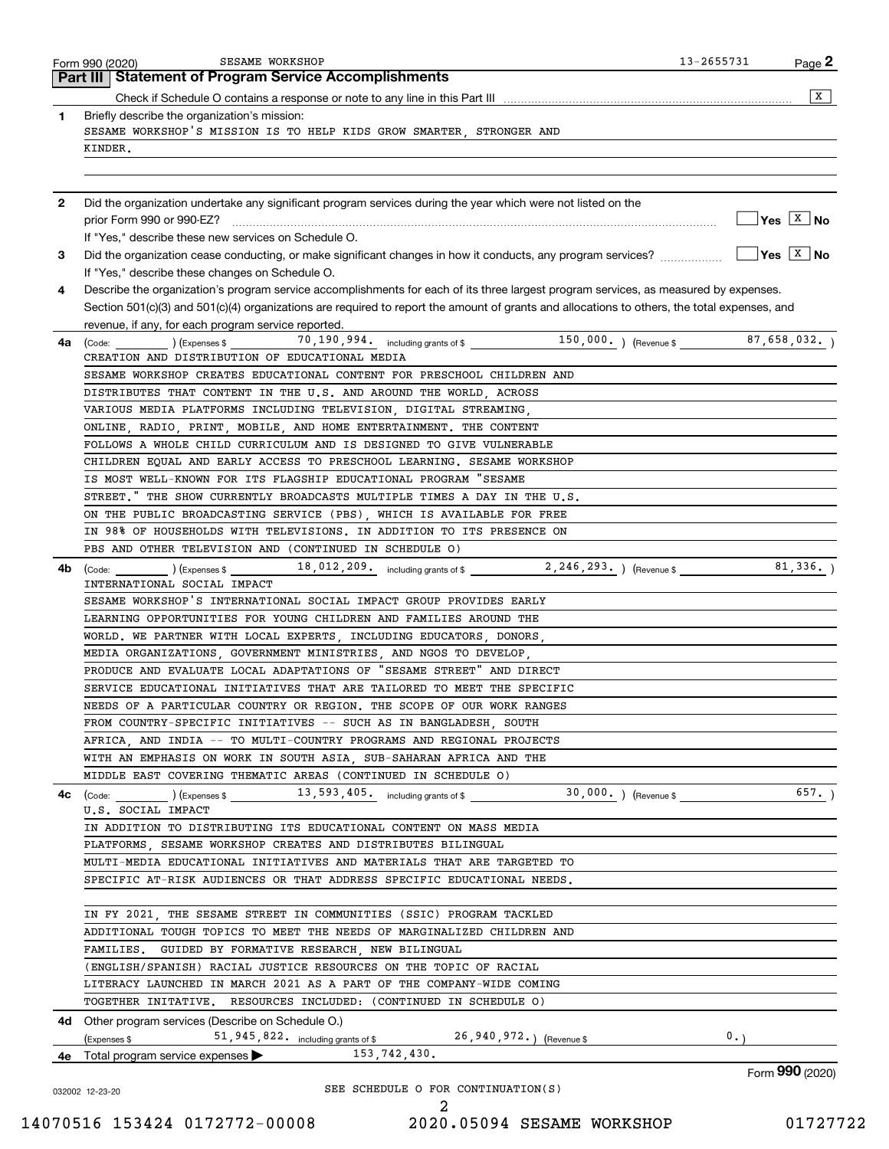|              | <b>SESAME WORKSHOP</b><br>Form 990 (2020)<br><b>Part III   Statement of Program Service Accomplishments</b>                                  | 13-2655731<br>Page 2                                                       |
|--------------|----------------------------------------------------------------------------------------------------------------------------------------------|----------------------------------------------------------------------------|
|              |                                                                                                                                              | $\overline{X}$                                                             |
| 1            | Briefly describe the organization's mission:                                                                                                 |                                                                            |
|              | SESAME WORKSHOP'S MISSION IS TO HELP KIDS GROW SMARTER, STRONGER AND                                                                         |                                                                            |
|              | KINDER.                                                                                                                                      |                                                                            |
|              |                                                                                                                                              |                                                                            |
|              |                                                                                                                                              |                                                                            |
| $\mathbf{2}$ | Did the organization undertake any significant program services during the year which were not listed on the                                 | $\sqrt{}$ Yes $\sqrt{X}$ No                                                |
|              |                                                                                                                                              |                                                                            |
|              | If "Yes." describe these new services on Schedule O.                                                                                         |                                                                            |
| 3            | Did the organization cease conducting, or make significant changes in how it conducts, any program services?                                 | $\boxed{\phantom{1}}$ Yes $\boxed{\phantom{1}}$ X $\boxed{\phantom{1}}$ No |
|              | If "Yes," describe these changes on Schedule O.                                                                                              |                                                                            |
| 4            | Describe the organization's program service accomplishments for each of its three largest program services, as measured by expenses.         |                                                                            |
|              | Section 501(c)(3) and 501(c)(4) organizations are required to report the amount of grants and allocations to others, the total expenses, and |                                                                            |
|              | revenue, if any, for each program service reported.                                                                                          |                                                                            |
| 4a           |                                                                                                                                              |                                                                            |
|              | CREATION AND DISTRIBUTION OF EDUCATIONAL MEDIA                                                                                               |                                                                            |
|              | SESAME WORKSHOP CREATES EDUCATIONAL CONTENT FOR PRESCHOOL CHILDREN AND                                                                       |                                                                            |
|              | DISTRIBUTES THAT CONTENT IN THE U.S. AND AROUND THE WORLD, ACROSS                                                                            |                                                                            |
|              | VARIOUS MEDIA PLATFORMS INCLUDING TELEVISION, DIGITAL STREAMING,                                                                             |                                                                            |
|              | ONLINE, RADIO, PRINT, MOBILE, AND HOME ENTERTAINMENT. THE CONTENT                                                                            |                                                                            |
|              | FOLLOWS A WHOLE CHILD CURRICULUM AND IS DESIGNED TO GIVE VULNERABLE                                                                          |                                                                            |
|              | CHILDREN EQUAL AND EARLY ACCESS TO PRESCHOOL LEARNING. SESAME WORKSHOP                                                                       |                                                                            |
|              | IS MOST WELL-KNOWN FOR ITS FLAGSHIP EDUCATIONAL PROGRAM "SESAME                                                                              |                                                                            |
|              | STREET." THE SHOW CURRENTLY BROADCASTS MULTIPLE TIMES A DAY IN THE U.S.                                                                      |                                                                            |
|              | ON THE PUBLIC BROADCASTING SERVICE (PBS), WHICH IS AVAILABLE FOR FREE                                                                        |                                                                            |
|              | IN 98% OF HOUSEHOLDS WITH TELEVISIONS. IN ADDITION TO ITS PRESENCE ON                                                                        |                                                                            |
|              | PBS AND OTHER TELEVISION AND (CONTINUED IN SCHEDULE O)                                                                                       |                                                                            |
| 4b           |                                                                                                                                              | 81,336.                                                                    |
|              | INTERNATIONAL SOCIAL IMPACT                                                                                                                  |                                                                            |
|              | SESAME WORKSHOP'S INTERNATIONAL SOCIAL IMPACT GROUP PROVIDES EARLY                                                                           |                                                                            |
|              | LEARNING OPPORTUNITIES FOR YOUNG CHILDREN AND FAMILIES AROUND THE                                                                            |                                                                            |
|              | WORLD. WE PARTNER WITH LOCAL EXPERTS, INCLUDING EDUCATORS, DONORS,                                                                           |                                                                            |
|              | MEDIA ORGANIZATIONS, GOVERNMENT MINISTRIES, AND NGOS TO DEVELOP,                                                                             |                                                                            |
|              | PRODUCE AND EVALUATE LOCAL ADAPTATIONS OF "SESAME STREET" AND DIRECT                                                                         |                                                                            |
|              | SERVICE EDUCATIONAL INITIATIVES THAT ARE TAILORED TO MEET THE SPECIFIC                                                                       |                                                                            |
|              | NEEDS OF A PARTICULAR COUNTRY OR REGION. THE SCOPE OF OUR WORK RANGES                                                                        |                                                                            |
|              | FROM COUNTRY-SPECIFIC INITIATIVES -- SUCH AS IN BANGLADESH, SOUTH                                                                            |                                                                            |
|              | AFRICA, AND INDIA -- TO MULTI-COUNTRY PROGRAMS AND REGIONAL PROJECTS                                                                         |                                                                            |
|              |                                                                                                                                              |                                                                            |
|              | WITH AN EMPHASIS ON WORK IN SOUTH ASIA, SUB-SAHARAN AFRICA AND THE                                                                           |                                                                            |
|              | MIDDLE EAST COVERING THEMATIC AREAS (CONTINUED IN SCHEDULE O)                                                                                |                                                                            |
| 4с           |                                                                                                                                              | 657.                                                                       |
|              | U.S. SOCIAL IMPACT                                                                                                                           |                                                                            |
|              | IN ADDITION TO DISTRIBUTING ITS EDUCATIONAL CONTENT ON MASS MEDIA                                                                            |                                                                            |
|              | PLATFORMS SESAME WORKSHOP CREATES AND DISTRIBUTES BILINGUAL                                                                                  |                                                                            |
|              | MULTI-MEDIA EDUCATIONAL INITIATIVES AND MATERIALS THAT ARE TARGETED TO                                                                       |                                                                            |
|              | SPECIFIC AT-RISK AUDIENCES OR THAT ADDRESS SPECIFIC EDUCATIONAL NEEDS.                                                                       |                                                                            |
|              | IN FY 2021, THE SESAME STREET IN COMMUNITIES (SSIC) PROGRAM TACKLED                                                                          |                                                                            |
|              | ADDITIONAL TOUGH TOPICS TO MEET THE NEEDS OF MARGINALIZED CHILDREN AND                                                                       |                                                                            |
|              | FAMILIES. GUIDED BY FORMATIVE RESEARCH, NEW BILINGUAL                                                                                        |                                                                            |
|              | (ENGLISH/SPANISH) RACIAL JUSTICE RESOURCES ON THE TOPIC OF RACIAL                                                                            |                                                                            |
|              | LITERACY LAUNCHED IN MARCH 2021 AS A PART OF THE COMPANY-WIDE COMING                                                                         |                                                                            |
|              | TOGETHER INITATIVE. RESOURCES INCLUDED: (CONTINUED IN SCHEDULE O)                                                                            |                                                                            |
|              | <b>4d</b> Other program services (Describe on Schedule O.)                                                                                   |                                                                            |
|              |                                                                                                                                              | 0.                                                                         |
|              | (Expenses \$51,945,822. including grants of \$26,940,972.) (Revenue \$150,972. € 153,742,430.                                                |                                                                            |
|              |                                                                                                                                              | Form 990 (2020)                                                            |
|              |                                                                                                                                              |                                                                            |
|              | SEE SCHEDULE O FOR CONTINUATION(S)<br>032002 12-23-20                                                                                        |                                                                            |
|              | 2                                                                                                                                            |                                                                            |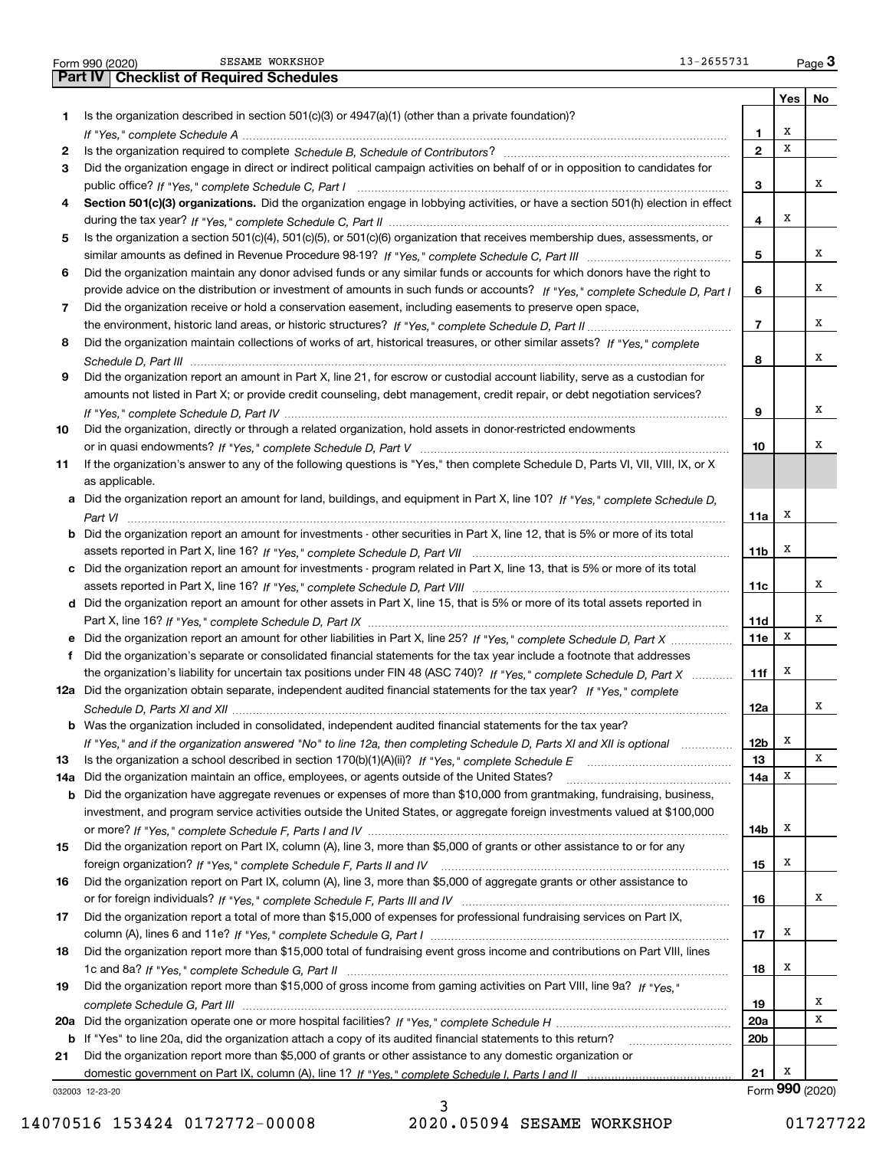|     | <b>SESAME WORKSHOP</b><br>13-2655731<br>Form 990 (2020)                                                                               |                 |     | Page $3$        |
|-----|---------------------------------------------------------------------------------------------------------------------------------------|-----------------|-----|-----------------|
|     | <b>Part IV   Checklist of Required Schedules</b>                                                                                      |                 |     |                 |
|     |                                                                                                                                       |                 | Yes | No              |
| 1   | Is the organization described in section $501(c)(3)$ or $4947(a)(1)$ (other than a private foundation)?                               |                 |     |                 |
|     |                                                                                                                                       | 1               | х   |                 |
| 2   |                                                                                                                                       | $\mathbf{2}$    | х   |                 |
| 3   | Did the organization engage in direct or indirect political campaign activities on behalf of or in opposition to candidates for       |                 |     |                 |
|     |                                                                                                                                       | 3               |     | x               |
| 4   | Section 501(c)(3) organizations. Did the organization engage in lobbying activities, or have a section 501(h) election in effect      |                 |     |                 |
|     |                                                                                                                                       | 4               | х   |                 |
| 5   | Is the organization a section 501(c)(4), 501(c)(5), or 501(c)(6) organization that receives membership dues, assessments, or          |                 |     |                 |
|     |                                                                                                                                       | 5               |     | x               |
| 6   | Did the organization maintain any donor advised funds or any similar funds or accounts for which donors have the right to             |                 |     |                 |
|     | provide advice on the distribution or investment of amounts in such funds or accounts? If "Yes," complete Schedule D, Part I          | 6               |     | x               |
| 7   | Did the organization receive or hold a conservation easement, including easements to preserve open space,                             |                 |     |                 |
|     |                                                                                                                                       | $\overline{7}$  |     | x               |
| 8   | Did the organization maintain collections of works of art, historical treasures, or other similar assets? If "Yes," complete          |                 |     |                 |
|     |                                                                                                                                       | 8               |     | x               |
| 9   | Did the organization report an amount in Part X, line 21, for escrow or custodial account liability, serve as a custodian for         |                 |     |                 |
|     | amounts not listed in Part X; or provide credit counseling, debt management, credit repair, or debt negotiation services?             |                 |     |                 |
|     |                                                                                                                                       |                 |     | x               |
|     |                                                                                                                                       | 9               |     |                 |
| 10  | Did the organization, directly or through a related organization, hold assets in donor-restricted endowments                          |                 |     |                 |
|     |                                                                                                                                       | 10              |     | x               |
| 11  | If the organization's answer to any of the following questions is "Yes," then complete Schedule D, Parts VI, VII, VIII, IX, or X      |                 |     |                 |
|     | as applicable.                                                                                                                        |                 |     |                 |
|     | a Did the organization report an amount for land, buildings, and equipment in Part X, line 10? If "Yes," complete Schedule D.         |                 |     |                 |
|     |                                                                                                                                       | 11a             | х   |                 |
|     | <b>b</b> Did the organization report an amount for investments - other securities in Part X, line 12, that is 5% or more of its total |                 |     |                 |
|     |                                                                                                                                       | 11 <sub>b</sub> | х   |                 |
|     | c Did the organization report an amount for investments - program related in Part X, line 13, that is 5% or more of its total         |                 |     |                 |
|     |                                                                                                                                       | 11c             |     | x               |
|     | d Did the organization report an amount for other assets in Part X, line 15, that is 5% or more of its total assets reported in       |                 |     |                 |
|     |                                                                                                                                       | 11d             |     | x               |
|     | e Did the organization report an amount for other liabilities in Part X, line 25? If "Yes," complete Schedule D, Part X               | 11e             | х   |                 |
| f   | Did the organization's separate or consolidated financial statements for the tax year include a footnote that addresses               |                 |     |                 |
|     | the organization's liability for uncertain tax positions under FIN 48 (ASC 740)? If "Yes," complete Schedule D, Part X                | 11f             | x   |                 |
|     | 12a Did the organization obtain separate, independent audited financial statements for the tax year? If "Yes," complete               |                 |     |                 |
|     |                                                                                                                                       | 12a             |     | x               |
| b   | Was the organization included in consolidated, independent audited financial statements for the tax year?                             |                 |     |                 |
|     | If "Yes," and if the organization answered "No" to line 12a, then completing Schedule D, Parts XI and XII is optional                 | 12b             | х   |                 |
| 13  |                                                                                                                                       | 13              |     | х               |
| 14a | Did the organization maintain an office, employees, or agents outside of the United States?                                           | 14a             | х   |                 |
| b   | Did the organization have aggregate revenues or expenses of more than \$10,000 from grantmaking, fundraising, business,               |                 |     |                 |
|     | investment, and program service activities outside the United States, or aggregate foreign investments valued at \$100,000            |                 |     |                 |
|     |                                                                                                                                       | 14b             | X   |                 |
| 15  | Did the organization report on Part IX, column (A), line 3, more than \$5,000 of grants or other assistance to or for any             |                 |     |                 |
|     |                                                                                                                                       | 15              | X   |                 |
| 16  | Did the organization report on Part IX, column (A), line 3, more than \$5,000 of aggregate grants or other assistance to              |                 |     |                 |
|     |                                                                                                                                       | 16              |     | x               |
| 17  | Did the organization report a total of more than \$15,000 of expenses for professional fundraising services on Part IX,               |                 |     |                 |
|     |                                                                                                                                       | 17              | х   |                 |
| 18  | Did the organization report more than \$15,000 total of fundraising event gross income and contributions on Part VIII, lines          |                 |     |                 |
|     |                                                                                                                                       | 18              | X   |                 |
|     |                                                                                                                                       |                 |     |                 |
| 19  | Did the organization report more than \$15,000 of gross income from gaming activities on Part VIII, line 9a? If "Yes."                |                 |     | x               |
|     |                                                                                                                                       | 19              |     | х               |
|     |                                                                                                                                       | 20a             |     |                 |
|     | b If "Yes" to line 20a, did the organization attach a copy of its audited financial statements to this return?                        | 20 <sub>b</sub> |     |                 |
| 21  | Did the organization report more than \$5,000 of grants or other assistance to any domestic organization or                           |                 |     |                 |
|     |                                                                                                                                       | 21              | X   |                 |
|     | 032003 12-23-20                                                                                                                       |                 |     | Form 990 (2020) |

SESAME WORKSHOP

032003 12-23-20

3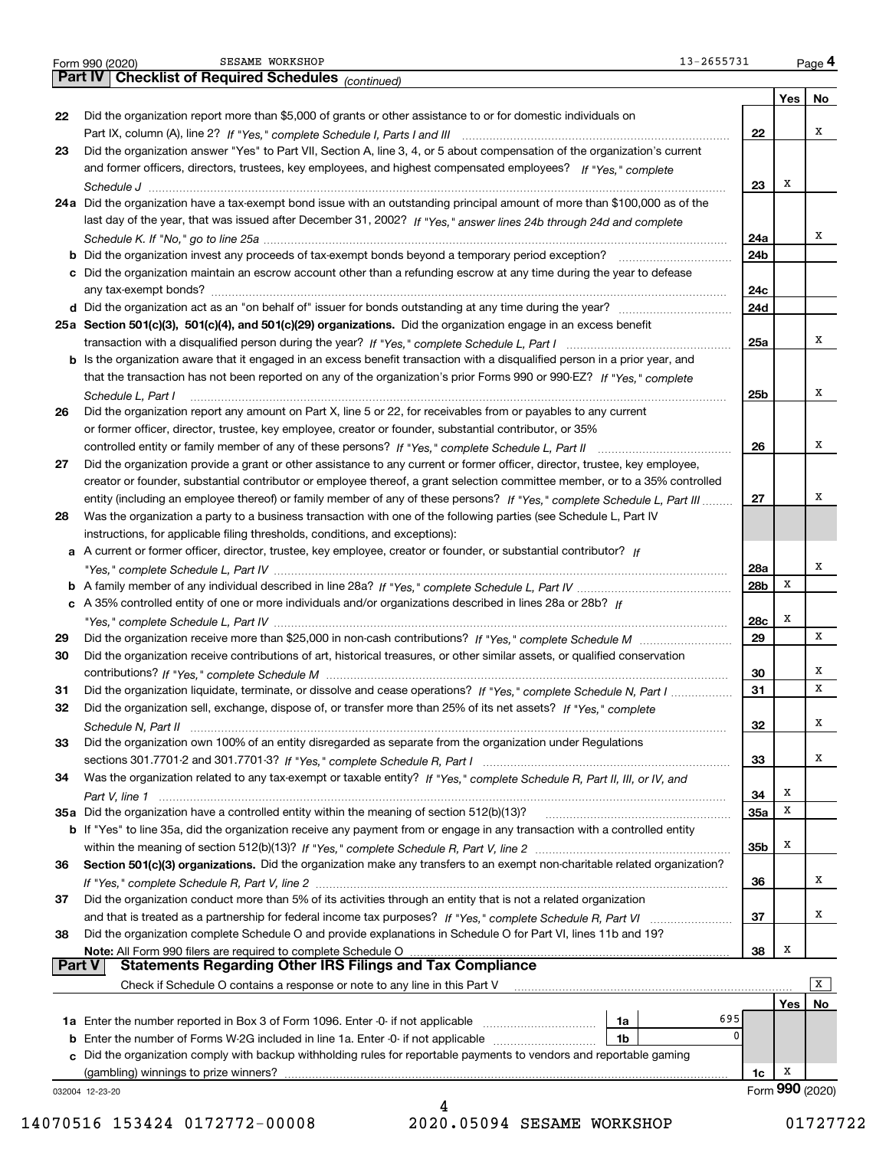| 23            | Did the organization answer "Yes" to Part VII, Section A, line 3, 4, or 5 about compensation of the organization's current   |                 |     |                 |
|---------------|------------------------------------------------------------------------------------------------------------------------------|-----------------|-----|-----------------|
|               | and former officers, directors, trustees, key employees, and highest compensated employees? If "Yes," complete               |                 |     |                 |
|               |                                                                                                                              | 23              | х   |                 |
|               | 24a Did the organization have a tax-exempt bond issue with an outstanding principal amount of more than \$100,000 as of the  |                 |     |                 |
|               | last day of the year, that was issued after December 31, 2002? If "Yes," answer lines 24b through 24d and complete           |                 |     |                 |
|               |                                                                                                                              | 24a             |     | x               |
|               | <b>b</b> Did the organization invest any proceeds of tax-exempt bonds beyond a temporary period exception?                   | 24b             |     |                 |
|               | c Did the organization maintain an escrow account other than a refunding escrow at any time during the year to defease       |                 |     |                 |
|               |                                                                                                                              | 24c             |     |                 |
|               |                                                                                                                              | 24d             |     |                 |
|               | 25a Section 501(c)(3), 501(c)(4), and 501(c)(29) organizations. Did the organization engage in an excess benefit             |                 |     |                 |
|               |                                                                                                                              | 25a             |     | x               |
|               | b Is the organization aware that it engaged in an excess benefit transaction with a disqualified person in a prior year, and |                 |     |                 |
|               | that the transaction has not been reported on any of the organization's prior Forms 990 or 990-EZ? If "Yes," complete        |                 |     |                 |
|               | Schedule L, Part I                                                                                                           | 25 <sub>b</sub> |     | х               |
| 26            | Did the organization report any amount on Part X, line 5 or 22, for receivables from or payables to any current              |                 |     |                 |
|               | or former officer, director, trustee, key employee, creator or founder, substantial contributor, or 35%                      |                 |     |                 |
|               |                                                                                                                              | 26              |     | х               |
| 27            | Did the organization provide a grant or other assistance to any current or former officer, director, trustee, key employee,  |                 |     |                 |
|               | creator or founder, substantial contributor or employee thereof, a grant selection committee member, or to a 35% controlled  |                 |     |                 |
|               | entity (including an employee thereof) or family member of any of these persons? If "Yes," complete Schedule L, Part III     | 27              |     | x               |
| 28            | Was the organization a party to a business transaction with one of the following parties (see Schedule L, Part IV            |                 |     |                 |
|               | instructions, for applicable filing thresholds, conditions, and exceptions):                                                 |                 |     |                 |
| a             | A current or former officer, director, trustee, key employee, creator or founder, or substantial contributor? If             |                 |     |                 |
|               |                                                                                                                              | <b>28a</b>      |     | x               |
|               |                                                                                                                              | 28b             | X   |                 |
|               | c A 35% controlled entity of one or more individuals and/or organizations described in lines 28a or 28b? If                  |                 |     |                 |
|               |                                                                                                                              | 28c             | х   |                 |
| 29            |                                                                                                                              | 29              |     | x               |
| 30            | Did the organization receive contributions of art, historical treasures, or other similar assets, or qualified conservation  |                 |     |                 |
|               |                                                                                                                              | 30              |     | x               |
| 31            | Did the organization liquidate, terminate, or dissolve and cease operations? If "Yes," complete Schedule N, Part I           | 31              |     | x               |
| 32            | Did the organization sell, exchange, dispose of, or transfer more than 25% of its net assets? If "Yes," complete             |                 |     |                 |
|               |                                                                                                                              | 32              |     | x               |
| 33            | Did the organization own 100% of an entity disregarded as separate from the organization under Regulations                   |                 |     |                 |
|               |                                                                                                                              | 33              |     | x               |
| 34            | Was the organization related to any tax-exempt or taxable entity? If "Yes," complete Schedule R, Part II, III, or IV, and    |                 |     |                 |
|               |                                                                                                                              | 34              | х   |                 |
|               | 35a Did the organization have a controlled entity within the meaning of section 512(b)(13)?                                  | 35a             | х   |                 |
|               | b If "Yes" to line 35a, did the organization receive any payment from or engage in any transaction with a controlled entity  |                 |     |                 |
|               |                                                                                                                              | 35b             | х   |                 |
| 36            | Section 501(c)(3) organizations. Did the organization make any transfers to an exempt non-charitable related organization?   |                 |     |                 |
|               |                                                                                                                              | 36              |     | x               |
| 37            | Did the organization conduct more than 5% of its activities through an entity that is not a related organization             |                 |     |                 |
|               |                                                                                                                              | 37              |     | x               |
| 38            | Did the organization complete Schedule O and provide explanations in Schedule O for Part VI, lines 11b and 19?               |                 |     |                 |
|               | Note: All Form 990 filers are required to complete Schedule O                                                                | 38              | х   |                 |
| <b>Part V</b> | <b>Statements Regarding Other IRS Filings and Tax Compliance</b>                                                             |                 |     |                 |
|               | Check if Schedule O contains a response or note to any line in this Part V                                                   |                 |     | x               |
|               |                                                                                                                              |                 | Yes | No              |
|               | 695<br>1a Enter the number reported in Box 3 of Form 1096. Enter -0- if not applicable<br>1a                                 |                 |     |                 |
| b             | 0<br>Enter the number of Forms W-2G included in line 1a. Enter -0- if not applicable<br>1b                                   |                 |     |                 |
| c             | Did the organization comply with backup withholding rules for reportable payments to vendors and reportable gaming           |                 |     |                 |
|               | (gambling) winnings to prize winners?                                                                                        | 1c              | X   |                 |
|               | 032004 12-23-20                                                                                                              |                 |     | Form 990 (2020) |
|               | 4                                                                                                                            |                 |     |                 |

**22**

**Yes**

**No**

X

SESAME WORKSHOP 13-2655731

**22** Did the organization report more than \$5,000 of grants or other assistance to or for domestic individuals on

Part IX, column (A), line 2? H "Yes," complete Schedule I, Parts I and III **www.www.www.www.www.www.www.ww** 

| rm 990 (2020) |  |
|---------------|--|
|               |  |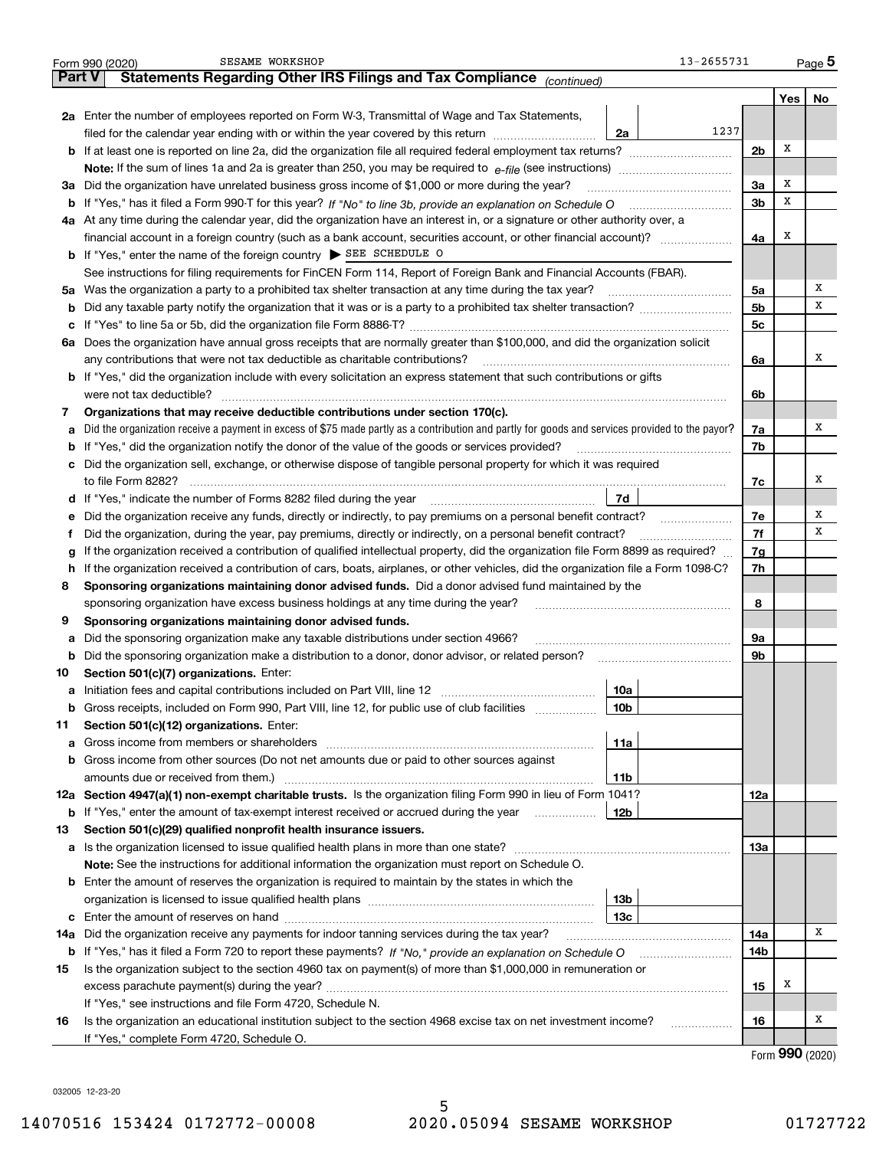|        | 13-2655731<br><b>SESAME WORKSHOP</b><br>Form 990 (2020)                                                                                                                                                                               |                |     | <u>Page</u> 5 |
|--------|---------------------------------------------------------------------------------------------------------------------------------------------------------------------------------------------------------------------------------------|----------------|-----|---------------|
| Part V | Statements Regarding Other IRS Filings and Tax Compliance (continued)                                                                                                                                                                 |                |     |               |
|        |                                                                                                                                                                                                                                       |                | Yes | No            |
|        | 2a Enter the number of employees reported on Form W-3, Transmittal of Wage and Tax Statements,                                                                                                                                        |                |     |               |
|        | 1237<br>filed for the calendar year ending with or within the year covered by this return<br>2a                                                                                                                                       |                |     |               |
|        |                                                                                                                                                                                                                                       | 2 <sub>b</sub> | Х   |               |
|        | Note: If the sum of lines 1a and 2a is greater than 250, you may be required to $e$ -file (see instructions) <i>marrourching</i>                                                                                                      |                |     |               |
|        | 3a Did the organization have unrelated business gross income of \$1,000 or more during the year?                                                                                                                                      | 3a             | х   |               |
|        | b If "Yes," has it filed a Form 990-T for this year? If "No" to line 3b, provide an explanation on Schedule O                                                                                                                         | 3 <sub>b</sub> | х   |               |
|        | 4a At any time during the calendar year, did the organization have an interest in, or a signature or other authority over, a                                                                                                          |                |     |               |
|        |                                                                                                                                                                                                                                       | 4a             | х   |               |
|        | <b>b</b> If "Yes," enter the name of the foreign country $\triangleright$ SEE SCHEDULE O                                                                                                                                              |                |     |               |
|        | See instructions for filing requirements for FinCEN Form 114, Report of Foreign Bank and Financial Accounts (FBAR).                                                                                                                   |                |     |               |
|        | 5a Was the organization a party to a prohibited tax shelter transaction at any time during the tax year?                                                                                                                              | 5a             |     | х             |
|        |                                                                                                                                                                                                                                       | 5 <sub>b</sub> |     | х             |
| c      |                                                                                                                                                                                                                                       | 5c             |     |               |
|        | 6a Does the organization have annual gross receipts that are normally greater than \$100,000, and did the organization solicit                                                                                                        |                |     |               |
|        | any contributions that were not tax deductible as charitable contributions?                                                                                                                                                           | 6a             |     | х             |
|        | <b>b</b> If "Yes," did the organization include with every solicitation an express statement that such contributions or gifts                                                                                                         |                |     |               |
|        | were not tax deductible?                                                                                                                                                                                                              | 6b             |     |               |
| 7      | Organizations that may receive deductible contributions under section 170(c).                                                                                                                                                         |                |     |               |
| а      | Did the organization receive a payment in excess of \$75 made partly as a contribution and partly for goods and services provided to the payor?                                                                                       | 7a             |     | х             |
| b      | If "Yes," did the organization notify the donor of the value of the goods or services provided?                                                                                                                                       | 7b             |     |               |
|        | c Did the organization sell, exchange, or otherwise dispose of tangible personal property for which it was required                                                                                                                   |                |     |               |
|        | to file Form 8282?                                                                                                                                                                                                                    | 7c             |     | x             |
|        | 7d<br><b>d</b> If "Yes," indicate the number of Forms 8282 filed during the year                                                                                                                                                      |                |     |               |
| е      | Did the organization receive any funds, directly or indirectly, to pay premiums on a personal benefit contract?                                                                                                                       | 7e             |     | Х             |
| Ť.     | Did the organization, during the year, pay premiums, directly or indirectly, on a personal benefit contract?                                                                                                                          | 7f             |     | х             |
| g      | If the organization received a contribution of qualified intellectual property, did the organization file Form 8899 as required?                                                                                                      | 7g             |     |               |
| h.     | If the organization received a contribution of cars, boats, airplanes, or other vehicles, did the organization file a Form 1098-C?                                                                                                    | 7h             |     |               |
| 8      | Sponsoring organizations maintaining donor advised funds. Did a donor advised fund maintained by the                                                                                                                                  |                |     |               |
|        | sponsoring organization have excess business holdings at any time during the year?                                                                                                                                                    | 8              |     |               |
| 9      | Sponsoring organizations maintaining donor advised funds.                                                                                                                                                                             |                |     |               |
| а      | Did the sponsoring organization make any taxable distributions under section 4966?                                                                                                                                                    | 9а             |     |               |
| b      | Did the sponsoring organization make a distribution to a donor, donor advisor, or related person?                                                                                                                                     | 9 <sub>b</sub> |     |               |
| 10     | Section 501(c)(7) organizations. Enter:                                                                                                                                                                                               |                |     |               |
|        | 10a                                                                                                                                                                                                                                   |                |     |               |
| b      | Gross receipts, included on Form 990, Part VIII, line 12, for public use of club facilities<br>10b                                                                                                                                    |                |     |               |
| 11     | Section 501(c)(12) organizations. Enter:                                                                                                                                                                                              |                |     |               |
| а      | 11a<br>Gross income from members or shareholders [11] matter content in the state of the state of the state of the state of the state of the state of the state of the state of the state of the state of the state of the state of t |                |     |               |
| b      | Gross income from other sources (Do not net amounts due or paid to other sources against                                                                                                                                              |                |     |               |
|        | amounts due or received from them.)<br>11b                                                                                                                                                                                            |                |     |               |
|        | 12a Section 4947(a)(1) non-exempt charitable trusts. Is the organization filing Form 990 in lieu of Form 1041?                                                                                                                        | 12a            |     |               |
| b      | If "Yes," enter the amount of tax-exempt interest received or accrued during the year<br>12b                                                                                                                                          |                |     |               |
| 13     | Section 501(c)(29) qualified nonprofit health insurance issuers.                                                                                                                                                                      |                |     |               |
|        |                                                                                                                                                                                                                                       | 13а            |     |               |
|        | Note: See the instructions for additional information the organization must report on Schedule O.                                                                                                                                     |                |     |               |
|        | <b>b</b> Enter the amount of reserves the organization is required to maintain by the states in which the                                                                                                                             |                |     |               |
|        | 13 <sub>b</sub><br>13с                                                                                                                                                                                                                |                |     |               |
|        |                                                                                                                                                                                                                                       |                |     | х             |
| 14a    | Did the organization receive any payments for indoor tanning services during the tax year?                                                                                                                                            | 14a            |     |               |
| b      |                                                                                                                                                                                                                                       | 14b            |     |               |
| 15     | Is the organization subject to the section 4960 tax on payment(s) of more than \$1,000,000 in remuneration or                                                                                                                         |                | х   |               |
|        |                                                                                                                                                                                                                                       | 15             |     |               |
|        | If "Yes," see instructions and file Form 4720, Schedule N.                                                                                                                                                                            |                |     | х             |
| 16     | Is the organization an educational institution subject to the section 4968 excise tax on net investment income?<br>.                                                                                                                  | 16             |     |               |
|        | If "Yes," complete Form 4720, Schedule O.                                                                                                                                                                                             |                |     |               |

Form (2020) **990**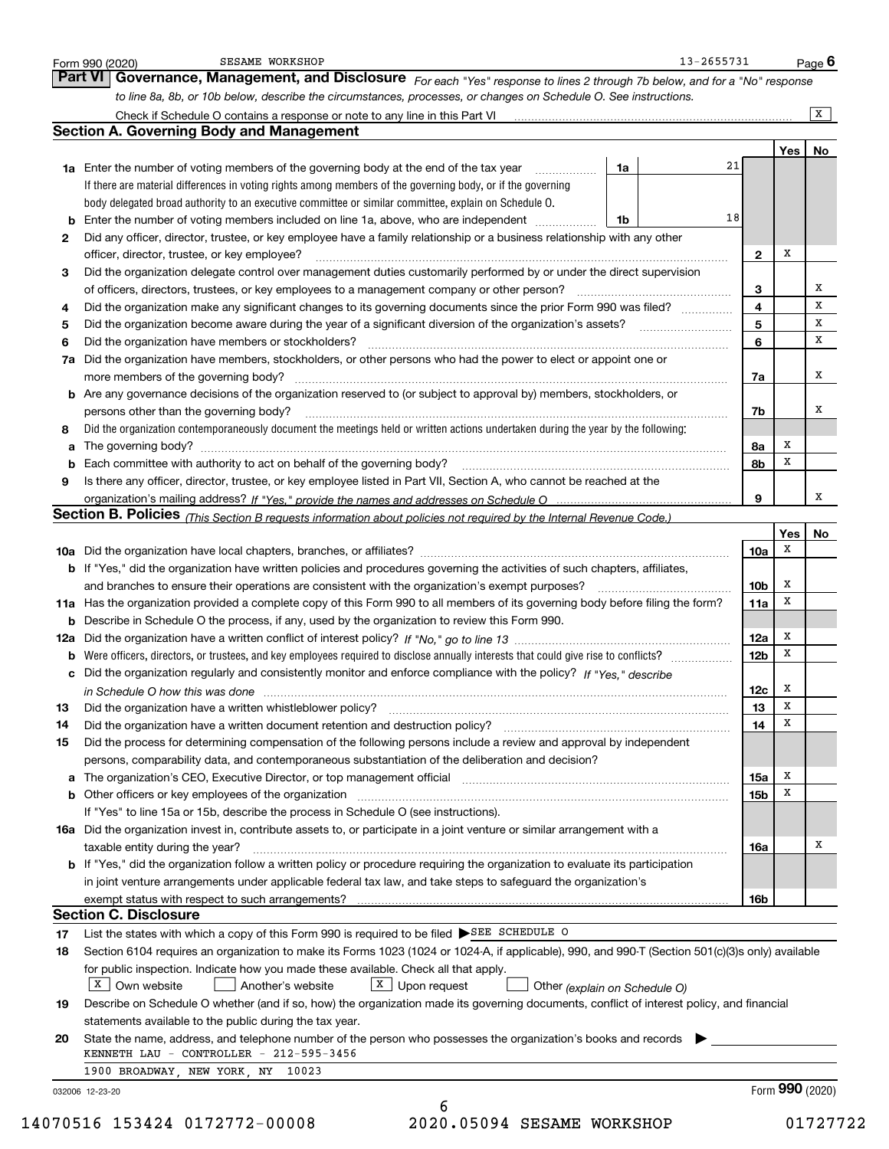|          | to line 8a, 8b, or 10b below, describe the circumstances, processes, or changes on Schedule O. See instructions.                                 |                 |     |    |
|----------|--------------------------------------------------------------------------------------------------------------------------------------------------|-----------------|-----|----|
|          |                                                                                                                                                  |                 |     | X  |
|          | <b>Section A. Governing Body and Management</b>                                                                                                  |                 |     |    |
|          | 21                                                                                                                                               |                 | Yes | No |
|          | 1a<br>1a Enter the number of voting members of the governing body at the end of the tax year                                                     |                 |     |    |
|          | If there are material differences in voting rights among members of the governing body, or if the governing                                      |                 |     |    |
|          | body delegated broad authority to an executive committee or similar committee, explain on Schedule O.<br>18                                      |                 |     |    |
|          | <b>b</b> Enter the number of voting members included on line 1a, above, who are independent <i>manumum</i><br>1b                                 |                 |     |    |
| 2        | Did any officer, director, trustee, or key employee have a family relationship or a business relationship with any other                         |                 | х   |    |
|          | officer, director, trustee, or key employee?                                                                                                     | $\mathbf{2}$    |     |    |
| 3        | Did the organization delegate control over management duties customarily performed by or under the direct supervision                            |                 |     | х  |
|          | Did the organization make any significant changes to its governing documents since the prior Form 990 was filed?                                 | 3<br>4          |     | x  |
| 4<br>5   |                                                                                                                                                  | 5               |     | х  |
| 6        | Did the organization have members or stockholders?                                                                                               | 6               |     | х  |
|          | 7a Did the organization have members, stockholders, or other persons who had the power to elect or appoint one or                                |                 |     |    |
|          | more members of the governing body?                                                                                                              | 7a              |     | х  |
|          | <b>b</b> Are any governance decisions of the organization reserved to (or subject to approval by) members, stockholders, or                      |                 |     |    |
|          | persons other than the governing body?                                                                                                           | 7b              |     | х  |
| 8        | Did the organization contemporaneously document the meetings held or written actions undertaken during the year by the following:                |                 |     |    |
| a        |                                                                                                                                                  | 8а              | х   |    |
|          |                                                                                                                                                  | 8b              | x   |    |
| 9        | Is there any officer, director, trustee, or key employee listed in Part VII, Section A, who cannot be reached at the                             |                 |     |    |
|          |                                                                                                                                                  | 9               |     | x  |
|          | Section B. Policies (This Section B requests information about policies not required by the Internal Revenue Code.)                              |                 |     |    |
|          |                                                                                                                                                  |                 | Yes | No |
|          |                                                                                                                                                  | 10a             | х   |    |
|          | b If "Yes," did the organization have written policies and procedures governing the activities of such chapters, affiliates,                     |                 |     |    |
|          |                                                                                                                                                  | 10 <sub>b</sub> | х   |    |
|          | 11a Has the organization provided a complete copy of this Form 990 to all members of its governing body before filing the form?                  | 11a             | х   |    |
|          | <b>b</b> Describe in Schedule O the process, if any, used by the organization to review this Form 990.                                           |                 |     |    |
|          |                                                                                                                                                  | 12a             | х   |    |
|          |                                                                                                                                                  | 12 <sub>b</sub> | x   |    |
|          | c Did the organization regularly and consistently monitor and enforce compliance with the policy? If "Yes," describe                             |                 |     |    |
|          | in Schedule O how this was done manufactured and contain an according to the state of the state of the state o                                   | 12c             | x   |    |
| 13       | Did the organization have a written whistleblower policy?                                                                                        | 13              | х   |    |
| 14       | Did the organization have a written document retention and destruction policy?                                                                   | 14              | х   |    |
|          | Did the process for determining compensation of the following persons include a review and approval by independent                               |                 |     |    |
|          |                                                                                                                                                  |                 |     |    |
|          | persons, comparability data, and contemporaneous substantiation of the deliberation and decision?                                                |                 |     |    |
|          |                                                                                                                                                  | 15a             | х   |    |
|          | a The organization's CEO, Executive Director, or top management official [111] [11] manument material manument                                   | 15b             | х   |    |
|          | If "Yes" to line 15a or 15b, describe the process in Schedule O (see instructions).                                                              |                 |     |    |
| 15       | 16a Did the organization invest in, contribute assets to, or participate in a joint venture or similar arrangement with a                        |                 |     |    |
|          | taxable entity during the year?                                                                                                                  | 16a             |     | х  |
|          | <b>b</b> If "Yes," did the organization follow a written policy or procedure requiring the organization to evaluate its participation            |                 |     |    |
|          | in joint venture arrangements under applicable federal tax law, and take steps to safequard the organization's                                   |                 |     |    |
|          |                                                                                                                                                  | 16b             |     |    |
|          | <b>Section C. Disclosure</b>                                                                                                                     |                 |     |    |
|          | List the states with which a copy of this Form 990 is required to be filed SEE SCHEDULE O                                                        |                 |     |    |
|          | Section 6104 requires an organization to make its Forms 1023 (1024 or 1024-A, if applicable), 990, and 990-T (Section 501(c)(3)s only) available |                 |     |    |
| 17<br>18 | for public inspection. Indicate how you made these available. Check all that apply.                                                              |                 |     |    |
|          | $\lfloor x \rfloor$ Own website<br>$X$ Upon request<br>Another's website<br>Other (explain on Schedule O)                                        |                 |     |    |
| 19       | Describe on Schedule O whether (and if so, how) the organization made its governing documents, conflict of interest policy, and financial        |                 |     |    |
|          | statements available to the public during the tax year.                                                                                          |                 |     |    |
| 20       | State the name, address, and telephone number of the person who possesses the organization's books and records                                   |                 |     |    |
|          | KENNETH LAU - CONTROLLER - 212-595-3456<br>1900 BROADWAY, NEW YORK, NY 10023                                                                     |                 |     |    |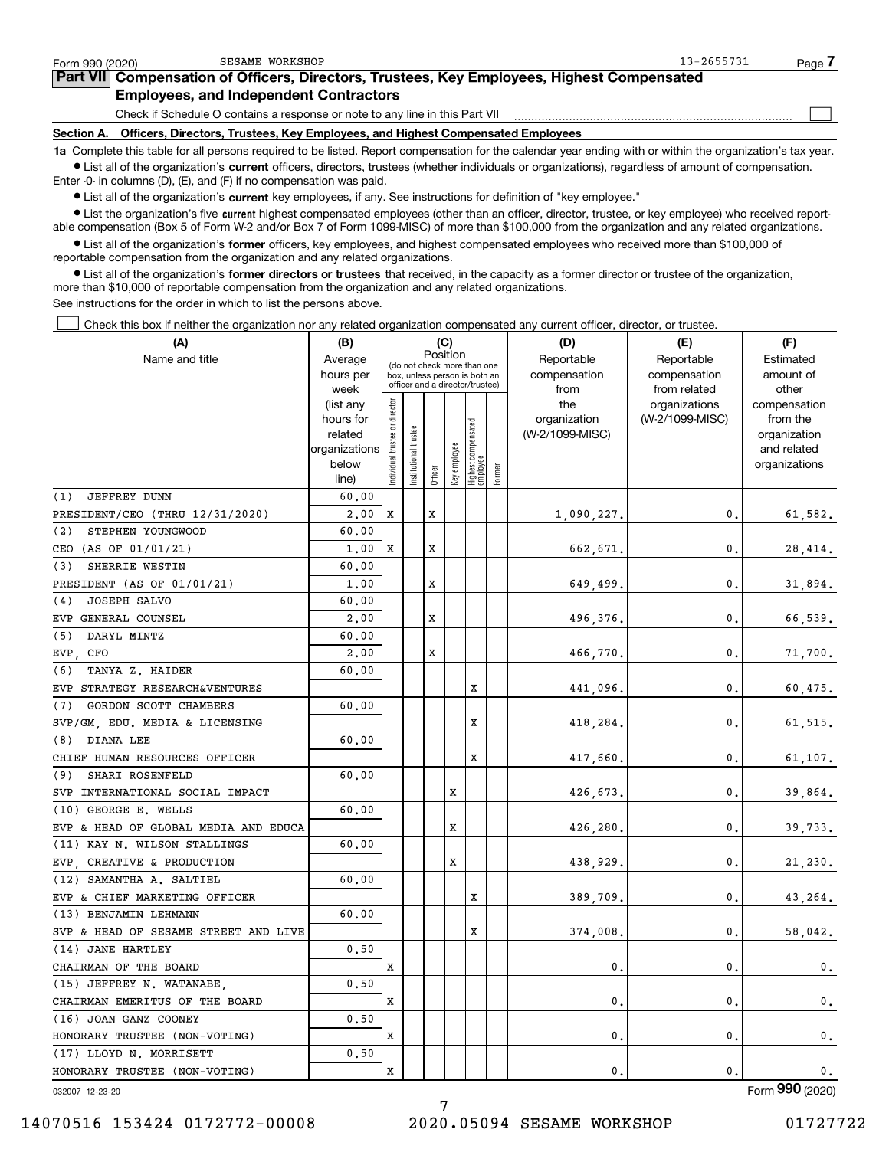| Form 990 (2020)                                                                                                                                            | <b>SESAME WORKSHOP</b>                                                                     | $13 - 2655731$ | Page |  |  |  |  |  |  |  |  |  |
|------------------------------------------------------------------------------------------------------------------------------------------------------------|--------------------------------------------------------------------------------------------|----------------|------|--|--|--|--|--|--|--|--|--|
|                                                                                                                                                            | Part VII Compensation of Officers, Directors, Trustees, Key Employees, Highest Compensated |                |      |  |  |  |  |  |  |  |  |  |
|                                                                                                                                                            | <b>Employees, and Independent Contractors</b>                                              |                |      |  |  |  |  |  |  |  |  |  |
|                                                                                                                                                            | Check if Schedule O contains a response or note to any line in this Part VII               |                |      |  |  |  |  |  |  |  |  |  |
| <b>Section A.</b>                                                                                                                                          | Officers, Directors, Trustees, Key Employees, and Highest Compensated Employees            |                |      |  |  |  |  |  |  |  |  |  |
| 1a Complete this table for all persons required to be listed. Report compensation for the calendar year ending with or within the organization's tax year. |                                                                                            |                |      |  |  |  |  |  |  |  |  |  |

**•** List all of the organization's current officers, directors, trustees (whether individuals or organizations), regardless of amount of compensation. Enter -0- in columns (D), (E), and (F) if no compensation was paid.

 $\bullet$  List all of the organization's  $\,$ current key employees, if any. See instructions for definition of "key employee."

**•** List the organization's five current highest compensated employees (other than an officer, director, trustee, or key employee) who received reportable compensation (Box 5 of Form W-2 and/or Box 7 of Form 1099-MISC) of more than \$100,000 from the organization and any related organizations.

**•** List all of the organization's former officers, key employees, and highest compensated employees who received more than \$100,000 of reportable compensation from the organization and any related organizations.

**former directors or trustees**  ¥ List all of the organization's that received, in the capacity as a former director or trustee of the organization, more than \$10,000 of reportable compensation from the organization and any related organizations.

See instructions for the order in which to list the persons above.

Check this box if neither the organization nor any related organization compensated any current officer, director, or trustee.  $\mathcal{L}^{\text{max}}$ 

| Name and title<br>Reportable<br>Reportable<br>Average<br>Estimated<br>(do not check more than one<br>compensation<br>hours per<br>compensation<br>amount of<br>box, unless person is both an<br>officer and a director/trustee)<br>from<br>from related<br>other<br>week<br>ndividual trustee or director<br>(list any<br>the<br>organizations<br>compensation<br>(W-2/1099-MISC)<br>organization<br>from the<br>hours for<br>  Highest compensated<br>  employee<br>trustee<br>(W-2/1099-MISC)<br>related<br>organization<br>Key employee<br>organizations<br>and related<br>Institutional t<br>below<br>organizations<br>Former<br>Officer<br>line)<br>(1)<br><b>JEFFREY DUNN</b><br>60.00<br>PRESIDENT/CEO (THRU 12/31/2020)<br>2,00<br>х<br>x<br>0.<br>1,090,227.<br>61,582.<br>STEPHEN YOUNGWOOD<br>(2)<br>60.00<br>X<br>X<br>CEO (AS OF 01/01/21)<br>1,00<br>0.<br>662,671.<br>28,414.<br>SHERRIE WESTIN<br>(3)<br>60.00<br>PRESIDENT (AS OF 01/01/21)<br>X<br>0.<br>1,00<br>649,499.<br>31,894.<br>JOSEPH SALVO<br>(4)<br>60.00<br>EVP GENERAL COUNSEL<br>X<br>$\mathbf{0}$ .<br>2,00<br>66,539.<br>496,376.<br>(5)<br>DARYL MINTZ<br>60.00<br>2,00<br>X<br>0.<br>EVP.<br>CFO<br>466,770.<br>71,700.<br>(6)<br>TANYA Z. HAIDER<br>60.00<br>x<br>0.<br>EVP STRATEGY RESEARCH&VENTURES<br>441,096.<br>60,475.<br>GORDON SCOTT CHAMBERS<br>(7)<br>60.00<br>SVP/GM, EDU. MEDIA & LICENSING<br>x<br>0.<br>418,284.<br>61,515.<br>DIANA LEE<br>(8)<br>60.00<br>CHIEF HUMAN RESOURCES OFFICER<br>x<br>0.<br>417,660.<br>61,107.<br>SHARI ROSENFELD<br>60.00<br>(9)<br>SVP INTERNATIONAL SOCIAL IMPACT<br>x<br>0.<br>39,864.<br>426,673.<br>(10) GEORGE E. WELLS<br>60.00<br>x<br>0.<br>EVP & HEAD OF GLOBAL MEDIA AND EDUCA<br>426,280.<br>39,733.<br>(11) KAY N. WILSON STALLINGS<br>60.00<br>EVP CREATIVE & PRODUCTION<br>0.<br>x<br>438,929.<br>21,230.<br>(12) SAMANTHA A. SALTIEL<br>60.00<br>EVP & CHIEF MARKETING OFFICER<br>x<br>0.<br>389,709.<br>43,264.<br>(13) BENJAMIN LEHMANN<br>60.00<br>SVP & HEAD OF SESAME STREET AND LIVE<br>X<br>$\mathbf 0$ .<br>374,008.<br>58,042.<br>(14) JANE HARTLEY<br>0.50<br>CHAIRMAN OF THE BOARD<br>x<br>0.<br>0.<br>$\mathbf 0$ .<br>(15) JEFFREY N. WATANABE.<br>0.50<br>CHAIRMAN EMERITUS OF THE BOARD<br>x<br>0.<br>0,<br>$\mathbf{0}$ .<br>(16) JOAN GANZ COONEY<br>0.50<br>$\mathbf{0}$ .<br>$\mathbf{0}$ .<br>HONORARY TRUSTEE (NON-VOTING)<br>x<br>$\mathbf 0$ .<br>(17) LLOYD N. MORRISETT<br>0.50<br>HONORARY TRUSTEE (NON-VOTING)<br>X<br>0.<br>0.<br>0. | (A) | (B) | (C) |          | (D) | (E) | (F) |  |  |  |
|--------------------------------------------------------------------------------------------------------------------------------------------------------------------------------------------------------------------------------------------------------------------------------------------------------------------------------------------------------------------------------------------------------------------------------------------------------------------------------------------------------------------------------------------------------------------------------------------------------------------------------------------------------------------------------------------------------------------------------------------------------------------------------------------------------------------------------------------------------------------------------------------------------------------------------------------------------------------------------------------------------------------------------------------------------------------------------------------------------------------------------------------------------------------------------------------------------------------------------------------------------------------------------------------------------------------------------------------------------------------------------------------------------------------------------------------------------------------------------------------------------------------------------------------------------------------------------------------------------------------------------------------------------------------------------------------------------------------------------------------------------------------------------------------------------------------------------------------------------------------------------------------------------------------------------------------------------------------------------------------------------------------------------------------------------------------------------------------------------------------------------------------------------------------------------------------------------------------------------------------------------------------------------------------------------------------------------------------------------------------------------------------------------------------------------------------------------------------------------------------------------------------|-----|-----|-----|----------|-----|-----|-----|--|--|--|
|                                                                                                                                                                                                                                                                                                                                                                                                                                                                                                                                                                                                                                                                                                                                                                                                                                                                                                                                                                                                                                                                                                                                                                                                                                                                                                                                                                                                                                                                                                                                                                                                                                                                                                                                                                                                                                                                                                                                                                                                                                                                                                                                                                                                                                                                                                                                                                                                                                                                                                                    |     |     |     | Position |     |     |     |  |  |  |
|                                                                                                                                                                                                                                                                                                                                                                                                                                                                                                                                                                                                                                                                                                                                                                                                                                                                                                                                                                                                                                                                                                                                                                                                                                                                                                                                                                                                                                                                                                                                                                                                                                                                                                                                                                                                                                                                                                                                                                                                                                                                                                                                                                                                                                                                                                                                                                                                                                                                                                                    |     |     |     |          |     |     |     |  |  |  |
|                                                                                                                                                                                                                                                                                                                                                                                                                                                                                                                                                                                                                                                                                                                                                                                                                                                                                                                                                                                                                                                                                                                                                                                                                                                                                                                                                                                                                                                                                                                                                                                                                                                                                                                                                                                                                                                                                                                                                                                                                                                                                                                                                                                                                                                                                                                                                                                                                                                                                                                    |     |     |     |          |     |     |     |  |  |  |
|                                                                                                                                                                                                                                                                                                                                                                                                                                                                                                                                                                                                                                                                                                                                                                                                                                                                                                                                                                                                                                                                                                                                                                                                                                                                                                                                                                                                                                                                                                                                                                                                                                                                                                                                                                                                                                                                                                                                                                                                                                                                                                                                                                                                                                                                                                                                                                                                                                                                                                                    |     |     |     |          |     |     |     |  |  |  |
|                                                                                                                                                                                                                                                                                                                                                                                                                                                                                                                                                                                                                                                                                                                                                                                                                                                                                                                                                                                                                                                                                                                                                                                                                                                                                                                                                                                                                                                                                                                                                                                                                                                                                                                                                                                                                                                                                                                                                                                                                                                                                                                                                                                                                                                                                                                                                                                                                                                                                                                    |     |     |     |          |     |     |     |  |  |  |
|                                                                                                                                                                                                                                                                                                                                                                                                                                                                                                                                                                                                                                                                                                                                                                                                                                                                                                                                                                                                                                                                                                                                                                                                                                                                                                                                                                                                                                                                                                                                                                                                                                                                                                                                                                                                                                                                                                                                                                                                                                                                                                                                                                                                                                                                                                                                                                                                                                                                                                                    |     |     |     |          |     |     |     |  |  |  |
|                                                                                                                                                                                                                                                                                                                                                                                                                                                                                                                                                                                                                                                                                                                                                                                                                                                                                                                                                                                                                                                                                                                                                                                                                                                                                                                                                                                                                                                                                                                                                                                                                                                                                                                                                                                                                                                                                                                                                                                                                                                                                                                                                                                                                                                                                                                                                                                                                                                                                                                    |     |     |     |          |     |     |     |  |  |  |
|                                                                                                                                                                                                                                                                                                                                                                                                                                                                                                                                                                                                                                                                                                                                                                                                                                                                                                                                                                                                                                                                                                                                                                                                                                                                                                                                                                                                                                                                                                                                                                                                                                                                                                                                                                                                                                                                                                                                                                                                                                                                                                                                                                                                                                                                                                                                                                                                                                                                                                                    |     |     |     |          |     |     |     |  |  |  |
|                                                                                                                                                                                                                                                                                                                                                                                                                                                                                                                                                                                                                                                                                                                                                                                                                                                                                                                                                                                                                                                                                                                                                                                                                                                                                                                                                                                                                                                                                                                                                                                                                                                                                                                                                                                                                                                                                                                                                                                                                                                                                                                                                                                                                                                                                                                                                                                                                                                                                                                    |     |     |     |          |     |     |     |  |  |  |
|                                                                                                                                                                                                                                                                                                                                                                                                                                                                                                                                                                                                                                                                                                                                                                                                                                                                                                                                                                                                                                                                                                                                                                                                                                                                                                                                                                                                                                                                                                                                                                                                                                                                                                                                                                                                                                                                                                                                                                                                                                                                                                                                                                                                                                                                                                                                                                                                                                                                                                                    |     |     |     |          |     |     |     |  |  |  |
|                                                                                                                                                                                                                                                                                                                                                                                                                                                                                                                                                                                                                                                                                                                                                                                                                                                                                                                                                                                                                                                                                                                                                                                                                                                                                                                                                                                                                                                                                                                                                                                                                                                                                                                                                                                                                                                                                                                                                                                                                                                                                                                                                                                                                                                                                                                                                                                                                                                                                                                    |     |     |     |          |     |     |     |  |  |  |
|                                                                                                                                                                                                                                                                                                                                                                                                                                                                                                                                                                                                                                                                                                                                                                                                                                                                                                                                                                                                                                                                                                                                                                                                                                                                                                                                                                                                                                                                                                                                                                                                                                                                                                                                                                                                                                                                                                                                                                                                                                                                                                                                                                                                                                                                                                                                                                                                                                                                                                                    |     |     |     |          |     |     |     |  |  |  |
|                                                                                                                                                                                                                                                                                                                                                                                                                                                                                                                                                                                                                                                                                                                                                                                                                                                                                                                                                                                                                                                                                                                                                                                                                                                                                                                                                                                                                                                                                                                                                                                                                                                                                                                                                                                                                                                                                                                                                                                                                                                                                                                                                                                                                                                                                                                                                                                                                                                                                                                    |     |     |     |          |     |     |     |  |  |  |
|                                                                                                                                                                                                                                                                                                                                                                                                                                                                                                                                                                                                                                                                                                                                                                                                                                                                                                                                                                                                                                                                                                                                                                                                                                                                                                                                                                                                                                                                                                                                                                                                                                                                                                                                                                                                                                                                                                                                                                                                                                                                                                                                                                                                                                                                                                                                                                                                                                                                                                                    |     |     |     |          |     |     |     |  |  |  |
|                                                                                                                                                                                                                                                                                                                                                                                                                                                                                                                                                                                                                                                                                                                                                                                                                                                                                                                                                                                                                                                                                                                                                                                                                                                                                                                                                                                                                                                                                                                                                                                                                                                                                                                                                                                                                                                                                                                                                                                                                                                                                                                                                                                                                                                                                                                                                                                                                                                                                                                    |     |     |     |          |     |     |     |  |  |  |
|                                                                                                                                                                                                                                                                                                                                                                                                                                                                                                                                                                                                                                                                                                                                                                                                                                                                                                                                                                                                                                                                                                                                                                                                                                                                                                                                                                                                                                                                                                                                                                                                                                                                                                                                                                                                                                                                                                                                                                                                                                                                                                                                                                                                                                                                                                                                                                                                                                                                                                                    |     |     |     |          |     |     |     |  |  |  |
|                                                                                                                                                                                                                                                                                                                                                                                                                                                                                                                                                                                                                                                                                                                                                                                                                                                                                                                                                                                                                                                                                                                                                                                                                                                                                                                                                                                                                                                                                                                                                                                                                                                                                                                                                                                                                                                                                                                                                                                                                                                                                                                                                                                                                                                                                                                                                                                                                                                                                                                    |     |     |     |          |     |     |     |  |  |  |
|                                                                                                                                                                                                                                                                                                                                                                                                                                                                                                                                                                                                                                                                                                                                                                                                                                                                                                                                                                                                                                                                                                                                                                                                                                                                                                                                                                                                                                                                                                                                                                                                                                                                                                                                                                                                                                                                                                                                                                                                                                                                                                                                                                                                                                                                                                                                                                                                                                                                                                                    |     |     |     |          |     |     |     |  |  |  |
|                                                                                                                                                                                                                                                                                                                                                                                                                                                                                                                                                                                                                                                                                                                                                                                                                                                                                                                                                                                                                                                                                                                                                                                                                                                                                                                                                                                                                                                                                                                                                                                                                                                                                                                                                                                                                                                                                                                                                                                                                                                                                                                                                                                                                                                                                                                                                                                                                                                                                                                    |     |     |     |          |     |     |     |  |  |  |
|                                                                                                                                                                                                                                                                                                                                                                                                                                                                                                                                                                                                                                                                                                                                                                                                                                                                                                                                                                                                                                                                                                                                                                                                                                                                                                                                                                                                                                                                                                                                                                                                                                                                                                                                                                                                                                                                                                                                                                                                                                                                                                                                                                                                                                                                                                                                                                                                                                                                                                                    |     |     |     |          |     |     |     |  |  |  |
|                                                                                                                                                                                                                                                                                                                                                                                                                                                                                                                                                                                                                                                                                                                                                                                                                                                                                                                                                                                                                                                                                                                                                                                                                                                                                                                                                                                                                                                                                                                                                                                                                                                                                                                                                                                                                                                                                                                                                                                                                                                                                                                                                                                                                                                                                                                                                                                                                                                                                                                    |     |     |     |          |     |     |     |  |  |  |
|                                                                                                                                                                                                                                                                                                                                                                                                                                                                                                                                                                                                                                                                                                                                                                                                                                                                                                                                                                                                                                                                                                                                                                                                                                                                                                                                                                                                                                                                                                                                                                                                                                                                                                                                                                                                                                                                                                                                                                                                                                                                                                                                                                                                                                                                                                                                                                                                                                                                                                                    |     |     |     |          |     |     |     |  |  |  |
|                                                                                                                                                                                                                                                                                                                                                                                                                                                                                                                                                                                                                                                                                                                                                                                                                                                                                                                                                                                                                                                                                                                                                                                                                                                                                                                                                                                                                                                                                                                                                                                                                                                                                                                                                                                                                                                                                                                                                                                                                                                                                                                                                                                                                                                                                                                                                                                                                                                                                                                    |     |     |     |          |     |     |     |  |  |  |
|                                                                                                                                                                                                                                                                                                                                                                                                                                                                                                                                                                                                                                                                                                                                                                                                                                                                                                                                                                                                                                                                                                                                                                                                                                                                                                                                                                                                                                                                                                                                                                                                                                                                                                                                                                                                                                                                                                                                                                                                                                                                                                                                                                                                                                                                                                                                                                                                                                                                                                                    |     |     |     |          |     |     |     |  |  |  |
|                                                                                                                                                                                                                                                                                                                                                                                                                                                                                                                                                                                                                                                                                                                                                                                                                                                                                                                                                                                                                                                                                                                                                                                                                                                                                                                                                                                                                                                                                                                                                                                                                                                                                                                                                                                                                                                                                                                                                                                                                                                                                                                                                                                                                                                                                                                                                                                                                                                                                                                    |     |     |     |          |     |     |     |  |  |  |
|                                                                                                                                                                                                                                                                                                                                                                                                                                                                                                                                                                                                                                                                                                                                                                                                                                                                                                                                                                                                                                                                                                                                                                                                                                                                                                                                                                                                                                                                                                                                                                                                                                                                                                                                                                                                                                                                                                                                                                                                                                                                                                                                                                                                                                                                                                                                                                                                                                                                                                                    |     |     |     |          |     |     |     |  |  |  |
|                                                                                                                                                                                                                                                                                                                                                                                                                                                                                                                                                                                                                                                                                                                                                                                                                                                                                                                                                                                                                                                                                                                                                                                                                                                                                                                                                                                                                                                                                                                                                                                                                                                                                                                                                                                                                                                                                                                                                                                                                                                                                                                                                                                                                                                                                                                                                                                                                                                                                                                    |     |     |     |          |     |     |     |  |  |  |
|                                                                                                                                                                                                                                                                                                                                                                                                                                                                                                                                                                                                                                                                                                                                                                                                                                                                                                                                                                                                                                                                                                                                                                                                                                                                                                                                                                                                                                                                                                                                                                                                                                                                                                                                                                                                                                                                                                                                                                                                                                                                                                                                                                                                                                                                                                                                                                                                                                                                                                                    |     |     |     |          |     |     |     |  |  |  |
|                                                                                                                                                                                                                                                                                                                                                                                                                                                                                                                                                                                                                                                                                                                                                                                                                                                                                                                                                                                                                                                                                                                                                                                                                                                                                                                                                                                                                                                                                                                                                                                                                                                                                                                                                                                                                                                                                                                                                                                                                                                                                                                                                                                                                                                                                                                                                                                                                                                                                                                    |     |     |     |          |     |     |     |  |  |  |
|                                                                                                                                                                                                                                                                                                                                                                                                                                                                                                                                                                                                                                                                                                                                                                                                                                                                                                                                                                                                                                                                                                                                                                                                                                                                                                                                                                                                                                                                                                                                                                                                                                                                                                                                                                                                                                                                                                                                                                                                                                                                                                                                                                                                                                                                                                                                                                                                                                                                                                                    |     |     |     |          |     |     |     |  |  |  |
|                                                                                                                                                                                                                                                                                                                                                                                                                                                                                                                                                                                                                                                                                                                                                                                                                                                                                                                                                                                                                                                                                                                                                                                                                                                                                                                                                                                                                                                                                                                                                                                                                                                                                                                                                                                                                                                                                                                                                                                                                                                                                                                                                                                                                                                                                                                                                                                                                                                                                                                    |     |     |     |          |     |     |     |  |  |  |
|                                                                                                                                                                                                                                                                                                                                                                                                                                                                                                                                                                                                                                                                                                                                                                                                                                                                                                                                                                                                                                                                                                                                                                                                                                                                                                                                                                                                                                                                                                                                                                                                                                                                                                                                                                                                                                                                                                                                                                                                                                                                                                                                                                                                                                                                                                                                                                                                                                                                                                                    |     |     |     |          |     |     |     |  |  |  |
|                                                                                                                                                                                                                                                                                                                                                                                                                                                                                                                                                                                                                                                                                                                                                                                                                                                                                                                                                                                                                                                                                                                                                                                                                                                                                                                                                                                                                                                                                                                                                                                                                                                                                                                                                                                                                                                                                                                                                                                                                                                                                                                                                                                                                                                                                                                                                                                                                                                                                                                    |     |     |     |          |     |     |     |  |  |  |
|                                                                                                                                                                                                                                                                                                                                                                                                                                                                                                                                                                                                                                                                                                                                                                                                                                                                                                                                                                                                                                                                                                                                                                                                                                                                                                                                                                                                                                                                                                                                                                                                                                                                                                                                                                                                                                                                                                                                                                                                                                                                                                                                                                                                                                                                                                                                                                                                                                                                                                                    |     |     |     |          |     |     |     |  |  |  |
|                                                                                                                                                                                                                                                                                                                                                                                                                                                                                                                                                                                                                                                                                                                                                                                                                                                                                                                                                                                                                                                                                                                                                                                                                                                                                                                                                                                                                                                                                                                                                                                                                                                                                                                                                                                                                                                                                                                                                                                                                                                                                                                                                                                                                                                                                                                                                                                                                                                                                                                    |     |     |     |          |     |     |     |  |  |  |
|                                                                                                                                                                                                                                                                                                                                                                                                                                                                                                                                                                                                                                                                                                                                                                                                                                                                                                                                                                                                                                                                                                                                                                                                                                                                                                                                                                                                                                                                                                                                                                                                                                                                                                                                                                                                                                                                                                                                                                                                                                                                                                                                                                                                                                                                                                                                                                                                                                                                                                                    |     |     |     |          |     |     |     |  |  |  |
|                                                                                                                                                                                                                                                                                                                                                                                                                                                                                                                                                                                                                                                                                                                                                                                                                                                                                                                                                                                                                                                                                                                                                                                                                                                                                                                                                                                                                                                                                                                                                                                                                                                                                                                                                                                                                                                                                                                                                                                                                                                                                                                                                                                                                                                                                                                                                                                                                                                                                                                    |     |     |     |          |     |     |     |  |  |  |
|                                                                                                                                                                                                                                                                                                                                                                                                                                                                                                                                                                                                                                                                                                                                                                                                                                                                                                                                                                                                                                                                                                                                                                                                                                                                                                                                                                                                                                                                                                                                                                                                                                                                                                                                                                                                                                                                                                                                                                                                                                                                                                                                                                                                                                                                                                                                                                                                                                                                                                                    |     |     |     |          |     |     |     |  |  |  |
|                                                                                                                                                                                                                                                                                                                                                                                                                                                                                                                                                                                                                                                                                                                                                                                                                                                                                                                                                                                                                                                                                                                                                                                                                                                                                                                                                                                                                                                                                                                                                                                                                                                                                                                                                                                                                                                                                                                                                                                                                                                                                                                                                                                                                                                                                                                                                                                                                                                                                                                    |     |     |     |          |     |     |     |  |  |  |
|                                                                                                                                                                                                                                                                                                                                                                                                                                                                                                                                                                                                                                                                                                                                                                                                                                                                                                                                                                                                                                                                                                                                                                                                                                                                                                                                                                                                                                                                                                                                                                                                                                                                                                                                                                                                                                                                                                                                                                                                                                                                                                                                                                                                                                                                                                                                                                                                                                                                                                                    |     |     |     |          |     |     |     |  |  |  |
|                                                                                                                                                                                                                                                                                                                                                                                                                                                                                                                                                                                                                                                                                                                                                                                                                                                                                                                                                                                                                                                                                                                                                                                                                                                                                                                                                                                                                                                                                                                                                                                                                                                                                                                                                                                                                                                                                                                                                                                                                                                                                                                                                                                                                                                                                                                                                                                                                                                                                                                    |     |     |     |          |     |     |     |  |  |  |
|                                                                                                                                                                                                                                                                                                                                                                                                                                                                                                                                                                                                                                                                                                                                                                                                                                                                                                                                                                                                                                                                                                                                                                                                                                                                                                                                                                                                                                                                                                                                                                                                                                                                                                                                                                                                                                                                                                                                                                                                                                                                                                                                                                                                                                                                                                                                                                                                                                                                                                                    |     |     |     |          |     |     |     |  |  |  |

7

032007 12-23-20

Form (2020) **990**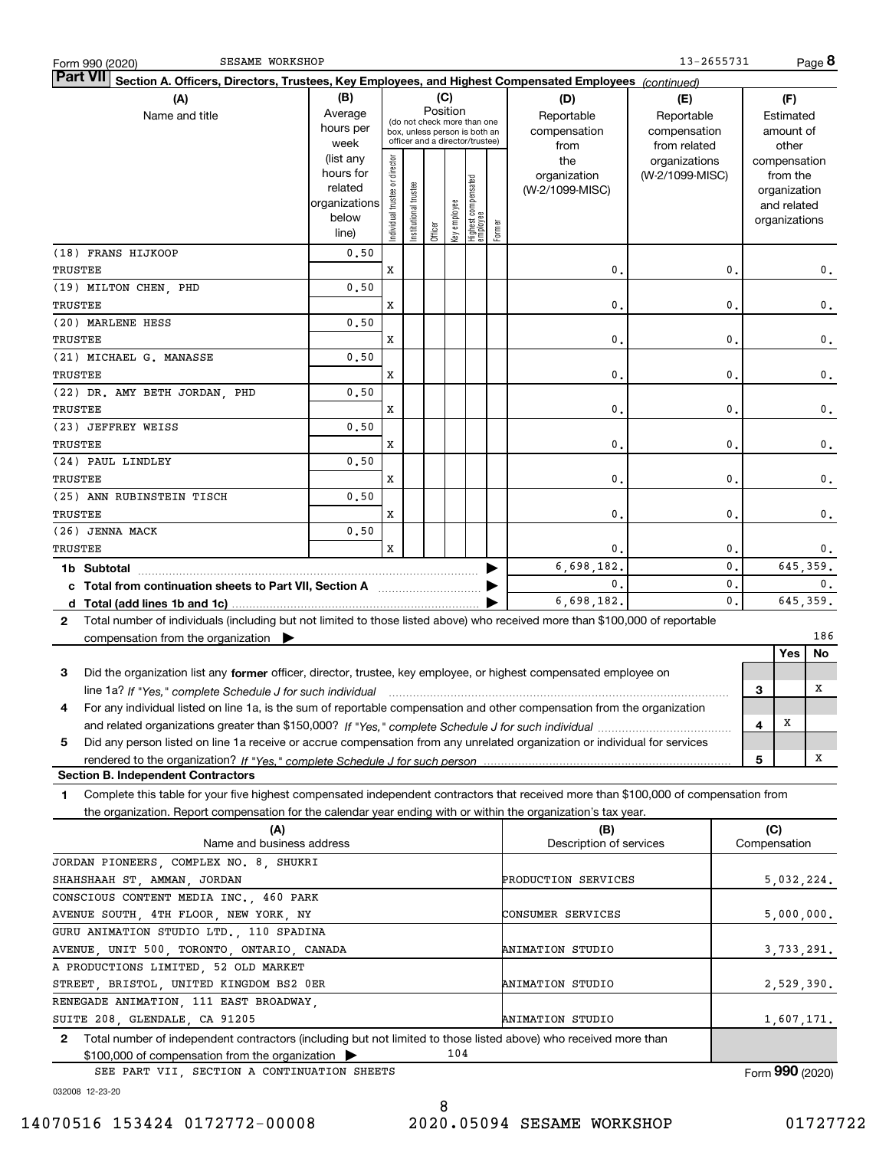| <b>SESAME WORKSHOP</b><br>Form 990 (2020)                                                                                                         |                        |                                |                       |                                         |              |                                 |        |                         | 13-2655731      |                |    |                             | Page 8         |
|---------------------------------------------------------------------------------------------------------------------------------------------------|------------------------|--------------------------------|-----------------------|-----------------------------------------|--------------|---------------------------------|--------|-------------------------|-----------------|----------------|----|-----------------------------|----------------|
| <b>Part VII</b><br>Section A. Officers, Directors, Trustees, Key Employees, and Highest Compensated Employees (continued)                         |                        |                                |                       |                                         |              |                                 |        |                         |                 |                |    |                             |                |
| (A)                                                                                                                                               | (B)                    |                                |                       | (C)                                     |              |                                 |        | (D)                     | (E)             |                |    | (F)                         |                |
| Name and title                                                                                                                                    | Average                |                                |                       | Position<br>(do not check more than one |              |                                 |        | Reportable              | Reportable      |                |    | Estimated                   |                |
|                                                                                                                                                   | hours per              |                                |                       | box, unless person is both an           |              |                                 |        | compensation            | compensation    |                |    | amount of                   |                |
|                                                                                                                                                   | week                   |                                |                       | officer and a director/trustee)         |              |                                 |        | from                    | from related    |                |    | other                       |                |
|                                                                                                                                                   | (list any<br>hours for |                                |                       |                                         |              |                                 |        | the                     | organizations   |                |    | compensation                |                |
|                                                                                                                                                   | related                |                                |                       |                                         |              |                                 |        | organization            | (W-2/1099-MISC) |                |    | from the                    |                |
|                                                                                                                                                   | organizations          |                                |                       |                                         |              |                                 |        | (W-2/1099-MISC)         |                 |                |    | organization<br>and related |                |
|                                                                                                                                                   | below                  |                                |                       |                                         |              |                                 |        |                         |                 |                |    | organizations               |                |
|                                                                                                                                                   | line)                  | Individual trustee or director | Institutional trustee | Officer                                 | key employee | Highest compensated<br>employee | Former |                         |                 |                |    |                             |                |
| (18) FRANS HIJKOOP                                                                                                                                | 0.50                   |                                |                       |                                         |              |                                 |        |                         |                 |                |    |                             |                |
| TRUSTEE                                                                                                                                           |                        | x                              |                       |                                         |              |                                 |        | 0                       |                 | $\mathbf{0}$   |    |                             | $\mathbf{0}$ . |
| (19) MILTON CHEN, PHD                                                                                                                             | 0.50                   |                                |                       |                                         |              |                                 |        |                         |                 |                |    |                             |                |
| TRUSTEE                                                                                                                                           |                        | x                              |                       |                                         |              |                                 |        | 0.                      |                 | 0              |    |                             | 0.             |
| (20) MARLENE HESS                                                                                                                                 | 0.50                   |                                |                       |                                         |              |                                 |        |                         |                 |                |    |                             |                |
| TRUSTEE                                                                                                                                           |                        | x                              |                       |                                         |              |                                 |        | $\mathbf{0}$            |                 | 0              |    |                             | 0.             |
| (21) MICHAEL G. MANASSE                                                                                                                           | 0.50                   |                                |                       |                                         |              |                                 |        |                         |                 |                |    |                             |                |
| TRUSTEE                                                                                                                                           |                        | X                              |                       |                                         |              |                                 |        | 0.                      |                 | 0              |    |                             | 0.             |
| (22) DR. AMY BETH JORDAN, PHD                                                                                                                     | 0.50                   |                                |                       |                                         |              |                                 |        |                         |                 |                |    |                             |                |
| TRUSTEE                                                                                                                                           |                        | X                              |                       |                                         |              |                                 |        | 0.                      |                 | 0              |    |                             | 0.             |
| (23) JEFFREY WEISS                                                                                                                                | 0.50                   |                                |                       |                                         |              |                                 |        |                         |                 |                |    |                             |                |
| TRUSTEE                                                                                                                                           |                        | X                              |                       |                                         |              |                                 |        | 0.                      |                 | 0              |    |                             | 0.             |
| (24) PAUL LINDLEY                                                                                                                                 | 0.50                   |                                |                       |                                         |              |                                 |        |                         |                 |                |    |                             |                |
| TRUSTEE                                                                                                                                           |                        | X                              |                       |                                         |              |                                 |        | 0.                      |                 | 0              |    |                             | $\mathbf 0$ .  |
| (25) ANN RUBINSTEIN TISCH                                                                                                                         | 0.50                   |                                |                       |                                         |              |                                 |        |                         |                 |                |    |                             |                |
| TRUSTEE                                                                                                                                           | x<br>0.                |                                |                       |                                         |              |                                 | 0      |                         |                 | 0.             |    |                             |                |
| (26) JENNA MACK                                                                                                                                   | 0.50                   |                                |                       |                                         |              |                                 |        |                         |                 |                |    |                             |                |
| TRUSTEE                                                                                                                                           |                        | X                              |                       |                                         |              |                                 |        | 0.                      |                 | $\mathbf{0}$ . |    |                             | 0.             |
| 1b Subtotal                                                                                                                                       |                        |                                |                       |                                         |              |                                 |        | 6,698,182.              |                 | 0.             |    | 645,359.                    |                |
| c Total from continuation sheets to Part VII, Section A manufactured and response Total from extension                                            |                        |                                |                       |                                         |              |                                 |        | $\mathbf{0}$ .          |                 | 0.             | 0. |                             |                |
|                                                                                                                                                   |                        |                                |                       |                                         |              |                                 |        | 6,698,182.              |                 | $\mathbf{0}$   |    | 645, 359.                   |                |
| Total number of individuals (including but not limited to those listed above) who received more than \$100,000 of reportable<br>2                 |                        |                                |                       |                                         |              |                                 |        |                         |                 |                |    |                             |                |
| compensation from the organization $\blacktriangleright$                                                                                          |                        |                                |                       |                                         |              |                                 |        |                         |                 |                |    |                             | 186            |
|                                                                                                                                                   |                        |                                |                       |                                         |              |                                 |        |                         |                 |                |    | Yes                         | No             |
| Did the organization list any former officer, director, trustee, key employee, or highest compensated employee on<br>3                            |                        |                                |                       |                                         |              |                                 |        |                         |                 |                |    |                             |                |
|                                                                                                                                                   |                        |                                |                       |                                         |              |                                 |        |                         |                 |                | 3  |                             | x              |
| line 1a? If "Yes," complete Schedule J for such individual material content content to the content of the complete Schedule J for such individual |                        |                                |                       |                                         |              |                                 |        |                         |                 |                |    |                             |                |
| For any individual listed on line 1a, is the sum of reportable compensation and other compensation from the organization<br>4                     |                        |                                |                       |                                         |              |                                 |        |                         |                 |                |    | x                           |                |
|                                                                                                                                                   |                        |                                |                       |                                         |              |                                 |        |                         |                 |                | 4  |                             |                |
| Did any person listed on line 1a receive or accrue compensation from any unrelated organization or individual for services<br>5                   |                        |                                |                       |                                         |              |                                 |        |                         |                 |                |    |                             | х              |
| <b>Section B. Independent Contractors</b>                                                                                                         |                        |                                |                       |                                         |              |                                 |        |                         |                 |                | 5  |                             |                |
| Complete this table for your five highest compensated independent contractors that received more than \$100,000 of compensation from<br>1         |                        |                                |                       |                                         |              |                                 |        |                         |                 |                |    |                             |                |
| the organization. Report compensation for the calendar year ending with or within the organization's tax year.                                    |                        |                                |                       |                                         |              |                                 |        |                         |                 |                |    |                             |                |
| (A)                                                                                                                                               |                        |                                |                       |                                         |              |                                 |        | (B)                     |                 |                |    | (C)                         |                |
| Name and business address                                                                                                                         |                        |                                |                       |                                         |              |                                 |        | Description of services |                 |                |    | Compensation                |                |
| JORDAN PIONEERS, COMPLEX NO. 8, SHUKRI                                                                                                            |                        |                                |                       |                                         |              |                                 |        |                         |                 |                |    |                             |                |
| SHAHSHAAH ST, AMMAN, JORDAN                                                                                                                       |                        |                                |                       |                                         |              |                                 |        | PRODUCTION SERVICES     |                 |                |    | 5,032,224.                  |                |
| CONSCIOUS CONTENT MEDIA INC., 460 PARK                                                                                                            |                        |                                |                       |                                         |              |                                 |        |                         |                 |                |    |                             |                |
| AVENUE SOUTH, 4TH FLOOR, NEW YORK, NY                                                                                                             |                        |                                |                       |                                         |              |                                 |        | CONSUMER SERVICES       |                 |                |    | 5,000,000.                  |                |
| GURU ANIMATION STUDIO LTD., 110 SPADINA                                                                                                           |                        |                                |                       |                                         |              |                                 |        |                         |                 |                |    |                             |                |
|                                                                                                                                                   |                        |                                |                       |                                         |              |                                 |        |                         |                 |                |    |                             |                |
| AVENUE, UNIT 500, TORONTO, ONTARIO, CANADA<br>A PRODUCTIONS LIMITED, 52 OLD MARKET                                                                |                        |                                |                       |                                         |              |                                 |        | ANIMATION STUDIO        |                 |                |    | 3,733,291.                  |                |
| STREET, BRISTOL, UNITED KINGDOM BS2 OER                                                                                                           |                        |                                |                       |                                         |              |                                 |        |                         |                 |                |    |                             |                |
|                                                                                                                                                   |                        |                                |                       |                                         |              |                                 |        | ANIMATION STUDIO        |                 |                |    | 2,529,390.                  |                |
| RENEGADE ANIMATION, 111 EAST BROADWAY,                                                                                                            |                        |                                |                       |                                         |              |                                 |        |                         |                 |                |    |                             |                |
| SUITE 208, GLENDALE, CA 91205                                                                                                                     |                        |                                |                       |                                         |              |                                 |        | ANIMATION STUDIO        |                 |                |    | 1,607,171.                  |                |
| $\mathbf{2}$<br>Total number of independent contractors (including but not limited to those listed above) who received more than                  |                        |                                |                       |                                         |              |                                 |        |                         |                 |                |    |                             |                |
| 104<br>\$100,000 of compensation from the organization<br>Form 990 (2020)<br>SEE PART VII, SECTION A CONTINUATION SHEETS                          |                        |                                |                       |                                         |              |                                 |        |                         |                 |                |    |                             |                |
|                                                                                                                                                   |                        |                                |                       |                                         |              |                                 |        |                         |                 |                |    |                             |                |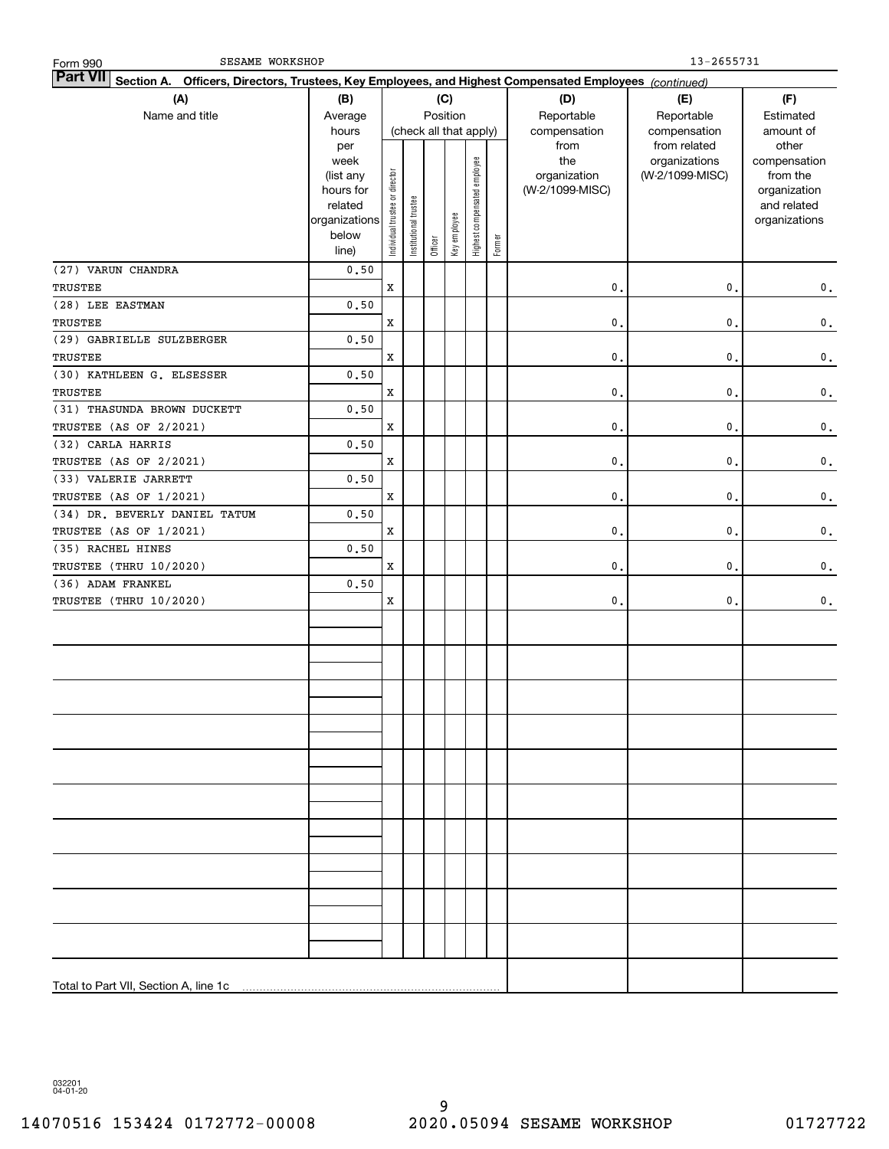| <b>SESAME WORKSHOP</b><br>Form 990    |                      |                                |                       |         |                        |                              |        |                                                                                             | 13-2655731      |                             |  |  |  |  |
|---------------------------------------|----------------------|--------------------------------|-----------------------|---------|------------------------|------------------------------|--------|---------------------------------------------------------------------------------------------|-----------------|-----------------------------|--|--|--|--|
| <b>Part VII</b><br>Section A.         |                      |                                |                       |         |                        |                              |        | Officers, Directors, Trustees, Key Employees, and Highest Compensated Employees (continued) |                 |                             |  |  |  |  |
| (A)                                   | (B)                  |                                |                       |         | (C)                    |                              |        | (D)                                                                                         | (E)             | (F)                         |  |  |  |  |
| Name and title                        | Average              |                                |                       |         | Position               |                              |        | Reportable                                                                                  | Reportable      | Estimated                   |  |  |  |  |
|                                       | hours                |                                |                       |         | (check all that apply) |                              |        | compensation                                                                                | compensation    | amount of                   |  |  |  |  |
|                                       | per                  |                                |                       |         |                        |                              |        | from                                                                                        | from related    | other                       |  |  |  |  |
|                                       | week                 |                                |                       |         |                        |                              |        | the                                                                                         | organizations   | compensation                |  |  |  |  |
|                                       | (list any            |                                |                       |         |                        |                              |        | organization<br>(W-2/1099-MISC)                                                             | (W-2/1099-MISC) | from the                    |  |  |  |  |
|                                       | hours for<br>related |                                |                       |         |                        |                              |        |                                                                                             |                 | organization<br>and related |  |  |  |  |
|                                       | organizations        |                                |                       |         |                        |                              |        |                                                                                             |                 | organizations               |  |  |  |  |
|                                       | below                | Individual trustee or director | Institutional trustee |         | Key employee           | Highest compensated employee |        |                                                                                             |                 |                             |  |  |  |  |
|                                       | line)                |                                |                       | Officer |                        |                              | Former |                                                                                             |                 |                             |  |  |  |  |
| (27) VARUN CHANDRA                    | 0.50                 |                                |                       |         |                        |                              |        |                                                                                             |                 |                             |  |  |  |  |
| TRUSTEE                               |                      | $\mathbf x$                    |                       |         |                        |                              |        | $\mathbf{0}$                                                                                | $\mathbf{0}$ .  | $\mathbf 0$ .               |  |  |  |  |
| (28) LEE EASTMAN                      | 0.50                 |                                |                       |         |                        |                              |        |                                                                                             |                 |                             |  |  |  |  |
| TRUSTEE                               |                      | $\mathbf x$                    |                       |         |                        |                              |        | $\mathbf{0}$ .                                                                              | $\mathbf{0}$ .  | $\mathbf 0$ .               |  |  |  |  |
| (29) GABRIELLE SULZBERGER             | 0.50                 |                                |                       |         |                        |                              |        |                                                                                             |                 |                             |  |  |  |  |
| TRUSTEE                               |                      | $\mathbf x$                    |                       |         |                        |                              |        | $\mathbf{0}$ .                                                                              | $\mathbf{0}$ .  | $\mathbf 0$ .               |  |  |  |  |
| (30) KATHLEEN G. ELSESSER             | 0.50                 |                                |                       |         |                        |                              |        |                                                                                             |                 |                             |  |  |  |  |
| TRUSTEE                               |                      | $\mathbf x$                    |                       |         |                        |                              |        | $\mathbf{0}$ .                                                                              | $\mathbf{0}$ .  | $\mathbf 0$ .               |  |  |  |  |
| (31) THASUNDA BROWN DUCKETT           | 0.50                 |                                |                       |         |                        |                              |        |                                                                                             |                 |                             |  |  |  |  |
| TRUSTEE (AS OF 2/2021)                |                      | $\mathbf x$                    |                       |         |                        |                              |        | $\mathbf{0}$ .                                                                              | $\mathbf{0}$ .  | $\mathbf 0$ .               |  |  |  |  |
| (32) CARLA HARRIS                     | 0.50                 |                                |                       |         |                        |                              |        |                                                                                             |                 |                             |  |  |  |  |
| TRUSTEE (AS OF 2/2021)                |                      | $\mathbf x$                    |                       |         |                        |                              |        | $\mathbf{0}$ .                                                                              | $\mathbf{0}$ .  | $\mathbf 0$ .               |  |  |  |  |
| (33) VALERIE JARRETT                  | 0.50                 |                                |                       |         |                        |                              |        |                                                                                             |                 |                             |  |  |  |  |
| TRUSTEE (AS OF 1/2021)                |                      | X                              |                       |         |                        |                              |        | $\mathbf{0}$ .                                                                              | $\mathbf{0}$ .  | $\mathbf 0$ .               |  |  |  |  |
| (34) DR. BEVERLY DANIEL TATUM         | 0.50                 |                                |                       |         |                        |                              |        |                                                                                             |                 |                             |  |  |  |  |
| TRUSTEE (AS OF 1/2021)                |                      | X                              |                       |         |                        |                              |        | $\mathbf{0}$ .                                                                              | $\mathbf{0}$ .  | $\mathbf 0$ .               |  |  |  |  |
| (35) RACHEL HINES                     | 0.50                 |                                |                       |         |                        |                              |        |                                                                                             |                 |                             |  |  |  |  |
| TRUSTEE (THRU 10/2020)                |                      | X                              |                       |         |                        |                              |        | 0.                                                                                          | $\mathbf{0}$ .  | $\mathbf 0$ .               |  |  |  |  |
| (36) ADAM FRANKEL                     | 0.50                 |                                |                       |         |                        |                              |        |                                                                                             |                 |                             |  |  |  |  |
| TRUSTEE (THRU 10/2020)                |                      | $\mathbf x$                    |                       |         |                        |                              |        | 0.                                                                                          | $\mathbf{0}$ .  | 0.                          |  |  |  |  |
|                                       |                      |                                |                       |         |                        |                              |        |                                                                                             |                 |                             |  |  |  |  |
|                                       |                      |                                |                       |         |                        |                              |        |                                                                                             |                 |                             |  |  |  |  |
|                                       |                      |                                |                       |         |                        |                              |        |                                                                                             |                 |                             |  |  |  |  |
|                                       |                      |                                |                       |         |                        |                              |        |                                                                                             |                 |                             |  |  |  |  |
|                                       |                      |                                |                       |         |                        |                              |        |                                                                                             |                 |                             |  |  |  |  |
|                                       |                      |                                |                       |         |                        |                              |        |                                                                                             |                 |                             |  |  |  |  |
|                                       |                      |                                |                       |         |                        |                              |        |                                                                                             |                 |                             |  |  |  |  |
|                                       |                      |                                |                       |         |                        |                              |        |                                                                                             |                 |                             |  |  |  |  |
|                                       |                      |                                |                       |         |                        |                              |        |                                                                                             |                 |                             |  |  |  |  |
|                                       |                      |                                |                       |         |                        |                              |        |                                                                                             |                 |                             |  |  |  |  |
|                                       |                      |                                |                       |         |                        |                              |        |                                                                                             |                 |                             |  |  |  |  |
|                                       |                      |                                |                       |         |                        |                              |        |                                                                                             |                 |                             |  |  |  |  |
|                                       |                      |                                |                       |         |                        |                              |        |                                                                                             |                 |                             |  |  |  |  |
|                                       |                      |                                |                       |         |                        |                              |        |                                                                                             |                 |                             |  |  |  |  |
|                                       |                      |                                |                       |         |                        |                              |        |                                                                                             |                 |                             |  |  |  |  |
|                                       |                      |                                |                       |         |                        |                              |        |                                                                                             |                 |                             |  |  |  |  |
|                                       |                      |                                |                       |         |                        |                              |        |                                                                                             |                 |                             |  |  |  |  |
|                                       |                      |                                |                       |         |                        |                              |        |                                                                                             |                 |                             |  |  |  |  |
|                                       |                      |                                |                       |         |                        |                              |        |                                                                                             |                 |                             |  |  |  |  |
|                                       |                      |                                |                       |         |                        |                              |        |                                                                                             |                 |                             |  |  |  |  |
| Total to Part VII, Section A, line 1c |                      |                                |                       |         |                        |                              |        |                                                                                             |                 |                             |  |  |  |  |
|                                       |                      |                                |                       |         |                        |                              |        |                                                                                             |                 |                             |  |  |  |  |

032201 04-01-20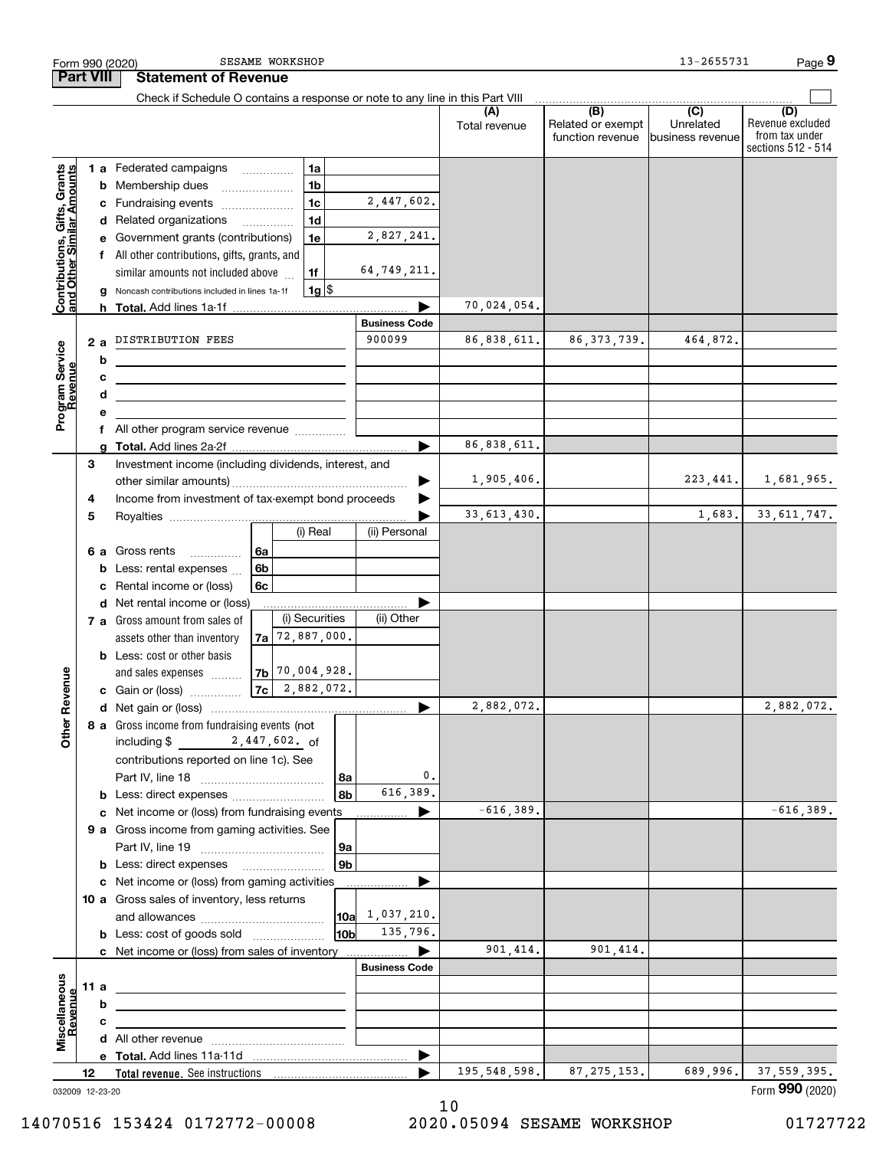|                                                           |                  | <b>SESAME WORKSHOP</b><br>Form 990 (2020)                                                                                                      |                |                                |                      |                                                     | 13-2655731                    | Page 9                                                          |
|-----------------------------------------------------------|------------------|------------------------------------------------------------------------------------------------------------------------------------------------|----------------|--------------------------------|----------------------|-----------------------------------------------------|-------------------------------|-----------------------------------------------------------------|
|                                                           | <b>Part VIII</b> | <b>Statement of Revenue</b>                                                                                                                    |                |                                |                      |                                                     |                               |                                                                 |
|                                                           |                  | Check if Schedule O contains a response or note to any line in this Part VIII                                                                  |                |                                |                      | $\overline{(\mathsf{B})}$ $\overline{(\mathsf{C})}$ |                               |                                                                 |
|                                                           |                  |                                                                                                                                                |                |                                | (A)<br>Total revenue | Related or exempt<br>function revenue               | Unrelated<br>business revenue | (D)<br>Revenue excluded<br>from tax under<br>sections 512 - 514 |
|                                                           |                  | 1 a Federated campaigns                                                                                                                        | 1a             |                                |                      |                                                     |                               |                                                                 |
|                                                           |                  | <b>b</b> Membership dues                                                                                                                       | 1 <sub>b</sub> |                                |                      |                                                     |                               |                                                                 |
|                                                           |                  | c Fundraising events                                                                                                                           | 1 <sub>c</sub> | 2,447,602.                     |                      |                                                     |                               |                                                                 |
|                                                           |                  | d Related organizations                                                                                                                        | 1 <sub>d</sub> |                                |                      |                                                     |                               |                                                                 |
|                                                           |                  | e Government grants (contributions)                                                                                                            | 1e             | 2,827,241.                     |                      |                                                     |                               |                                                                 |
|                                                           |                  | f All other contributions, gifts, grants, and                                                                                                  |                |                                |                      |                                                     |                               |                                                                 |
| Contributions, Gifts, Grants<br>and Other Similar Amounts |                  | similar amounts not included above                                                                                                             | 1f             | 64,749,211.                    |                      |                                                     |                               |                                                                 |
|                                                           |                  | Noncash contributions included in lines 1a-1f<br>a                                                                                             | $1g$ \$        |                                |                      |                                                     |                               |                                                                 |
|                                                           |                  | h.                                                                                                                                             |                |                                | 70,024,054.          |                                                     |                               |                                                                 |
|                                                           |                  | 2 a DISTRIBUTION FEES                                                                                                                          |                | <b>Business Code</b><br>900099 | 86,838,611.          | 86, 373, 739.                                       | 464,872.                      |                                                                 |
| Program Service<br>Revenue                                |                  |                                                                                                                                                |                |                                |                      |                                                     |                               |                                                                 |
|                                                           |                  | b                                                                                                                                              |                |                                |                      |                                                     |                               |                                                                 |
|                                                           |                  | с<br><u> 1999 - Johann Stein, mars and de Britannich (b. 1989)</u><br>d<br><u> 1989 - Johann Stein, mars an deus an deus Amerikaanse komme</u> |                |                                |                      |                                                     |                               |                                                                 |
|                                                           |                  | е                                                                                                                                              |                |                                |                      |                                                     |                               |                                                                 |
|                                                           |                  | f All other program service revenue                                                                                                            |                |                                |                      |                                                     |                               |                                                                 |
|                                                           |                  | a                                                                                                                                              |                |                                | 86,838,611.          |                                                     |                               |                                                                 |
|                                                           | 3                | Investment income (including dividends, interest, and                                                                                          |                |                                |                      |                                                     |                               |                                                                 |
|                                                           |                  |                                                                                                                                                |                |                                | 1,905,406.           |                                                     |                               | $223,441.$ 1,681,965.                                           |
|                                                           | 4                | Income from investment of tax-exempt bond proceeds                                                                                             |                |                                |                      |                                                     |                               |                                                                 |
|                                                           | 5                |                                                                                                                                                |                |                                | 33, 613, 430.        |                                                     | 1,683.                        | 33, 611, 747.                                                   |
|                                                           |                  |                                                                                                                                                | (i) Real       | (ii) Personal                  |                      |                                                     |                               |                                                                 |
|                                                           |                  | 6a<br>6 a Gross rents                                                                                                                          |                |                                |                      |                                                     |                               |                                                                 |
|                                                           |                  | 6b<br>Less: rental expenses<br>b                                                                                                               |                |                                |                      |                                                     |                               |                                                                 |
|                                                           |                  | Rental income or (loss)<br>6c<br>c                                                                                                             |                |                                |                      |                                                     |                               |                                                                 |
|                                                           |                  | d Net rental income or (loss)<br>7 a Gross amount from sales of                                                                                | (i) Securities | (ii) Other                     |                      |                                                     |                               |                                                                 |
|                                                           |                  | $7a$ 72, 887, 000.<br>assets other than inventory                                                                                              |                |                                |                      |                                                     |                               |                                                                 |
|                                                           |                  | <b>b</b> Less: cost or other basis                                                                                                             |                |                                |                      |                                                     |                               |                                                                 |
|                                                           |                  | 7b 70,004,928.<br>and sales expenses                                                                                                           |                |                                |                      |                                                     |                               |                                                                 |
| evenue                                                    |                  | $7c \mid 2,882,072.$<br>c Gain or (loss)                                                                                                       |                |                                |                      |                                                     |                               |                                                                 |
| Œ                                                         |                  |                                                                                                                                                |                |                                | 2,882,072.           |                                                     |                               | 2,882,072.                                                      |
| <b>Other</b>                                              |                  | 8 a Gross income from fundraising events (not                                                                                                  |                |                                |                      |                                                     |                               |                                                                 |
|                                                           |                  | including $$$ 2,447,602. of                                                                                                                    |                |                                |                      |                                                     |                               |                                                                 |
|                                                           |                  | contributions reported on line 1c). See                                                                                                        |                |                                |                      |                                                     |                               |                                                                 |
|                                                           |                  |                                                                                                                                                | 8a             | 0.                             |                      |                                                     |                               |                                                                 |
|                                                           |                  | <b>b</b> Less: direct expenses <i></i>                                                                                                         | 8b             | 616,389.                       |                      |                                                     |                               |                                                                 |
|                                                           |                  | c Net income or (loss) from fundraising events                                                                                                 |                |                                | $-616, 389.$         |                                                     |                               | $-616,389.$                                                     |
|                                                           |                  | 9 a Gross income from gaming activities. See                                                                                                   |                |                                |                      |                                                     |                               |                                                                 |
|                                                           |                  |                                                                                                                                                | 9a             |                                |                      |                                                     |                               |                                                                 |
|                                                           |                  | <b>b</b> Less: direct expenses <b>manually</b><br>c Net income or (loss) from gaming activities                                                | 9b             |                                |                      |                                                     |                               |                                                                 |
|                                                           |                  | 10 a Gross sales of inventory, less returns                                                                                                    |                |                                |                      |                                                     |                               |                                                                 |
|                                                           |                  |                                                                                                                                                |                | $10a \quad 1,037,210.$         |                      |                                                     |                               |                                                                 |
|                                                           |                  | <b>b</b> Less: cost of goods sold                                                                                                              | 10ь            | 135,796.                       |                      |                                                     |                               |                                                                 |
|                                                           |                  | c Net income or (loss) from sales of inventory                                                                                                 |                | ▶                              | 901, 414.            | 901,414.                                            |                               |                                                                 |
|                                                           |                  |                                                                                                                                                |                | <b>Business Code</b>           |                      |                                                     |                               |                                                                 |
|                                                           | 11 a             | <u> 1980 - Johann John Stein, markin fizik eta idazlearia (h. 1980).</u>                                                                       |                |                                |                      |                                                     |                               |                                                                 |
|                                                           |                  | b                                                                                                                                              |                |                                |                      |                                                     |                               |                                                                 |
|                                                           |                  | с                                                                                                                                              |                |                                |                      |                                                     |                               |                                                                 |
| Miscellaneous                                             |                  |                                                                                                                                                |                |                                |                      |                                                     |                               |                                                                 |
|                                                           |                  |                                                                                                                                                |                | ▶                              |                      |                                                     |                               |                                                                 |
|                                                           | 12               |                                                                                                                                                |                |                                | 195, 548, 598.       | 87, 275, 153.                                       | 689,996.                      | 37, 559, 395.                                                   |
| 032009 12-23-20                                           |                  |                                                                                                                                                |                |                                |                      |                                                     |                               | Form 990 (2020)                                                 |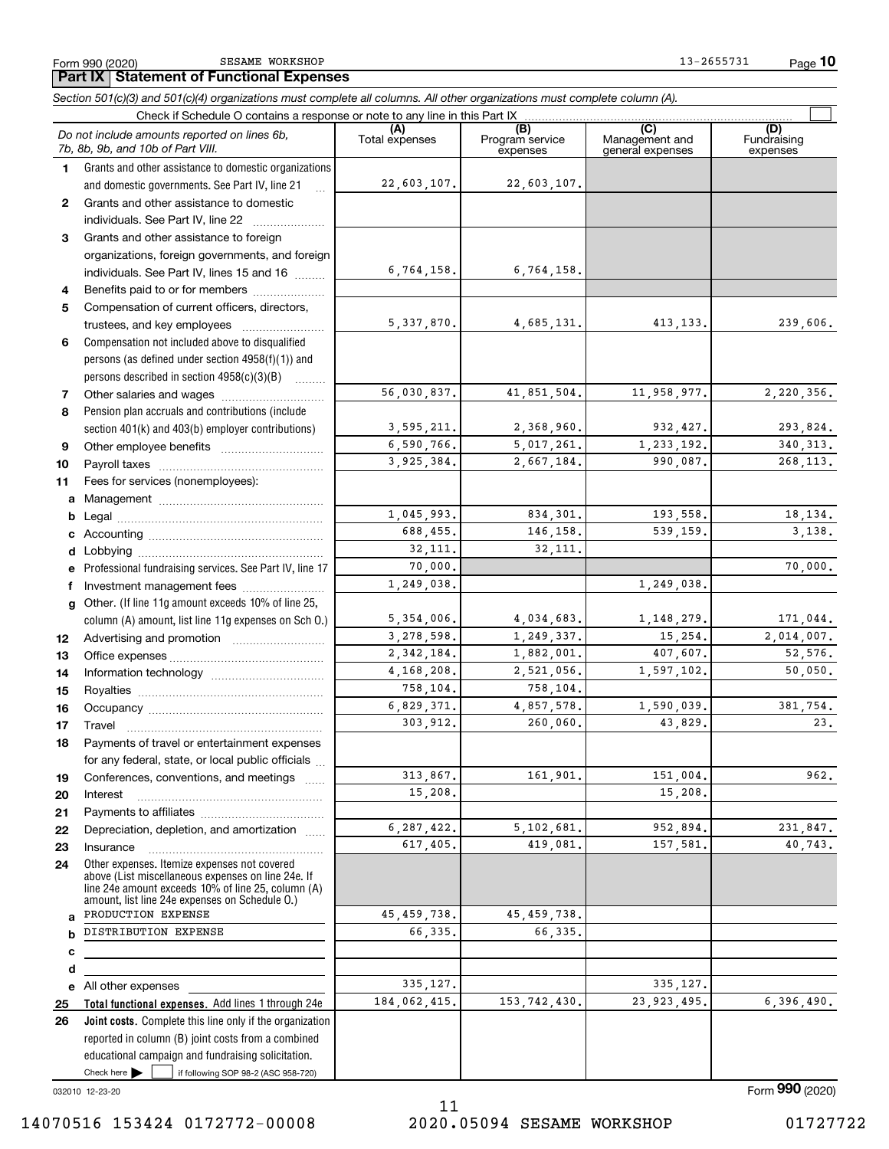Form 990 (2020) SESAME WORKSHOP 3 2655731 SESAME WORKSHOP

**Part IX Statement of Functional Expenses**

*Section 501(c)(3) and 501(c)(4) organizations must complete all columns. All other organizations must complete column (A).*

|              | Check if Schedule O contains a response or note to any line in this Part IX                                                                                                                                |                       |                                    |                                           |                                |
|--------------|------------------------------------------------------------------------------------------------------------------------------------------------------------------------------------------------------------|-----------------------|------------------------------------|-------------------------------------------|--------------------------------|
|              | Do not include amounts reported on lines 6b,<br>7b, 8b, 9b, and 10b of Part VIII.                                                                                                                          | (A)<br>Total expenses | (B)<br>Program service<br>expenses | (C)<br>Management and<br>general expenses | (D)<br>Fundraising<br>expenses |
| 1.           | Grants and other assistance to domestic organizations                                                                                                                                                      |                       |                                    |                                           |                                |
|              | and domestic governments. See Part IV, line 21                                                                                                                                                             | 22,603,107.           | 22,603,107.                        |                                           |                                |
| $\mathbf{2}$ | Grants and other assistance to domestic                                                                                                                                                                    |                       |                                    |                                           |                                |
|              | individuals. See Part IV, line 22                                                                                                                                                                          |                       |                                    |                                           |                                |
| 3            | Grants and other assistance to foreign                                                                                                                                                                     |                       |                                    |                                           |                                |
|              | organizations, foreign governments, and foreign                                                                                                                                                            |                       |                                    |                                           |                                |
|              | individuals. See Part IV, lines 15 and 16                                                                                                                                                                  | 6, 764, 158.          | 6,764,158.                         |                                           |                                |
| 4            | Benefits paid to or for members                                                                                                                                                                            |                       |                                    |                                           |                                |
| 5            | Compensation of current officers, directors,                                                                                                                                                               |                       |                                    |                                           |                                |
|              |                                                                                                                                                                                                            | 5,337,870.            | 4,685,131.                         | 413, 133.                                 | 239,606.                       |
| 6            | Compensation not included above to disqualified                                                                                                                                                            |                       |                                    |                                           |                                |
|              | persons (as defined under section 4958(f)(1)) and                                                                                                                                                          |                       |                                    |                                           |                                |
|              | persons described in section 4958(c)(3)(B)                                                                                                                                                                 |                       |                                    |                                           |                                |
| 7            |                                                                                                                                                                                                            | 56,030,837.           | 41,851,504.                        | 11,958,977.                               | 2,220,356.                     |
| 8            | Pension plan accruals and contributions (include                                                                                                                                                           |                       |                                    |                                           |                                |
|              | section 401(k) and 403(b) employer contributions)                                                                                                                                                          | 3, 595, 211.          | 2,368,960.                         | 932, 427.                                 | 293,824.                       |
| 9            |                                                                                                                                                                                                            | 6,590,766.            | 5,017,261.                         | 1,233,192.                                | 340, 313.                      |
| 10           |                                                                                                                                                                                                            | 3,925,384.            | 2,667,184.                         | 990,087.                                  | 268, 113.                      |
| 11           | Fees for services (nonemployees):                                                                                                                                                                          |                       |                                    |                                           |                                |
| a            |                                                                                                                                                                                                            |                       |                                    |                                           |                                |
| b            |                                                                                                                                                                                                            | 1,045,993.            | 834,301.                           | 193,558.                                  | 18, 134.                       |
| c            |                                                                                                                                                                                                            | 688,455.              | 146,158.                           | 539,159.                                  | 3,138.                         |
| d            |                                                                                                                                                                                                            | 32,111.               | 32, 111.                           |                                           |                                |
| е            | Professional fundraising services. See Part IV, line 17                                                                                                                                                    | 70,000.<br>1,249,038. |                                    | 1,249,038.                                | 70,000.                        |
| f            | Investment management fees                                                                                                                                                                                 |                       |                                    |                                           |                                |
| $\mathbf{q}$ | Other. (If line 11g amount exceeds 10% of line 25,                                                                                                                                                         | 5,354,006.            | 4,034,683.                         | 1, 148, 279.                              | 171,044.                       |
|              | column (A) amount, list line 11g expenses on Sch 0.)                                                                                                                                                       | 3,278,598.            | 1,249,337.                         | 15,254.                                   | 2,014,007.                     |
| 12           |                                                                                                                                                                                                            | 2, 342, 184.          | 1,882,001.                         | 407,607.                                  | 52,576.                        |
| 13<br>14     |                                                                                                                                                                                                            | 4, 168, 208.          | 2,521,056.                         | 1,597,102.                                | 50,050.                        |
| 15           |                                                                                                                                                                                                            | 758,104.              | 758,104.                           |                                           |                                |
| 16           |                                                                                                                                                                                                            | 6,829,371.            | 4,857,578.                         | 1,590,039.                                | 381,754.                       |
| 17           | Travel                                                                                                                                                                                                     | 303,912.              | 260,060.                           | 43,829.                                   | 23.                            |
| 18           | Payments of travel or entertainment expenses                                                                                                                                                               |                       |                                    |                                           |                                |
|              | for any federal, state, or local public officials                                                                                                                                                          |                       |                                    |                                           |                                |
| 19           | Conferences, conventions, and meetings                                                                                                                                                                     | 313,867.              | 161,901.                           | 151,004.                                  | 962.                           |
| 20           | Interest                                                                                                                                                                                                   | 15,208.               |                                    | 15,208.                                   |                                |
| 21           |                                                                                                                                                                                                            |                       |                                    |                                           |                                |
| 22           | Depreciation, depletion, and amortization                                                                                                                                                                  | 6,287,422.            | 5,102,681.                         | 952,894.                                  | 231,847.                       |
| 23           | Insurance                                                                                                                                                                                                  | 617,405.              | 419,081.                           | 157,581.                                  | 40,743.                        |
| 24           | Other expenses. Itemize expenses not covered<br>above (List miscellaneous expenses on line 24e. If<br>line 24e amount exceeds 10% of line 25, column (A)<br>amount, list line 24e expenses on Schedule O.) |                       |                                    |                                           |                                |
| a            | PRODUCTION EXPENSE                                                                                                                                                                                         | 45, 459, 738.         | 45, 459, 738.                      |                                           |                                |
| b            | DISTRIBUTION EXPENSE                                                                                                                                                                                       | 66,335.               | 66,335.                            |                                           |                                |
| c            |                                                                                                                                                                                                            |                       |                                    |                                           |                                |
| d            |                                                                                                                                                                                                            |                       |                                    |                                           |                                |
|              | e All other expenses                                                                                                                                                                                       | 335,127.              |                                    | 335, 127.                                 |                                |
| 25           | Total functional expenses. Add lines 1 through 24e                                                                                                                                                         | 184,062,415.          | 153, 742, 430.                     | 23, 923, 495.                             | 6,396,490.                     |
| 26           | Joint costs. Complete this line only if the organization                                                                                                                                                   |                       |                                    |                                           |                                |
|              | reported in column (B) joint costs from a combined                                                                                                                                                         |                       |                                    |                                           |                                |
|              | educational campaign and fundraising solicitation.                                                                                                                                                         |                       |                                    |                                           |                                |
|              | Check here $\blacktriangleright$<br>if following SOP 98-2 (ASC 958-720)                                                                                                                                    |                       |                                    |                                           |                                |
|              | 032010 12-23-20                                                                                                                                                                                            |                       |                                    |                                           | Form 990 (2020)                |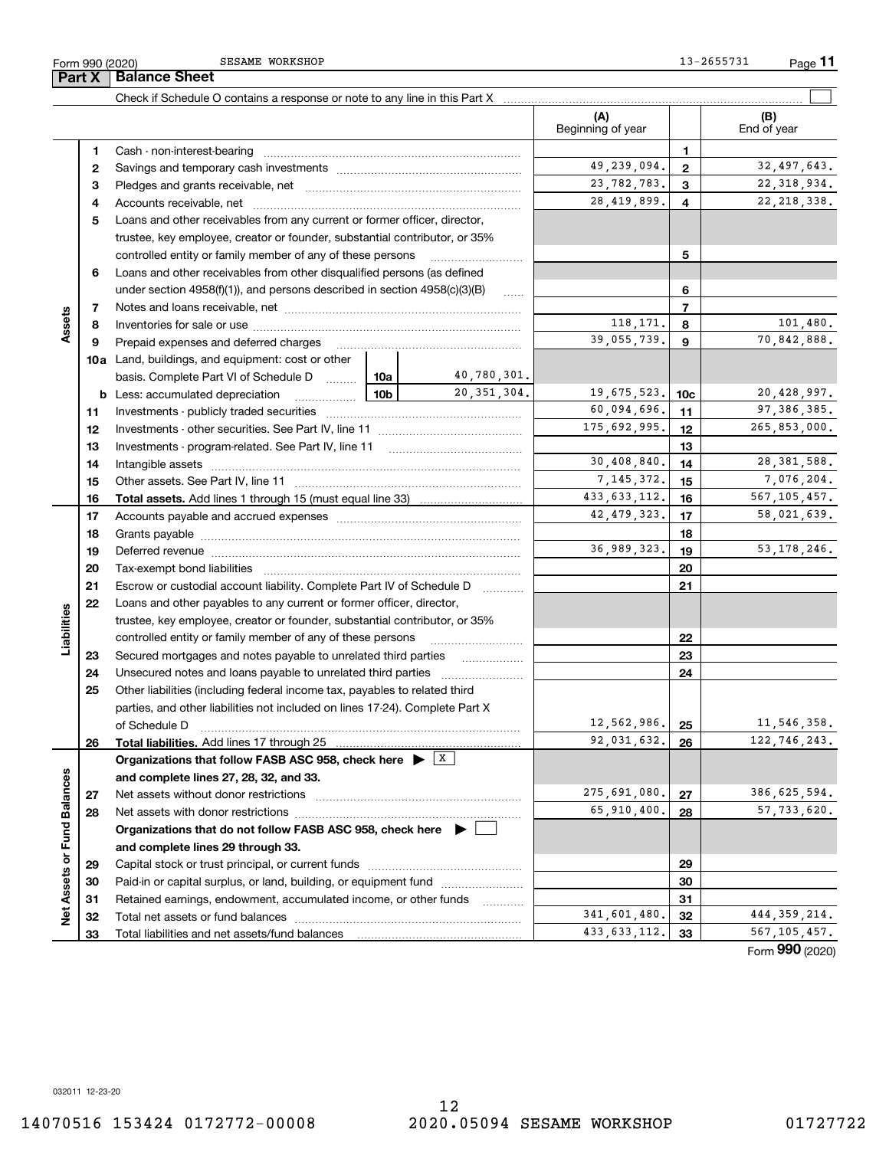**Part X Balance Sheet**

|                             |    | Check if Schedule O contains a response or note to any line in this Part X                                                                                                                                                     |              |                     |                          |                 |                    |
|-----------------------------|----|--------------------------------------------------------------------------------------------------------------------------------------------------------------------------------------------------------------------------------|--------------|---------------------|--------------------------|-----------------|--------------------|
|                             |    |                                                                                                                                                                                                                                |              |                     | (A)<br>Beginning of year |                 | (B)<br>End of year |
|                             | 1  |                                                                                                                                                                                                                                |              |                     |                          | 1.              |                    |
|                             | 2  |                                                                                                                                                                                                                                |              |                     | 49,239,094.              | $\mathbf{2}$    | 32,497,643.        |
|                             | з  |                                                                                                                                                                                                                                |              |                     | 23, 782, 783.            | 3               | 22, 318, 934.      |
|                             | 4  |                                                                                                                                                                                                                                |              |                     | 28, 419, 899.            | 4               | 22, 218, 338.      |
|                             | 5  | Loans and other receivables from any current or former officer, director,                                                                                                                                                      |              |                     |                          |                 |                    |
|                             |    | trustee, key employee, creator or founder, substantial contributor, or 35%                                                                                                                                                     |              |                     |                          |                 |                    |
|                             |    | controlled entity or family member of any of these persons                                                                                                                                                                     |              |                     |                          | 5               |                    |
|                             | 6  | Loans and other receivables from other disqualified persons (as defined                                                                                                                                                        |              |                     |                          |                 |                    |
|                             |    | under section 4958(f)(1)), and persons described in section 4958(c)(3)(B)                                                                                                                                                      |              | $\ldots$            |                          | 6               |                    |
|                             | 7  |                                                                                                                                                                                                                                |              |                     | $\overline{7}$           |                 |                    |
| Assets                      | 8  |                                                                                                                                                                                                                                |              | 118, 171.           | 8                        | 101,480.        |                    |
|                             | 9  | Prepaid expenses and deferred charges                                                                                                                                                                                          |              | 39,055,739.         | 9                        | 70,842,888.     |                    |
|                             |    | <b>10a</b> Land, buildings, and equipment: cost or other                                                                                                                                                                       |              |                     |                          |                 |                    |
|                             |    | basis. Complete Part VI of Schedule D  10a                                                                                                                                                                                     |              | 40,780,301.         |                          |                 |                    |
|                             |    | <b>b</b> Less: accumulated depreciation                                                                                                                                                                                        | 10b          | 20, 351, 304.       | 19,675,523.              | 10 <sub>c</sub> | 20,428,997.        |
|                             | 11 |                                                                                                                                                                                                                                |              |                     | 60,094,696.              | 11              | 97,386,385.        |
|                             | 12 |                                                                                                                                                                                                                                |              | 175,692,995.        | 12                       | 265,853,000.    |                    |
|                             | 13 | Investments - program-related. See Part IV, line 11                                                                                                                                                                            |              | 13                  |                          |                 |                    |
|                             | 14 |                                                                                                                                                                                                                                |              | 30,408,840.         | 14                       | 28, 381, 588.   |                    |
|                             | 15 |                                                                                                                                                                                                                                |              |                     | 7, 145, 372.             | 15              | 7,076,204.         |
|                             | 16 |                                                                                                                                                                                                                                |              |                     | 433, 633, 112.           | 16              | 567, 105, 457.     |
|                             | 17 |                                                                                                                                                                                                                                |              | 42, 479, 323.       | 17                       | 58,021,639.     |                    |
|                             | 18 |                                                                                                                                                                                                                                |              | 18                  |                          |                 |                    |
|                             | 19 | Deferred revenue manual contracts and contracts are contracted and contract and contract are contracted and contract are contracted and contract are contracted and contract are contracted and contract are contracted and co |              | 36,989,323.         | 19                       | 53, 178, 246.   |                    |
|                             | 20 |                                                                                                                                                                                                                                |              |                     |                          | 20              |                    |
|                             | 21 | Escrow or custodial account liability. Complete Part IV of Schedule D                                                                                                                                                          |              | 1.1.1.1.1.1.1.1.1.1 |                          | 21              |                    |
|                             | 22 | Loans and other payables to any current or former officer, director,                                                                                                                                                           |              |                     |                          |                 |                    |
| Liabilities                 |    | trustee, key employee, creator or founder, substantial contributor, or 35%                                                                                                                                                     |              |                     |                          |                 |                    |
|                             |    | controlled entity or family member of any of these persons                                                                                                                                                                     |              |                     |                          | 22              |                    |
|                             | 23 | Secured mortgages and notes payable to unrelated third parties                                                                                                                                                                 |              |                     |                          | 23              |                    |
|                             | 24 | Unsecured notes and loans payable to unrelated third parties                                                                                                                                                                   |              |                     |                          | 24              |                    |
|                             | 25 | Other liabilities (including federal income tax, payables to related third                                                                                                                                                     |              |                     |                          |                 |                    |
|                             |    | parties, and other liabilities not included on lines 17-24). Complete Part X                                                                                                                                                   |              |                     |                          |                 |                    |
|                             |    | of Schedule D                                                                                                                                                                                                                  |              |                     | 12,562,986.              | 25              | 11,546,358.        |
|                             | 26 | Total liabilities. Add lines 17 through 25                                                                                                                                                                                     |              |                     | 92,031,632.              | 26              | 122,746,243.       |
|                             |    | Organizations that follow FASB ASC 958, check here $\blacktriangleright$ $\boxed{\text{X}}$                                                                                                                                    |              |                     |                          |                 |                    |
|                             |    | and complete lines 27, 28, 32, and 33.                                                                                                                                                                                         |              |                     |                          |                 |                    |
|                             | 27 | Net assets without donor restrictions                                                                                                                                                                                          | 275,691,080. | 27                  | 386,625,594.             |                 |                    |
|                             | 28 |                                                                                                                                                                                                                                | 65,910,400.  | 28                  | 57, 733, 620.            |                 |                    |
|                             |    | Organizations that do not follow FASB ASC 958, check here $\blacktriangleright$                                                                                                                                                |              |                     |                          |                 |                    |
| Net Assets or Fund Balances |    | and complete lines 29 through 33.                                                                                                                                                                                              |              |                     |                          |                 |                    |
|                             | 29 |                                                                                                                                                                                                                                |              |                     |                          | 29              |                    |
|                             | 30 | Paid-in or capital surplus, or land, building, or equipment fund                                                                                                                                                               |              |                     |                          | 30              |                    |
|                             | 31 | Retained earnings, endowment, accumulated income, or other funds                                                                                                                                                               |              |                     |                          | 31              |                    |
|                             | 32 |                                                                                                                                                                                                                                |              |                     | 341,601,480.             | 32              | 444, 359, 214.     |
|                             | 33 |                                                                                                                                                                                                                                |              |                     | 433, 633, 112.           | 33              | 567, 105, 457.     |

Form (2020) **990**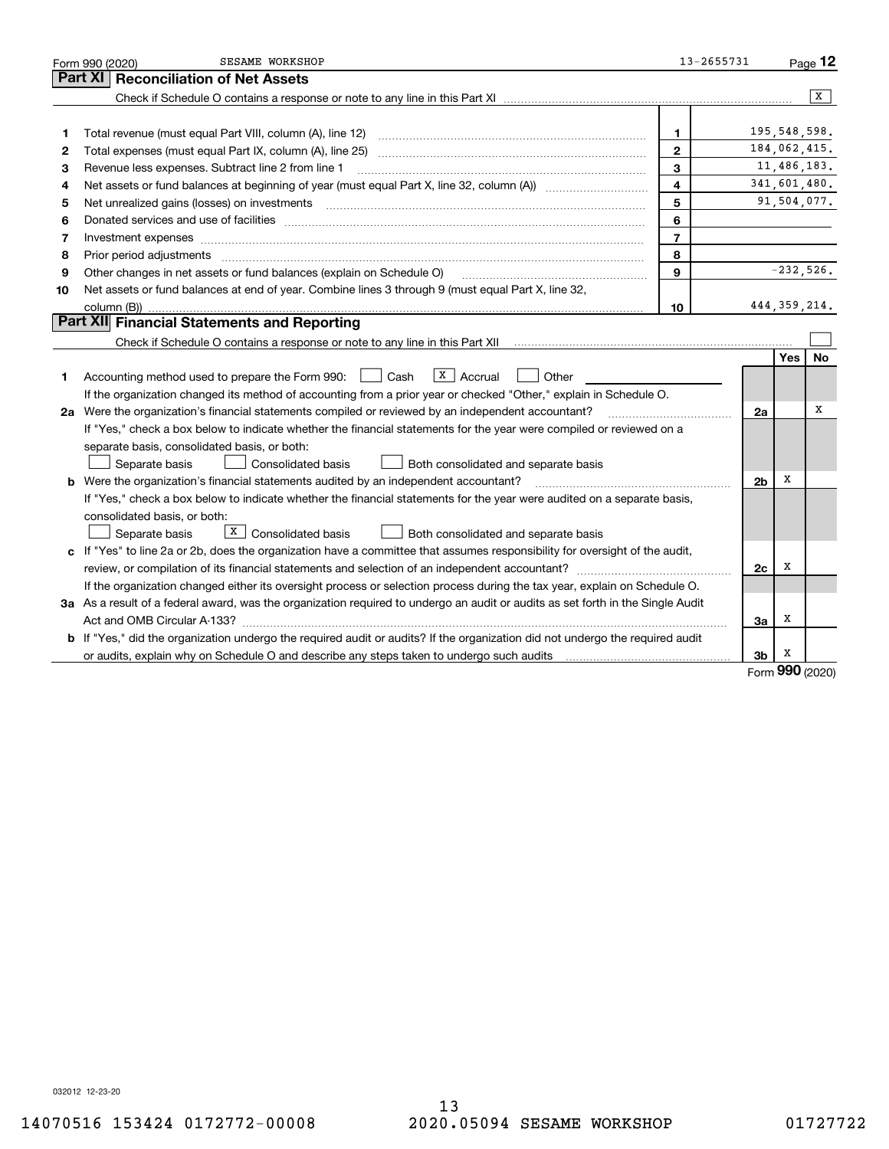|    | <b>SESAME WORKSHOP</b><br>Form 990 (2020)                                                                                                                                                                                      | 13-2655731     |                |                | Page 12        |  |  |  |  |  |
|----|--------------------------------------------------------------------------------------------------------------------------------------------------------------------------------------------------------------------------------|----------------|----------------|----------------|----------------|--|--|--|--|--|
|    | <b>Reconciliation of Net Assets</b><br>Part XI                                                                                                                                                                                 |                |                |                |                |  |  |  |  |  |
|    |                                                                                                                                                                                                                                |                |                |                | $\overline{X}$ |  |  |  |  |  |
|    |                                                                                                                                                                                                                                |                |                |                |                |  |  |  |  |  |
| 1  |                                                                                                                                                                                                                                | 1.             |                | 195, 548, 598. |                |  |  |  |  |  |
| 2  |                                                                                                                                                                                                                                | $\mathbf{2}$   |                | 184,062,415.   |                |  |  |  |  |  |
| з  | $\mathbf{3}$<br>Revenue less expenses. Subtract line 2 from line 1                                                                                                                                                             |                |                |                |                |  |  |  |  |  |
| 4  | $\overline{a}$                                                                                                                                                                                                                 |                |                |                |                |  |  |  |  |  |
| 5  | Net unrealized gains (losses) on investments with an annumerous contract and a set of the set of the set of the                                                                                                                | 5              |                | 91,504,077.    |                |  |  |  |  |  |
| 6  | Donated services and use of facilities [111] Donated and the service of facilities [11] Donated services and use of facilities [11] Donated and the service of the service of the service of the service of the service of the | 6              |                |                |                |  |  |  |  |  |
| 7  | Investment expenses                                                                                                                                                                                                            | $\overline{7}$ |                |                |                |  |  |  |  |  |
| 8  | Prior period adjustments www.communication.communication.communication.com/                                                                                                                                                    | 8              |                |                |                |  |  |  |  |  |
| 9  | Other changes in net assets or fund balances (explain on Schedule O)                                                                                                                                                           | $\mathbf{9}$   |                |                | $-232,526.$    |  |  |  |  |  |
| 10 | Net assets or fund balances at end of year. Combine lines 3 through 9 (must equal Part X, line 32,                                                                                                                             |                |                |                |                |  |  |  |  |  |
|    |                                                                                                                                                                                                                                | 10             |                | 444, 359, 214. |                |  |  |  |  |  |
|    | Part XII Financial Statements and Reporting                                                                                                                                                                                    |                |                |                |                |  |  |  |  |  |
|    |                                                                                                                                                                                                                                |                |                |                |                |  |  |  |  |  |
|    |                                                                                                                                                                                                                                |                |                | Yes.           | <b>No</b>      |  |  |  |  |  |
| 1  | $X$ Accrual<br>Accounting method used to prepare the Form 990: <u>I</u> Cash<br>Other                                                                                                                                          |                |                |                |                |  |  |  |  |  |
|    | If the organization changed its method of accounting from a prior year or checked "Other," explain in Schedule O.                                                                                                              |                |                |                |                |  |  |  |  |  |
|    | 2a Were the organization's financial statements compiled or reviewed by an independent accountant?                                                                                                                             |                | 2a             |                | х              |  |  |  |  |  |
|    | If "Yes," check a box below to indicate whether the financial statements for the year were compiled or reviewed on a                                                                                                           |                |                |                |                |  |  |  |  |  |
|    | separate basis, consolidated basis, or both:                                                                                                                                                                                   |                |                |                |                |  |  |  |  |  |
|    | Separate basis<br>Consolidated basis<br>Both consolidated and separate basis                                                                                                                                                   |                |                |                |                |  |  |  |  |  |
|    | b Were the organization's financial statements audited by an independent accountant?                                                                                                                                           |                | 2 <sub>b</sub> | X              |                |  |  |  |  |  |
|    | If "Yes," check a box below to indicate whether the financial statements for the year were audited on a separate basis,                                                                                                        |                |                |                |                |  |  |  |  |  |
|    | consolidated basis, or both:                                                                                                                                                                                                   |                |                |                |                |  |  |  |  |  |
|    | $X \mid$ Consolidated basis<br>Separate basis<br>Both consolidated and separate basis                                                                                                                                          |                |                |                |                |  |  |  |  |  |
|    | c If "Yes" to line 2a or 2b, does the organization have a committee that assumes responsibility for oversight of the audit,                                                                                                    |                |                |                |                |  |  |  |  |  |
|    |                                                                                                                                                                                                                                |                | 2c             | х              |                |  |  |  |  |  |
|    | If the organization changed either its oversight process or selection process during the tax year, explain on Schedule O.                                                                                                      |                |                |                |                |  |  |  |  |  |
|    | 3a As a result of a federal award, was the organization required to undergo an audit or audits as set forth in the Single Audit                                                                                                |                |                |                |                |  |  |  |  |  |
|    |                                                                                                                                                                                                                                |                | За             | х              |                |  |  |  |  |  |
|    | b If "Yes," did the organization undergo the required audit or audits? If the organization did not undergo the required audit                                                                                                  |                |                |                |                |  |  |  |  |  |
|    | or audits, explain why on Schedule O and describe any steps taken to undergo such audits                                                                                                                                       |                | 3b             | x              |                |  |  |  |  |  |
|    |                                                                                                                                                                                                                                |                |                | റററ            |                |  |  |  |  |  |

Form (2020) **990**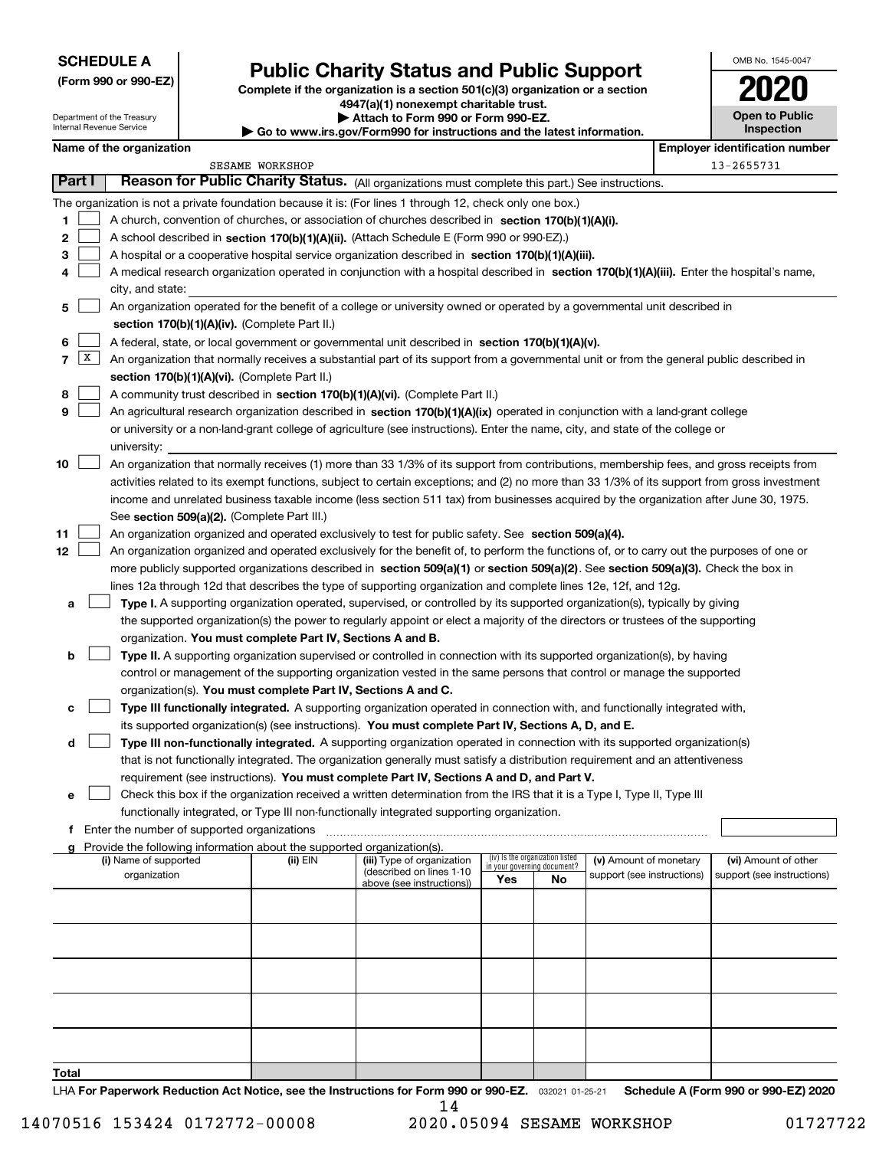**(Form 990 or 990-EZ)**

Department of the Treasury Internal Revenue Service

# **Public Charity Status and Public Support**

**Complete if the organization is a section 501(c)(3) organization or a section 4947(a)(1) nonexempt charitable trust. | Attach to Form 990 or Form 990-EZ. | Go to www.irs.gov/Form990 for instructions and the latest information.**

| OMB No. 1545-0047                   |
|-------------------------------------|
| 2020                                |
| <b>Open to Public</b><br>Inspection |

|                 | Name of the organization<br><b>Employer identification number</b> |                                                                                                                                                                                                                                                                 |                        |                                                       |     |                                                                |                            |  |                            |  |  |  |  |  |
|-----------------|-------------------------------------------------------------------|-----------------------------------------------------------------------------------------------------------------------------------------------------------------------------------------------------------------------------------------------------------------|------------------------|-------------------------------------------------------|-----|----------------------------------------------------------------|----------------------------|--|----------------------------|--|--|--|--|--|
|                 |                                                                   |                                                                                                                                                                                                                                                                 | <b>SESAME WORKSHOP</b> |                                                       |     |                                                                |                            |  | 13-2655731                 |  |  |  |  |  |
| Part I          |                                                                   | Reason for Public Charity Status. (All organizations must complete this part.) See instructions.                                                                                                                                                                |                        |                                                       |     |                                                                |                            |  |                            |  |  |  |  |  |
|                 |                                                                   | The organization is not a private foundation because it is: (For lines 1 through 12, check only one box.)                                                                                                                                                       |                        |                                                       |     |                                                                |                            |  |                            |  |  |  |  |  |
| 1.              |                                                                   | A church, convention of churches, or association of churches described in section 170(b)(1)(A)(i).                                                                                                                                                              |                        |                                                       |     |                                                                |                            |  |                            |  |  |  |  |  |
| 2               |                                                                   | A school described in section 170(b)(1)(A)(ii). (Attach Schedule E (Form 990 or 990-EZ).)                                                                                                                                                                       |                        |                                                       |     |                                                                |                            |  |                            |  |  |  |  |  |
| 3               |                                                                   | A hospital or a cooperative hospital service organization described in section 170(b)(1)(A)(iii).                                                                                                                                                               |                        |                                                       |     |                                                                |                            |  |                            |  |  |  |  |  |
| 4               |                                                                   | A medical research organization operated in conjunction with a hospital described in section 170(b)(1)(A)(iii). Enter the hospital's name,                                                                                                                      |                        |                                                       |     |                                                                |                            |  |                            |  |  |  |  |  |
|                 |                                                                   | city, and state:                                                                                                                                                                                                                                                |                        |                                                       |     |                                                                |                            |  |                            |  |  |  |  |  |
| 5               |                                                                   | An organization operated for the benefit of a college or university owned or operated by a governmental unit described in                                                                                                                                       |                        |                                                       |     |                                                                |                            |  |                            |  |  |  |  |  |
|                 |                                                                   | section 170(b)(1)(A)(iv). (Complete Part II.)                                                                                                                                                                                                                   |                        |                                                       |     |                                                                |                            |  |                            |  |  |  |  |  |
| 6               |                                                                   | A federal, state, or local government or governmental unit described in section 170(b)(1)(A)(v).<br>An organization that normally receives a substantial part of its support from a governmental unit or from the general public described in                   |                        |                                                       |     |                                                                |                            |  |                            |  |  |  |  |  |
| $\overline{7}$  | X                                                                 |                                                                                                                                                                                                                                                                 |                        |                                                       |     |                                                                |                            |  |                            |  |  |  |  |  |
|                 |                                                                   | section 170(b)(1)(A)(vi). (Complete Part II.)                                                                                                                                                                                                                   |                        |                                                       |     |                                                                |                            |  |                            |  |  |  |  |  |
| 8               |                                                                   | A community trust described in section 170(b)(1)(A)(vi). (Complete Part II.)                                                                                                                                                                                    |                        |                                                       |     |                                                                |                            |  |                            |  |  |  |  |  |
| 9               |                                                                   | An agricultural research organization described in section 170(b)(1)(A)(ix) operated in conjunction with a land-grant college<br>or university or a non-land-grant college of agriculture (see instructions). Enter the name, city, and state of the college or |                        |                                                       |     |                                                                |                            |  |                            |  |  |  |  |  |
|                 |                                                                   | university:                                                                                                                                                                                                                                                     |                        |                                                       |     |                                                                |                            |  |                            |  |  |  |  |  |
| 10              |                                                                   | An organization that normally receives (1) more than 33 1/3% of its support from contributions, membership fees, and gross receipts from                                                                                                                        |                        |                                                       |     |                                                                |                            |  |                            |  |  |  |  |  |
|                 |                                                                   | activities related to its exempt functions, subject to certain exceptions; and (2) no more than 33 1/3% of its support from gross investment                                                                                                                    |                        |                                                       |     |                                                                |                            |  |                            |  |  |  |  |  |
|                 |                                                                   | income and unrelated business taxable income (less section 511 tax) from businesses acquired by the organization after June 30, 1975.                                                                                                                           |                        |                                                       |     |                                                                |                            |  |                            |  |  |  |  |  |
|                 |                                                                   | See section 509(a)(2). (Complete Part III.)                                                                                                                                                                                                                     |                        |                                                       |     |                                                                |                            |  |                            |  |  |  |  |  |
| 11              |                                                                   | An organization organized and operated exclusively to test for public safety. See section 509(a)(4).                                                                                                                                                            |                        |                                                       |     |                                                                |                            |  |                            |  |  |  |  |  |
| 12 <sub>2</sub> |                                                                   | An organization organized and operated exclusively for the benefit of, to perform the functions of, or to carry out the purposes of one or                                                                                                                      |                        |                                                       |     |                                                                |                            |  |                            |  |  |  |  |  |
|                 |                                                                   | more publicly supported organizations described in section 509(a)(1) or section 509(a)(2). See section 509(a)(3). Check the box in                                                                                                                              |                        |                                                       |     |                                                                |                            |  |                            |  |  |  |  |  |
|                 |                                                                   | lines 12a through 12d that describes the type of supporting organization and complete lines 12e, 12f, and 12g.                                                                                                                                                  |                        |                                                       |     |                                                                |                            |  |                            |  |  |  |  |  |
| а               |                                                                   | Type I. A supporting organization operated, supervised, or controlled by its supported organization(s), typically by giving                                                                                                                                     |                        |                                                       |     |                                                                |                            |  |                            |  |  |  |  |  |
|                 |                                                                   | the supported organization(s) the power to regularly appoint or elect a majority of the directors or trustees of the supporting                                                                                                                                 |                        |                                                       |     |                                                                |                            |  |                            |  |  |  |  |  |
|                 |                                                                   | organization. You must complete Part IV, Sections A and B.                                                                                                                                                                                                      |                        |                                                       |     |                                                                |                            |  |                            |  |  |  |  |  |
| b               |                                                                   | Type II. A supporting organization supervised or controlled in connection with its supported organization(s), by having                                                                                                                                         |                        |                                                       |     |                                                                |                            |  |                            |  |  |  |  |  |
|                 |                                                                   | control or management of the supporting organization vested in the same persons that control or manage the supported                                                                                                                                            |                        |                                                       |     |                                                                |                            |  |                            |  |  |  |  |  |
|                 |                                                                   | organization(s). You must complete Part IV, Sections A and C.                                                                                                                                                                                                   |                        |                                                       |     |                                                                |                            |  |                            |  |  |  |  |  |
| с               |                                                                   | Type III functionally integrated. A supporting organization operated in connection with, and functionally integrated with,                                                                                                                                      |                        |                                                       |     |                                                                |                            |  |                            |  |  |  |  |  |
|                 |                                                                   | its supported organization(s) (see instructions). You must complete Part IV, Sections A, D, and E.                                                                                                                                                              |                        |                                                       |     |                                                                |                            |  |                            |  |  |  |  |  |
| d               |                                                                   | Type III non-functionally integrated. A supporting organization operated in connection with its supported organization(s)                                                                                                                                       |                        |                                                       |     |                                                                |                            |  |                            |  |  |  |  |  |
|                 |                                                                   | that is not functionally integrated. The organization generally must satisfy a distribution requirement and an attentiveness                                                                                                                                    |                        |                                                       |     |                                                                |                            |  |                            |  |  |  |  |  |
| е               |                                                                   | requirement (see instructions). You must complete Part IV, Sections A and D, and Part V.<br>Check this box if the organization received a written determination from the IRS that it is a Type I, Type II, Type III                                             |                        |                                                       |     |                                                                |                            |  |                            |  |  |  |  |  |
|                 |                                                                   | functionally integrated, or Type III non-functionally integrated supporting organization.                                                                                                                                                                       |                        |                                                       |     |                                                                |                            |  |                            |  |  |  |  |  |
|                 |                                                                   | Enter the number of supported organizations                                                                                                                                                                                                                     |                        |                                                       |     |                                                                |                            |  |                            |  |  |  |  |  |
|                 |                                                                   | Provide the following information about the supported organization(s).                                                                                                                                                                                          |                        |                                                       |     |                                                                |                            |  |                            |  |  |  |  |  |
|                 |                                                                   | (i) Name of supported                                                                                                                                                                                                                                           | (ii) EIN               | (iii) Type of organization                            |     | (iv) Is the organization listed<br>in your governing document? | (v) Amount of monetary     |  | (vi) Amount of other       |  |  |  |  |  |
|                 |                                                                   | organization                                                                                                                                                                                                                                                    |                        | (described on lines 1-10<br>above (see instructions)) | Yes | No                                                             | support (see instructions) |  | support (see instructions) |  |  |  |  |  |
|                 |                                                                   |                                                                                                                                                                                                                                                                 |                        |                                                       |     |                                                                |                            |  |                            |  |  |  |  |  |
|                 |                                                                   |                                                                                                                                                                                                                                                                 |                        |                                                       |     |                                                                |                            |  |                            |  |  |  |  |  |
|                 |                                                                   |                                                                                                                                                                                                                                                                 |                        |                                                       |     |                                                                |                            |  |                            |  |  |  |  |  |
|                 |                                                                   |                                                                                                                                                                                                                                                                 |                        |                                                       |     |                                                                |                            |  |                            |  |  |  |  |  |
|                 |                                                                   |                                                                                                                                                                                                                                                                 |                        |                                                       |     |                                                                |                            |  |                            |  |  |  |  |  |
|                 |                                                                   |                                                                                                                                                                                                                                                                 |                        |                                                       |     |                                                                |                            |  |                            |  |  |  |  |  |
|                 |                                                                   |                                                                                                                                                                                                                                                                 |                        |                                                       |     |                                                                |                            |  |                            |  |  |  |  |  |
|                 |                                                                   |                                                                                                                                                                                                                                                                 |                        |                                                       |     |                                                                |                            |  |                            |  |  |  |  |  |
|                 |                                                                   |                                                                                                                                                                                                                                                                 |                        |                                                       |     |                                                                |                            |  |                            |  |  |  |  |  |
| Total           |                                                                   |                                                                                                                                                                                                                                                                 |                        |                                                       |     |                                                                |                            |  |                            |  |  |  |  |  |

LHA For Paperwork Reduction Act Notice, see the Instructions for Form 990 or 990-EZ. <sub>032021</sub> o1-25-21 Schedule A (Form 990 or 990-EZ) 2020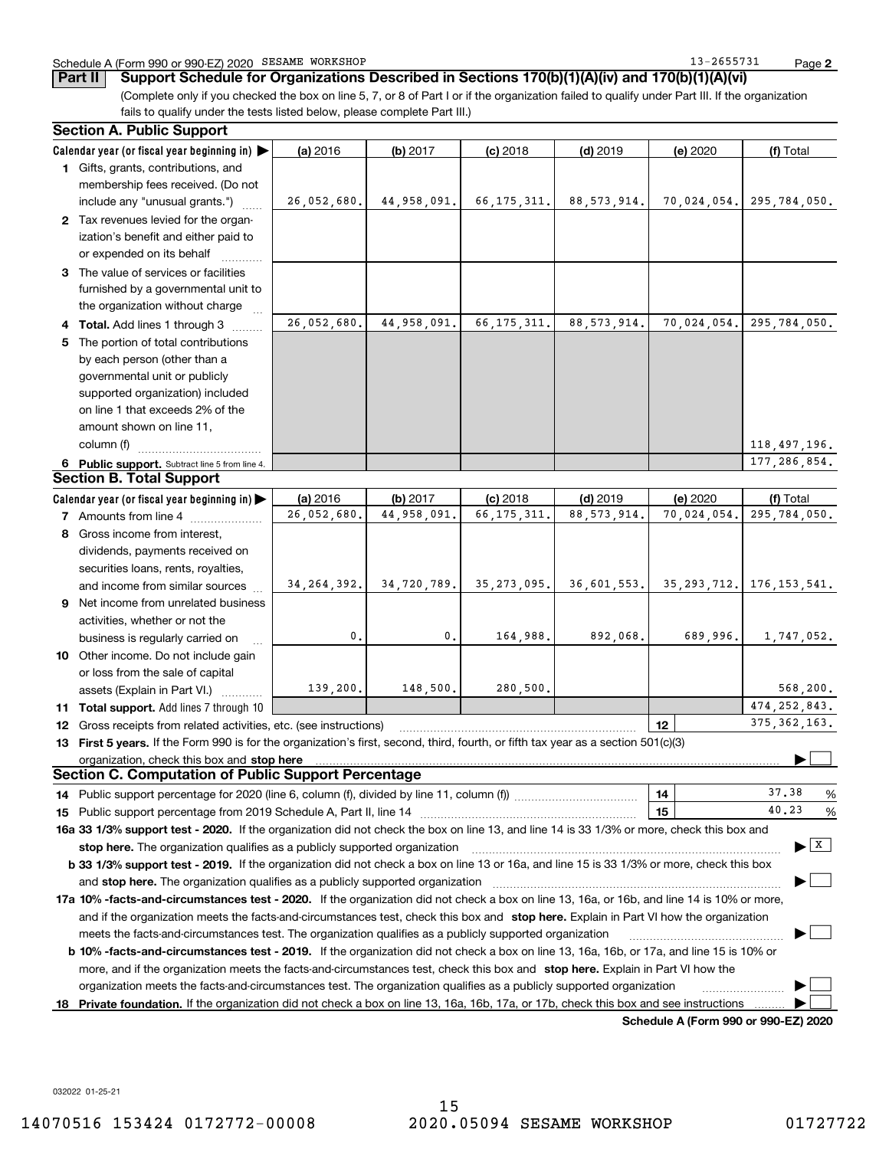#### Schedule A (Form 990 or 990-EZ) 2020 Page SESAME WORKSHOP 13-2655731

**2**

(Complete only if you checked the box on line 5, 7, or 8 of Part I or if the organization failed to qualify under Part III. If the organization fails to qualify under the tests listed below, please complete Part III.) **Part II Support Schedule for Organizations Described in Sections 170(b)(1)(A)(iv) and 170(b)(1)(A)(vi)**

|     | <b>Section A. Public Support</b>                                                                                                               |                |                |               |               |               |                |
|-----|------------------------------------------------------------------------------------------------------------------------------------------------|----------------|----------------|---------------|---------------|---------------|----------------|
|     | Calendar year (or fiscal year beginning in)                                                                                                    | (a) 2016       | (b) 2017       | $(c)$ 2018    | $(d)$ 2019    | (e) 2020      | (f) Total      |
|     | 1 Gifts, grants, contributions, and                                                                                                            |                |                |               |               |               |                |
|     | membership fees received. (Do not                                                                                                              |                |                |               |               |               |                |
|     | include any "unusual grants.")                                                                                                                 | 26,052,680.    | 44,958,091.    | 66, 175, 311. | 88, 573, 914. | 70,024,054.   | 295,784,050.   |
|     | 2 Tax revenues levied for the organ-                                                                                                           |                |                |               |               |               |                |
|     | ization's benefit and either paid to                                                                                                           |                |                |               |               |               |                |
|     | or expended on its behalf                                                                                                                      |                |                |               |               |               |                |
|     | 3 The value of services or facilities                                                                                                          |                |                |               |               |               |                |
|     | furnished by a governmental unit to                                                                                                            |                |                |               |               |               |                |
|     | the organization without charge                                                                                                                |                |                |               |               |               |                |
|     | <b>Total.</b> Add lines 1 through 3                                                                                                            | 26.052.680.    | 44,958,091.    | 66, 175, 311. | 88, 573, 914. | 70,024,054.   | 295,784,050.   |
| 5   | The portion of total contributions                                                                                                             |                |                |               |               |               |                |
|     | by each person (other than a                                                                                                                   |                |                |               |               |               |                |
|     | governmental unit or publicly                                                                                                                  |                |                |               |               |               |                |
|     | supported organization) included                                                                                                               |                |                |               |               |               |                |
|     | on line 1 that exceeds 2% of the                                                                                                               |                |                |               |               |               |                |
|     | amount shown on line 11,                                                                                                                       |                |                |               |               |               |                |
|     | column (f)                                                                                                                                     |                |                |               |               |               | 118, 497, 196. |
|     | 6 Public support. Subtract line 5 from line 4.                                                                                                 |                |                |               |               |               | 177, 286, 854. |
|     | <b>Section B. Total Support</b>                                                                                                                |                |                |               |               |               |                |
|     | Calendar year (or fiscal year beginning in) $\blacktriangleright$                                                                              | (a) 2016       | (b) 2017       | $(c)$ 2018    | $(d)$ 2019    | (e) 2020      | (f) Total      |
|     | <b>7</b> Amounts from line 4                                                                                                                   | 26,052,680     | 44,958,091.    | 66, 175, 311. | 88, 573, 914. | 70,024,054.   | 295,784,050.   |
|     | 8 Gross income from interest,                                                                                                                  |                |                |               |               |               |                |
|     | dividends, payments received on                                                                                                                |                |                |               |               |               |                |
|     | securities loans, rents, royalties,                                                                                                            |                |                |               |               |               |                |
|     | and income from similar sources                                                                                                                | 34, 264, 392.  | 34,720,789.    | 35, 273, 095. | 36,601,553.   | 35, 293, 712. | 176, 153, 541. |
|     | 9 Net income from unrelated business                                                                                                           |                |                |               |               |               |                |
|     | activities, whether or not the                                                                                                                 |                |                |               |               |               |                |
|     | business is regularly carried on                                                                                                               | $\mathbf{0}$ . | $\mathsf{0}$ . | 164,988.      | 892,068.      | 689,996.      | 1,747,052.     |
|     | 10 Other income. Do not include gain                                                                                                           |                |                |               |               |               |                |
|     | or loss from the sale of capital                                                                                                               |                |                |               |               |               |                |
|     |                                                                                                                                                | 139,200.       | 148,500.       | 280,500.      |               |               | 568,200.       |
|     | assets (Explain in Part VI.)<br>11 Total support. Add lines 7 through 10                                                                       |                |                |               |               |               | 474, 252, 843. |
|     | 12 Gross receipts from related activities, etc. (see instructions)                                                                             |                |                |               |               | 12            | 375, 362, 163. |
|     | 13 First 5 years. If the Form 990 is for the organization's first, second, third, fourth, or fifth tax year as a section 501(c)(3)             |                |                |               |               |               |                |
|     | organization, check this box and stop here                                                                                                     |                |                |               |               |               |                |
|     | <b>Section C. Computation of Public Support Percentage</b>                                                                                     |                |                |               |               |               |                |
|     | 14 Public support percentage for 2020 (line 6, column (f), divided by line 11, column (f) <i></i>                                              |                |                |               |               | 14            | 37.38<br>%     |
|     | 15 Public support percentage from 2019 Schedule A, Part II, line 14                                                                            |                |                |               |               | 15            | 40.23<br>%     |
|     | 16a 33 1/3% support test - 2020. If the organization did not check the box on line 13, and line 14 is 33 1/3% or more, check this box and      |                |                |               |               |               |                |
|     | stop here. The organization qualifies as a publicly supported organization                                                                     |                |                |               |               |               | X              |
|     | b 33 1/3% support test - 2019. If the organization did not check a box on line 13 or 16a, and line 15 is 33 1/3% or more, check this box       |                |                |               |               |               |                |
|     | and stop here. The organization qualifies as a publicly supported organization                                                                 |                |                |               |               |               |                |
|     | 17a 10% -facts-and-circumstances test - 2020. If the organization did not check a box on line 13, 16a, or 16b, and line 14 is 10% or more,     |                |                |               |               |               |                |
|     | and if the organization meets the facts-and-circumstances test, check this box and stop here. Explain in Part VI how the organization          |                |                |               |               |               |                |
|     |                                                                                                                                                |                |                |               |               |               |                |
|     | meets the facts-and-circumstances test. The organization qualifies as a publicly supported organization                                        |                |                |               |               |               |                |
|     | <b>b 10% -facts-and-circumstances test - 2019.</b> If the organization did not check a box on line 13, 16a, 16b, or 17a, and line 15 is 10% or |                |                |               |               |               |                |
|     | more, and if the organization meets the facts-and-circumstances test, check this box and stop here. Explain in Part VI how the                 |                |                |               |               |               |                |
|     | organization meets the facts-and-circumstances test. The organization qualifies as a publicly supported organization                           |                |                |               |               |               |                |
| 18. | Private foundation. If the organization did not check a box on line 13, 16a, 16b, 17a, or 17b, check this box and see instructions             |                |                |               |               |               |                |

**Schedule A (Form 990 or 990-EZ) 2020**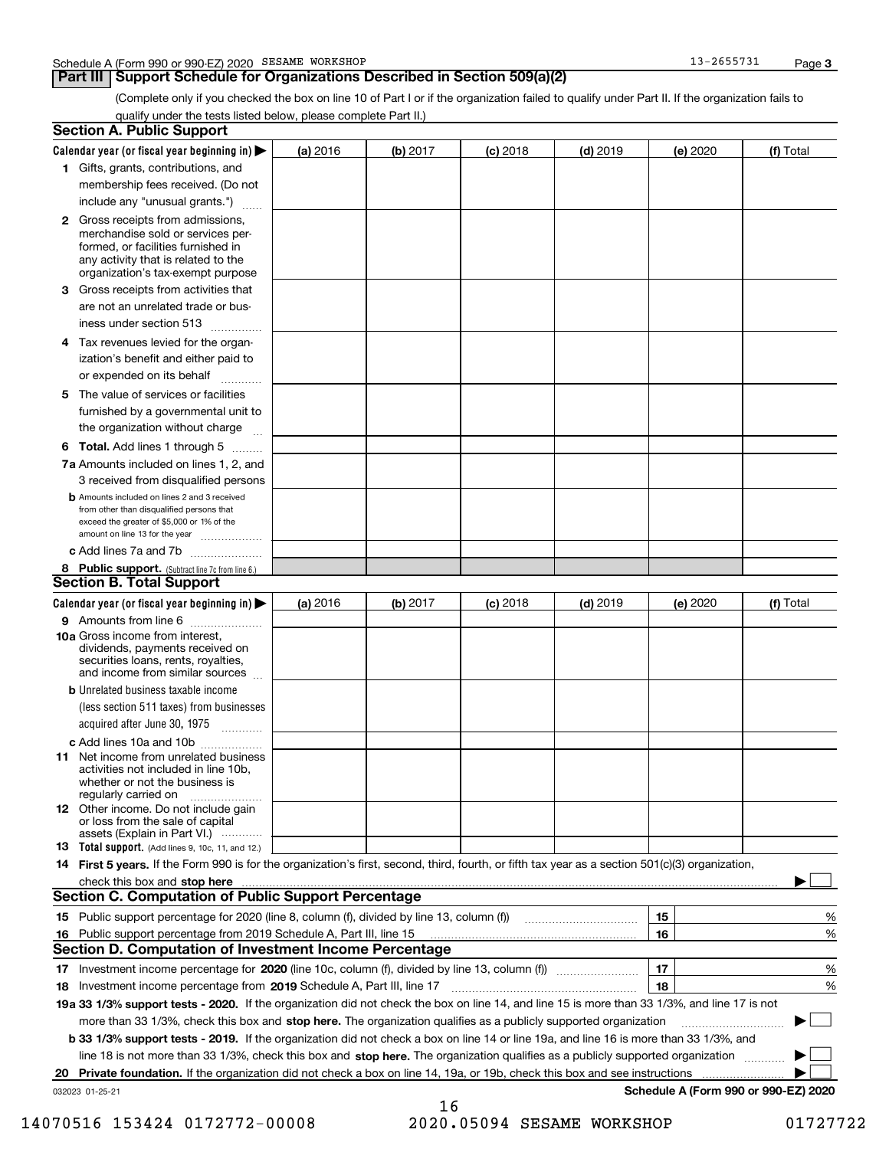#### **Part III Support Schedule for Organizations Described in Section 509(a)(2)**

(Complete only if you checked the box on line 10 of Part I or if the organization failed to qualify under Part II. If the organization fails to qualify under the tests listed below, please complete Part II.)

|    | <b>Section A. Public Support</b>                                                                                                                                                                                               |          |          |            |            |          |                                      |
|----|--------------------------------------------------------------------------------------------------------------------------------------------------------------------------------------------------------------------------------|----------|----------|------------|------------|----------|--------------------------------------|
|    | Calendar year (or fiscal year beginning in) $\blacktriangleright$                                                                                                                                                              | (a) 2016 | (b) 2017 | $(c)$ 2018 | $(d)$ 2019 | (e) 2020 | (f) Total                            |
|    | 1 Gifts, grants, contributions, and                                                                                                                                                                                            |          |          |            |            |          |                                      |
|    | membership fees received. (Do not                                                                                                                                                                                              |          |          |            |            |          |                                      |
|    | include any "unusual grants.")                                                                                                                                                                                                 |          |          |            |            |          |                                      |
|    | <b>2</b> Gross receipts from admissions,<br>merchandise sold or services per-<br>formed, or facilities furnished in<br>any activity that is related to the<br>organization's tax-exempt purpose                                |          |          |            |            |          |                                      |
|    | 3 Gross receipts from activities that<br>are not an unrelated trade or bus-                                                                                                                                                    |          |          |            |            |          |                                      |
|    | iness under section 513                                                                                                                                                                                                        |          |          |            |            |          |                                      |
|    | 4 Tax revenues levied for the organ-<br>ization's benefit and either paid to                                                                                                                                                   |          |          |            |            |          |                                      |
|    | or expended on its behalf<br>.                                                                                                                                                                                                 |          |          |            |            |          |                                      |
|    | 5 The value of services or facilities<br>furnished by a governmental unit to                                                                                                                                                   |          |          |            |            |          |                                      |
|    | the organization without charge                                                                                                                                                                                                |          |          |            |            |          |                                      |
|    | <b>6 Total.</b> Add lines 1 through 5                                                                                                                                                                                          |          |          |            |            |          |                                      |
|    | 7a Amounts included on lines 1, 2, and<br>3 received from disqualified persons                                                                                                                                                 |          |          |            |            |          |                                      |
|    | <b>b</b> Amounts included on lines 2 and 3 received<br>from other than disqualified persons that<br>exceed the greater of \$5,000 or 1% of the<br>amount on line 13 for the year                                               |          |          |            |            |          |                                      |
|    | c Add lines 7a and 7b                                                                                                                                                                                                          |          |          |            |            |          |                                      |
|    | 8 Public support. (Subtract line 7c from line 6.)<br><b>Section B. Total Support</b>                                                                                                                                           |          |          |            |            |          |                                      |
|    | Calendar year (or fiscal year beginning in) $\blacktriangleright$                                                                                                                                                              | (a) 2016 | (b) 2017 | $(c)$ 2018 | $(d)$ 2019 | (e) 2020 | (f) Total                            |
|    | 9 Amounts from line 6                                                                                                                                                                                                          |          |          |            |            |          |                                      |
|    | <b>10a</b> Gross income from interest,<br>dividends, payments received on<br>securities loans, rents, royalties,<br>and income from similar sources                                                                            |          |          |            |            |          |                                      |
|    | <b>b</b> Unrelated business taxable income                                                                                                                                                                                     |          |          |            |            |          |                                      |
|    | (less section 511 taxes) from businesses<br>acquired after June 30, 1975                                                                                                                                                       |          |          |            |            |          |                                      |
|    | c Add lines 10a and 10b                                                                                                                                                                                                        |          |          |            |            |          |                                      |
|    | 11 Net income from unrelated business<br>activities not included in line 10b,<br>whether or not the business is<br>regularly carried on                                                                                        |          |          |            |            |          |                                      |
|    | <b>12</b> Other income. Do not include gain<br>or loss from the sale of capital<br>assets (Explain in Part VI.)                                                                                                                |          |          |            |            |          |                                      |
|    | <b>13</b> Total support. (Add lines 9, 10c, 11, and 12.)                                                                                                                                                                       |          |          |            |            |          |                                      |
|    | 14 First 5 years. If the Form 990 is for the organization's first, second, third, fourth, or fifth tax year as a section 501(c)(3) organization,                                                                               |          |          |            |            |          |                                      |
|    | check this box and stop here with the continuum control to the change of the state of the state of the change of the state of the change of the change of the state of the change of the change of the change of the change of |          |          |            |            |          |                                      |
|    | <b>Section C. Computation of Public Support Percentage</b>                                                                                                                                                                     |          |          |            |            |          |                                      |
|    |                                                                                                                                                                                                                                |          |          |            |            | 15       | %                                    |
| 16 | Public support percentage from 2019 Schedule A, Part III, line 15<br>Section D. Computation of Investment Income Percentage                                                                                                    |          |          |            |            | 16       | %                                    |
|    |                                                                                                                                                                                                                                |          |          |            |            |          |                                      |
|    |                                                                                                                                                                                                                                |          |          |            |            | 17       | %                                    |
|    | 18 Investment income percentage from 2019 Schedule A, Part III, line 17                                                                                                                                                        |          |          |            |            | 18       | %                                    |
|    | 19a 33 1/3% support tests - 2020. If the organization did not check the box on line 14, and line 15 is more than 33 1/3%, and line 17 is not                                                                                   |          |          |            |            |          |                                      |
|    | more than 33 1/3%, check this box and stop here. The organization qualifies as a publicly supported organization                                                                                                               |          |          |            |            |          | $\sim$<br>▶                          |
|    | b 33 1/3% support tests - 2019. If the organization did not check a box on line 14 or line 19a, and line 16 is more than 33 1/3%, and                                                                                          |          |          |            |            |          |                                      |
|    | line 18 is not more than 33 1/3%, check this box and stop here. The organization qualifies as a publicly supported organization                                                                                                |          |          |            |            |          |                                      |
| 20 | Private foundation. If the organization did not check a box on line 14, 19a, or 19b, check this box and see instructions                                                                                                       |          |          |            |            |          |                                      |
|    | 032023 01-25-21                                                                                                                                                                                                                |          | 16       |            |            |          | Schedule A (Form 990 or 990-EZ) 2020 |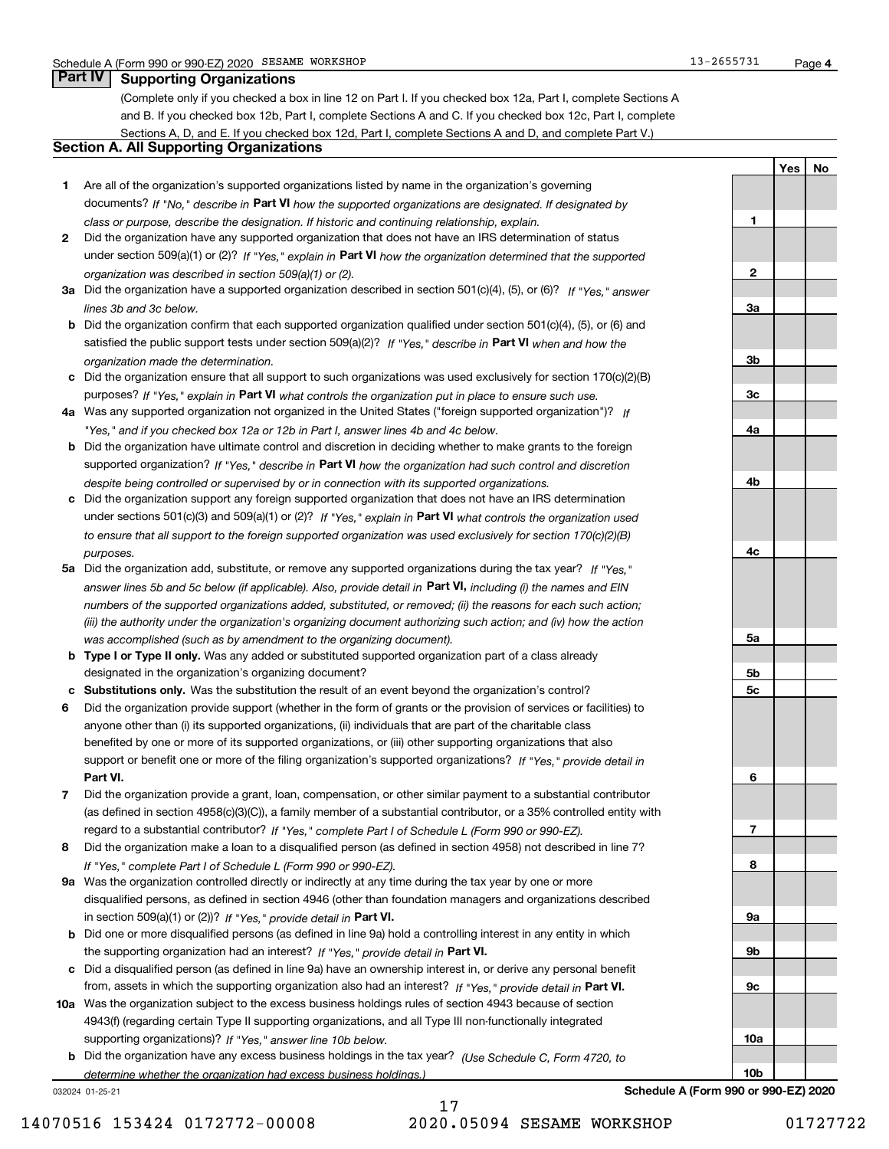**1**

**2**

**3a**

**3b**

**3c**

**4a**

**4b**

**4c**

**5a**

**5b5c**

**6**

**7**

**8**

**9a**

**9b**

**9c**

**10a**

**10b**

**Schedule A (Form 990 or 990-EZ) 2020**

**YesNo**

### **Part IV Supporting Organizations**

(Complete only if you checked a box in line 12 on Part I. If you checked box 12a, Part I, complete Sections A and B. If you checked box 12b, Part I, complete Sections A and C. If you checked box 12c, Part I, complete Sections A, D, and E. If you checked box 12d, Part I, complete Sections A and D, and complete Part V.)

#### **Section A. All Supporting Organizations**

- **1** Are all of the organization's supported organizations listed by name in the organization's governing documents? If "No," describe in **Part VI** how the supported organizations are designated. If designated by *class or purpose, describe the designation. If historic and continuing relationship, explain.*
- **2** Did the organization have any supported organization that does not have an IRS determination of status under section 509(a)(1) or (2)? If "Yes," explain in Part VI how the organization determined that the supported *organization was described in section 509(a)(1) or (2).*
- **3a** Did the organization have a supported organization described in section 501(c)(4), (5), or (6)? If "Yes," answer *lines 3b and 3c below.*
- **b** Did the organization confirm that each supported organization qualified under section 501(c)(4), (5), or (6) and satisfied the public support tests under section 509(a)(2)? If "Yes," describe in **Part VI** when and how the *organization made the determination.*
- **c**Did the organization ensure that all support to such organizations was used exclusively for section 170(c)(2)(B) purposes? If "Yes," explain in **Part VI** what controls the organization put in place to ensure such use.
- **4a***If* Was any supported organization not organized in the United States ("foreign supported organization")? *"Yes," and if you checked box 12a or 12b in Part I, answer lines 4b and 4c below.*
- **b** Did the organization have ultimate control and discretion in deciding whether to make grants to the foreign supported organization? If "Yes," describe in **Part VI** how the organization had such control and discretion *despite being controlled or supervised by or in connection with its supported organizations.*
- **c** Did the organization support any foreign supported organization that does not have an IRS determination under sections 501(c)(3) and 509(a)(1) or (2)? If "Yes," explain in **Part VI** what controls the organization used *to ensure that all support to the foreign supported organization was used exclusively for section 170(c)(2)(B) purposes.*
- **5a** Did the organization add, substitute, or remove any supported organizations during the tax year? If "Yes," answer lines 5b and 5c below (if applicable). Also, provide detail in **Part VI,** including (i) the names and EIN *numbers of the supported organizations added, substituted, or removed; (ii) the reasons for each such action; (iii) the authority under the organization's organizing document authorizing such action; and (iv) how the action was accomplished (such as by amendment to the organizing document).*
- **b** Type I or Type II only. Was any added or substituted supported organization part of a class already designated in the organization's organizing document?
- **cSubstitutions only.**  Was the substitution the result of an event beyond the organization's control?
- **6** Did the organization provide support (whether in the form of grants or the provision of services or facilities) to **Part VI.** *If "Yes," provide detail in* support or benefit one or more of the filing organization's supported organizations? anyone other than (i) its supported organizations, (ii) individuals that are part of the charitable class benefited by one or more of its supported organizations, or (iii) other supporting organizations that also
- **7**Did the organization provide a grant, loan, compensation, or other similar payment to a substantial contributor *If "Yes," complete Part I of Schedule L (Form 990 or 990-EZ).* regard to a substantial contributor? (as defined in section 4958(c)(3)(C)), a family member of a substantial contributor, or a 35% controlled entity with
- **8** Did the organization make a loan to a disqualified person (as defined in section 4958) not described in line 7? *If "Yes," complete Part I of Schedule L (Form 990 or 990-EZ).*
- **9a** Was the organization controlled directly or indirectly at any time during the tax year by one or more in section 509(a)(1) or (2))? If "Yes," *provide detail in* <code>Part VI.</code> disqualified persons, as defined in section 4946 (other than foundation managers and organizations described
- **b** Did one or more disqualified persons (as defined in line 9a) hold a controlling interest in any entity in which the supporting organization had an interest? If "Yes," provide detail in P**art VI**.
- **c**Did a disqualified person (as defined in line 9a) have an ownership interest in, or derive any personal benefit from, assets in which the supporting organization also had an interest? If "Yes," provide detail in P**art VI.**
- **10a** Was the organization subject to the excess business holdings rules of section 4943 because of section supporting organizations)? If "Yes," answer line 10b below. 4943(f) (regarding certain Type II supporting organizations, and all Type III non-functionally integrated
- **b** Did the organization have any excess business holdings in the tax year? (Use Schedule C, Form 4720, to *determine whether the organization had excess business holdings.)*

032024 01-25-21

17 14070516 153424 0172772-00008 2020.05094 SESAME WORKSHOP 01727722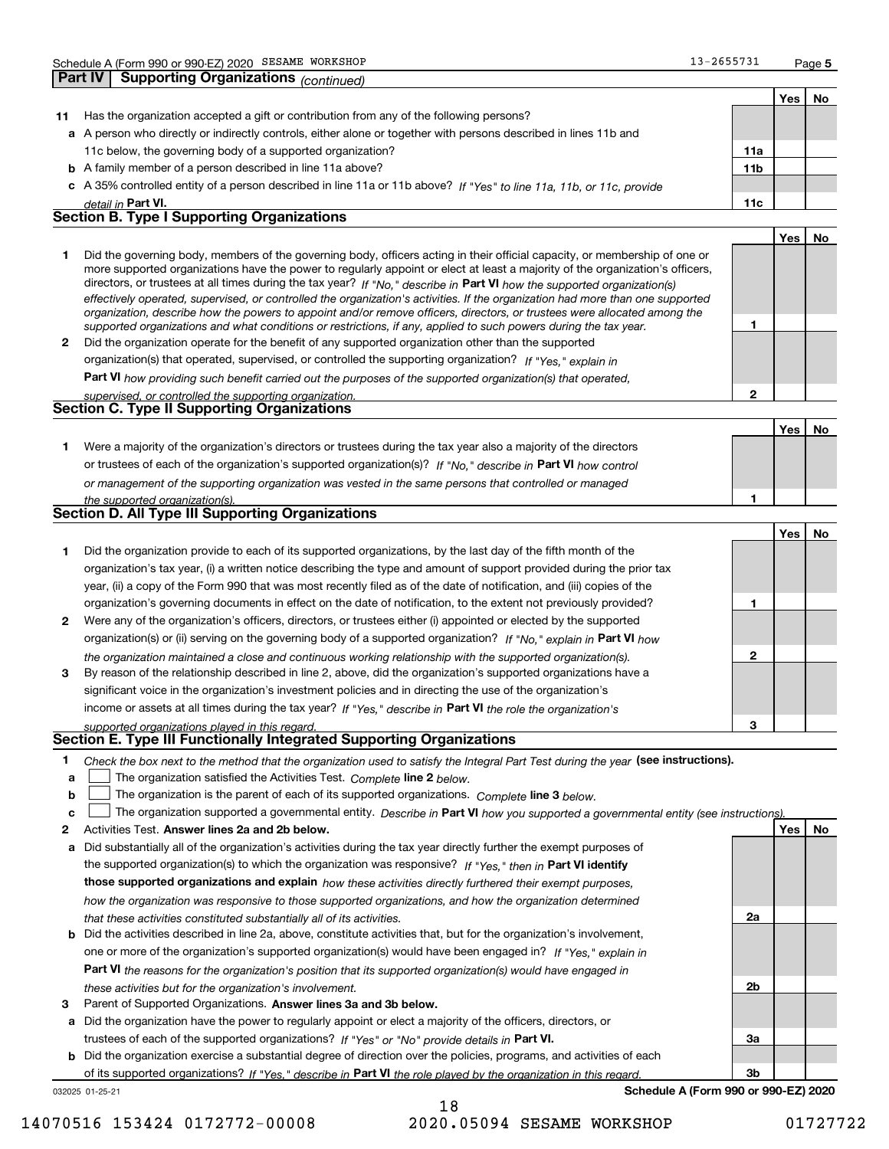**1**

**2**

|    |                                                                                                                                                                                                                                                                                                                                                                                                                                                                                                                     |                 | Yes | No |
|----|---------------------------------------------------------------------------------------------------------------------------------------------------------------------------------------------------------------------------------------------------------------------------------------------------------------------------------------------------------------------------------------------------------------------------------------------------------------------------------------------------------------------|-----------------|-----|----|
| 11 | Has the organization accepted a gift or contribution from any of the following persons?                                                                                                                                                                                                                                                                                                                                                                                                                             |                 |     |    |
|    | a A person who directly or indirectly controls, either alone or together with persons described in lines 11b and                                                                                                                                                                                                                                                                                                                                                                                                    |                 |     |    |
|    | 11c below, the governing body of a supported organization?                                                                                                                                                                                                                                                                                                                                                                                                                                                          | 11a             |     |    |
|    | <b>b</b> A family member of a person described in line 11a above?                                                                                                                                                                                                                                                                                                                                                                                                                                                   | 11 <sub>b</sub> |     |    |
|    | c A 35% controlled entity of a person described in line 11a or 11b above? If "Yes" to line 11a, 11b, or 11c, provide                                                                                                                                                                                                                                                                                                                                                                                                |                 |     |    |
|    | detail in Part VI.                                                                                                                                                                                                                                                                                                                                                                                                                                                                                                  | 11c             |     |    |
|    | <b>Section B. Type I Supporting Organizations</b>                                                                                                                                                                                                                                                                                                                                                                                                                                                                   |                 |     |    |
|    |                                                                                                                                                                                                                                                                                                                                                                                                                                                                                                                     |                 | Yes | No |
|    | Did the governing body, members of the governing body, officers acting in their official capacity, or membership of one or<br>more supported organizations have the power to regularly appoint or elect at least a majority of the organization's officers,<br>directors, or trustees at all times during the tax year? If "No," describe in Part VI how the supported organization(s)<br>offectively anoughed averagined as controlled the essenigation legisline. If the essenigation had mose than ano currented |                 |     |    |

**2** Did the organization operate for the benefit of any supported organization other than the supported *effectively operated, supervised, or controlled the organization's activities. If the organization had more than one supported organization, describe how the powers to appoint and/or remove officers, directors, or trustees were allocated among the supported organizations and what conditions or restrictions, if any, applied to such powers during the tax year. If "Yes," explain in* organization(s) that operated, supervised, or controlled the supporting organization?

**Part VI**  *how providing such benefit carried out the purposes of the supported organization(s) that operated,*

| supervised, or controlled the supporting organization. |  |
|--------------------------------------------------------|--|
| <b>Section C. Type II Supporting Organizations</b>     |  |
|                                                        |  |

**Yes No 1**or trustees of each of the organization's supported organization(s)? If "No," describe in **Part VI** how control **1***or management of the supporting organization was vested in the same persons that controlled or managed the supported organization(s).* Were a majority of the organization's directors or trustees during the tax year also a majority of the directors

|  | Section D. All Type III Supporting Organizations |
|--|--------------------------------------------------|
|  |                                                  |

|              |                                                                                                                        |   | Yes l | No |
|--------------|------------------------------------------------------------------------------------------------------------------------|---|-------|----|
|              | Did the organization provide to each of its supported organizations, by the last day of the fifth month of the         |   |       |    |
|              | organization's tax year, (i) a written notice describing the type and amount of support provided during the prior tax  |   |       |    |
|              | year, (ii) a copy of the Form 990 that was most recently filed as of the date of notification, and (iii) copies of the |   |       |    |
|              | organization's governing documents in effect on the date of notification, to the extent not previously provided?       |   |       |    |
| $\mathbf{2}$ | Were any of the organization's officers, directors, or trustees either (i) appointed or elected by the supported       |   |       |    |
|              | organization(s) or (ii) serving on the governing body of a supported organization? If "No," explain in Part VI how     |   |       |    |
|              | the organization maintained a close and continuous working relationship with the supported organization(s).            | 2 |       |    |
| 3            | By reason of the relationship described in line 2, above, did the organization's supported organizations have a        |   |       |    |
|              | significant voice in the organization's investment policies and in directing the use of the organization's             |   |       |    |
|              | income or assets at all times during the tax year? If "Yes," describe in Part VI the role the organization's           |   |       |    |
|              | supported organizations played in this regard.                                                                         | з |       |    |

# *supported organizations played in this regard.* **Section E. Type III Functionally Integrated Supporting Organizations**

- **1**Check the box next to the method that the organization used to satisfy the Integral Part Test during the year (see instructions).
- **alinupy** The organization satisfied the Activities Test. Complete line 2 below.
- **b**The organization is the parent of each of its supported organizations. *Complete* line 3 *below.*  $\mathcal{L}^{\text{max}}$

|  |  |  | c <u>L</u> The organization supported a governmental entity. Describe in Part VI how you supported a governmental entity (see instructions). |  |
|--|--|--|----------------------------------------------------------------------------------------------------------------------------------------------|--|
|--|--|--|----------------------------------------------------------------------------------------------------------------------------------------------|--|

18

- **2Answer lines 2a and 2b below. Yes No** Activities Test.
- **a** Did substantially all of the organization's activities during the tax year directly further the exempt purposes of the supported organization(s) to which the organization was responsive? If "Yes," then in **Part VI identify those supported organizations and explain**  *how these activities directly furthered their exempt purposes, how the organization was responsive to those supported organizations, and how the organization determined that these activities constituted substantially all of its activities.*
- **b** Did the activities described in line 2a, above, constitute activities that, but for the organization's involvement, **Part VI**  *the reasons for the organization's position that its supported organization(s) would have engaged in* one or more of the organization's supported organization(s) would have been engaged in? If "Yes," e*xplain in these activities but for the organization's involvement.*
- **3** Parent of Supported Organizations. Answer lines 3a and 3b below.

**a** Did the organization have the power to regularly appoint or elect a majority of the officers, directors, or trustees of each of the supported organizations? If "Yes" or "No" provide details in **Part VI.** 

**b** Did the organization exercise a substantial degree of direction over the policies, programs, and activities of each of its supported organizations? If "Yes," describe in Part VI the role played by the organization in this regard.

032025 01-25-21

**Schedule A (Form 990 or 990-EZ) 2020**

**2a**

**2b**

**3a**

**3b**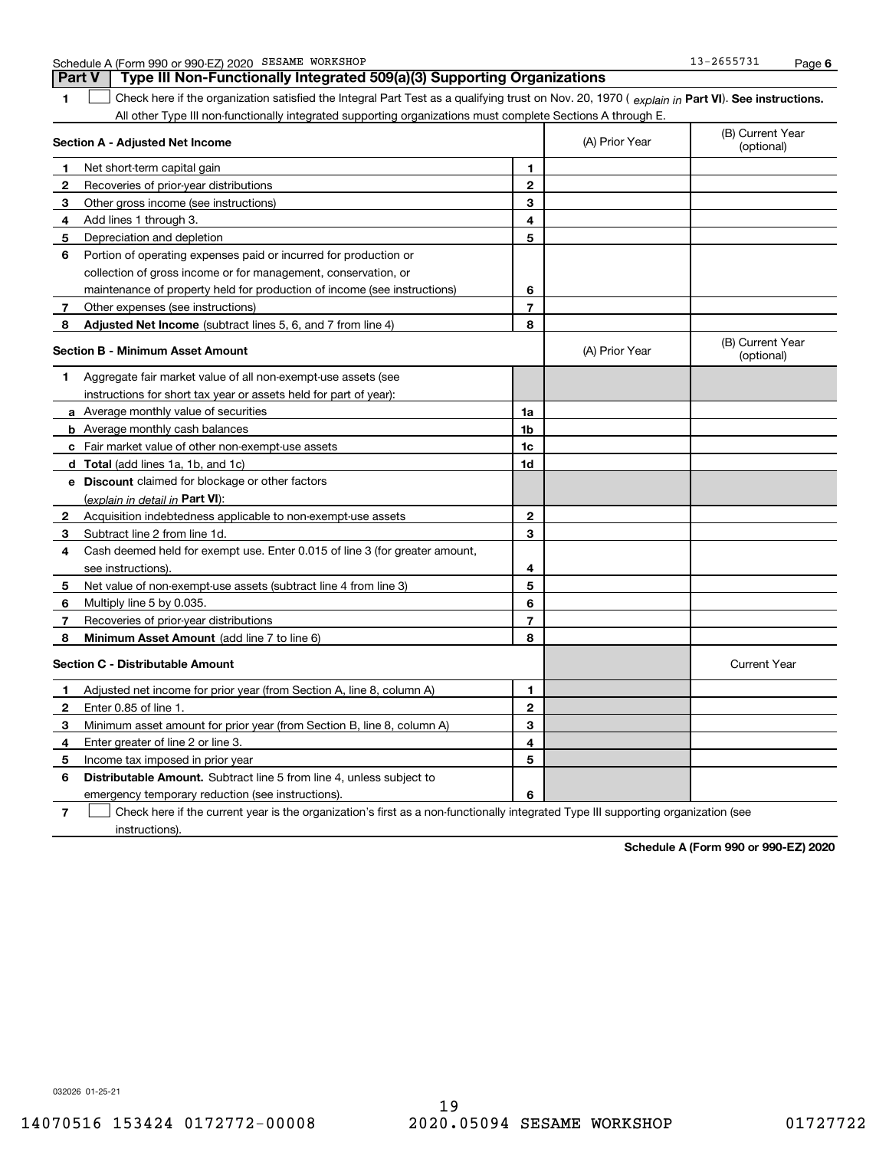| Schedule A | 4 (Form 990 or 990-EZ) 2020 | <b>SESAME WORKSHOP</b> | $\sim$ $\sim$ $\sim$ $\sim$<br>$-200013$ | Page |  |
|------------|-----------------------------|------------------------|------------------------------------------|------|--|
|------------|-----------------------------|------------------------|------------------------------------------|------|--|

**1Part VI** Check here if the organization satisfied the Integral Part Test as a qualifying trust on Nov. 20, 1970 ( explain in Part **VI**). See instructions. **Section A - Adjusted Net Income 123456** Portion of operating expenses paid or incurred for production or **7** Other expenses (see instructions) **8** Adjusted Net Income (subtract lines 5, 6, and 7 from line 4) **8 8 1234567Section B - Minimum Asset Amount 1**Aggregate fair market value of all non-exempt-use assets (see **2**Acquisition indebtedness applicable to non-exempt-use assets **3** Subtract line 2 from line 1d. **4**Cash deemed held for exempt use. Enter 0.015 of line 3 (for greater amount, **5** Net value of non-exempt-use assets (subtract line 4 from line 3) **678a** Average monthly value of securities **b** Average monthly cash balances **c**Fair market value of other non-exempt-use assets **dTotal**  (add lines 1a, 1b, and 1c) **eDiscount** claimed for blockage or other factors **1a1b1c1d2345678**(explain in detail in Part VI): **Minimum Asset Amount**  (add line 7 to line 6) **Section C - Distributable Amount 123456123456Distributable Amount.** Subtract line 5 from line 4, unless subject to All other Type III non-functionally integrated supporting organizations must complete Sections A through E. (B) Current Year (optional)(A) Prior Year Net short-term capital gain Recoveries of prior-year distributions Other gross income (see instructions) Add lines 1 through 3. Depreciation and depletion collection of gross income or for management, conservation, or maintenance of property held for production of income (see instructions) (B) Current Year (optional)(A) Prior Year instructions for short tax year or assets held for part of year): see instructions). Multiply line 5 by 0.035. Recoveries of prior-year distributions Current Year Adjusted net income for prior year (from Section A, line 8, column A) Enter 0.85 of line 1. Minimum asset amount for prior year (from Section B, line 8, column A) Enter greater of line 2 or line 3. Income tax imposed in prior year emergency temporary reduction (see instructions). **Part V** Type III Non-Functionally Integrated 509(a)(3) Supporting Organizations  $\mathcal{L}^{\text{max}}$ 

**7**Check here if the current year is the organization's first as a non-functionally integrated Type III supporting organization (see instructions). $\mathcal{L}^{\text{max}}$ 

**Schedule A (Form 990 or 990-EZ) 2020**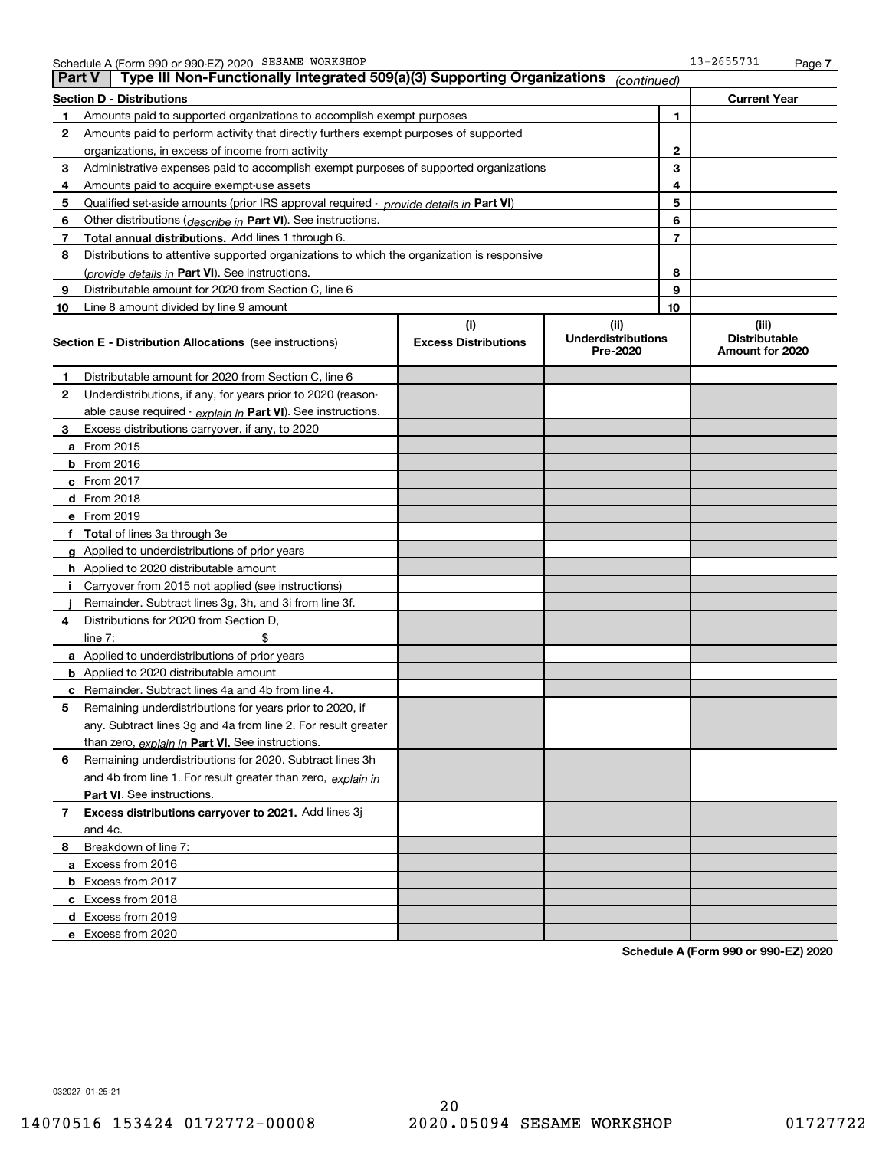| <b>Part V</b> | Type III Non-Functionally Integrated 509(a)(3) Supporting Organizations                    |                                    | (continued)                                   |              |                                                  |
|---------------|--------------------------------------------------------------------------------------------|------------------------------------|-----------------------------------------------|--------------|--------------------------------------------------|
|               | <b>Section D - Distributions</b>                                                           |                                    |                                               |              | <b>Current Year</b>                              |
| 1             | Amounts paid to supported organizations to accomplish exempt purposes                      |                                    |                                               | 1            |                                                  |
| 2             | Amounts paid to perform activity that directly furthers exempt purposes of supported       |                                    |                                               |              |                                                  |
|               | organizations, in excess of income from activity                                           |                                    |                                               | $\mathbf{2}$ |                                                  |
| 3             | Administrative expenses paid to accomplish exempt purposes of supported organizations      |                                    |                                               | 3            |                                                  |
| 4             | Amounts paid to acquire exempt-use assets                                                  |                                    |                                               | 4            |                                                  |
| 5             | Qualified set-aside amounts (prior IRS approval required - provide details in Part VI)     |                                    |                                               | 5            |                                                  |
| 6             | Other distributions ( <i>describe in</i> Part VI). See instructions.                       |                                    |                                               | 6            |                                                  |
| 7             | Total annual distributions. Add lines 1 through 6.                                         |                                    |                                               | 7            |                                                  |
| 8             | Distributions to attentive supported organizations to which the organization is responsive |                                    |                                               |              |                                                  |
|               | (provide details in Part VI). See instructions.                                            |                                    |                                               | 8            |                                                  |
| 9             | Distributable amount for 2020 from Section C, line 6                                       |                                    |                                               | 9            |                                                  |
| 10            | Line 8 amount divided by line 9 amount                                                     |                                    |                                               | 10           |                                                  |
|               | <b>Section E - Distribution Allocations</b> (see instructions)                             | (i)<br><b>Excess Distributions</b> | (ii)<br><b>Underdistributions</b><br>Pre-2020 |              | (iii)<br><b>Distributable</b><br>Amount for 2020 |
| 1             | Distributable amount for 2020 from Section C, line 6                                       |                                    |                                               |              |                                                  |
| 2             | Underdistributions, if any, for years prior to 2020 (reason-                               |                                    |                                               |              |                                                  |
|               | able cause required - explain in Part VI). See instructions.                               |                                    |                                               |              |                                                  |
| 3             | Excess distributions carryover, if any, to 2020                                            |                                    |                                               |              |                                                  |
|               | a From 2015                                                                                |                                    |                                               |              |                                                  |
|               | <b>b</b> From 2016                                                                         |                                    |                                               |              |                                                  |
|               | $c$ From 2017                                                                              |                                    |                                               |              |                                                  |
|               | d From 2018                                                                                |                                    |                                               |              |                                                  |
|               | e From 2019                                                                                |                                    |                                               |              |                                                  |
|               | f Total of lines 3a through 3e                                                             |                                    |                                               |              |                                                  |
|               | g Applied to underdistributions of prior years                                             |                                    |                                               |              |                                                  |
|               | <b>h</b> Applied to 2020 distributable amount                                              |                                    |                                               |              |                                                  |
|               | Carryover from 2015 not applied (see instructions)                                         |                                    |                                               |              |                                                  |
|               | Remainder. Subtract lines 3g, 3h, and 3i from line 3f.                                     |                                    |                                               |              |                                                  |
| 4             | Distributions for 2020 from Section D,                                                     |                                    |                                               |              |                                                  |
|               | line $7:$                                                                                  |                                    |                                               |              |                                                  |
|               | a Applied to underdistributions of prior years                                             |                                    |                                               |              |                                                  |
|               | <b>b</b> Applied to 2020 distributable amount                                              |                                    |                                               |              |                                                  |
|               | c Remainder. Subtract lines 4a and 4b from line 4.                                         |                                    |                                               |              |                                                  |
| 5.            | Remaining underdistributions for years prior to 2020, if                                   |                                    |                                               |              |                                                  |
|               | any. Subtract lines 3g and 4a from line 2. For result greater                              |                                    |                                               |              |                                                  |
|               | than zero, explain in Part VI. See instructions.                                           |                                    |                                               |              |                                                  |
| 6             | Remaining underdistributions for 2020. Subtract lines 3h                                   |                                    |                                               |              |                                                  |
|               | and 4b from line 1. For result greater than zero, explain in                               |                                    |                                               |              |                                                  |
|               | Part VI. See instructions.                                                                 |                                    |                                               |              |                                                  |
| 7             | Excess distributions carryover to 2021. Add lines 3j                                       |                                    |                                               |              |                                                  |
|               | and 4c.                                                                                    |                                    |                                               |              |                                                  |
| 8             | Breakdown of line 7:                                                                       |                                    |                                               |              |                                                  |
|               | a Excess from 2016                                                                         |                                    |                                               |              |                                                  |
|               | <b>b</b> Excess from 2017                                                                  |                                    |                                               |              |                                                  |
|               | c Excess from 2018                                                                         |                                    |                                               |              |                                                  |
|               | d Excess from 2019                                                                         |                                    |                                               |              |                                                  |
|               | e Excess from 2020                                                                         |                                    |                                               |              |                                                  |

**Schedule A (Form 990 or 990-EZ) 2020**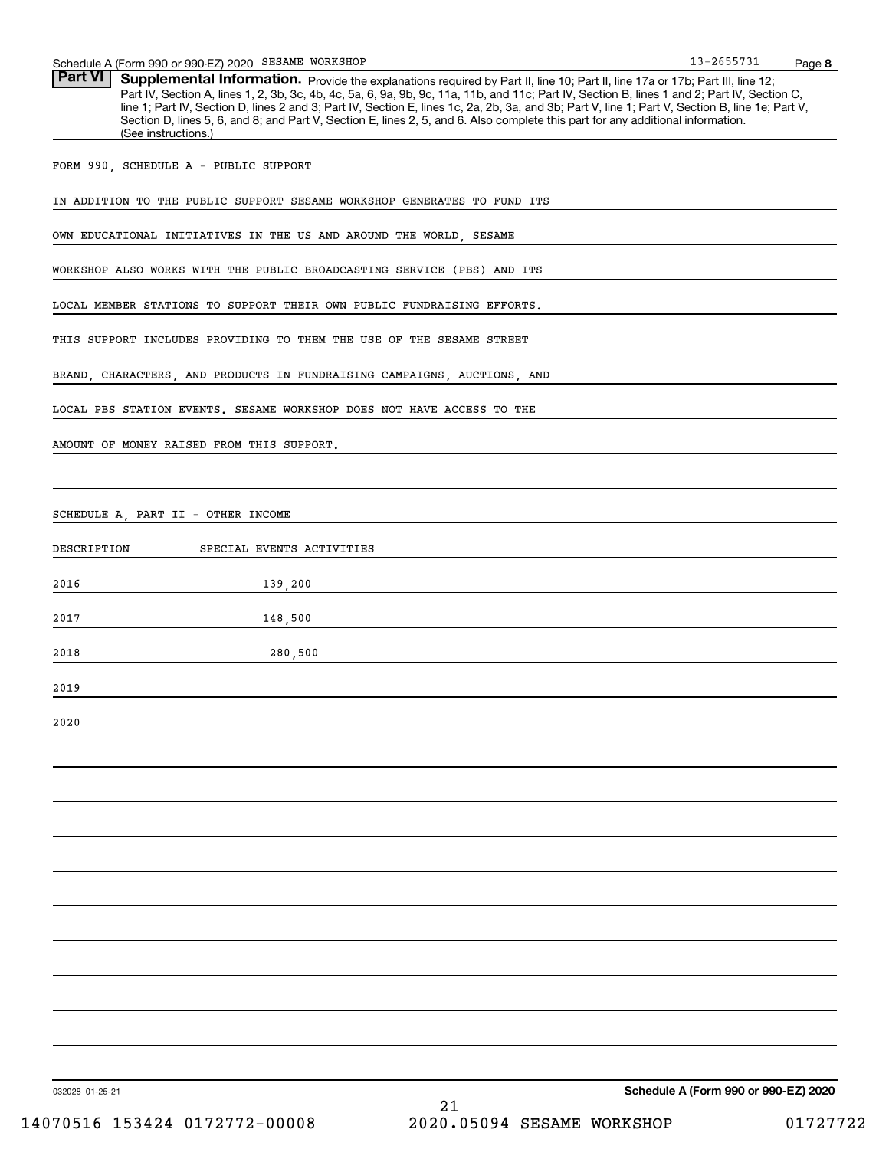Part VI | Supplemental Information. Provide the explanations required by Part II, line 10; Part II, line 17a or 17b; Part III, line 12; Part IV, Section A, lines 1, 2, 3b, 3c, 4b, 4c, 5a, 6, 9a, 9b, 9c, 11a, 11b, and 11c; Part IV, Section B, lines 1 and 2; Part IV, Section C, line 1; Part IV, Section D, lines 2 and 3; Part IV, Section E, lines 1c, 2a, 2b, 3a, and 3b; Part V, line 1; Part V, Section B, line 1e; Part V, Section D, lines 5, 6, and 8; and Part V, Section E, lines 2, 5, and 6. Also complete this part for any additional information. (See instructions.)

FORM 990, SCHEDULE A - PUBLIC SUPPORT

IN ADDITION TO THE PUBLIC SUPPORT SESAME WORKSHOP GENERATES TO FUND ITS

OWN EDUCATIONAL INITIATIVES IN THE US AND AROUND THE WORLD, SESAME

WORKSHOP ALSO WORKS WITH THE PUBLIC BROADCASTING SERVICE (PBS) AND ITS

LOCAL MEMBER STATIONS TO SUPPORT THEIR OWN PUBLIC FUNDRAISING EFFORTS.

THIS SUPPORT INCLUDES PROVIDING TO THEM THE USE OF THE SESAME STREET

BRAND, CHARACTERS, AND PRODUCTS IN FUNDRAISING CAMPAIGNS, AUCTIONS, AND

LOCAL PBS STATION EVENTS. SESAME WORKSHOP DOES NOT HAVE ACCESS TO THE

AMOUNT OF MONEY RAISED FROM THIS SUPPORT.

SCHEDULE A, PART II - OTHER INCOME

DESCRIPTION SPECIAL EVENTS ACTIVITIES

2016 139,200

2017 148,500

2018 280,500

2019

2020

13-2655731

**8**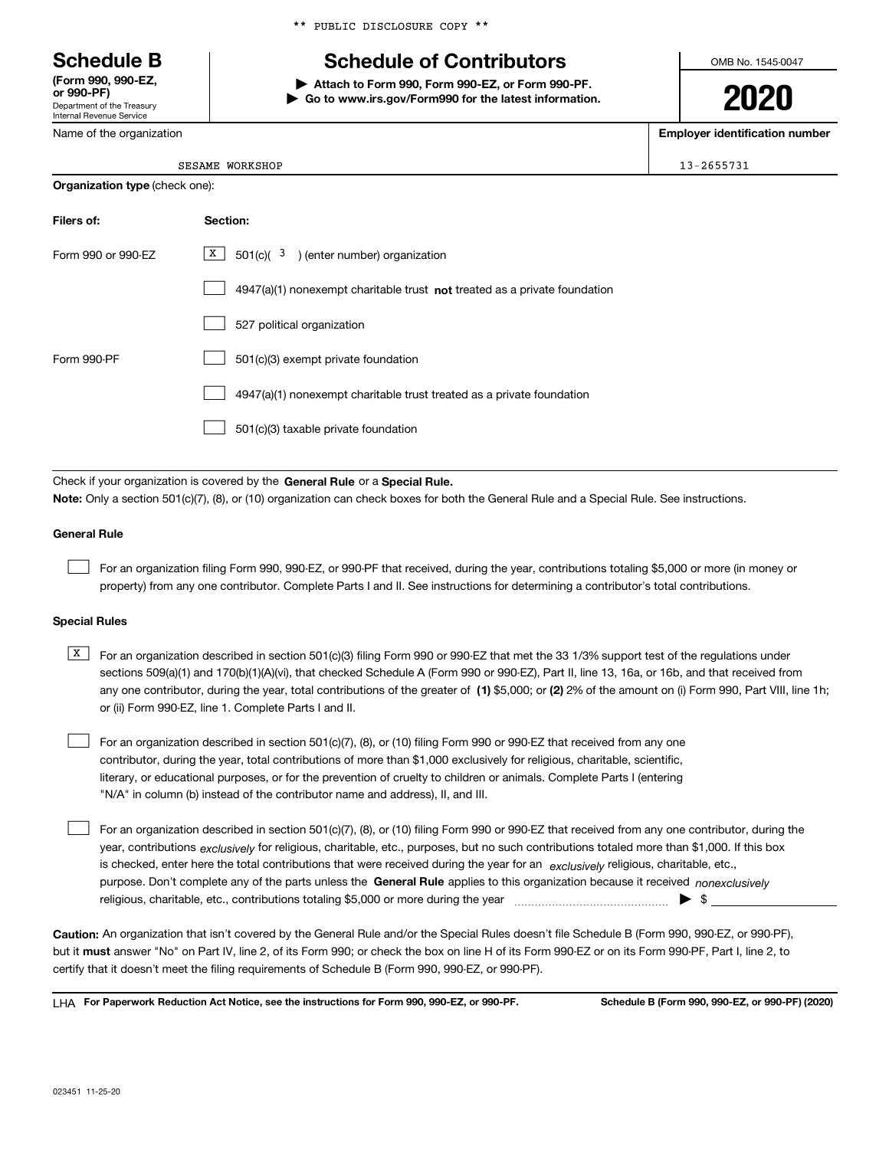Department of the Treasury Internal Revenue Service **(Form 990, 990-EZ, or 990-PF)**

Name of the organization

\*\* PUBLIC DISCLOSURE COPY \*\*

# **Schedule B Schedule of Contributors**

**| Attach to Form 990, Form 990-EZ, or Form 990-PF. | Go to www.irs.gov/Form990 for the latest information.** OMB No. 1545-0047

**2020**

**Employer identification number**

 $13 - 2655731$ 

| SESAME WORKSHOP |
|-----------------|

| Filers of:         | Section:                                                                  |
|--------------------|---------------------------------------------------------------------------|
| Form 990 or 990-EZ | $\lfloor x \rfloor$ 501(c)( 3) (enter number) organization                |
|                    | 4947(a)(1) nonexempt charitable trust not treated as a private foundation |
|                    | 527 political organization                                                |
| Form 990-PF        | 501(c)(3) exempt private foundation                                       |
|                    | 4947(a)(1) nonexempt charitable trust treated as a private foundation     |
|                    | 501(c)(3) taxable private foundation                                      |

Check if your organization is covered by the **General Rule** or a **Special Rule. Note:**  Only a section 501(c)(7), (8), or (10) organization can check boxes for both the General Rule and a Special Rule. See instructions.

#### **General Rule**

 $\mathcal{L}^{\text{max}}$ 

For an organization filing Form 990, 990-EZ, or 990-PF that received, during the year, contributions totaling \$5,000 or more (in money or property) from any one contributor. Complete Parts I and II. See instructions for determining a contributor's total contributions.

#### **Special Rules**

any one contributor, during the year, total contributions of the greater of  $\,$  (1) \$5,000; or **(2)** 2% of the amount on (i) Form 990, Part VIII, line 1h;  $\overline{X}$  For an organization described in section 501(c)(3) filing Form 990 or 990-EZ that met the 33 1/3% support test of the regulations under sections 509(a)(1) and 170(b)(1)(A)(vi), that checked Schedule A (Form 990 or 990-EZ), Part II, line 13, 16a, or 16b, and that received from or (ii) Form 990-EZ, line 1. Complete Parts I and II.

For an organization described in section 501(c)(7), (8), or (10) filing Form 990 or 990-EZ that received from any one contributor, during the year, total contributions of more than \$1,000 exclusively for religious, charitable, scientific, literary, or educational purposes, or for the prevention of cruelty to children or animals. Complete Parts I (entering "N/A" in column (b) instead of the contributor name and address), II, and III.  $\mathcal{L}^{\text{max}}$ 

purpose. Don't complete any of the parts unless the **General Rule** applies to this organization because it received *nonexclusively* year, contributions <sub>exclusively</sub> for religious, charitable, etc., purposes, but no such contributions totaled more than \$1,000. If this box is checked, enter here the total contributions that were received during the year for an  $\;$ exclusively religious, charitable, etc., For an organization described in section 501(c)(7), (8), or (10) filing Form 990 or 990-EZ that received from any one contributor, during the religious, charitable, etc., contributions totaling \$5,000 or more during the year  $\Box$ — $\Box$   $\Box$  $\mathcal{L}^{\text{max}}$ 

**Caution:**  An organization that isn't covered by the General Rule and/or the Special Rules doesn't file Schedule B (Form 990, 990-EZ, or 990-PF),  **must** but it answer "No" on Part IV, line 2, of its Form 990; or check the box on line H of its Form 990-EZ or on its Form 990-PF, Part I, line 2, to certify that it doesn't meet the filing requirements of Schedule B (Form 990, 990-EZ, or 990-PF).

**For Paperwork Reduction Act Notice, see the instructions for Form 990, 990-EZ, or 990-PF. Schedule B (Form 990, 990-EZ, or 990-PF) (2020)** LHA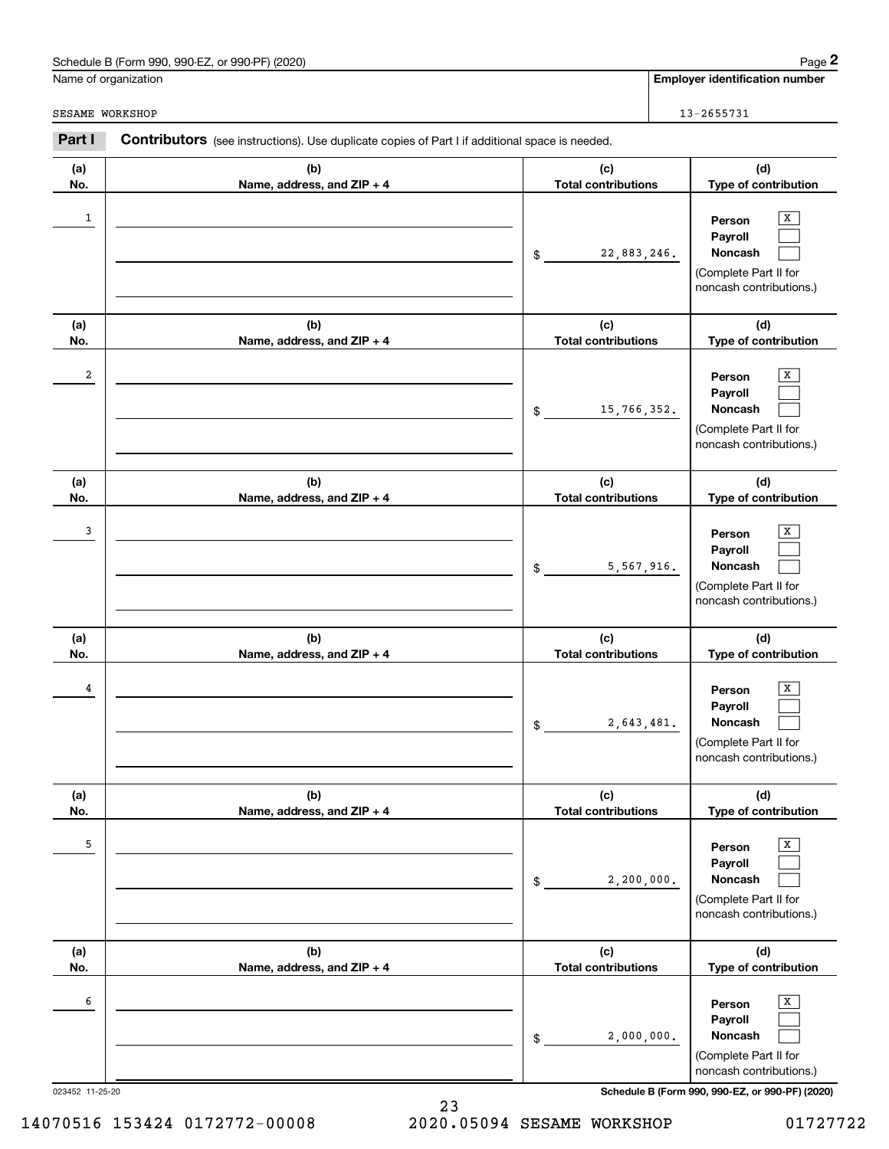| Schedule B (Form 990, 990-EZ, or 990-PF) (2020)<br>Page |  |
|---------------------------------------------------------|--|
|---------------------------------------------------------|--|

|                        | Schedule B (Form 990, 990-EZ, or 990-PF) (2020)                                                |                                        |  | Page 2                                                                                                      |  |
|------------------------|------------------------------------------------------------------------------------------------|----------------------------------------|--|-------------------------------------------------------------------------------------------------------------|--|
|                        | Name of organization                                                                           |                                        |  | <b>Employer identification number</b>                                                                       |  |
| <b>SESAME WORKSHOP</b> |                                                                                                |                                        |  | 13-2655731                                                                                                  |  |
| Part I                 | Contributors (see instructions). Use duplicate copies of Part I if additional space is needed. |                                        |  |                                                                                                             |  |
| (a)<br>No.             | (b)<br>Name, address, and ZIP + 4                                                              | (c)<br><b>Total contributions</b>      |  | (d)<br>Type of contribution                                                                                 |  |
| 1                      |                                                                                                | 22,883,246.<br>\$                      |  | х<br>Person<br>Payroll<br>Noncash<br>(Complete Part II for<br>noncash contributions.)                       |  |
| (a)<br>No.             | (b)<br>Name, address, and ZIP + 4                                                              | (c)<br><b>Total contributions</b>      |  | (d)<br>Type of contribution                                                                                 |  |
| 2                      |                                                                                                | Person<br>Payroll<br>15,766,352.<br>\$ |  | х<br>Noncash<br>(Complete Part II for<br>noncash contributions.)                                            |  |
| (a)<br>No.             | (b)<br>Name, address, and ZIP + 4                                                              | (c)<br><b>Total contributions</b>      |  | (d)<br>Type of contribution                                                                                 |  |
| 3                      |                                                                                                | 5, 567, 916.<br>\$                     |  | х<br>Person<br>Payroll<br>Noncash<br>(Complete Part II for<br>noncash contributions.)                       |  |
| (a)<br>No.             | (b)<br>Name, address, and ZIP + 4                                                              | (c)<br><b>Total contributions</b>      |  | (d)<br>Type of contribution                                                                                 |  |
| 4                      |                                                                                                | 2,643,481.<br>\$                       |  | х<br>Person<br>Payroll<br>Noncash<br>(Complete Part II for<br>noncash contributions.)                       |  |
| (a)<br>No.             | (b)<br>Name, address, and ZIP + 4                                                              | (c)<br><b>Total contributions</b>      |  | (d)<br>Type of contribution                                                                                 |  |
| 5                      |                                                                                                | 2, 200, 000.<br>\$                     |  | $\overline{\textbf{X}}$<br>Person<br>Payroll<br>Noncash<br>(Complete Part II for<br>noncash contributions.) |  |
| (a)<br>No.             | (b)<br>Name, address, and ZIP + 4                                                              | (c)<br><b>Total contributions</b>      |  | (d)<br>Type of contribution                                                                                 |  |
| 6                      |                                                                                                | 2,000,000.<br>\$                       |  | X<br>Person<br>Payroll<br>Noncash<br>(Complete Part II for<br>noncash contributions.)                       |  |
| 023452 11-25-20        |                                                                                                |                                        |  | Schedule B (Form 990, 990-EZ, or 990-PF) (2020)                                                             |  |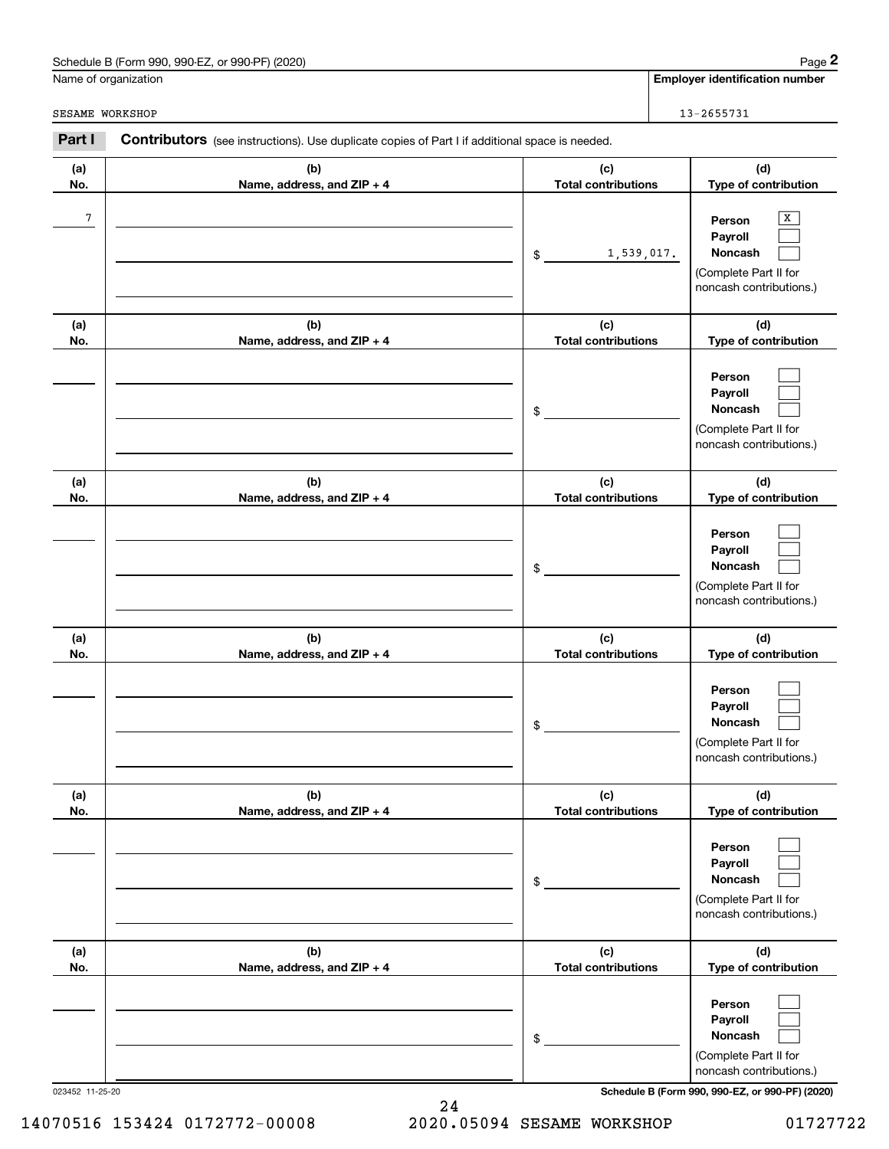| Schedule B (Form 990, 990-EZ, or 990-PF) (2020) | Page |
|-------------------------------------------------|------|
|-------------------------------------------------|------|

|                                                 | Schedule B (Form 990, 990-EZ, or 990-PF) (2020)                                                       |                                   | Page 2                                                                                |
|-------------------------------------------------|-------------------------------------------------------------------------------------------------------|-----------------------------------|---------------------------------------------------------------------------------------|
|                                                 | Name of organization                                                                                  |                                   | <b>Employer identification number</b>                                                 |
| <b>SESAME WORKSHOP</b>                          |                                                                                                       |                                   | 13-2655731                                                                            |
| Part I                                          | <b>Contributors</b> (see instructions). Use duplicate copies of Part I if additional space is needed. |                                   |                                                                                       |
| (a)<br>No.                                      | (b)<br>Name, address, and ZIP + 4                                                                     | (c)<br><b>Total contributions</b> | (d)<br>Type of contribution                                                           |
| $7\phantom{.0}$                                 |                                                                                                       | 1,539,017.<br>\$                  | X<br>Person<br>Payroll<br>Noncash<br>(Complete Part II for<br>noncash contributions.) |
| (a)<br>No.                                      | (b)<br>Name, address, and ZIP + 4                                                                     | (c)<br><b>Total contributions</b> | (d)<br>Type of contribution                                                           |
|                                                 |                                                                                                       | \$                                | Person<br>Payroll<br>Noncash<br>(Complete Part II for<br>noncash contributions.)      |
| (a)<br>(b)<br>No.<br>Name, address, and ZIP + 4 |                                                                                                       | (c)<br><b>Total contributions</b> | (d)<br>Type of contribution                                                           |
|                                                 |                                                                                                       | \$                                | Person<br>Payroll<br>Noncash<br>(Complete Part II for<br>noncash contributions.)      |
| (a)<br>No.                                      | (b)<br>Name, address, and ZIP + 4                                                                     | (c)<br><b>Total contributions</b> | (d)<br>Type of contribution                                                           |
|                                                 |                                                                                                       | \$                                | Person<br>Payroll<br>Noncash<br>(Complete Part II for<br>noncash contributions.)      |
| (a)<br>No.                                      | (b)<br>Name, address, and ZIP + 4                                                                     | (c)<br><b>Total contributions</b> | (d)<br>Type of contribution                                                           |
|                                                 |                                                                                                       | \$                                | Person<br>Payroll<br>Noncash<br>(Complete Part II for<br>noncash contributions.)      |
| (a)<br>No.                                      | (b)<br>Name, address, and ZIP + 4                                                                     | (c)<br><b>Total contributions</b> | (d)<br>Type of contribution                                                           |
|                                                 |                                                                                                       | \$                                | Person<br>Payroll<br>Noncash<br>(Complete Part II for<br>noncash contributions.)      |

023452 11-25-20 **Schedule B (Form 990, 990-EZ, or 990-PF) (2020)**

24 14070516 153424 0172772-00008 2020.05094 SESAME WORKSHOP 01727722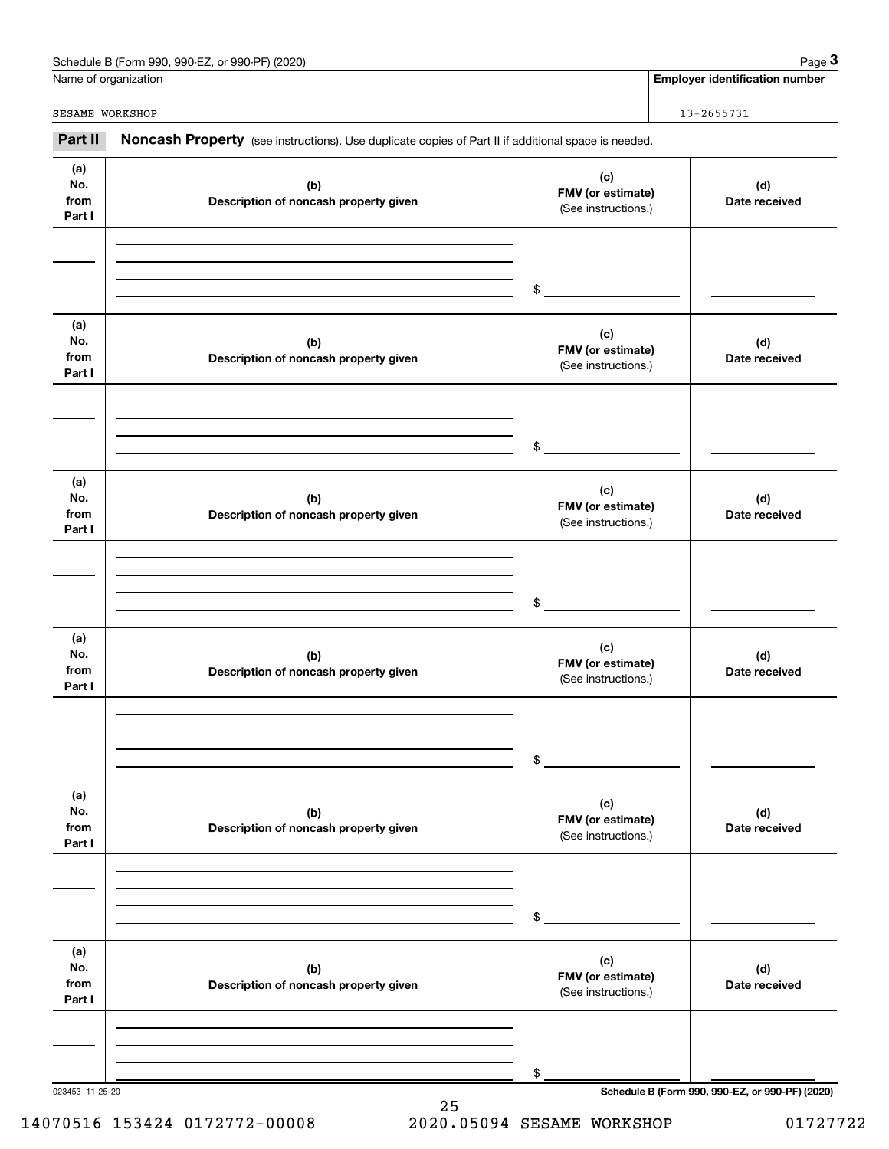| Schedule B (Form 990, 990-EZ, or 990-PF) (2020)                                                                | Page 3                                |
|----------------------------------------------------------------------------------------------------------------|---------------------------------------|
| Name of organization                                                                                           | <b>Employer identification number</b> |
| <b>SESAME WORKSHOP</b>                                                                                         | 13-2655731                            |
| Part II<br>Noncash Property (see instructions). Use duplicate copies of Part II if additional space is needed. |                                       |

| $13 - 2655731$ |
|----------------|

| Part II                      | <b>NONCASH Property</b> (see instructions). Use duplicate copies of Part II if additional space is needed. |                                                 |                                                 |
|------------------------------|------------------------------------------------------------------------------------------------------------|-------------------------------------------------|-------------------------------------------------|
| (a)<br>No.<br>from<br>Part I | (b)<br>Description of noncash property given                                                               | (c)<br>FMV (or estimate)<br>(See instructions.) | (d)<br>Date received                            |
|                              |                                                                                                            |                                                 |                                                 |
|                              |                                                                                                            | $\frac{1}{2}$                                   |                                                 |
| (a)<br>No.<br>from<br>Part I | (b)<br>Description of noncash property given                                                               | (c)<br>FMV (or estimate)<br>(See instructions.) | (d)<br>Date received                            |
|                              |                                                                                                            |                                                 |                                                 |
|                              |                                                                                                            | $\frac{1}{2}$                                   |                                                 |
| (a)<br>No.<br>from<br>Part I | (b)<br>Description of noncash property given                                                               | (c)<br>FMV (or estimate)<br>(See instructions.) | (d)<br>Date received                            |
|                              |                                                                                                            |                                                 |                                                 |
|                              |                                                                                                            | $\frac{1}{2}$                                   |                                                 |
| (a)<br>No.<br>from<br>Part I | (b)<br>Description of noncash property given                                                               | (c)<br>FMV (or estimate)<br>(See instructions.) | (d)<br>Date received                            |
|                              |                                                                                                            |                                                 |                                                 |
|                              |                                                                                                            | \$                                              |                                                 |
| (a)<br>No.<br>from<br>Part I | (b)<br>Description of noncash property given                                                               | (c)<br>FMV (or estimate)<br>(See instructions.) | (d)<br>Date received                            |
|                              |                                                                                                            |                                                 |                                                 |
|                              |                                                                                                            | \$                                              |                                                 |
| (a)<br>No.<br>from<br>Part I | (b)<br>Description of noncash property given                                                               | (c)<br>FMV (or estimate)<br>(See instructions.) | (d)<br>Date received                            |
|                              |                                                                                                            |                                                 |                                                 |
|                              |                                                                                                            | \$                                              |                                                 |
| 023453 11-25-20              |                                                                                                            |                                                 | Schedule B (Form 990, 990-EZ, or 990-PF) (2020) |

### 14070516 153424 0172772-00008 2020.05094 SESAME WORKSHOP 01727722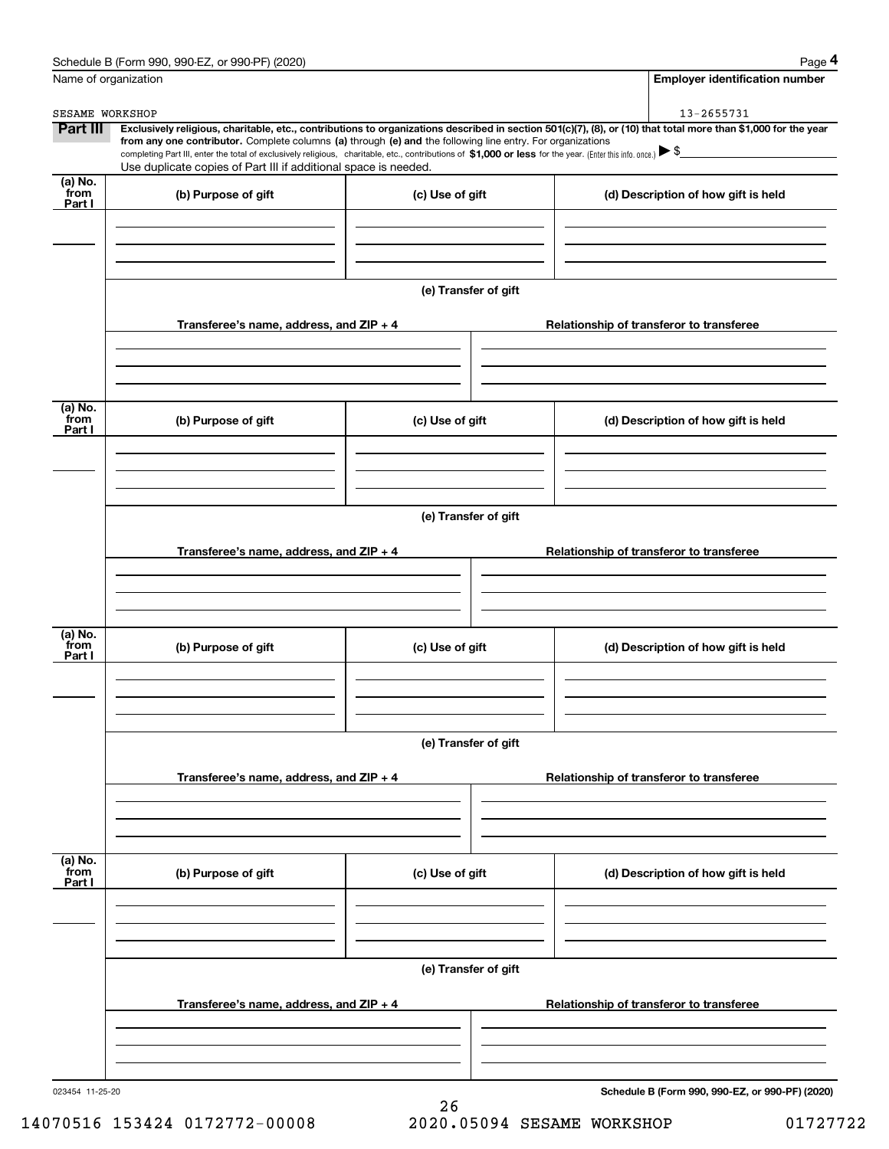|                           | Schedule B (Form 990, 990-EZ, or 990-PF) (2020)                                                                                                                                                                                                                            |                      | Page 4                                                                                                                                                         |  |  |  |  |
|---------------------------|----------------------------------------------------------------------------------------------------------------------------------------------------------------------------------------------------------------------------------------------------------------------------|----------------------|----------------------------------------------------------------------------------------------------------------------------------------------------------------|--|--|--|--|
|                           | Name of organization                                                                                                                                                                                                                                                       |                      | <b>Employer identification number</b>                                                                                                                          |  |  |  |  |
| <b>SESAME WORKSHOP</b>    |                                                                                                                                                                                                                                                                            |                      | 13-2655731                                                                                                                                                     |  |  |  |  |
| Part III                  |                                                                                                                                                                                                                                                                            |                      | Exclusively religious, charitable, etc., contributions to organizations described in section 501(c)(7), (8), or (10) that total more than \$1,000 for the year |  |  |  |  |
|                           | from any one contributor. Complete columns (a) through (e) and the following line entry. For organizations<br>completing Part III, enter the total of exclusively religious, charitable, etc., contributions of \$1,000 or less for the year. (Enter this info. once.) \\$ |                      |                                                                                                                                                                |  |  |  |  |
|                           | Use duplicate copies of Part III if additional space is needed.                                                                                                                                                                                                            |                      |                                                                                                                                                                |  |  |  |  |
| (a) No.<br>from<br>Part I | (b) Purpose of gift                                                                                                                                                                                                                                                        | (c) Use of gift      | (d) Description of how gift is held                                                                                                                            |  |  |  |  |
|                           |                                                                                                                                                                                                                                                                            |                      |                                                                                                                                                                |  |  |  |  |
|                           |                                                                                                                                                                                                                                                                            | (e) Transfer of gift |                                                                                                                                                                |  |  |  |  |
|                           | Transferee's name, address, and $ZIP + 4$                                                                                                                                                                                                                                  |                      | Relationship of transferor to transferee                                                                                                                       |  |  |  |  |
|                           |                                                                                                                                                                                                                                                                            |                      |                                                                                                                                                                |  |  |  |  |
| (a) No.                   |                                                                                                                                                                                                                                                                            |                      |                                                                                                                                                                |  |  |  |  |
| from<br>Part I            | (b) Purpose of gift                                                                                                                                                                                                                                                        | (c) Use of gift      | (d) Description of how gift is held                                                                                                                            |  |  |  |  |
|                           |                                                                                                                                                                                                                                                                            |                      |                                                                                                                                                                |  |  |  |  |
|                           | (e) Transfer of gift                                                                                                                                                                                                                                                       |                      |                                                                                                                                                                |  |  |  |  |
|                           | Transferee's name, address, and ZIP + 4                                                                                                                                                                                                                                    |                      | Relationship of transferor to transferee                                                                                                                       |  |  |  |  |
|                           |                                                                                                                                                                                                                                                                            |                      |                                                                                                                                                                |  |  |  |  |
| (a) No.<br>from<br>Part I | (b) Purpose of gift                                                                                                                                                                                                                                                        | (c) Use of gift      | (d) Description of how gift is held                                                                                                                            |  |  |  |  |
|                           |                                                                                                                                                                                                                                                                            |                      |                                                                                                                                                                |  |  |  |  |
|                           |                                                                                                                                                                                                                                                                            | (e) Transfer of gift |                                                                                                                                                                |  |  |  |  |
|                           | Transferee's name, address, and $ZIP + 4$                                                                                                                                                                                                                                  |                      | Relationship of transferor to transferee                                                                                                                       |  |  |  |  |
|                           |                                                                                                                                                                                                                                                                            |                      |                                                                                                                                                                |  |  |  |  |
| (a) No.<br>from<br>Part I | (b) Purpose of gift                                                                                                                                                                                                                                                        | (c) Use of gift      | (d) Description of how gift is held                                                                                                                            |  |  |  |  |
|                           |                                                                                                                                                                                                                                                                            |                      |                                                                                                                                                                |  |  |  |  |
|                           |                                                                                                                                                                                                                                                                            | (e) Transfer of gift |                                                                                                                                                                |  |  |  |  |
|                           | Transferee's name, address, and $ZIP + 4$                                                                                                                                                                                                                                  |                      | Relationship of transferor to transferee                                                                                                                       |  |  |  |  |
|                           |                                                                                                                                                                                                                                                                            |                      |                                                                                                                                                                |  |  |  |  |
| 023454 11-25-20           |                                                                                                                                                                                                                                                                            |                      | Schedule B (Form 990, 990-EZ, or 990-PF) (2020)                                                                                                                |  |  |  |  |
|                           |                                                                                                                                                                                                                                                                            |                      |                                                                                                                                                                |  |  |  |  |

14070516 153424 0172772-00008 2020.05094 SESAME WORKSHOP 01727722

26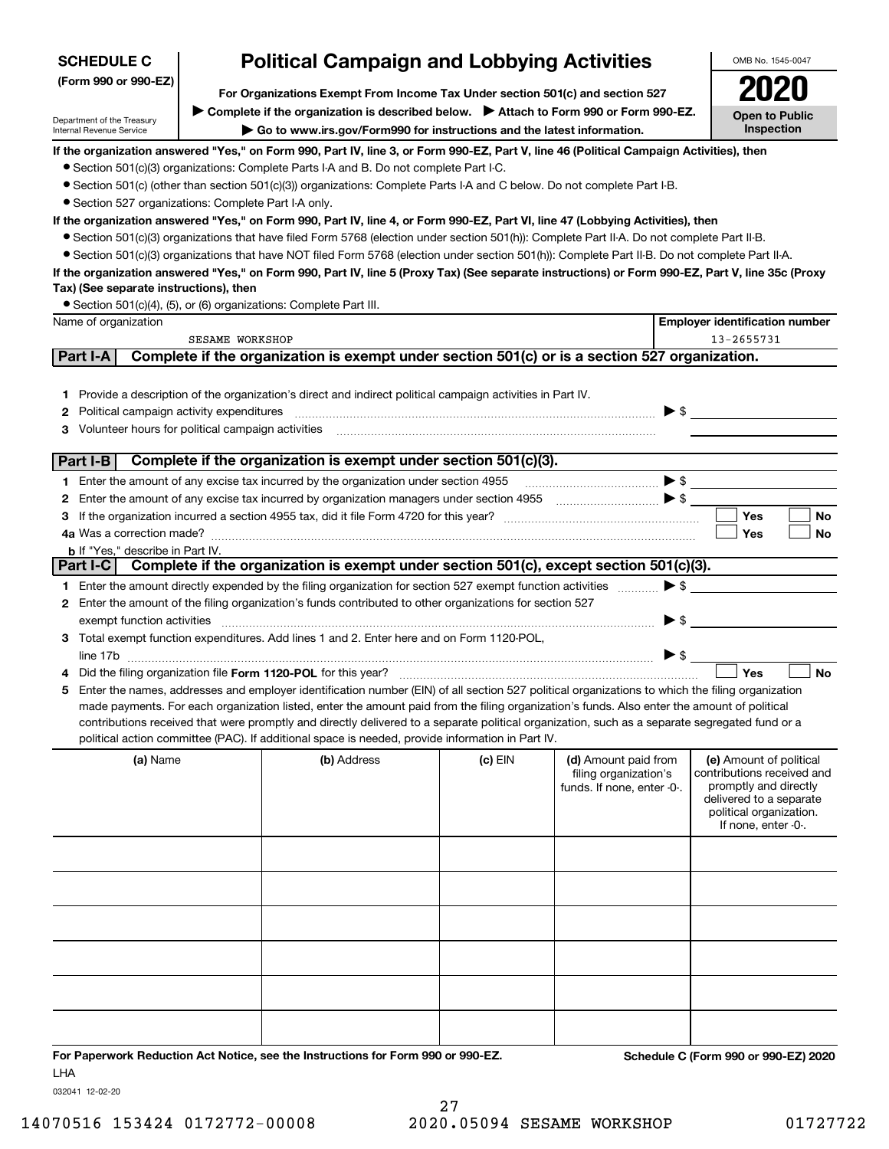|                                                      |                        | For Organizations Exempt From Income Tax Under section 501(c) and section 527                                                                                                                                                  |           |                                                                             |                          | ZUZU                                                                                                                                                        |           |
|------------------------------------------------------|------------------------|--------------------------------------------------------------------------------------------------------------------------------------------------------------------------------------------------------------------------------|-----------|-----------------------------------------------------------------------------|--------------------------|-------------------------------------------------------------------------------------------------------------------------------------------------------------|-----------|
| Department of the Treasury                           |                        | ► Complete if the organization is described below. ► Attach to Form 990 or Form 990-EZ.                                                                                                                                        |           |                                                                             |                          | <b>Open to Public</b>                                                                                                                                       |           |
| Internal Revenue Service                             |                        | Go to www.irs.gov/Form990 for instructions and the latest information.                                                                                                                                                         |           |                                                                             |                          | Inspection                                                                                                                                                  |           |
|                                                      |                        | If the organization answered "Yes," on Form 990, Part IV, line 3, or Form 990-EZ, Part V, line 46 (Political Campaign Activities), then                                                                                        |           |                                                                             |                          |                                                                                                                                                             |           |
|                                                      |                        | • Section 501(c)(3) organizations: Complete Parts I-A and B. Do not complete Part I-C.                                                                                                                                         |           |                                                                             |                          |                                                                                                                                                             |           |
|                                                      |                        | ● Section 501(c) (other than section 501(c)(3)) organizations: Complete Parts I-A and C below. Do not complete Part I-B.                                                                                                       |           |                                                                             |                          |                                                                                                                                                             |           |
| • Section 527 organizations: Complete Part I-A only. |                        |                                                                                                                                                                                                                                |           |                                                                             |                          |                                                                                                                                                             |           |
|                                                      |                        | If the organization answered "Yes," on Form 990, Part IV, line 4, or Form 990-EZ, Part VI, line 47 (Lobbying Activities), then                                                                                                 |           |                                                                             |                          |                                                                                                                                                             |           |
|                                                      |                        | • Section 501(c)(3) organizations that have filed Form 5768 (election under section 501(h)): Complete Part II-A. Do not complete Part II-B.                                                                                    |           |                                                                             |                          |                                                                                                                                                             |           |
|                                                      |                        | • Section 501(c)(3) organizations that have NOT filed Form 5768 (election under section 501(h)): Complete Part II-B. Do not complete Part II-A.                                                                                |           |                                                                             |                          |                                                                                                                                                             |           |
| Tax) (See separate instructions), then               |                        | If the organization answered "Yes," on Form 990, Part IV, line 5 (Proxy Tax) (See separate instructions) or Form 990-EZ, Part V, line 35c (Proxy                                                                               |           |                                                                             |                          |                                                                                                                                                             |           |
|                                                      |                        | • Section 501(c)(4), (5), or (6) organizations: Complete Part III.                                                                                                                                                             |           |                                                                             |                          |                                                                                                                                                             |           |
| Name of organization                                 |                        |                                                                                                                                                                                                                                |           |                                                                             |                          | <b>Employer identification number</b>                                                                                                                       |           |
|                                                      | <b>SESAME WORKSHOP</b> |                                                                                                                                                                                                                                |           |                                                                             |                          | 13-2655731                                                                                                                                                  |           |
| Part I-A                                             |                        | Complete if the organization is exempt under section 501(c) or is a section 527 organization.                                                                                                                                  |           |                                                                             |                          |                                                                                                                                                             |           |
|                                                      |                        |                                                                                                                                                                                                                                |           |                                                                             |                          |                                                                                                                                                             |           |
|                                                      |                        | 1 Provide a description of the organization's direct and indirect political campaign activities in Part IV.                                                                                                                    |           |                                                                             |                          |                                                                                                                                                             |           |
| 2                                                    |                        |                                                                                                                                                                                                                                |           |                                                                             |                          |                                                                                                                                                             |           |
| З                                                    |                        | Volunteer hours for political campaign activities [11] www.communicallynews.communicallyness.communicallyness.communicallyness.communicallyness.communicallyness.communicallyness.communicallyness.communicallyness.communical |           |                                                                             |                          |                                                                                                                                                             |           |
|                                                      |                        |                                                                                                                                                                                                                                |           |                                                                             |                          |                                                                                                                                                             |           |
| Part I-B                                             |                        | Complete if the organization is exempt under section 501(c)(3).                                                                                                                                                                |           |                                                                             |                          |                                                                                                                                                             |           |
| 1.                                                   |                        |                                                                                                                                                                                                                                |           |                                                                             |                          |                                                                                                                                                             |           |
| 2                                                    |                        | Enter the amount of any excise tax incurred by organization managers under section 4955 [111] [120] [120] [120] [120] [120] [120] [120] [120] [120] [120] [120] [120] [120] [120] [120] [120] [120] [120] [120] [120] [120] [1 |           |                                                                             |                          |                                                                                                                                                             |           |
| З                                                    |                        |                                                                                                                                                                                                                                |           |                                                                             |                          | Yes                                                                                                                                                         | No        |
|                                                      |                        |                                                                                                                                                                                                                                |           |                                                                             |                          | Yes                                                                                                                                                         | No        |
| <b>b</b> If "Yes," describe in Part IV.              |                        |                                                                                                                                                                                                                                |           |                                                                             |                          |                                                                                                                                                             |           |
| Part I-C                                             |                        | Complete if the organization is exempt under section 501(c), except section 501(c)(3).                                                                                                                                         |           |                                                                             |                          |                                                                                                                                                             |           |
|                                                      |                        | 1 Enter the amount directly expended by the filing organization for section 527 exempt function activities                                                                                                                     |           |                                                                             | $\blacktriangleright$ \$ |                                                                                                                                                             |           |
| 2                                                    |                        | Enter the amount of the filing organization's funds contributed to other organizations for section 527                                                                                                                         |           |                                                                             |                          |                                                                                                                                                             |           |
|                                                      |                        |                                                                                                                                                                                                                                |           |                                                                             | $\blacktriangleright$ \$ |                                                                                                                                                             |           |
| 3                                                    |                        | Total exempt function expenditures. Add lines 1 and 2. Enter here and on Form 1120-POL,                                                                                                                                        |           |                                                                             |                          |                                                                                                                                                             |           |
|                                                      |                        |                                                                                                                                                                                                                                |           |                                                                             |                          |                                                                                                                                                             |           |
| 4                                                    |                        |                                                                                                                                                                                                                                |           |                                                                             |                          | <b>Yes</b>                                                                                                                                                  | <b>No</b> |
| 5                                                    |                        | Enter the names, addresses and employer identification number (EIN) of all section 527 political organizations to which the filing organization                                                                                |           |                                                                             |                          |                                                                                                                                                             |           |
|                                                      |                        | made payments. For each organization listed, enter the amount paid from the filing organization's funds. Also enter the amount of political                                                                                    |           |                                                                             |                          |                                                                                                                                                             |           |
|                                                      |                        | contributions received that were promptly and directly delivered to a separate political organization, such as a separate segregated fund or a                                                                                 |           |                                                                             |                          |                                                                                                                                                             |           |
|                                                      |                        | political action committee (PAC). If additional space is needed, provide information in Part IV.                                                                                                                               |           |                                                                             |                          |                                                                                                                                                             |           |
| (a) Name                                             |                        | (b) Address                                                                                                                                                                                                                    | $(c)$ EIN | (d) Amount paid from<br>filing organization's<br>funds. If none, enter -0-. |                          | (e) Amount of political<br>contributions received and<br>promptly and directly<br>delivered to a separate<br>political organization.<br>If none, enter -0-. |           |
|                                                      |                        |                                                                                                                                                                                                                                |           |                                                                             |                          |                                                                                                                                                             |           |
|                                                      |                        |                                                                                                                                                                                                                                |           |                                                                             |                          |                                                                                                                                                             |           |
|                                                      |                        |                                                                                                                                                                                                                                |           |                                                                             |                          |                                                                                                                                                             |           |
|                                                      |                        |                                                                                                                                                                                                                                |           |                                                                             |                          |                                                                                                                                                             |           |
|                                                      |                        |                                                                                                                                                                                                                                |           |                                                                             |                          |                                                                                                                                                             |           |
|                                                      |                        |                                                                                                                                                                                                                                |           |                                                                             |                          |                                                                                                                                                             |           |

27

**Political Campaign and Lobbying Activities**

**For Paperwork Reduction Act Notice, see the Instructions for Form 990 or 990-EZ. Schedule C (Form 990 or 990-EZ) 2020** LHA

OMB No. 1545-0047

**2020**

032041 12-02-20

**(Form 990 or 990-EZ)**

**SCHEDULE C**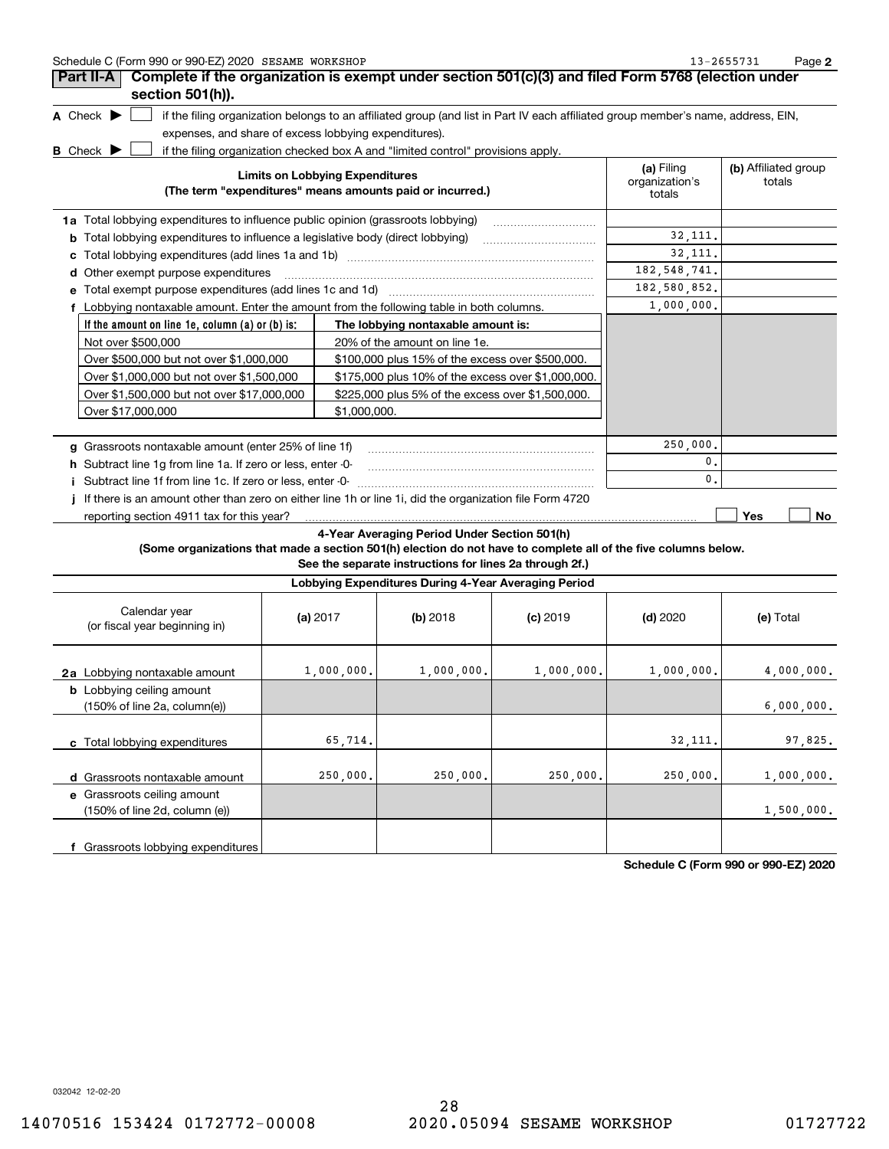|  | Schedule C (Form 990 or 990-EZ) 2020 SESAME WORKSHOP |  |
|--|------------------------------------------------------|--|
|  |                                                      |  |

| Schedule C (Form 990 or 990-EZ) 2020 SESAME WORKSHOP        |                                                                                                                                   |                                                    |                                        | $13 - 2655731$<br>Page 2       |
|-------------------------------------------------------------|-----------------------------------------------------------------------------------------------------------------------------------|----------------------------------------------------|----------------------------------------|--------------------------------|
|                                                             | Part II-A   Complete if the organization is exempt under section 501(c)(3) and filed Form 5768 (election under                    |                                                    |                                        |                                |
| section $501(h)$ ).                                         |                                                                                                                                   |                                                    |                                        |                                |
| A Check $\blacktriangleright$                               | if the filing organization belongs to an affiliated group (and list in Part IV each affiliated group member's name, address, EIN, |                                                    |                                        |                                |
|                                                             | expenses, and share of excess lobbying expenditures).                                                                             |                                                    |                                        |                                |
| <b>B</b> Check $\blacktriangleright$                        | if the filing organization checked box A and "limited control" provisions apply.                                                  |                                                    |                                        |                                |
|                                                             | <b>Limits on Lobbying Expenditures</b><br>(The term "expenditures" means amounts paid or incurred.)                               |                                                    | (a) Filing<br>organization's<br>totals | (b) Affiliated group<br>totals |
|                                                             | <b>1a</b> Total lobbying expenditures to influence public opinion (grassroots lobbying)                                           |                                                    |                                        |                                |
| b                                                           |                                                                                                                                   |                                                    | 32,111.                                |                                |
|                                                             |                                                                                                                                   |                                                    |                                        |                                |
| Other exempt purpose expenditures<br>d                      |                                                                                                                                   |                                                    | 182, 548, 741.                         |                                |
|                                                             |                                                                                                                                   |                                                    | 182,580,852.                           |                                |
|                                                             | f Lobbying nontaxable amount. Enter the amount from the following table in both columns.                                          |                                                    | 1,000,000.                             |                                |
| If the amount on line 1e, column (a) or (b) is:             | The lobbying nontaxable amount is:                                                                                                |                                                    |                                        |                                |
| Not over \$500,000                                          | 20% of the amount on line 1e.                                                                                                     |                                                    |                                        |                                |
| Over \$500,000 but not over \$1,000,000                     | \$100,000 plus 15% of the excess over \$500,000.                                                                                  |                                                    |                                        |                                |
| Over \$1,000,000 but not over \$1,500,000                   |                                                                                                                                   | \$175,000 plus 10% of the excess over \$1,000,000. |                                        |                                |
| Over \$1,500,000 but not over \$17,000,000                  |                                                                                                                                   | \$225,000 plus 5% of the excess over \$1,500,000.  |                                        |                                |
| Over \$17,000,000                                           | \$1,000,000.                                                                                                                      |                                                    |                                        |                                |
|                                                             |                                                                                                                                   |                                                    |                                        |                                |
| Grassroots nontaxable amount (enter 25% of line 1f)<br>a    |                                                                                                                                   |                                                    | 250,000.                               |                                |
| h Subtract line 1g from line 1a. If zero or less, enter -0- |                                                                                                                                   |                                                    | $\mathbf{0}$ .                         |                                |
| Subtract line 1f from line 1c. If zero or less, enter -0-   |                                                                                                                                   |                                                    | 0.                                     |                                |
|                                                             | If there is an amount other than zero on either line 1h or line 1i, did the organization file Form 4720                           |                                                    |                                        |                                |
| reporting section 4911 tax for this year?                   |                                                                                                                                   |                                                    |                                        | Yes<br>No                      |

#### **4-Year Averaging Period Under Section 501(h)**

**(Some organizations that made a section 501(h) election do not have to complete all of the five columns below.**

**See the separate instructions for lines 2a through 2f.)**

| Lobbying Expenditures During 4-Year Averaging Period                                 |            |            |            |            |            |  |  |
|--------------------------------------------------------------------------------------|------------|------------|------------|------------|------------|--|--|
| Calendar year<br>(or fiscal year beginning in)                                       | (a) $2017$ | (b) 2018   | $(c)$ 2019 | $(d)$ 2020 | (e) Total  |  |  |
| 2a Lobbying nontaxable amount                                                        | 1,000,000. | 1,000,000. | 1,000,000. | 1,000,000. | 4,000,000. |  |  |
| <b>b</b> Lobbying ceiling amount<br>$(150\% \text{ of line } 2a, \text{ column}(e))$ |            |            |            |            | 6,000,000. |  |  |
| c Total lobbying expenditures                                                        | 65,714.    |            |            | 32,111.    | 97,825.    |  |  |
| Grassroots nontaxable amount<br>d                                                    | 250,000.   | 250,000.   | 250,000.   | 250,000.   | 1,000,000. |  |  |
| e Grassroots ceiling amount<br>(150% of line 2d, column (e))                         |            |            |            |            | 1,500,000. |  |  |
| f Grassroots lobbying expenditures                                                   |            |            |            |            |            |  |  |

**Schedule C (Form 990 or 990-EZ) 2020**

032042 12-02-20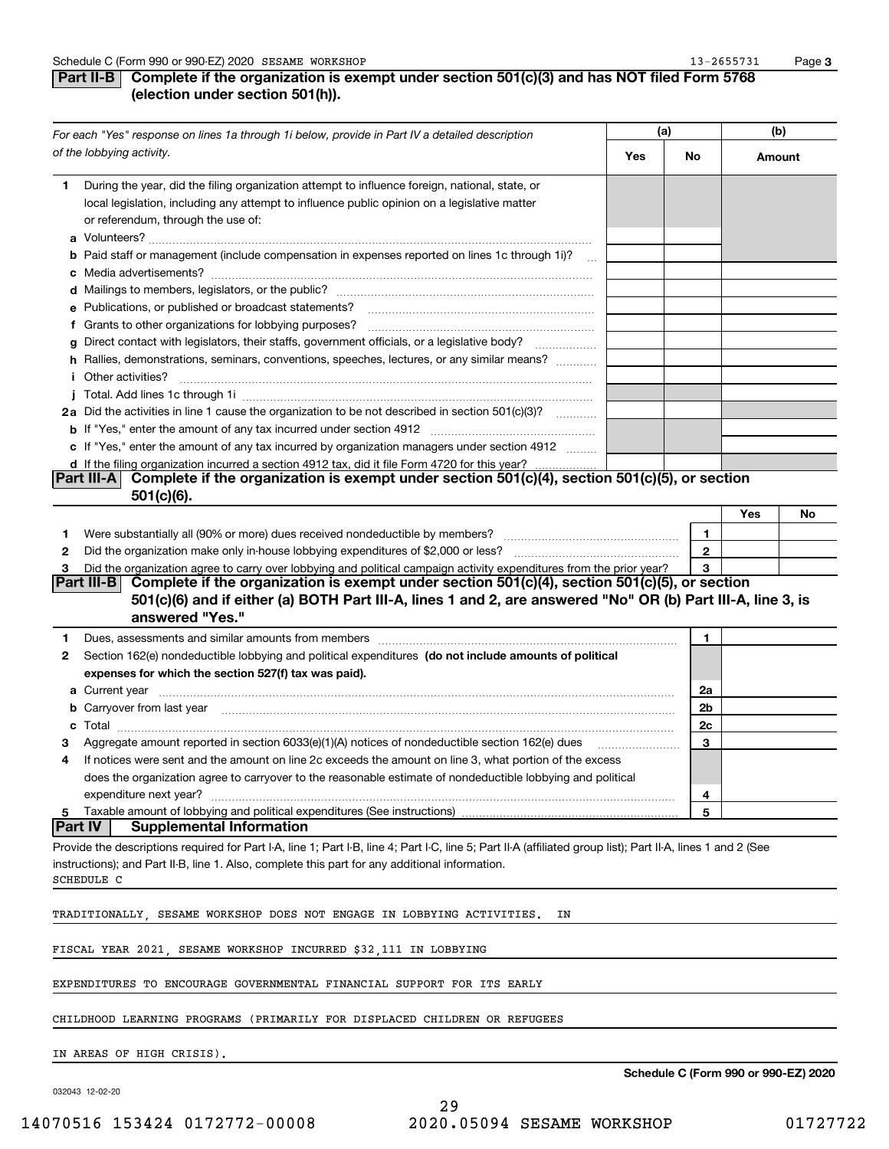#### **Part II-B** Complete if the organization is exempt under section 501(c)(3) and has NOT filed Form 5768 **(election under section 501(h)).**

|                | For each "Yes" response on lines 1a through 1i below, provide in Part IV a detailed description                                                                                                                                                                              |     | (a)          |        | (b) |  |
|----------------|------------------------------------------------------------------------------------------------------------------------------------------------------------------------------------------------------------------------------------------------------------------------------|-----|--------------|--------|-----|--|
|                | of the lobbying activity.                                                                                                                                                                                                                                                    | Yes | No           | Amount |     |  |
| 1.             | During the year, did the filing organization attempt to influence foreign, national, state, or<br>local legislation, including any attempt to influence public opinion on a legislative matter<br>or referendum, through the use of:                                         |     |              |        |     |  |
|                | b Paid staff or management (include compensation in expenses reported on lines 1c through 1i)?<br>$\sim$                                                                                                                                                                     |     |              |        |     |  |
|                |                                                                                                                                                                                                                                                                              |     |              |        |     |  |
|                |                                                                                                                                                                                                                                                                              |     |              |        |     |  |
|                |                                                                                                                                                                                                                                                                              |     |              |        |     |  |
| a              | Direct contact with legislators, their staffs, government officials, or a legislative body?<br>.                                                                                                                                                                             |     |              |        |     |  |
|                | h Rallies, demonstrations, seminars, conventions, speeches, lectures, or any similar means?                                                                                                                                                                                  |     |              |        |     |  |
|                | Other activities?                                                                                                                                                                                                                                                            |     |              |        |     |  |
|                |                                                                                                                                                                                                                                                                              |     |              |        |     |  |
|                | 2a Did the activities in line 1 cause the organization to be not described in section 501(c)(3)?                                                                                                                                                                             |     |              |        |     |  |
|                |                                                                                                                                                                                                                                                                              |     |              |        |     |  |
|                | c If "Yes," enter the amount of any tax incurred by organization managers under section 4912                                                                                                                                                                                 |     |              |        |     |  |
|                | d If the filing organization incurred a section 4912 tax, did it file Form 4720 for this year?                                                                                                                                                                               |     |              |        |     |  |
|                | ling organization incurred a section 4912 tax, did it file Form 4720 for this year? …………………!<br>    Complete if the organization is exempt under section 501(c)(4), section 501(c)(5), or section<br>Part III-A                                                              |     |              |        |     |  |
|                | $501(c)(6)$ .                                                                                                                                                                                                                                                                |     |              |        |     |  |
|                |                                                                                                                                                                                                                                                                              |     |              | Yes    | No  |  |
| 1              | Were substantially all (90% or more) dues received nondeductible by members? [111] was an intermal was uncontrolled to the substantially all (90% or more) dues received nondeductible by members?                                                                           |     | 1            |        |     |  |
| 2              |                                                                                                                                                                                                                                                                              |     | $\mathbf{2}$ |        |     |  |
| з              | Did the organization agree to carry over lobbying and political campaign activity expenditures from the prior year?<br>Part III-B Complete if the organization is exempt under section $501(c)(4)$ , section $501(c)(5)$ , or section                                        |     | 3            |        |     |  |
|                | 501(c)(6) and if either (a) BOTH Part III-A, lines 1 and 2, are answered "No" OR (b) Part III-A, line 3, is<br>answered "Yes."                                                                                                                                               |     |              |        |     |  |
| 1              | Dues, assessments and similar amounts from members [11] matter content and stream and similar amounts from members [11] matter and similar amounts from members [11] matter and stream and stream and stream and stream and st                                               |     | 1            |        |     |  |
| 2              | Section 162(e) nondeductible lobbying and political expenditures (do not include amounts of political<br>expenses for which the section 527(f) tax was paid).                                                                                                                |     |              |        |     |  |
|                |                                                                                                                                                                                                                                                                              |     | 2a           |        |     |  |
|                | b Carryover from last year manufactured and content to content the content of the content of the content of the content of the content of the content of the content of the content of the content of the content of the conte                                               |     | 2b           |        |     |  |
| c              |                                                                                                                                                                                                                                                                              |     | 2c           |        |     |  |
|                | Aggregate amount reported in section 6033(e)(1)(A) notices of nondeductible section 162(e) dues                                                                                                                                                                              |     | 3            |        |     |  |
| 4              | If notices were sent and the amount on line 2c exceeds the amount on line 3, what portion of the excess                                                                                                                                                                      |     |              |        |     |  |
|                | does the organization agree to carryover to the reasonable estimate of nondeductible lobbying and political                                                                                                                                                                  |     |              |        |     |  |
|                | expenditure next year?                                                                                                                                                                                                                                                       |     | 4            |        |     |  |
| 5              | Taxable amount of lobbying and political expenditures (See instructions)                                                                                                                                                                                                     |     | 5            |        |     |  |
| <b>Part IV</b> | <b>Supplemental Information</b>                                                                                                                                                                                                                                              |     |              |        |     |  |
|                | Provide the descriptions required for Part I-A, line 1; Part I-B, line 4; Part I-C, line 5; Part II-A (affiliated group list); Part II-A, lines 1 and 2 (See<br>instructions); and Part II-B, line 1. Also, complete this part for any additional information.<br>SCHEDULE C |     |              |        |     |  |
|                | TRADITIONALLY, SESAME WORKSHOP DOES NOT ENGAGE IN LOBBYING ACTIVITIES.<br>ΙN                                                                                                                                                                                                 |     |              |        |     |  |
|                | FISCAL YEAR 2021, SESAME WORKSHOP INCURRED \$32,111 IN LOBBYING                                                                                                                                                                                                              |     |              |        |     |  |
|                | EXPENDITURES TO ENCOURAGE GOVERNMENTAL FINANCIAL SUPPORT FOR ITS EARLY                                                                                                                                                                                                       |     |              |        |     |  |
|                | CHILDHOOD LEARNING PROGRAMS (PRIMARILY FOR DISPLACED CHILDREN OR REFUGEES                                                                                                                                                                                                    |     |              |        |     |  |
|                | IN AREAS OF HIGH CRISIS).                                                                                                                                                                                                                                                    |     |              |        |     |  |

032043 12-02-20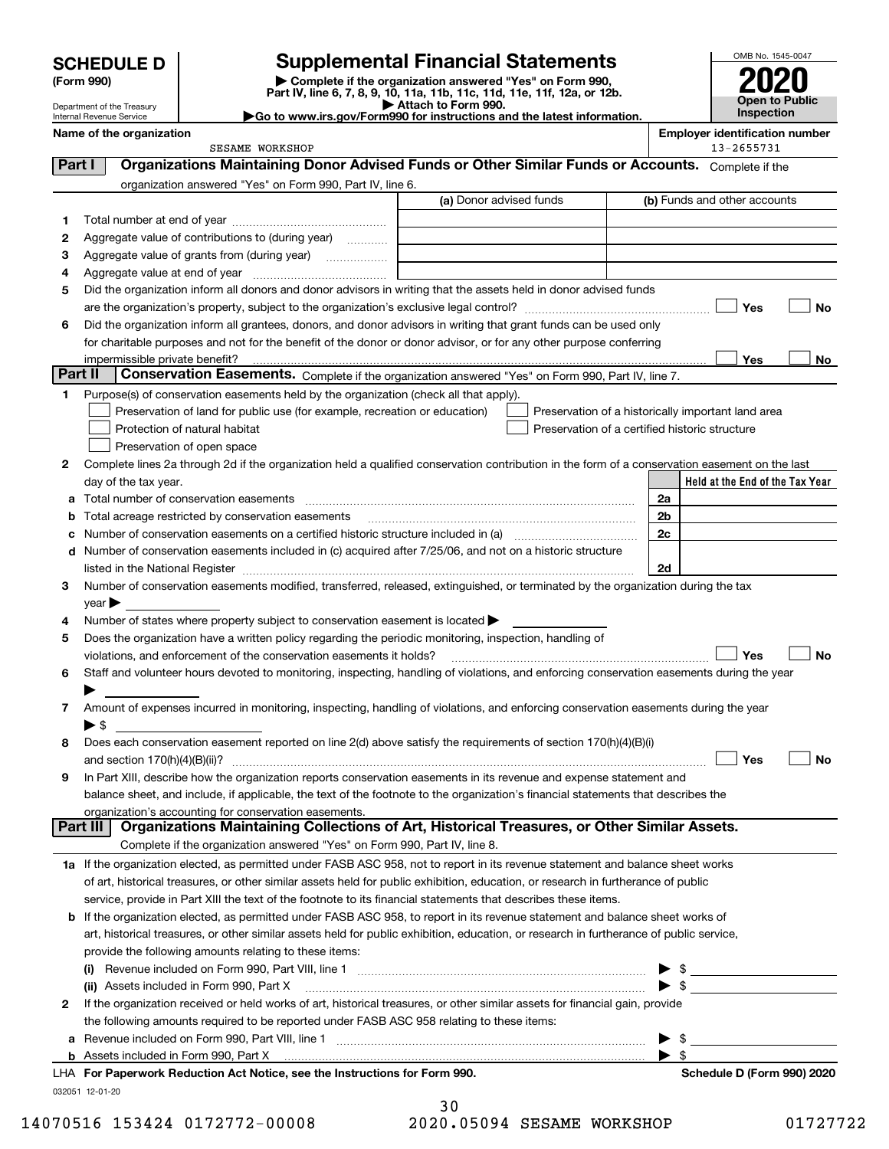Department of the Treasury Internal Revenue Service

| (Form 990) |  |
|------------|--|
|------------|--|

# **SCHEDULE D Supplemental Financial Statements**

(Form 990)<br>
Pepartment of the Treasury<br>
Department of the Treasury<br>
Department of the Treasury<br>
Department of the Treasury<br> **Co to www.irs.gov/Form990 for instructions and the latest information.**<br> **Co to www.irs.gov/Form9** 



|  | Name of the organizatio |
|--|-------------------------|
|  |                         |

|                | Name of the organization<br><b>SESAME WORKSHOP</b>                                                                                             |                         | <b>Employer identification number</b><br>13-2655731 |
|----------------|------------------------------------------------------------------------------------------------------------------------------------------------|-------------------------|-----------------------------------------------------|
| Part I         | Organizations Maintaining Donor Advised Funds or Other Similar Funds or Accounts. Complete if the                                              |                         |                                                     |
|                | organization answered "Yes" on Form 990, Part IV, line 6.                                                                                      |                         |                                                     |
|                |                                                                                                                                                | (a) Donor advised funds | (b) Funds and other accounts                        |
|                |                                                                                                                                                |                         |                                                     |
| 1              | Aggregate value of contributions to (during year)                                                                                              |                         |                                                     |
| 2              |                                                                                                                                                |                         |                                                     |
| 3              | Aggregate value of grants from (during year)                                                                                                   |                         |                                                     |
| 4              | Did the organization inform all donors and donor advisors in writing that the assets held in donor advised funds                               |                         |                                                     |
| 5              |                                                                                                                                                |                         | Yes                                                 |
|                |                                                                                                                                                |                         | No                                                  |
| 6              | Did the organization inform all grantees, donors, and donor advisors in writing that grant funds can be used only                              |                         |                                                     |
|                | for charitable purposes and not for the benefit of the donor or donor advisor, or for any other purpose conferring                             |                         | Yes<br>No                                           |
| <b>Part II</b> | impermissible private benefit?<br>Conservation Easements. Complete if the organization answered "Yes" on Form 990, Part IV, line 7.            |                         |                                                     |
| 1              | Purpose(s) of conservation easements held by the organization (check all that apply).                                                          |                         |                                                     |
|                | Preservation of land for public use (for example, recreation or education)                                                                     |                         | Preservation of a historically important land area  |
|                | Protection of natural habitat                                                                                                                  |                         | Preservation of a certified historic structure      |
|                | Preservation of open space                                                                                                                     |                         |                                                     |
| 2              | Complete lines 2a through 2d if the organization held a qualified conservation contribution in the form of a conservation easement on the last |                         |                                                     |
|                | day of the tax year.                                                                                                                           |                         | Held at the End of the Tax Year                     |
| a              | Total number of conservation easements                                                                                                         |                         | 2a                                                  |
| b              | Total acreage restricted by conservation easements                                                                                             |                         | 2b                                                  |
|                |                                                                                                                                                |                         | 2c                                                  |
|                | d Number of conservation easements included in (c) acquired after 7/25/06, and not on a historic structure                                     |                         |                                                     |
|                |                                                                                                                                                |                         | 2d                                                  |
| 3              | Number of conservation easements modified, transferred, released, extinguished, or terminated by the organization during the tax               |                         |                                                     |
|                | year                                                                                                                                           |                         |                                                     |
| 4              | Number of states where property subject to conservation easement is located >                                                                  |                         |                                                     |
| 5              | Does the organization have a written policy regarding the periodic monitoring, inspection, handling of                                         |                         |                                                     |
|                | violations, and enforcement of the conservation easements it holds?                                                                            |                         | Yes<br><b>No</b>                                    |
| 6              | Staff and volunteer hours devoted to monitoring, inspecting, handling of violations, and enforcing conservation easements during the year      |                         |                                                     |
|                |                                                                                                                                                |                         |                                                     |
| 7              | Amount of expenses incurred in monitoring, inspecting, handling of violations, and enforcing conservation easements during the year            |                         |                                                     |
|                | ▶ \$                                                                                                                                           |                         |                                                     |
| 8              | Does each conservation easement reported on line 2(d) above satisfy the requirements of section 170(h)(4)(B)(i)                                |                         |                                                     |
|                |                                                                                                                                                |                         | Yes<br>No                                           |
|                | In Part XIII, describe how the organization reports conservation easements in its revenue and expense statement and                            |                         |                                                     |
|                | balance sheet, and include, if applicable, the text of the footnote to the organization's financial statements that describes the              |                         |                                                     |
|                | organization's accounting for conservation easements.                                                                                          |                         |                                                     |
|                | Organizations Maintaining Collections of Art, Historical Treasures, or Other Similar Assets.<br>Part III                                       |                         |                                                     |
|                | Complete if the organization answered "Yes" on Form 990, Part IV, line 8.                                                                      |                         |                                                     |
|                | 1a If the organization elected, as permitted under FASB ASC 958, not to report in its revenue statement and balance sheet works                |                         |                                                     |
|                | of art, historical treasures, or other similar assets held for public exhibition, education, or research in furtherance of public              |                         |                                                     |
|                | service, provide in Part XIII the text of the footnote to its financial statements that describes these items.                                 |                         |                                                     |
|                | <b>b</b> If the organization elected, as permitted under FASB ASC 958, to report in its revenue statement and balance sheet works of           |                         |                                                     |
|                | art, historical treasures, or other similar assets held for public exhibition, education, or research in furtherance of public service,        |                         |                                                     |
|                | provide the following amounts relating to these items:                                                                                         |                         |                                                     |
|                |                                                                                                                                                |                         | $\blacktriangleright$ \$                            |
|                | (ii) Assets included in Form 990, Part X                                                                                                       |                         | $\blacktriangleright$ \$                            |
| 2              | If the organization received or held works of art, historical treasures, or other similar assets for financial gain, provide                   |                         |                                                     |
|                | the following amounts required to be reported under FASB ASC 958 relating to these items:                                                      |                         |                                                     |
| а              |                                                                                                                                                |                         | - \$<br>$\blacktriangleright$ \$                    |
|                | LHA For Paperwork Reduction Act Notice, see the Instructions for Form 990.                                                                     |                         | Schedule D (Form 990) 2020                          |
|                |                                                                                                                                                |                         |                                                     |

| 30                       |  |
|--------------------------|--|
| 2020.05094 SESAME WORKSH |  |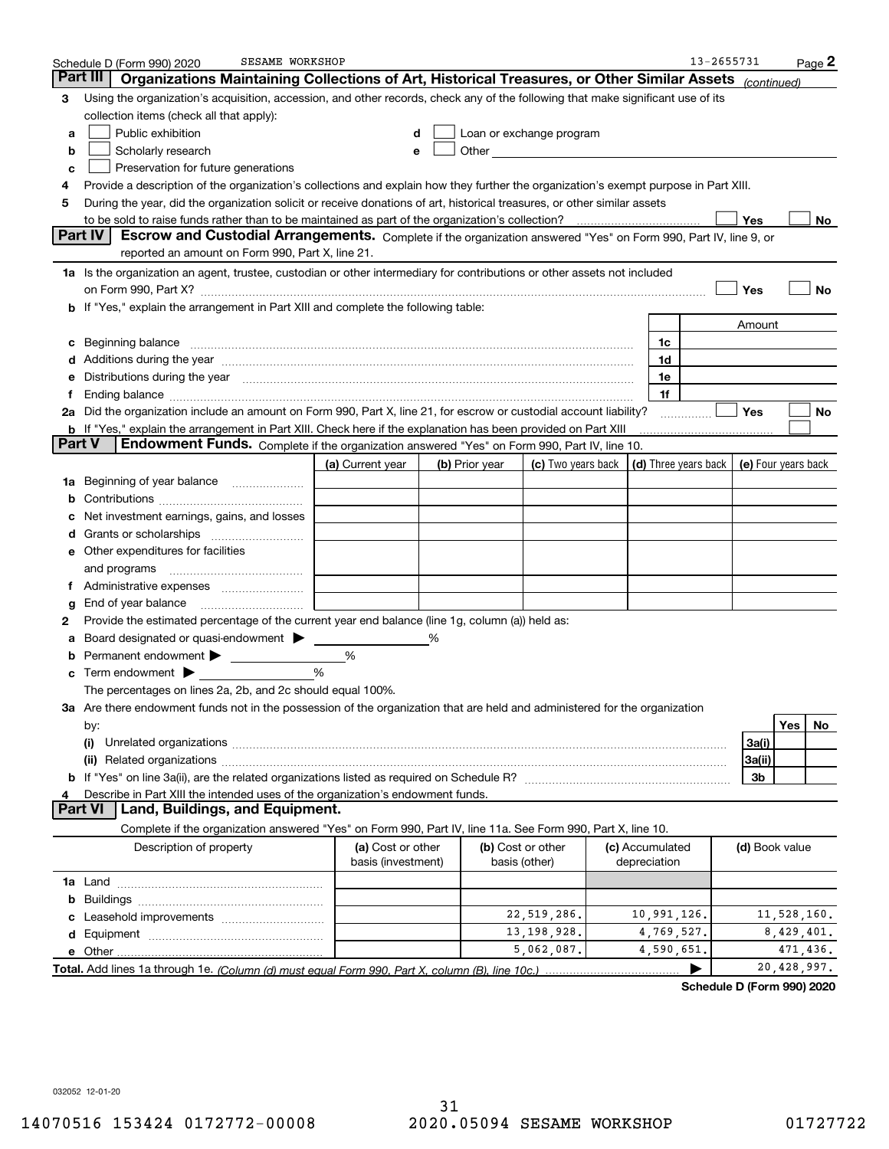|               | <b>SESAME WORKSHOP</b><br>Schedule D (Form 990) 2020                                                                                                                                                                           |                    |   |                |                                                                                                               |                 | 13-2655731 |                | Page 2              |
|---------------|--------------------------------------------------------------------------------------------------------------------------------------------------------------------------------------------------------------------------------|--------------------|---|----------------|---------------------------------------------------------------------------------------------------------------|-----------------|------------|----------------|---------------------|
|               | Part III<br>Organizations Maintaining Collections of Art, Historical Treasures, or Other Similar Assets (continued)                                                                                                            |                    |   |                |                                                                                                               |                 |            |                |                     |
| 3             | Using the organization's acquisition, accession, and other records, check any of the following that make significant use of its                                                                                                |                    |   |                |                                                                                                               |                 |            |                |                     |
|               | collection items (check all that apply):                                                                                                                                                                                       |                    |   |                |                                                                                                               |                 |            |                |                     |
| а             | Public exhibition                                                                                                                                                                                                              |                    |   |                | Loan or exchange program                                                                                      |                 |            |                |                     |
| b             | Scholarly research                                                                                                                                                                                                             |                    |   |                | Other and the contract of the contract of the contract of the contract of the contract of the contract of the |                 |            |                |                     |
| с             | Preservation for future generations                                                                                                                                                                                            |                    |   |                |                                                                                                               |                 |            |                |                     |
| 4             | Provide a description of the organization's collections and explain how they further the organization's exempt purpose in Part XIII.                                                                                           |                    |   |                |                                                                                                               |                 |            |                |                     |
| 5             | During the year, did the organization solicit or receive donations of art, historical treasures, or other similar assets                                                                                                       |                    |   |                |                                                                                                               |                 |            |                |                     |
|               |                                                                                                                                                                                                                                |                    |   |                |                                                                                                               |                 |            | Yes            | No                  |
|               | Part IV<br>Escrow and Custodial Arrangements. Complete if the organization answered "Yes" on Form 990, Part IV, line 9, or<br>reported an amount on Form 990, Part X, line 21.                                                 |                    |   |                |                                                                                                               |                 |            |                |                     |
|               |                                                                                                                                                                                                                                |                    |   |                |                                                                                                               |                 |            |                |                     |
|               | 1a Is the organization an agent, trustee, custodian or other intermediary for contributions or other assets not included                                                                                                       |                    |   |                |                                                                                                               |                 |            |                |                     |
|               | on Form 990, Part X? [11] matter contracts and contracts and contracts are contracted and contracts are contracted and contract and contract of the contract of the contract of the contract of the contract of the contract o |                    |   |                |                                                                                                               |                 |            | Yes            | No                  |
|               | b If "Yes," explain the arrangement in Part XIII and complete the following table:                                                                                                                                             |                    |   |                |                                                                                                               |                 |            |                |                     |
|               |                                                                                                                                                                                                                                |                    |   |                |                                                                                                               | 1c              |            | Amount         |                     |
| c             | Additions during the year manufactured and an annual contract of the year manufactured and a set of the year manufactured and a set of the year manufactured and a set of the year manufactured and set of the set of the set  |                    |   |                |                                                                                                               | 1d              |            |                |                     |
| е             | Distributions during the year manufactured and an account of the state of the state of the state of the state o                                                                                                                |                    |   |                |                                                                                                               | 1e              |            |                |                     |
| Ť.            | Ending balance measurements and the contract of the contract of the contract of the contract of the contract of the contract of the contract of the contract of the contract of the contract of the contract of the contract o |                    |   |                |                                                                                                               | 1f              |            |                |                     |
|               | 2a Did the organization include an amount on Form 990, Part X, line 21, for escrow or custodial account liability?                                                                                                             |                    |   |                |                                                                                                               |                 | .          | Yes            | No                  |
|               | <b>b</b> If "Yes," explain the arrangement in Part XIII. Check here if the explanation has been provided on Part XIII                                                                                                          |                    |   |                |                                                                                                               |                 |            |                |                     |
| <b>Part V</b> | Endowment Funds. Complete if the organization answered "Yes" on Form 990, Part IV, line 10.                                                                                                                                    |                    |   |                |                                                                                                               |                 |            |                |                     |
|               |                                                                                                                                                                                                                                | (a) Current year   |   | (b) Prior year | (c) Two years back $\vert$ (d) Three years back $\vert$                                                       |                 |            |                | (e) Four years back |
|               | 1a Beginning of year balance                                                                                                                                                                                                   |                    |   |                |                                                                                                               |                 |            |                |                     |
|               |                                                                                                                                                                                                                                |                    |   |                |                                                                                                               |                 |            |                |                     |
|               | Net investment earnings, gains, and losses                                                                                                                                                                                     |                    |   |                |                                                                                                               |                 |            |                |                     |
|               |                                                                                                                                                                                                                                |                    |   |                |                                                                                                               |                 |            |                |                     |
|               | e Other expenditures for facilities                                                                                                                                                                                            |                    |   |                |                                                                                                               |                 |            |                |                     |
|               | and programs                                                                                                                                                                                                                   |                    |   |                |                                                                                                               |                 |            |                |                     |
| Ť.            |                                                                                                                                                                                                                                |                    |   |                |                                                                                                               |                 |            |                |                     |
| g             | End of year balance <i>manually contained</i>                                                                                                                                                                                  |                    |   |                |                                                                                                               |                 |            |                |                     |
| 2             | Provide the estimated percentage of the current year end balance (line 1g, column (a)) held as:                                                                                                                                |                    |   |                |                                                                                                               |                 |            |                |                     |
|               | Board designated or quasi-endowment                                                                                                                                                                                            |                    | % |                |                                                                                                               |                 |            |                |                     |
|               | <b>b</b> Permanent endowment >                                                                                                                                                                                                 | %                  |   |                |                                                                                                               |                 |            |                |                     |
|               | Term endowment $\blacktriangleright$                                                                                                                                                                                           | %                  |   |                |                                                                                                               |                 |            |                |                     |
|               | The percentages on lines 2a, 2b, and 2c should equal 100%.                                                                                                                                                                     |                    |   |                |                                                                                                               |                 |            |                |                     |
|               | 3a Are there endowment funds not in the possession of the organization that are held and administered for the organization                                                                                                     |                    |   |                |                                                                                                               |                 |            |                |                     |
|               | by:                                                                                                                                                                                                                            |                    |   |                |                                                                                                               |                 |            |                | <b>Yes</b><br>No.   |
|               | (i)                                                                                                                                                                                                                            |                    |   |                |                                                                                                               |                 |            | 3a(i)          |                     |
|               |                                                                                                                                                                                                                                |                    |   |                |                                                                                                               |                 |            | 3a(ii)<br>3b   |                     |
| 4             | Describe in Part XIII the intended uses of the organization's endowment funds.                                                                                                                                                 |                    |   |                |                                                                                                               |                 |            |                |                     |
|               | Land, Buildings, and Equipment.<br>Part VI                                                                                                                                                                                     |                    |   |                |                                                                                                               |                 |            |                |                     |
|               | Complete if the organization answered "Yes" on Form 990, Part IV, line 11a. See Form 990, Part X, line 10.                                                                                                                     |                    |   |                |                                                                                                               |                 |            |                |                     |
|               | Description of property                                                                                                                                                                                                        | (a) Cost or other  |   |                | (b) Cost or other                                                                                             | (c) Accumulated |            | (d) Book value |                     |
|               |                                                                                                                                                                                                                                | basis (investment) |   |                | basis (other)                                                                                                 | depreciation    |            |                |                     |
|               |                                                                                                                                                                                                                                |                    |   |                |                                                                                                               |                 |            |                |                     |
| b             |                                                                                                                                                                                                                                |                    |   |                |                                                                                                               |                 |            |                |                     |
|               |                                                                                                                                                                                                                                |                    |   |                | 22,519,286.                                                                                                   | 10,991,126.     |            |                | 11,528,160.         |
| d             |                                                                                                                                                                                                                                |                    |   |                | 13, 198, 928.                                                                                                 | 4,769,527.      |            |                | 8,429,401.          |
|               |                                                                                                                                                                                                                                |                    |   |                | 5,062,087.                                                                                                    | 4,590,651.      |            |                | 471,436.            |
|               |                                                                                                                                                                                                                                |                    |   |                |                                                                                                               |                 |            |                | 20,428,997.         |

**Schedule D (Form 990) 2020**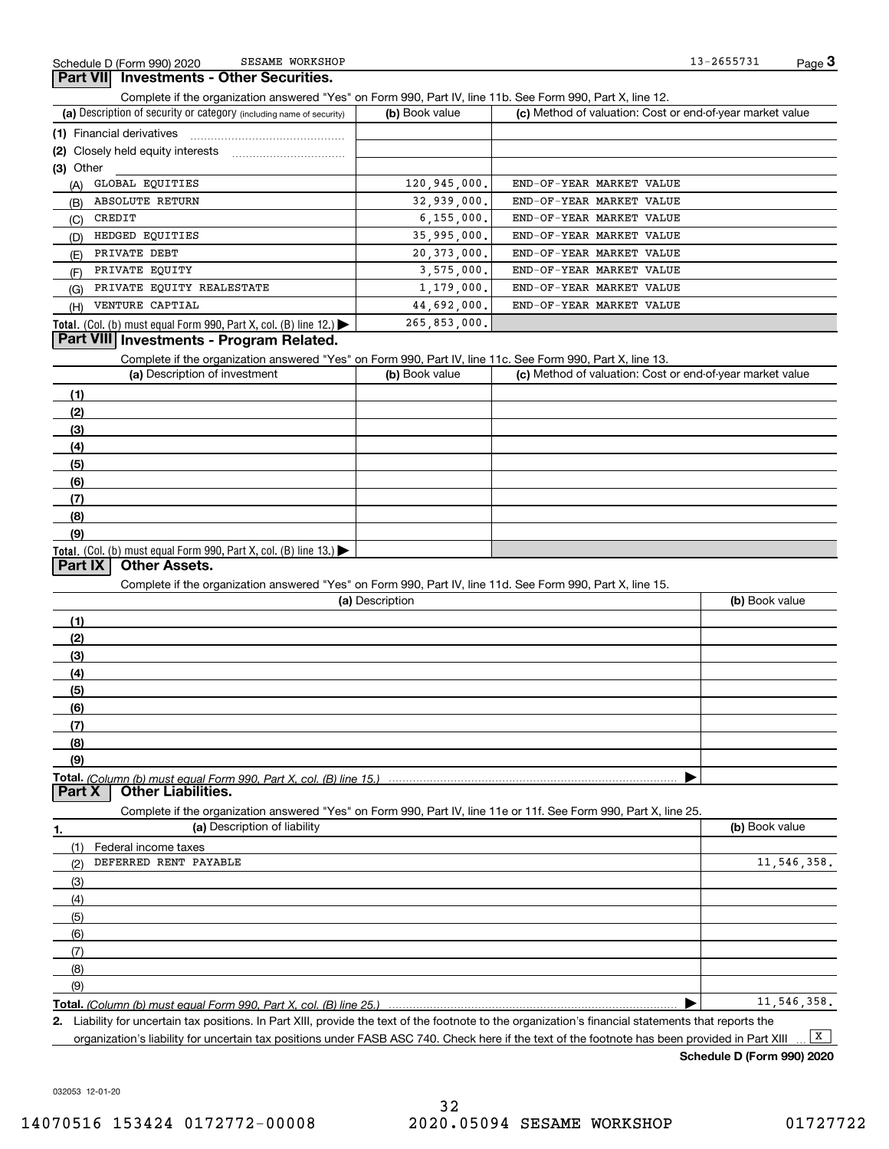SESAME WORKSHOP

#### **Part VII Investments - Other Securities.**

Complete if the organization answered "Yes" on Form 990, Part IV, line 11b. See Form 990, Part X, line 12.

| (a) Description of security or category (including name of security)                          | (b) Book value | (c) Method of valuation: Cost or end-of-year market value |
|-----------------------------------------------------------------------------------------------|----------------|-----------------------------------------------------------|
| (1) Financial derivatives                                                                     |                |                                                           |
| (2) Closely held equity interests                                                             |                |                                                           |
| $(3)$ Other                                                                                   |                |                                                           |
| GLOBAL EQUITIES<br>(A)                                                                        | 120, 945, 000. | END-OF-YEAR MARKET VALUE                                  |
| <b>ABSOLUTE RETURN</b><br>(B)                                                                 | 32,939,000.    | END-OF-YEAR MARKET VALUE                                  |
| CREDIT<br>(C)                                                                                 | 6, 155, 000.   | END-OF-YEAR MARKET VALUE                                  |
| HEDGED EQUITIES<br>(D)                                                                        | 35,995,000.    | END-OF-YEAR MARKET VALUE                                  |
| PRIVATE DEBT<br>(E)                                                                           | 20, 373, 000.  | END-OF-YEAR MARKET VALUE                                  |
| PRIVATE EOUITY<br>(F)                                                                         | 3,575,000.     | END-OF-YEAR MARKET VALUE                                  |
| PRIVATE EOUITY REALESTATE<br>(G)                                                              | 1, 179, 000.   | END-OF-YEAR MARKET VALUE                                  |
| VENTURE CAPTIAL<br>(H)                                                                        | 44.692.000.    | END-OF-YEAR MARKET VALUE                                  |
| <b>Total.</b> (Col. (b) must equal Form 990, Part X, col. (B) line 12.) $\blacktriangleright$ | 265,853,000.   |                                                           |

#### **Part VIII Investments - Program Related.**

Complete if the organization answered "Yes" on Form 990, Part IV, line 11c. See Form 990, Part X, line 13.

| (a) Description of investment                                    | (b) Book value | (c) Method of valuation: Cost or end-of-year market value |
|------------------------------------------------------------------|----------------|-----------------------------------------------------------|
| (1)                                                              |                |                                                           |
| (2)                                                              |                |                                                           |
| $\frac{1}{2}$                                                    |                |                                                           |
| (4)                                                              |                |                                                           |
| (5)                                                              |                |                                                           |
| (6)                                                              |                |                                                           |
| $\sqrt{(7)}$                                                     |                |                                                           |
| (8)                                                              |                |                                                           |
| (9)                                                              |                |                                                           |
| Total. (Col. (b) must equal Form 990, Part X, col. (B) line 13.) |                |                                                           |

#### **Part IX Other Assets.**

Complete if the organization answered "Yes" on Form 990, Part IV, line 11d. See Form 990, Part X, line 15.

| (a) Description | (b) Book value |
|-----------------|----------------|
| (1)             |                |
| (2)             |                |
| (3)             |                |
| (4)             |                |
| (5)             |                |
| $\frac{6}{6}$   |                |
|                 |                |
| (8)             |                |
| (9)             |                |
|                 |                |

**Part X Other Liabilities.**

Complete if the organization answered "Yes" on Form 990, Part IV, line 11e or 11f. See Form 990, Part X, line 25.

| 1.  | (a) Description of liability | (b) Book value |
|-----|------------------------------|----------------|
|     | (1) Federal income taxes     |                |
| (2) | DEFERRED RENT PAYABLE        | 11,546,358.    |
| (3) |                              |                |
| (4) |                              |                |
| (5) |                              |                |
| (6) |                              |                |
| (7) |                              |                |
| (8) |                              |                |
| (9) |                              |                |
|     |                              | 11,546,358.    |

*(Column (b) must equal Form 990, Part X, col. (B) line 25.)* 

**2.**Liability for uncertain tax positions. In Part XIII, provide the text of the footnote to the organization's financial statements that reports the organization's liability for uncertain tax positions under FASB ASC 740. Check here if the text of the footnote has been provided in Part XIII  $\boxed{\mathbf{X}}$ 

**Schedule D (Form 990) 2020**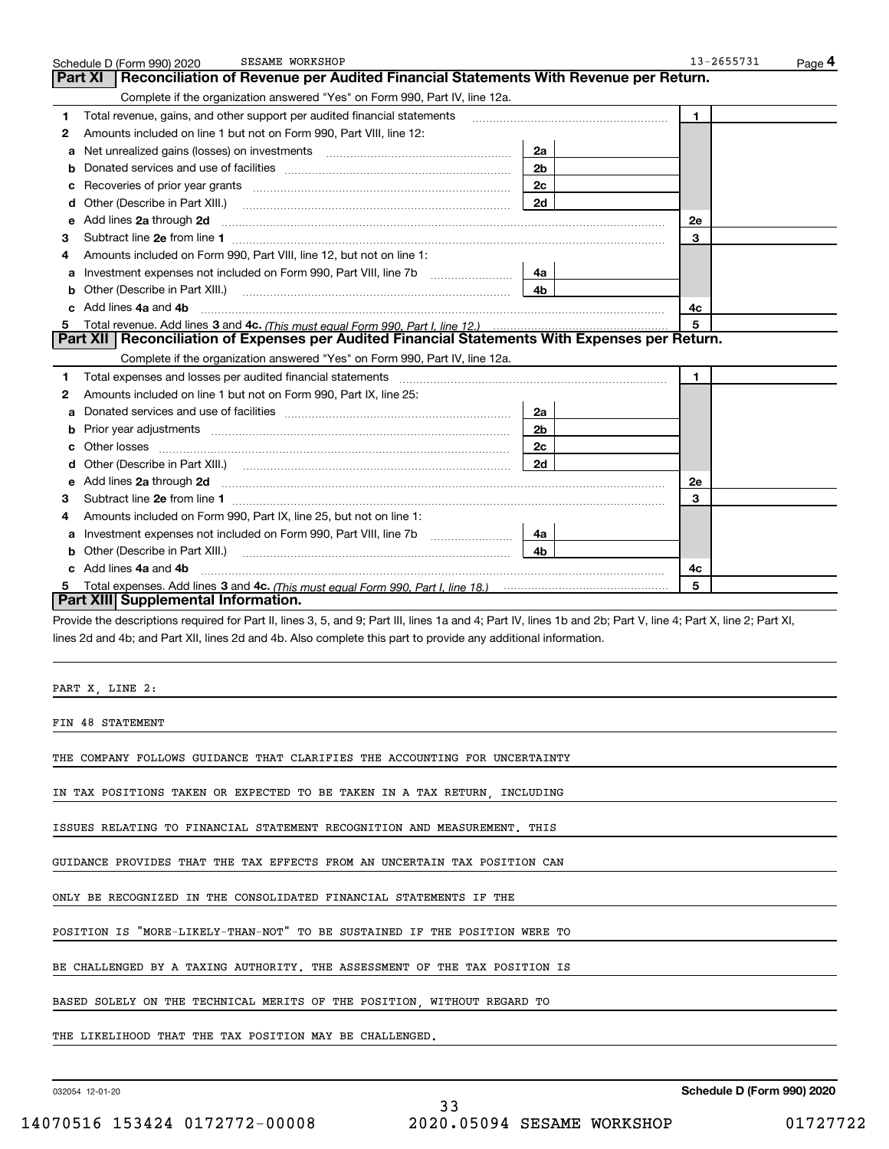|    | <b>SESAME WORKSHOP</b><br>Schedule D (Form 990) 2020                                                                                                                                                                                |    | 13-2655731<br>Page 4 |
|----|-------------------------------------------------------------------------------------------------------------------------------------------------------------------------------------------------------------------------------------|----|----------------------|
|    | Reconciliation of Revenue per Audited Financial Statements With Revenue per Return.<br>Part XI                                                                                                                                      |    |                      |
|    | Complete if the organization answered "Yes" on Form 990, Part IV, line 12a.                                                                                                                                                         |    |                      |
| 1  | Total revenue, gains, and other support per audited financial statements                                                                                                                                                            |    | 1                    |
| 2  | Amounts included on line 1 but not on Form 990, Part VIII, line 12:                                                                                                                                                                 |    |                      |
| a  | Net unrealized gains (losses) on investments [11] matter contracts and the unrealized gains (losses) on investments                                                                                                                 | 2a |                      |
| b  |                                                                                                                                                                                                                                     | 2b |                      |
| с  |                                                                                                                                                                                                                                     | 2c |                      |
| d  | Other (Describe in Part XIII.) <b>Construction Contract Construction</b> Chemical Construction Chemical Chemical Chemical Chemical Chemical Chemical Chemical Chemical Chemical Chemical Chemical Chemical Chemical Chemical Chemic | 2d |                      |
| е  | Add lines 2a through 2d                                                                                                                                                                                                             |    | <b>2e</b>            |
| 3  |                                                                                                                                                                                                                                     |    | 3                    |
| 4  | Amounts included on Form 990, Part VIII, line 12, but not on line 1:                                                                                                                                                                |    |                      |
| а  | Investment expenses not included on Form 990, Part VIII, line 7b                                                                                                                                                                    | 4a |                      |
| b  | Other (Describe in Part XIII.)                                                                                                                                                                                                      | 4b |                      |
| c  | Add lines 4a and 4b                                                                                                                                                                                                                 |    | 4c                   |
| 5  |                                                                                                                                                                                                                                     |    | 5                    |
|    | Part XII   Reconciliation of Expenses per Audited Financial Statements With Expenses per Return.                                                                                                                                    |    |                      |
|    | Complete if the organization answered "Yes" on Form 990, Part IV, line 12a.                                                                                                                                                         |    |                      |
| 1  |                                                                                                                                                                                                                                     |    | 1                    |
| 2  | Amounts included on line 1 but not on Form 990, Part IX, line 25:                                                                                                                                                                   |    |                      |
| а  |                                                                                                                                                                                                                                     | 2a |                      |
| b  |                                                                                                                                                                                                                                     | 2b |                      |
| с  |                                                                                                                                                                                                                                     | 2c |                      |
| d  |                                                                                                                                                                                                                                     | 2d |                      |
| е  | Add lines 2a through 2d                                                                                                                                                                                                             |    | <b>2e</b>            |
| 3  |                                                                                                                                                                                                                                     |    | 3                    |
| 4  | Amounts included on Form 990, Part IX, line 25, but not on line 1:                                                                                                                                                                  |    |                      |
| a  | Investment expenses not included on Form 990, Part VIII, line 7b [ <i>[[[[[[[[[[[]]]</i>                                                                                                                                            | 4a |                      |
| b  | Other (Describe in Part XIII.)                                                                                                                                                                                                      | 4b |                      |
|    | c Add lines 4a and 4b                                                                                                                                                                                                               |    | 4с                   |
| 5. |                                                                                                                                                                                                                                     |    | 5                    |
|    | Part XIII Supplemental Information.                                                                                                                                                                                                 |    |                      |
|    | Provide the descriptions required for Part II, lines 3, 5, and 9; Part III, lines 1a and 4; Part IV, lines 1b and 2b; Part V, line 4; Part X, line 2; Part XI,                                                                      |    |                      |
|    | lines 2d and 4b; and Part XII, lines 2d and 4b. Also complete this part to provide any additional information.                                                                                                                      |    |                      |
|    |                                                                                                                                                                                                                                     |    |                      |
|    |                                                                                                                                                                                                                                     |    |                      |
|    | PART X, LINE 2:                                                                                                                                                                                                                     |    |                      |
|    |                                                                                                                                                                                                                                     |    |                      |
|    | FIN 48 STATEMENT                                                                                                                                                                                                                    |    |                      |
|    |                                                                                                                                                                                                                                     |    |                      |

THE COMPANY FOLLOWS GUIDANCE THAT CLARIFIES THE ACCOUNTING FOR UNCERTAINTY

IN TAX POSITIONS TAKEN OR EXPECTED TO BE TAKEN IN A TAX RETURN, INCLUDING

ISSUES RELATING TO FINANCIAL STATEMENT RECOGNITION AND MEASUREMENT. THIS

GUIDANCE PROVIDES THAT THE TAX EFFECTS FROM AN UNCERTAIN TAX POSITION CAN

ONLY BE RECOGNIZED IN THE CONSOLIDATED FINANCIAL STATEMENTS IF THE

POSITION IS "MORE-LIKELY-THAN-NOT" TO BE SUSTAINED IF THE POSITION WERE TO

BE CHALLENGED BY A TAXING AUTHORITY. THE ASSESSMENT OF THE TAX POSITION IS

BASED SOLELY ON THE TECHNICAL MERITS OF THE POSITION, WITHOUT REGARD TO

THE LIKELIHOOD THAT THE TAX POSITION MAY BE CHALLENGED.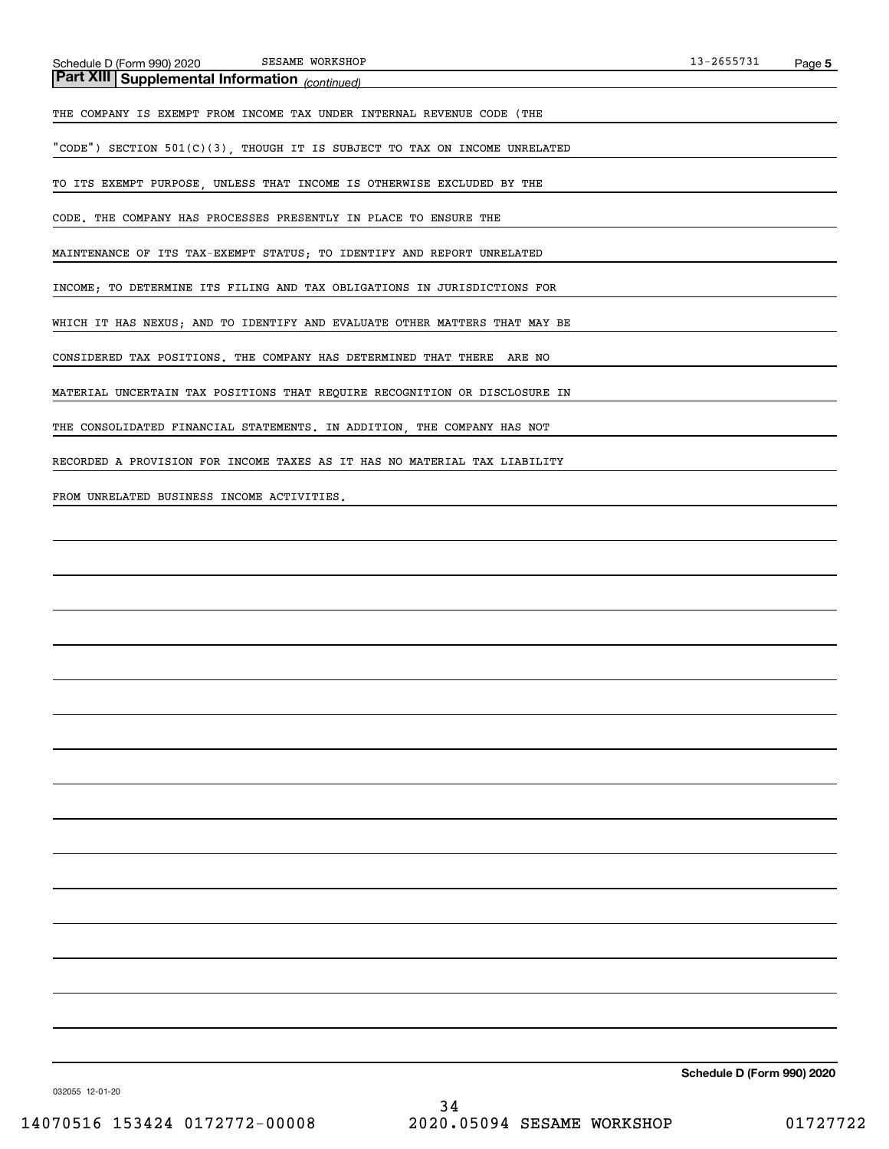# *(continued)* **Part XIII Supplemental Information**  THE COMPANY IS EXEMPT FROM INCOME TAX UNDER INTERNAL REVENUE CODE (THE

"CODE") SECTION 501(C)(3), THOUGH IT IS SUBJECT TO TAX ON INCOME UNRELATED

TO ITS EXEMPT PURPOSE, UNLESS THAT INCOME IS OTHERWISE EXCLUDED BY THE

CODE. THE COMPANY HAS PROCESSES PRESENTLY IN PLACE TO ENSURE THE

MAINTENANCE OF ITS TAX-EXEMPT STATUS; TO IDENTIFY AND REPORT UNRELATED

INCOME; TO DETERMINE ITS FILING AND TAX OBLIGATIONS IN JURISDICTIONS FOR

WHICH IT HAS NEXUS; AND TO IDENTIFY AND EVALUATE OTHER MATTERS THAT MAY BE

CONSIDERED TAX POSITIONS. THE COMPANY HAS DETERMINED THAT THERE ARE NO

MATERIAL UNCERTAIN TAX POSITIONS THAT REQUIRE RECOGNITION OR DISCLOSURE IN

THE CONSOLIDATED FINANCIAL STATEMENTS. IN ADDITION, THE COMPANY HAS NOT

RECORDED A PROVISION FOR INCOME TAXES AS IT HAS NO MATERIAL TAX LIABILITY

FROM UNRELATED BUSINESS INCOME ACTIVITIES.

**Schedule D (Form 990) 2020**

032055 12-01-20

34 14070516 153424 0172772-00008 2020.05094 SESAME WORKSHOP 01727722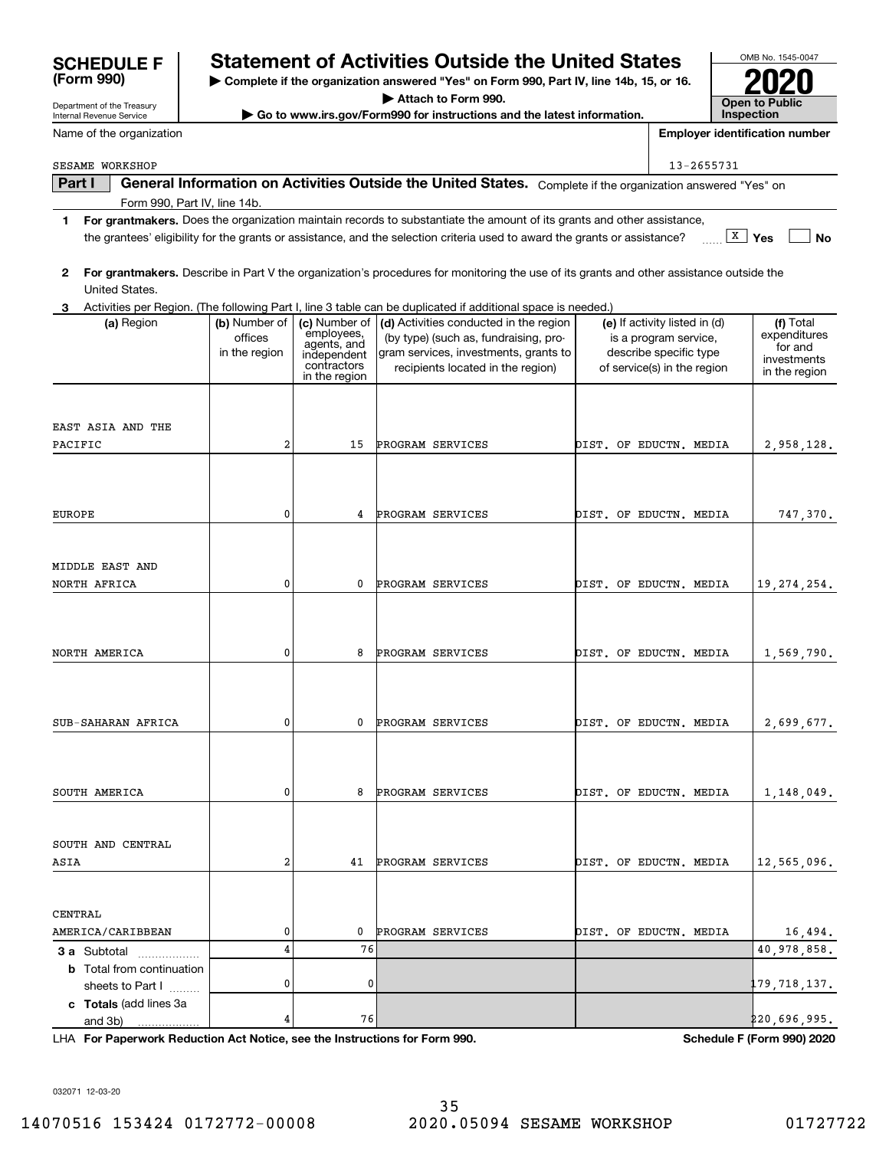032071 12-03-20

## **SCHEDULE F Statement of Activities Outside the United States**

**| Complete if the organization answered "Yes" on Form 990, Part IV, line 14b, 15, or 16.**

**| Attach to Form 990.**

**| Go to www.irs.gov/Form990 for instructions and the latest information.**

**Part I**  $\parallel$  General Information on Activities Outside the United States. Complete if the organization answered "Yes" on

| For grantmakers. Does the organization maintain records to substantiate the amount of its grants and other assistance,<br>1.                     |                                                                                                                                         |                             |                                                                                |                                                 |                           |  |  |
|--------------------------------------------------------------------------------------------------------------------------------------------------|-----------------------------------------------------------------------------------------------------------------------------------------|-----------------------------|--------------------------------------------------------------------------------|-------------------------------------------------|---------------------------|--|--|
| $\overline{X}$ Yes<br>the grantees' eligibility for the grants or assistance, and the selection criteria used to award the grants or assistance? |                                                                                                                                         |                             |                                                                                |                                                 |                           |  |  |
|                                                                                                                                                  |                                                                                                                                         |                             |                                                                                |                                                 |                           |  |  |
| 2                                                                                                                                                | For grantmakers. Describe in Part V the organization's procedures for monitoring the use of its grants and other assistance outside the |                             |                                                                                |                                                 |                           |  |  |
|                                                                                                                                                  | United States.<br>Activities per Region. (The following Part I, line 3 table can be duplicated if additional space is needed.)          |                             |                                                                                |                                                 |                           |  |  |
| 3                                                                                                                                                |                                                                                                                                         |                             |                                                                                |                                                 |                           |  |  |
| (a) Region                                                                                                                                       | (b) Number of<br>offices                                                                                                                | (c) Number of<br>employees, | (d) Activities conducted in the region                                         | (e) If activity listed in (d)                   | (f) Total<br>expenditures |  |  |
|                                                                                                                                                  | in the region                                                                                                                           | agents, and                 | (by type) (such as, fundraising, pro-<br>gram services, investments, grants to | is a program service,<br>describe specific type | for and                   |  |  |
|                                                                                                                                                  |                                                                                                                                         | independent<br>contractors  | recipients located in the region)                                              | of service(s) in the region                     | investments               |  |  |
|                                                                                                                                                  |                                                                                                                                         | in the region               |                                                                                |                                                 | in the region             |  |  |
|                                                                                                                                                  |                                                                                                                                         |                             |                                                                                |                                                 |                           |  |  |
| EAST ASIA AND THE                                                                                                                                |                                                                                                                                         |                             |                                                                                |                                                 |                           |  |  |
| PACIFIC                                                                                                                                          | 2                                                                                                                                       | 15                          | PROGRAM SERVICES                                                               | DIST. OF EDUCTN. MEDIA                          | 2,958,128.                |  |  |
|                                                                                                                                                  |                                                                                                                                         |                             |                                                                                |                                                 |                           |  |  |
|                                                                                                                                                  |                                                                                                                                         |                             |                                                                                |                                                 |                           |  |  |
|                                                                                                                                                  |                                                                                                                                         |                             |                                                                                |                                                 |                           |  |  |
| <b>EUROPE</b>                                                                                                                                    | 0                                                                                                                                       | 4                           | PROGRAM SERVICES                                                               | DIST. OF EDUCTN. MEDIA                          | 747,370.                  |  |  |
|                                                                                                                                                  |                                                                                                                                         |                             |                                                                                |                                                 |                           |  |  |
|                                                                                                                                                  |                                                                                                                                         |                             |                                                                                |                                                 |                           |  |  |
| MIDDLE EAST AND                                                                                                                                  |                                                                                                                                         |                             |                                                                                |                                                 |                           |  |  |
| NORTH AFRICA                                                                                                                                     | 0                                                                                                                                       | 0                           | PROGRAM SERVICES                                                               | DIST. OF EDUCTN. MEDIA                          | 19, 274, 254.             |  |  |
|                                                                                                                                                  |                                                                                                                                         |                             |                                                                                |                                                 |                           |  |  |
|                                                                                                                                                  |                                                                                                                                         |                             |                                                                                |                                                 |                           |  |  |
|                                                                                                                                                  |                                                                                                                                         |                             |                                                                                |                                                 |                           |  |  |
| NORTH AMERICA                                                                                                                                    | 0                                                                                                                                       | 8                           | PROGRAM SERVICES                                                               | DIST. OF EDUCTN. MEDIA                          | 1,569,790.                |  |  |
|                                                                                                                                                  |                                                                                                                                         |                             |                                                                                |                                                 |                           |  |  |
|                                                                                                                                                  |                                                                                                                                         |                             |                                                                                |                                                 |                           |  |  |
| SUB-SAHARAN AFRICA                                                                                                                               | 0                                                                                                                                       | 0                           | PROGRAM SERVICES                                                               | DIST. OF EDUCTN. MEDIA                          | 2,699,677.                |  |  |
|                                                                                                                                                  |                                                                                                                                         |                             |                                                                                |                                                 |                           |  |  |
|                                                                                                                                                  |                                                                                                                                         |                             |                                                                                |                                                 |                           |  |  |
|                                                                                                                                                  |                                                                                                                                         |                             |                                                                                |                                                 |                           |  |  |
| SOUTH AMERICA                                                                                                                                    | 0                                                                                                                                       | 8                           | PROGRAM SERVICES                                                               | DIST. OF EDUCTN. MEDIA                          | 1,148,049.                |  |  |
|                                                                                                                                                  |                                                                                                                                         |                             |                                                                                |                                                 |                           |  |  |
|                                                                                                                                                  |                                                                                                                                         |                             |                                                                                |                                                 |                           |  |  |
| SOUTH AND CENTRAL                                                                                                                                |                                                                                                                                         |                             |                                                                                |                                                 |                           |  |  |
| $\tt ASIA$                                                                                                                                       | 2                                                                                                                                       |                             | 41 PROGRAM SERVICES                                                            | DIST<br>. OF EDUCTN. MEDIA                      | 12,565,096.               |  |  |
|                                                                                                                                                  |                                                                                                                                         |                             |                                                                                |                                                 |                           |  |  |
|                                                                                                                                                  |                                                                                                                                         |                             |                                                                                |                                                 |                           |  |  |
| CENTRAL                                                                                                                                          |                                                                                                                                         |                             |                                                                                |                                                 |                           |  |  |
| AMERICA/CARIBBEAN                                                                                                                                | 0<br>4                                                                                                                                  | 0<br>76                     | PROGRAM SERVICES                                                               | DIST. OF EDUCTN. MEDIA                          | 16,494.                   |  |  |
| 3 a Subtotal<br>.                                                                                                                                |                                                                                                                                         |                             |                                                                                |                                                 | 40,978,858.               |  |  |
| <b>b</b> Total from continuation                                                                                                                 | 0                                                                                                                                       | 0                           |                                                                                |                                                 | 179,718,137 <b>.</b>      |  |  |
| sheets to Part I<br>c Totals (add lines 3a                                                                                                       |                                                                                                                                         |                             |                                                                                |                                                 |                           |  |  |
| and 3b)                                                                                                                                          | 4                                                                                                                                       | 76                          |                                                                                |                                                 | 220,696,995.              |  |  |
|                                                                                                                                                  |                                                                                                                                         |                             |                                                                                |                                                 |                           |  |  |

**For Paperwork Reduction Act Notice, see the Instructions for Form 990. Schedule F (Form 990) 2020** LHA

35

| OMB No. 1545-0047     |
|-----------------------|
| 2020                  |
|                       |
| <b>Open to Public</b> |
| <b>Inspection</b>     |

**Employer identification number**

Department of the Treasury Internal Revenue Service

Name of the organization

Form 990, Part IV, line 14b.

| <b>SCHEDULE F</b> |  |
|-------------------|--|
|                   |  |
| (Form 990)        |  |
|                   |  |

SESAME WORKSHOP 13-2655731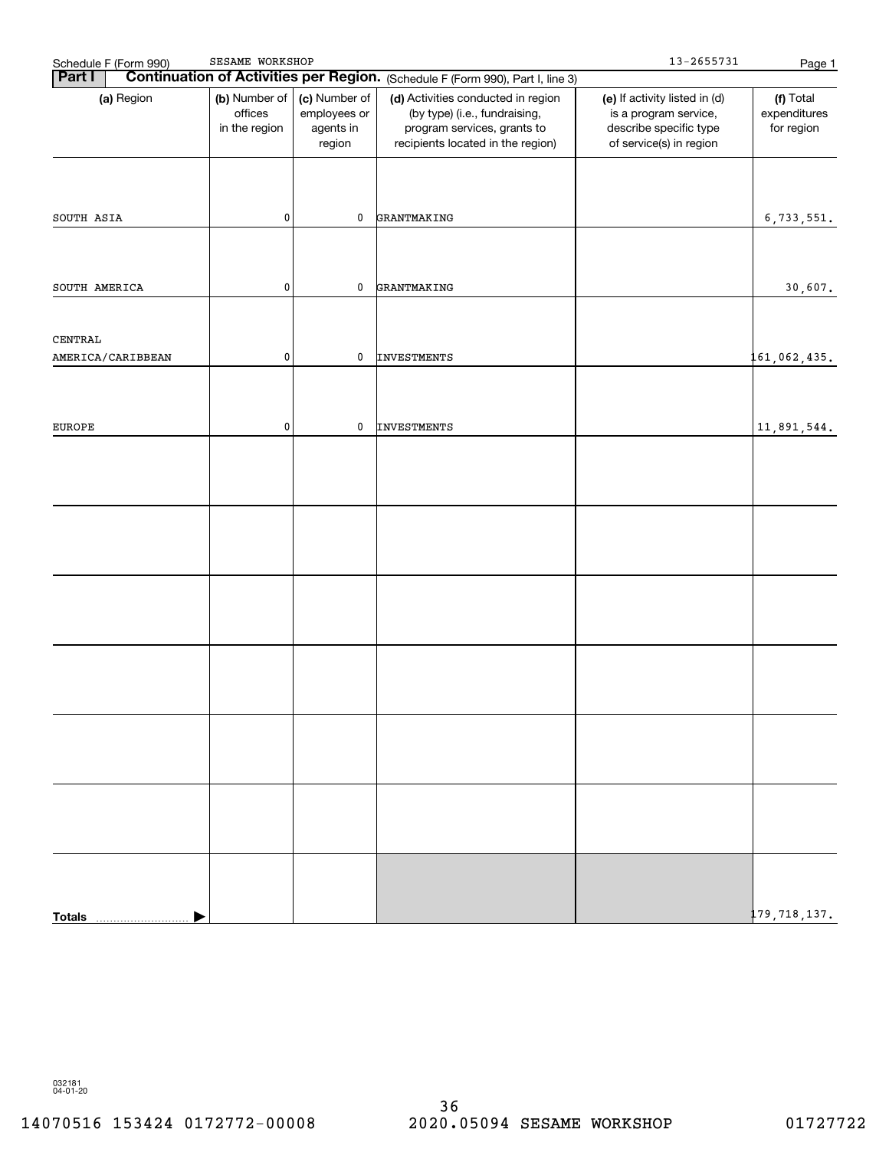| Schedule F (Form 990)        | SESAME WORKSHOP                           |                                                      |                                                                                                                                                                                                                           | 13-2655731                                                                                                  | Page 1                                  |
|------------------------------|-------------------------------------------|------------------------------------------------------|---------------------------------------------------------------------------------------------------------------------------------------------------------------------------------------------------------------------------|-------------------------------------------------------------------------------------------------------------|-----------------------------------------|
| Part I<br>(a) Region         | (b) Number of<br>offices<br>in the region | (c) Number of<br>employees or<br>agents in<br>region | Continuation of Activities per Region. (Schedule F (Form 990), Part I, line 3)<br>(d) Activities conducted in region<br>(by type) (i.e., fundraising,<br>program services, grants to<br>recipients located in the region) | (e) If activity listed in (d)<br>is a program service,<br>describe specific type<br>of service(s) in region | (f) Total<br>expenditures<br>for region |
|                              |                                           |                                                      |                                                                                                                                                                                                                           |                                                                                                             |                                         |
| SOUTH ASIA                   | 0                                         | $\pmb{0}$                                            | GRANTMAKING                                                                                                                                                                                                               |                                                                                                             | 6,733,551.                              |
| SOUTH AMERICA                | 0                                         | 0                                                    | GRANTMAKING                                                                                                                                                                                                               |                                                                                                             | 30,607.                                 |
| CENTRAL<br>AMERICA/CARIBBEAN | $\pmb{0}$                                 | 0                                                    | <b>INVESTMENTS</b>                                                                                                                                                                                                        |                                                                                                             | <b>.</b> 61,062,435,                    |
|                              |                                           |                                                      |                                                                                                                                                                                                                           |                                                                                                             |                                         |
| <b>EUROPE</b>                | 0                                         | 0                                                    | <b>INVESTMENTS</b>                                                                                                                                                                                                        |                                                                                                             | 11,891,544.                             |
|                              |                                           |                                                      |                                                                                                                                                                                                                           |                                                                                                             |                                         |
|                              |                                           |                                                      |                                                                                                                                                                                                                           |                                                                                                             |                                         |
|                              |                                           |                                                      |                                                                                                                                                                                                                           |                                                                                                             |                                         |
|                              |                                           |                                                      |                                                                                                                                                                                                                           |                                                                                                             |                                         |
|                              |                                           |                                                      |                                                                                                                                                                                                                           |                                                                                                             |                                         |
|                              |                                           |                                                      |                                                                                                                                                                                                                           |                                                                                                             |                                         |
|                              |                                           |                                                      |                                                                                                                                                                                                                           |                                                                                                             |                                         |
|                              |                                           |                                                      |                                                                                                                                                                                                                           |                                                                                                             |                                         |
| <b>Totals</b>                |                                           |                                                      |                                                                                                                                                                                                                           |                                                                                                             | ,79,718,137,                            |

032181 04-01-20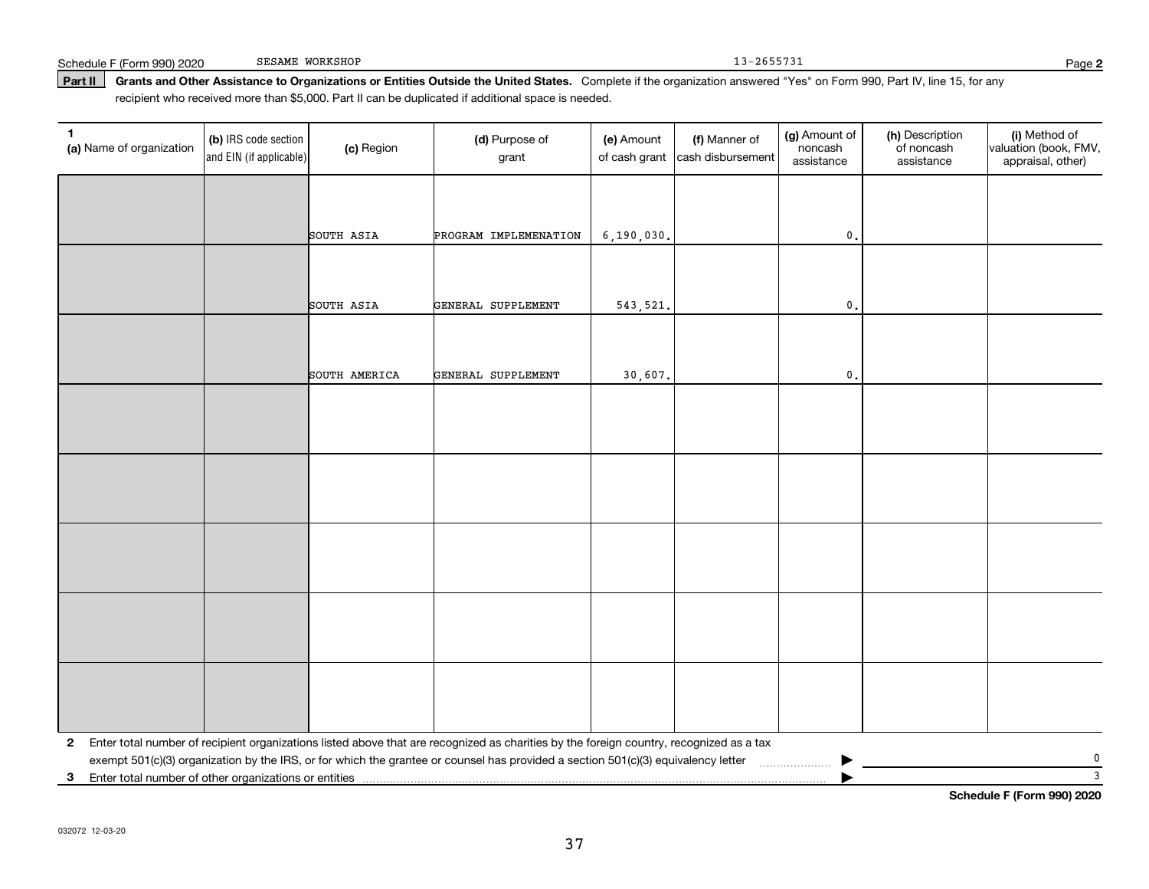| 1<br>(a) Name of organization | (b) IRS code section<br>and EIN (if applicable) | (c) Region    | (d) Purpose of<br>grant                                                                                                                                                                                                                                                      | (e) Amount<br>of cash grant | (f) Manner of<br>cash disbursement | (g) Amount of<br>noncash<br>assistance | (h) Description<br>of noncash<br>assistance | (i) Method of<br>valuation (book, FMV,<br>appraisal, other) |
|-------------------------------|-------------------------------------------------|---------------|------------------------------------------------------------------------------------------------------------------------------------------------------------------------------------------------------------------------------------------------------------------------------|-----------------------------|------------------------------------|----------------------------------------|---------------------------------------------|-------------------------------------------------------------|
|                               |                                                 |               |                                                                                                                                                                                                                                                                              |                             |                                    |                                        |                                             |                                                             |
|                               |                                                 |               |                                                                                                                                                                                                                                                                              |                             |                                    |                                        |                                             |                                                             |
|                               |                                                 | SOUTH ASIA    | PROGRAM IMPLEMENATION                                                                                                                                                                                                                                                        | 6, 190, 030.                |                                    | $\mathfrak o$ .                        |                                             |                                                             |
|                               |                                                 |               |                                                                                                                                                                                                                                                                              |                             |                                    |                                        |                                             |                                                             |
|                               |                                                 | SOUTH ASIA    | GENERAL SUPPLEMENT                                                                                                                                                                                                                                                           | 543,521.                    |                                    | $\mathbf{0}$ .                         |                                             |                                                             |
|                               |                                                 |               |                                                                                                                                                                                                                                                                              |                             |                                    |                                        |                                             |                                                             |
|                               |                                                 |               |                                                                                                                                                                                                                                                                              |                             |                                    |                                        |                                             |                                                             |
|                               |                                                 | SOUTH AMERICA | GENERAL SUPPLEMENT                                                                                                                                                                                                                                                           | 30,607.                     |                                    | $\mathsf{0}$ .                         |                                             |                                                             |
|                               |                                                 |               |                                                                                                                                                                                                                                                                              |                             |                                    |                                        |                                             |                                                             |
|                               |                                                 |               |                                                                                                                                                                                                                                                                              |                             |                                    |                                        |                                             |                                                             |
|                               |                                                 |               |                                                                                                                                                                                                                                                                              |                             |                                    |                                        |                                             |                                                             |
|                               |                                                 |               |                                                                                                                                                                                                                                                                              |                             |                                    |                                        |                                             |                                                             |
|                               |                                                 |               |                                                                                                                                                                                                                                                                              |                             |                                    |                                        |                                             |                                                             |
|                               |                                                 |               |                                                                                                                                                                                                                                                                              |                             |                                    |                                        |                                             |                                                             |
|                               |                                                 |               |                                                                                                                                                                                                                                                                              |                             |                                    |                                        |                                             |                                                             |
|                               |                                                 |               |                                                                                                                                                                                                                                                                              |                             |                                    |                                        |                                             |                                                             |
|                               |                                                 |               |                                                                                                                                                                                                                                                                              |                             |                                    |                                        |                                             |                                                             |
|                               |                                                 |               |                                                                                                                                                                                                                                                                              |                             |                                    |                                        |                                             |                                                             |
|                               |                                                 |               |                                                                                                                                                                                                                                                                              |                             |                                    |                                        |                                             |                                                             |
|                               |                                                 |               |                                                                                                                                                                                                                                                                              |                             |                                    |                                        |                                             |                                                             |
| $\mathbf{2}$                  |                                                 |               | Enter total number of recipient organizations listed above that are recognized as charities by the foreign country, recognized as a tax<br>exempt 501(c)(3) organization by the IRS, or for which the grantee or counsel has provided a section 501(c)(3) equivalency letter |                             |                                    |                                        |                                             | $\pmb{0}$                                                   |
| 3                             |                                                 |               |                                                                                                                                                                                                                                                                              |                             |                                    |                                        |                                             |                                                             |

**Schedule F (Form 990) 2020**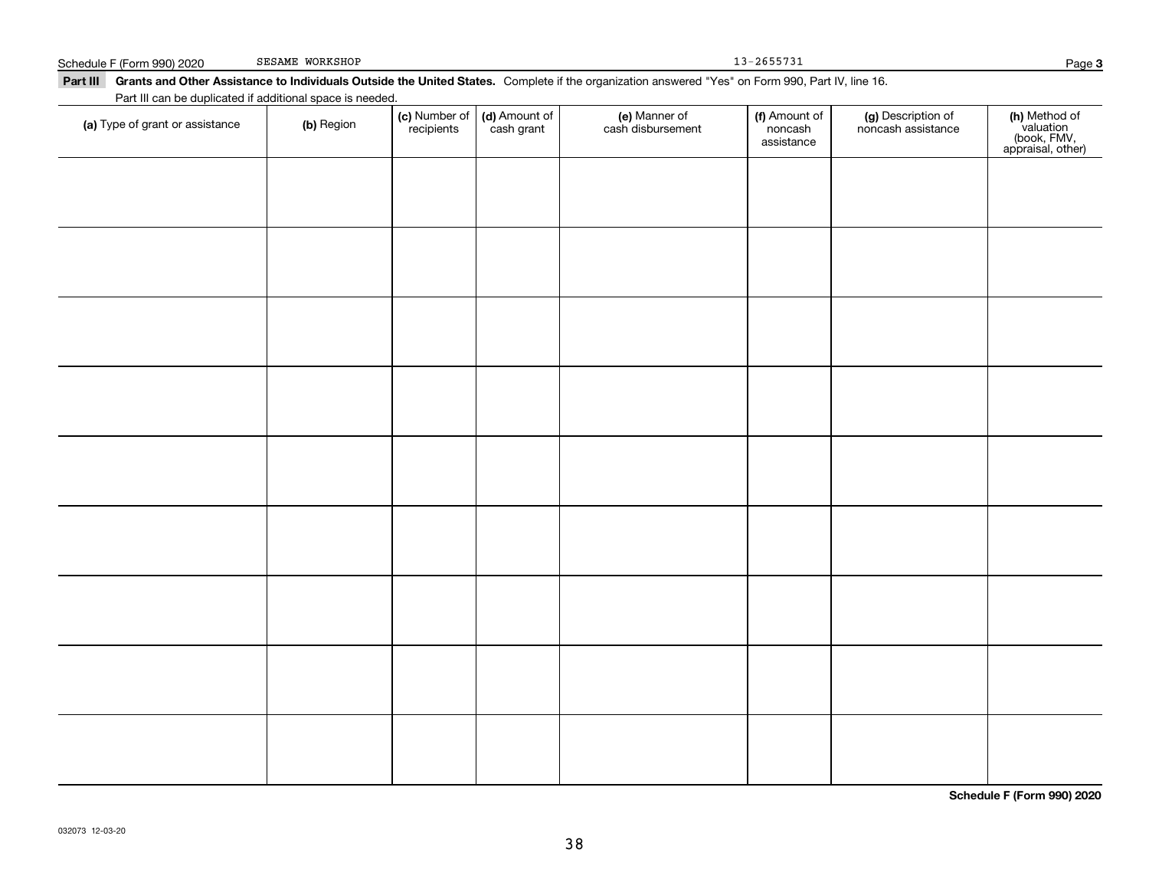| Part III can be duplicated if additional space is needed. |            |                             |                             |                                    |                                        |                                          |                                                                |
|-----------------------------------------------------------|------------|-----------------------------|-----------------------------|------------------------------------|----------------------------------------|------------------------------------------|----------------------------------------------------------------|
| (a) Type of grant or assistance                           | (b) Region | (c) Number of<br>recipients | (d) Amount of<br>cash grant | (e) Manner of<br>cash disbursement | (f) Amount of<br>noncash<br>assistance | (g) Description of<br>noncash assistance | (h) Method of<br>valuation<br>(book, FMV,<br>appraisal, other) |
|                                                           |            |                             |                             |                                    |                                        |                                          |                                                                |
|                                                           |            |                             |                             |                                    |                                        |                                          |                                                                |
|                                                           |            |                             |                             |                                    |                                        |                                          |                                                                |
|                                                           |            |                             |                             |                                    |                                        |                                          |                                                                |
|                                                           |            |                             |                             |                                    |                                        |                                          |                                                                |
|                                                           |            |                             |                             |                                    |                                        |                                          |                                                                |
|                                                           |            |                             |                             |                                    |                                        |                                          |                                                                |
|                                                           |            |                             |                             |                                    |                                        |                                          |                                                                |
|                                                           |            |                             |                             |                                    |                                        |                                          |                                                                |
|                                                           |            |                             |                             |                                    |                                        |                                          |                                                                |
|                                                           |            |                             |                             |                                    |                                        |                                          |                                                                |
|                                                           |            |                             |                             |                                    |                                        |                                          |                                                                |
|                                                           |            |                             |                             |                                    |                                        |                                          |                                                                |
|                                                           |            |                             |                             |                                    |                                        |                                          |                                                                |
|                                                           |            |                             |                             |                                    |                                        |                                          |                                                                |
|                                                           |            |                             |                             |                                    |                                        |                                          |                                                                |
|                                                           |            |                             |                             |                                    |                                        |                                          |                                                                |
|                                                           |            |                             |                             |                                    |                                        |                                          |                                                                |
|                                                           |            |                             |                             |                                    |                                        |                                          | Schedule F (Form 990) 2020                                     |

SESAME WORKSHOP

Part III Grants and Other Assistance to Individuals Outside the United States. Complete if the organization answered "Yes" on Form 990, Part IV, line 16.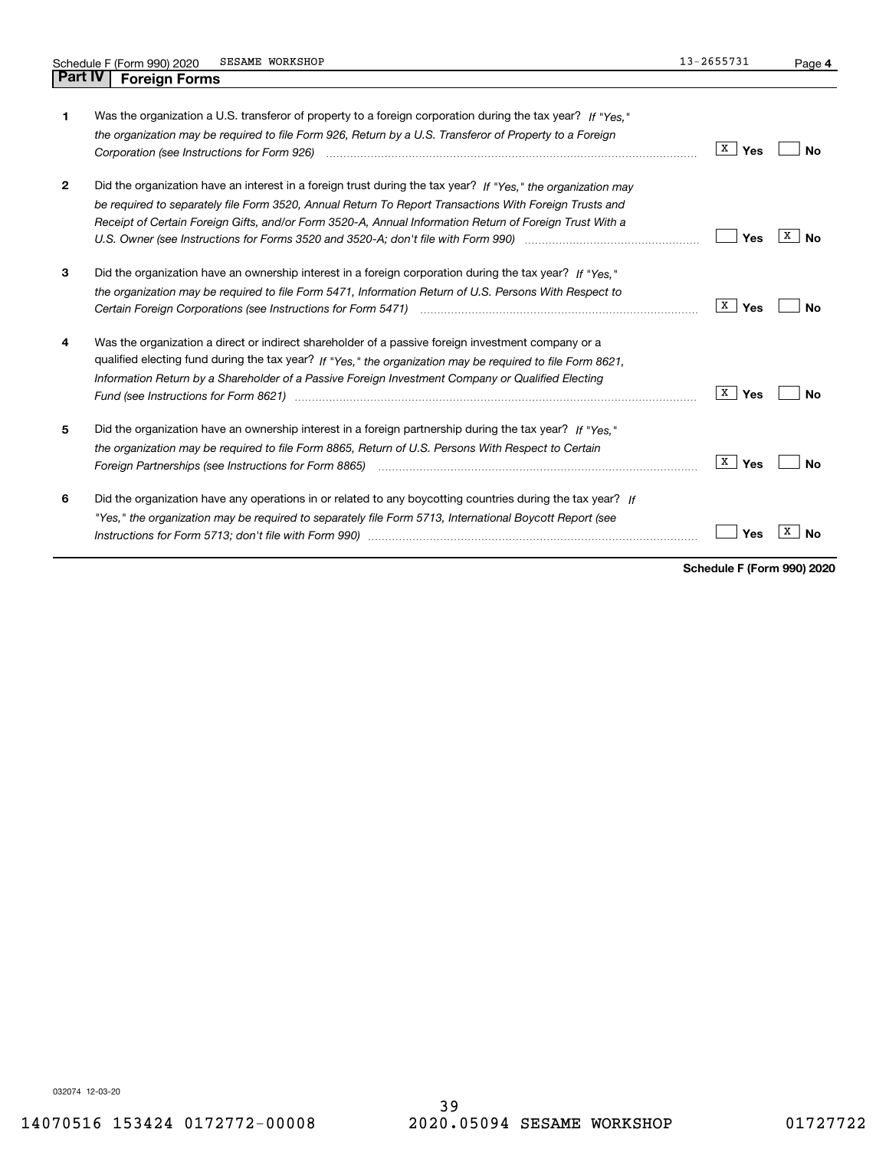| 1              | Was the organization a U.S. transferor of property to a foreign corporation during the tax year? If "Yes."<br>the organization may be required to file Form 926, Return by a U.S. Transferor of Property to a Foreign<br>Corporation (see Instructions for Form 926) <i>manual content content corporation</i> (see Instructions for Form 926) | X  <br>Yes | N٥      |
|----------------|------------------------------------------------------------------------------------------------------------------------------------------------------------------------------------------------------------------------------------------------------------------------------------------------------------------------------------------------|------------|---------|
| $\overline{2}$ | Did the organization have an interest in a foreign trust during the tax year? If "Yes." the organization may<br>be required to separately file Form 3520, Annual Return To Report Transactions With Foreign Trusts and<br>Receipt of Certain Foreign Gifts, and/or Form 3520-A, Annual Information Return of Foreign Trust With a              | Yes        | x<br>Nο |
| 3              | Did the organization have an ownership interest in a foreign corporation during the tax year? If "Yes."<br>the organization may be required to file Form 5471, Information Return of U.S. Persons With Respect to                                                                                                                              | X<br>Yes   | No      |
| 4              | Was the organization a direct or indirect shareholder of a passive foreign investment company or a<br>qualified electing fund during the tax year? If "Yes," the organization may be required to file Form 8621.<br>Information Return by a Shareholder of a Passive Foreign Investment Company or Qualified Electing                          | X  <br>Yes | Nο      |
| 5              | Did the organization have an ownership interest in a foreign partnership during the tax year? If "Yes."<br>the organization may be required to file Form 8865, Return of U.S. Persons With Respect to Certain                                                                                                                                  | X  <br>Yes | Nο      |
| 6              | Did the organization have any operations in or related to any boycotting countries during the tax year? If<br>"Yes," the organization may be required to separately file Form 5713, International Boycott Report (see                                                                                                                          | Yes        |         |

**Schedule F (Form 990) 2020**

032074 12-03-20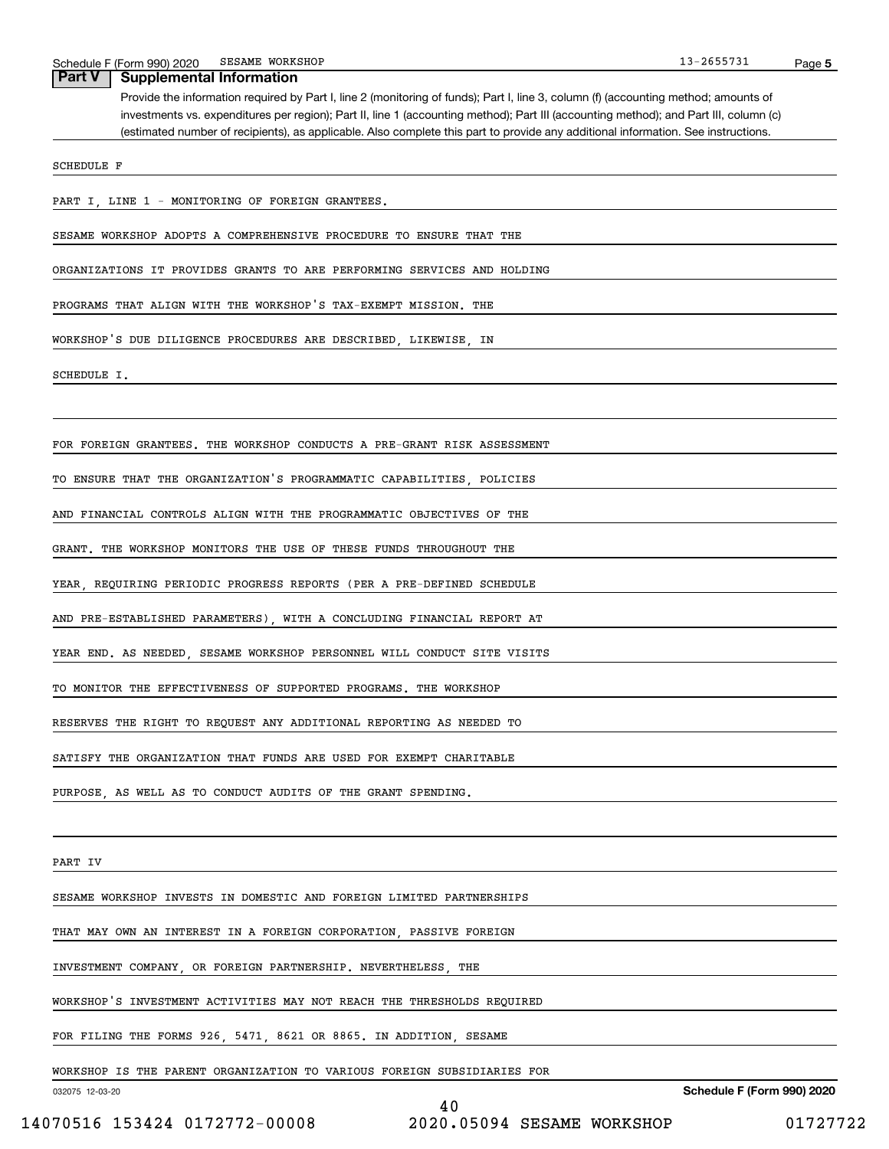**5**

#### **Part V Supplemental Information**

Provide the information required by Part I, line 2 (monitoring of funds); Part I, line 3, column (f) (accounting method; amounts of investments vs. expenditures per region); Part II, line 1 (accounting method); Part III (accounting method); and Part III, column (c) (estimated number of recipients), as applicable. Also complete this part to provide any additional information. See instructions.

SCHEDULE F

PART I, LINE 1 - MONITORING OF FOREIGN GRANTEES.

SESAME WORKSHOP ADOPTS A COMPREHENSIVE PROCEDURE TO ENSURE THAT THE

ORGANIZATIONS IT PROVIDES GRANTS TO ARE PERFORMING SERVICES AND HOLDING

PROGRAMS THAT ALIGN WITH THE WORKSHOP'S TAX-EXEMPT MISSION. THE

WORKSHOP'S DUE DILIGENCE PROCEDURES ARE DESCRIBED, LIKEWISE, IN

SCHEDULE I.

FOR FOREIGN GRANTEES. THE WORKSHOP CONDUCTS A PRE-GRANT RISK ASSESSMENT

TO ENSURE THAT THE ORGANIZATION'S PROGRAMMATIC CAPABILITIES, POLICIES

AND FINANCIAL CONTROLS ALIGN WITH THE PROGRAMMATIC OBJECTIVES OF THE

GRANT. THE WORKSHOP MONITORS THE USE OF THESE FUNDS THROUGHOUT THE

YEAR, REQUIRING PERIODIC PROGRESS REPORTS (PER A PRE-DEFINED SCHEDULE

AND PRE-ESTABLISHED PARAMETERS), WITH A CONCLUDING FINANCIAL REPORT AT

YEAR END. AS NEEDED, SESAME WORKSHOP PERSONNEL WILL CONDUCT SITE VISITS

TO MONITOR THE EFFECTIVENESS OF SUPPORTED PROGRAMS. THE WORKSHOP

RESERVES THE RIGHT TO REQUEST ANY ADDITIONAL REPORTING AS NEEDED TO

SATISFY THE ORGANIZATION THAT FUNDS ARE USED FOR EXEMPT CHARITABLE

PURPOSE, AS WELL AS TO CONDUCT AUDITS OF THE GRANT SPENDING.

PART IV

SESAME WORKSHOP INVESTS IN DOMESTIC AND FOREIGN LIMITED PARTNERSHIPS

THAT MAY OWN AN INTEREST IN A FOREIGN CORPORATION, PASSIVE FOREIGN

INVESTMENT COMPANY, OR FOREIGN PARTNERSHIP. NEVERTHELESS, THE

WORKSHOP'S INVESTMENT ACTIVITIES MAY NOT REACH THE THRESHOLDS REQUIRED

FOR FILING THE FORMS 926, 5471, 8621 OR 8865. IN ADDITION, SESAME

WORKSHOP IS THE PARENT ORGANIZATION TO VARIOUS FOREIGN SUBSIDIARIES FOR

40

032075 12-03-20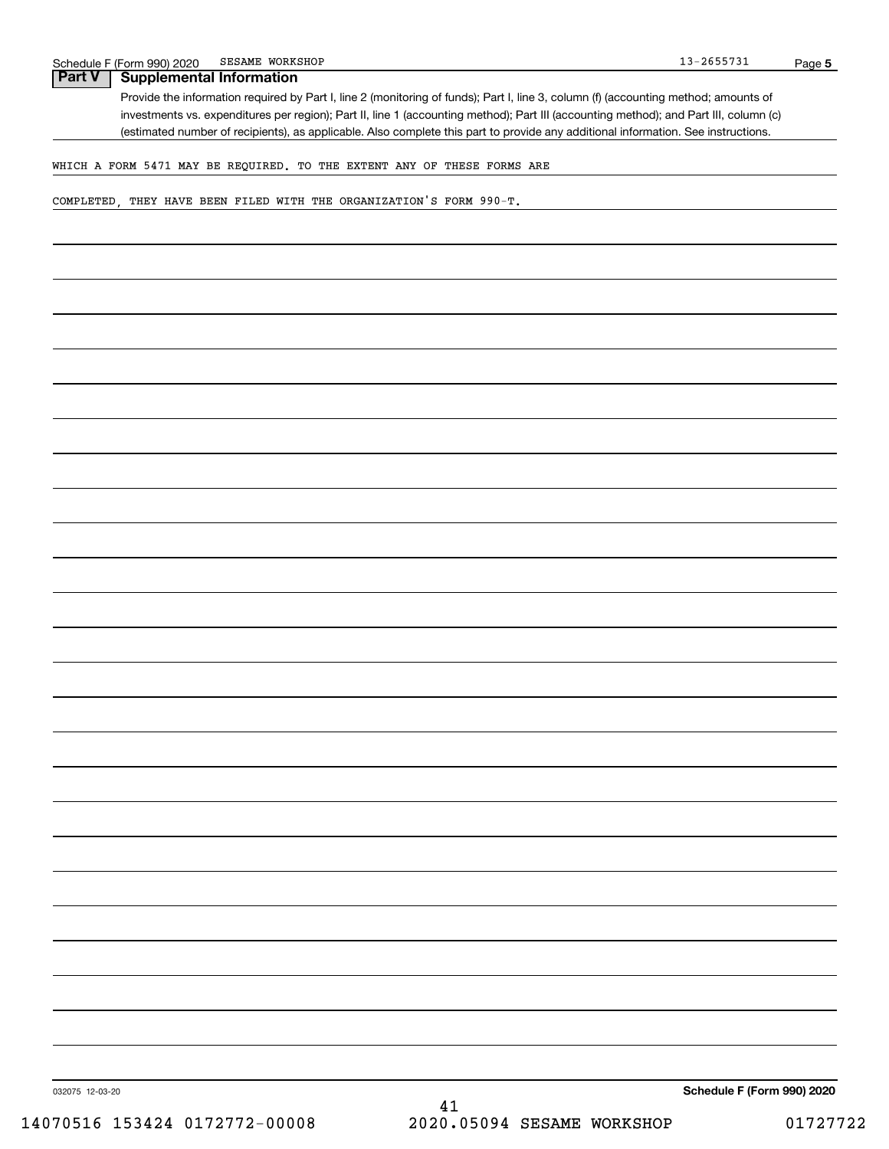### **Part V Supplemental Information**

Provide the information required by Part I, line 2 (monitoring of funds); Part I, line 3, column (f) (accounting method; amounts of investments vs. expenditures per region); Part II, line 1 (accounting method); Part III (accounting method); and Part III, column (c) (estimated number of recipients), as applicable. Also complete this part to provide any additional information. See instructions.

WHICH A FORM 5471 MAY BE REQUIRED. TO THE EXTENT ANY OF THESE FORMS ARE

COMPLETED, THEY HAVE BEEN FILED WITH THE ORGANIZATION'S FORM 990-T.

**Schedule F (Form 990) 2020**

032075 12-03-20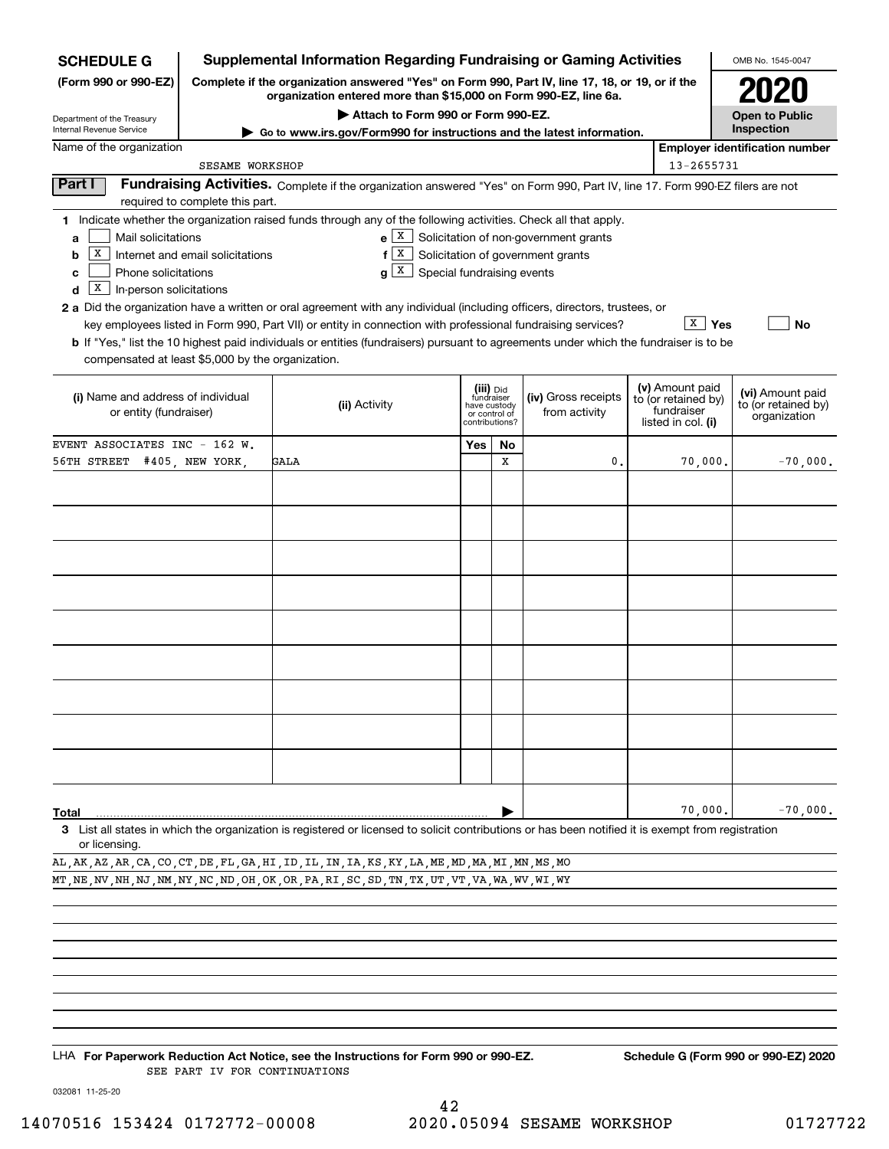| <b>SCHEDULE G</b>                                      |                                  | <b>Supplemental Information Regarding Fundraising or Gaming Activities</b>                                                                                          |                                     |                                 |                                       |  |                                  | OMB No. 1545-0047                       |  |
|--------------------------------------------------------|----------------------------------|---------------------------------------------------------------------------------------------------------------------------------------------------------------------|-------------------------------------|---------------------------------|---------------------------------------|--|----------------------------------|-----------------------------------------|--|
| (Form 990 or 990-EZ)                                   |                                  | Complete if the organization answered "Yes" on Form 990, Part IV, line 17, 18, or 19, or if the<br>organization entered more than \$15,000 on Form 990-EZ, line 6a. |                                     |                                 |                                       |  |                                  |                                         |  |
| Department of the Treasury<br>Internal Revenue Service |                                  |                                                                                                                                                                     | <b>Open to Public</b><br>Inspection |                                 |                                       |  |                                  |                                         |  |
| Name of the organization                               |                                  | Go to www.irs.gov/Form990 for instructions and the latest information.<br><b>Employer identification number</b>                                                     |                                     |                                 |                                       |  |                                  |                                         |  |
|                                                        | <b>SESAME WORKSHOP</b>           |                                                                                                                                                                     |                                     |                                 |                                       |  | 13-2655731                       |                                         |  |
| Part I                                                 | required to complete this part.  | Fundraising Activities. Complete if the organization answered "Yes" on Form 990, Part IV, line 17. Form 990-EZ filers are not                                       |                                     |                                 |                                       |  |                                  |                                         |  |
|                                                        |                                  | 1 Indicate whether the organization raised funds through any of the following activities. Check all that apply.                                                     |                                     |                                 |                                       |  |                                  |                                         |  |
| Mail solicitations<br>a                                |                                  | $e$   X                                                                                                                                                             |                                     |                                 | Solicitation of non-government grants |  |                                  |                                         |  |
| x  <br>b                                               | Internet and email solicitations | X  <br>f                                                                                                                                                            |                                     |                                 | Solicitation of government grants     |  |                                  |                                         |  |
| Phone solicitations<br>c                               |                                  | g[X]<br>Special fundraising events                                                                                                                                  |                                     |                                 |                                       |  |                                  |                                         |  |
| $\overline{X}$ In-person solicitations<br>d            |                                  |                                                                                                                                                                     |                                     |                                 |                                       |  |                                  |                                         |  |
|                                                        |                                  | 2 a Did the organization have a written or oral agreement with any individual (including officers, directors, trustees, or                                          |                                     |                                 |                                       |  |                                  |                                         |  |
|                                                        |                                  | key employees listed in Form 990, Part VII) or entity in connection with professional fundraising services?                                                         |                                     |                                 |                                       |  | X  <br>Yes                       | <b>No</b>                               |  |
|                                                        |                                  | b If "Yes," list the 10 highest paid individuals or entities (fundraisers) pursuant to agreements under which the fundraiser is to be                               |                                     |                                 |                                       |  |                                  |                                         |  |
| compensated at least \$5,000 by the organization.      |                                  |                                                                                                                                                                     |                                     |                                 |                                       |  |                                  |                                         |  |
|                                                        |                                  |                                                                                                                                                                     |                                     | (iii) Did                       |                                       |  | (v) Amount paid                  |                                         |  |
| (i) Name and address of individual                     |                                  | (ii) Activity                                                                                                                                                       | fundraiser<br>have custody          |                                 | (iv) Gross receipts                   |  | to (or retained by)              | (vi) Amount paid<br>to (or retained by) |  |
| or entity (fundraiser)                                 |                                  |                                                                                                                                                                     |                                     | or control of<br>contributions? | from activity                         |  | fundraiser<br>listed in col. (i) | organization                            |  |
| EVENT ASSOCIATES INC - 162 W.                          |                                  |                                                                                                                                                                     | Yes                                 | No                              |                                       |  |                                  |                                         |  |
| 56TH STREET                                            | $#405$ , NEW YORK,               | GALA                                                                                                                                                                |                                     | x                               | 0.                                    |  | 70,000.                          | $-70,000.$                              |  |
|                                                        |                                  |                                                                                                                                                                     |                                     |                                 |                                       |  |                                  |                                         |  |
|                                                        |                                  |                                                                                                                                                                     |                                     |                                 |                                       |  |                                  |                                         |  |
|                                                        |                                  |                                                                                                                                                                     |                                     |                                 |                                       |  |                                  |                                         |  |
|                                                        |                                  |                                                                                                                                                                     |                                     |                                 |                                       |  |                                  |                                         |  |
|                                                        |                                  |                                                                                                                                                                     |                                     |                                 |                                       |  |                                  |                                         |  |
|                                                        |                                  |                                                                                                                                                                     |                                     |                                 |                                       |  |                                  |                                         |  |
|                                                        |                                  |                                                                                                                                                                     |                                     |                                 |                                       |  |                                  |                                         |  |
|                                                        |                                  |                                                                                                                                                                     |                                     |                                 |                                       |  |                                  |                                         |  |
|                                                        |                                  |                                                                                                                                                                     |                                     |                                 |                                       |  |                                  |                                         |  |
|                                                        |                                  |                                                                                                                                                                     |                                     |                                 |                                       |  |                                  |                                         |  |
|                                                        |                                  |                                                                                                                                                                     |                                     |                                 |                                       |  |                                  |                                         |  |
|                                                        |                                  |                                                                                                                                                                     |                                     |                                 |                                       |  |                                  |                                         |  |
|                                                        |                                  |                                                                                                                                                                     |                                     |                                 |                                       |  |                                  |                                         |  |
| Total                                                  |                                  |                                                                                                                                                                     |                                     |                                 |                                       |  | 70,000.                          | $-70,000.$                              |  |
| 3<br>or licensing.                                     |                                  | List all states in which the organization is registered or licensed to solicit contributions or has been notified it is exempt from registration                    |                                     |                                 |                                       |  |                                  |                                         |  |
|                                                        |                                  | AL, AK, AZ, AR, CA, CO, CT, DE, FL, GA, HI, ID, IL, IN, IA, KS, KY, LA, ME, MD, MA, MI, MN, MS, MO                                                                  |                                     |                                 |                                       |  |                                  |                                         |  |

MT,NE,NV,NH,NJ,NM,NY,NC,ND,OH,OK,OR,PA,RI,SC,SD,TN,TX,UT,VT,VA,WA,WV,WI,WY

LHA For Paperwork Reduction Act Notice, see the Instructions for Form 990 or 990-EZ. Schedule G (Form 990 or 990-EZ) 2020 SEE PART IV FOR CONTINUATIONS

032081 11-25-20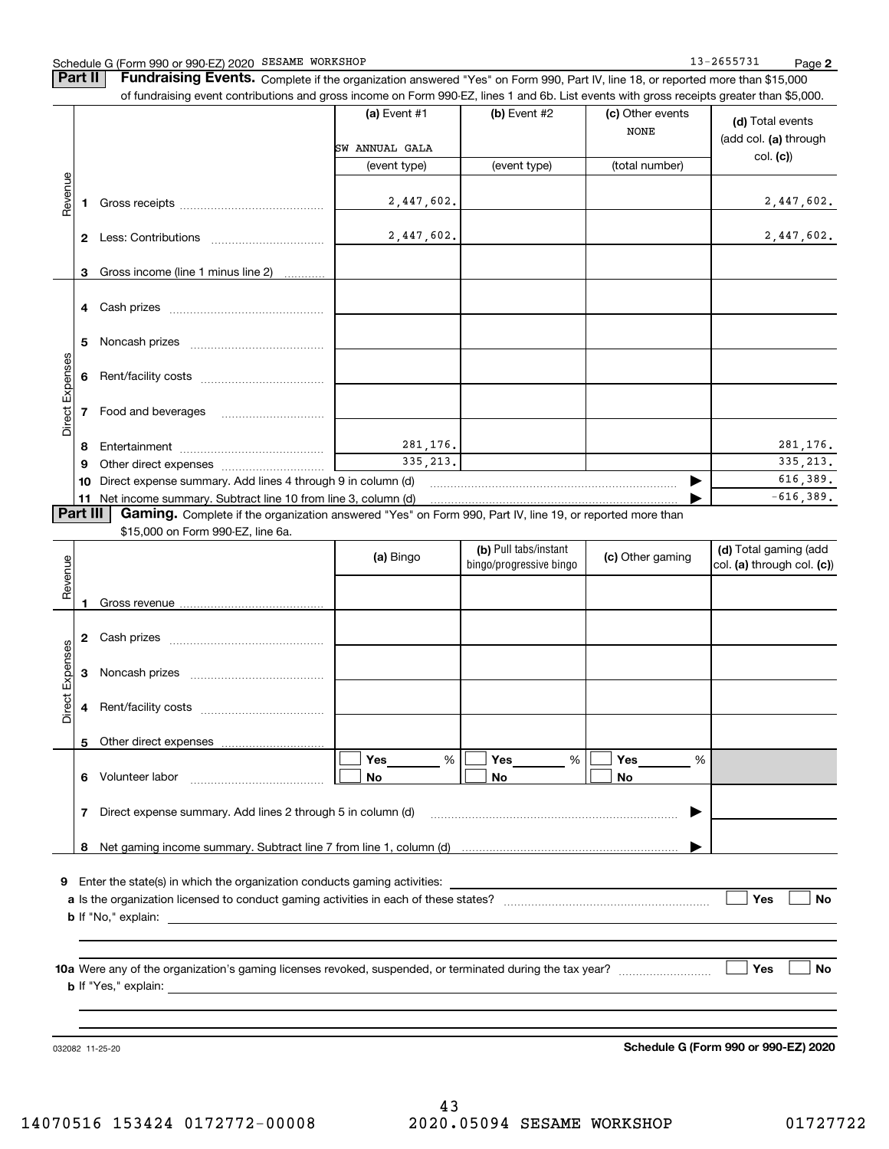| `e G (Form 990 or 990-EZ) 2020<br>Schedule G | WORKSHOP<br>SESAME | $-2655731$ | Page |
|----------------------------------------------|--------------------|------------|------|
|----------------------------------------------|--------------------|------------|------|

**Part II** | Fundraising Events. Complete if the organization answered "Yes" on Form 990, Part IV, line 18, or reported more than \$15,000 of fundraising event contributions and gross income on Form 990-EZ, lines 1 and 6b. List events with gross receipts greater than \$5,000.

|                        |    |                                                                                                          | (a) Event $#1$        | (b) Event #2                                     | (c) Other events<br><b>NONE</b> | (d) Total events                                    |
|------------------------|----|----------------------------------------------------------------------------------------------------------|-----------------------|--------------------------------------------------|---------------------------------|-----------------------------------------------------|
|                        |    |                                                                                                          | <b>SW ANNUAL GALA</b> |                                                  |                                 | (add col. (a) through                               |
|                        |    |                                                                                                          | (event type)          | (event type)                                     | (total number)                  | col. (c)                                            |
| Revenue                | 1. |                                                                                                          | 2,447,602.            |                                                  |                                 | 2,447,602.                                          |
|                        |    |                                                                                                          | 2,447,602.            |                                                  |                                 | 2,447,602.                                          |
|                        | 3  | Gross income (line 1 minus line 2)                                                                       |                       |                                                  |                                 |                                                     |
|                        |    |                                                                                                          |                       |                                                  |                                 |                                                     |
|                        | 5  |                                                                                                          |                       |                                                  |                                 |                                                     |
|                        | 6  |                                                                                                          |                       |                                                  |                                 |                                                     |
| Direct Expenses        | 7  | Food and beverages                                                                                       |                       |                                                  |                                 |                                                     |
|                        | 8  |                                                                                                          | 281, 176.             |                                                  |                                 | 281,176.                                            |
|                        | 9  |                                                                                                          | 335, 213.             |                                                  |                                 | 335, 213.                                           |
|                        | 10 | Direct expense summary. Add lines 4 through 9 in column (d)                                              |                       |                                                  |                                 | 616,389.                                            |
|                        |    | 11 Net income summary. Subtract line 10 from line 3, column (d)                                          |                       |                                                  |                                 | $-616, 389.$                                        |
| Part III               |    | Gaming. Complete if the organization answered "Yes" on Form 990, Part IV, line 19, or reported more than |                       |                                                  |                                 |                                                     |
|                        |    | \$15,000 on Form 990-EZ, line 6a.                                                                        |                       |                                                  |                                 |                                                     |
| Revenue                |    |                                                                                                          | (a) Bingo             | (b) Pull tabs/instant<br>bingo/progressive bingo | (c) Other gaming                | (d) Total gaming (add<br>col. (a) through col. (c)) |
|                        |    |                                                                                                          |                       |                                                  |                                 |                                                     |
|                        |    |                                                                                                          |                       |                                                  |                                 |                                                     |
|                        |    |                                                                                                          |                       |                                                  |                                 |                                                     |
| <b>Direct Expenses</b> | 3  |                                                                                                          |                       |                                                  |                                 |                                                     |
|                        |    |                                                                                                          |                       |                                                  |                                 |                                                     |

**9**Enter the state(s) in which the organization conducts gaming activities:

**8**Net gaming income summary. Subtract line 7 from line 1, column (d)

**7**Direct expense summary. Add lines 2 through 5 in column (d)

**6** Volunteer labor  $\ldots$   $\ldots$   $\ldots$   $\ldots$   $\ldots$   $\ldots$   $\ldots$   $\ldots$ 

**a**Is the organization licensed to conduct gaming activities in each of these states? ~~~~~~~~~~~~~~~~~~~~**b**If "No," explain: **Yes**  $\mathcal{L}^{\text{max}}$ 

%

 $\boxed{\Box}$  Yes \_\_\_\_\_\_\_ %  $\boxed{\Box}$  Yes \_\_\_\_\_\_\_ %  $\boxed{\Box}$ 

**10a** Were any of the organization's gaming licenses revoked, suspended, or terminated during the tax year? \_\_\_\_\_\_\_\_\_\_\_\_\_\_\_\_\_ **b** If "Yes," explain: **Yes**

**Yes**

 $\mathcal{L}^{\text{max}}$ 

 $\mathcal{L}^{\text{max}}$ 

**No**

032082 11-25-20

Other direct expenses

**5**

**Schedule G (Form 990 or 990-EZ) 2020**

…… ▶

**Yes Yes**

% %

~~~~~~~~~~~~~~~~~~~~~~~~ |

**No No**

**No**

**No**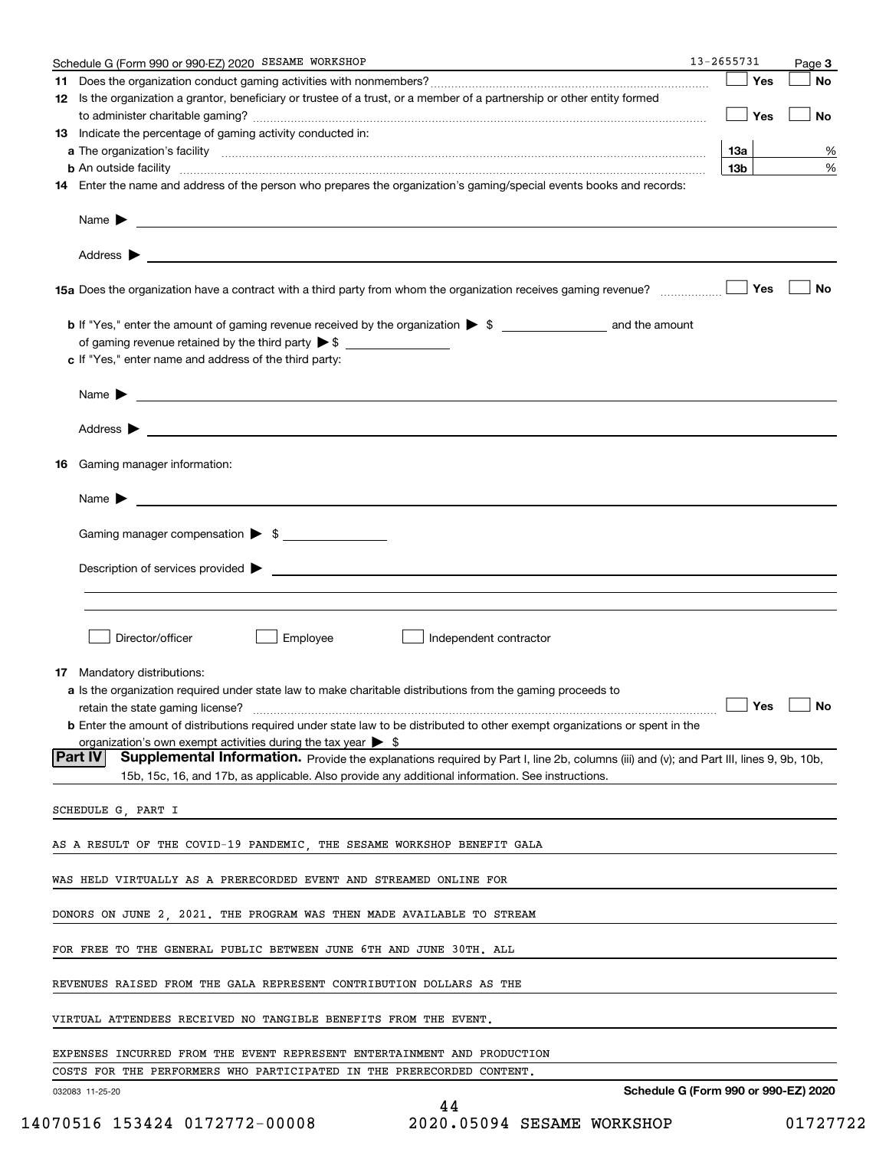| Schedule G (Form 990 or 990-EZ) 2020 SESAME WORKSHOP                                                                                                                                                                                                         | 13-2655731                           | Page 3 |
|--------------------------------------------------------------------------------------------------------------------------------------------------------------------------------------------------------------------------------------------------------------|--------------------------------------|--------|
|                                                                                                                                                                                                                                                              | Yes                                  | No     |
| 12 Is the organization a grantor, beneficiary or trustee of a trust, or a member of a partnership or other entity formed                                                                                                                                     | Yes                                  | No     |
| <b>13</b> Indicate the percentage of gaming activity conducted in:                                                                                                                                                                                           |                                      |        |
|                                                                                                                                                                                                                                                              | 13a                                  | %      |
| <b>b</b> An outside facility <i>www.communically.communically.communically.communically.communically.communically.communically.communically.communically.communically.communically.communically.communically.communically.communicall</i>                    | 13 <sub>b</sub>                      | %      |
| 14 Enter the name and address of the person who prepares the organization's gaming/special events books and records:                                                                                                                                         |                                      |        |
|                                                                                                                                                                                                                                                              |                                      |        |
|                                                                                                                                                                                                                                                              |                                      |        |
| 15a Does the organization have a contract with a third party from whom the organization receives gaming revenue?                                                                                                                                             | Yes                                  | No     |
|                                                                                                                                                                                                                                                              |                                      |        |
| of gaming revenue retained by the third party $\triangleright$ \$                                                                                                                                                                                            |                                      |        |
| c If "Yes," enter name and address of the third party:                                                                                                                                                                                                       |                                      |        |
| Name $\blacktriangleright$ $\lrcorner$                                                                                                                                                                                                                       |                                      |        |
|                                                                                                                                                                                                                                                              |                                      |        |
|                                                                                                                                                                                                                                                              |                                      |        |
| Gaming manager information:<br>16                                                                                                                                                                                                                            |                                      |        |
| $Name \rightarrow$                                                                                                                                                                                                                                           |                                      |        |
| Gaming manager compensation > \$                                                                                                                                                                                                                             |                                      |        |
|                                                                                                                                                                                                                                                              |                                      |        |
| $Description of services provided$ $\triangleright$                                                                                                                                                                                                          |                                      |        |
|                                                                                                                                                                                                                                                              |                                      |        |
|                                                                                                                                                                                                                                                              |                                      |        |
| Director/officer<br>Employee<br>Independent contractor                                                                                                                                                                                                       |                                      |        |
| <b>17</b> Mandatory distributions:                                                                                                                                                                                                                           |                                      |        |
| a Is the organization required under state law to make charitable distributions from the gaming proceeds to                                                                                                                                                  |                                      |        |
|                                                                                                                                                                                                                                                              | $\Box$ Yes $\Box$ No                 |        |
| <b>b</b> Enter the amount of distributions required under state law to be distributed to other exempt organizations or spent in the                                                                                                                          |                                      |        |
| organization's own exempt activities during the tax year $\triangleright$ \$                                                                                                                                                                                 |                                      |        |
| <b>Part IV</b><br>Supplemental Information. Provide the explanations required by Part I, line 2b, columns (iii) and (v); and Part III, lines 9, 9b, 10b,<br>15b, 15c, 16, and 17b, as applicable. Also provide any additional information. See instructions. |                                      |        |
| SCHEDULE G. PART I                                                                                                                                                                                                                                           |                                      |        |
|                                                                                                                                                                                                                                                              |                                      |        |
| AS A RESULT OF THE COVID-19 PANDEMIC THE SESAME WORKSHOP BENEFIT GALA                                                                                                                                                                                        |                                      |        |
| WAS HELD VIRTUALLY AS A PRERECORDED EVENT AND STREAMED ONLINE FOR                                                                                                                                                                                            |                                      |        |
| DONORS ON JUNE 2, 2021. THE PROGRAM WAS THEN MADE AVAILABLE TO STREAM                                                                                                                                                                                        |                                      |        |
| FOR FREE TO THE GENERAL PUBLIC BETWEEN JUNE 6TH AND JUNE 30TH. ALL                                                                                                                                                                                           |                                      |        |
| REVENUES RAISED FROM THE GALA REPRESENT CONTRIBUTION DOLLARS AS THE                                                                                                                                                                                          |                                      |        |
| VIRTUAL ATTENDEES RECEIVED NO TANGIBLE BENEFITS FROM THE EVENT.                                                                                                                                                                                              |                                      |        |
| EXPENSES INCURRED FROM THE EVENT REPRESENT ENTERTAINMENT AND PRODUCTION                                                                                                                                                                                      |                                      |        |
| COSTS FOR THE PERFORMERS WHO PARTICIPATED IN THE PRERECORDED CONTENT.                                                                                                                                                                                        |                                      |        |
| 032083 11-25-20<br>44                                                                                                                                                                                                                                        | Schedule G (Form 990 or 990-EZ) 2020 |        |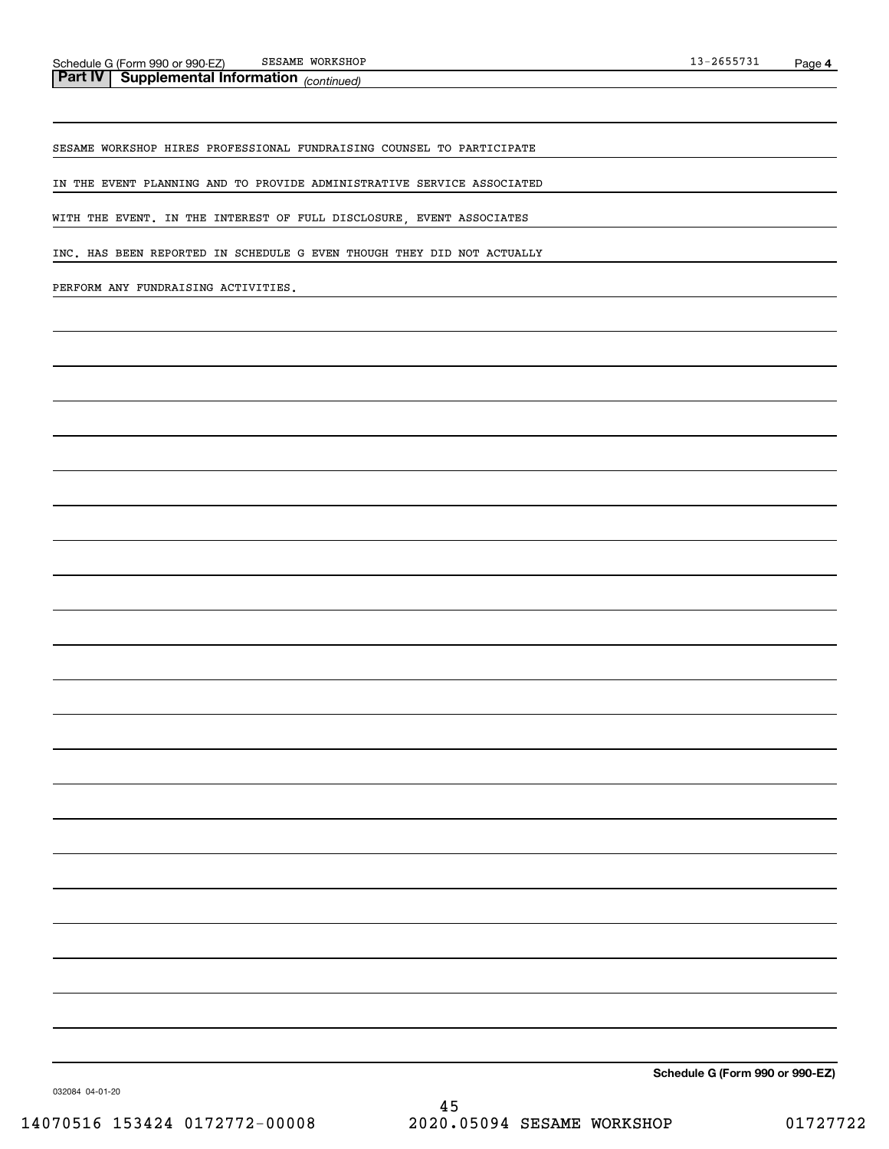SESAME WORKSHOP HIRES PROFESSIONAL FUNDRAISING COUNSEL TO PARTICIPATE

IN THE EVENT PLANNING AND TO PROVIDE ADMINISTRATIVE SERVICE ASSOCIATED

WITH THE EVENT. IN THE INTEREST OF FULL DISCLOSURE, EVENT ASSOCIATES

INC. HAS BEEN REPORTED IN SCHEDULE G EVEN THOUGH THEY DID NOT ACTUALLY

PERFORM ANY FUNDRAISING ACTIVITIES.

**Schedule G (Form 990 or 990-EZ)**

032084 04-01-20

45 14070516 153424 0172772-00008 2020.05094 SESAME WORKSHOP 01727722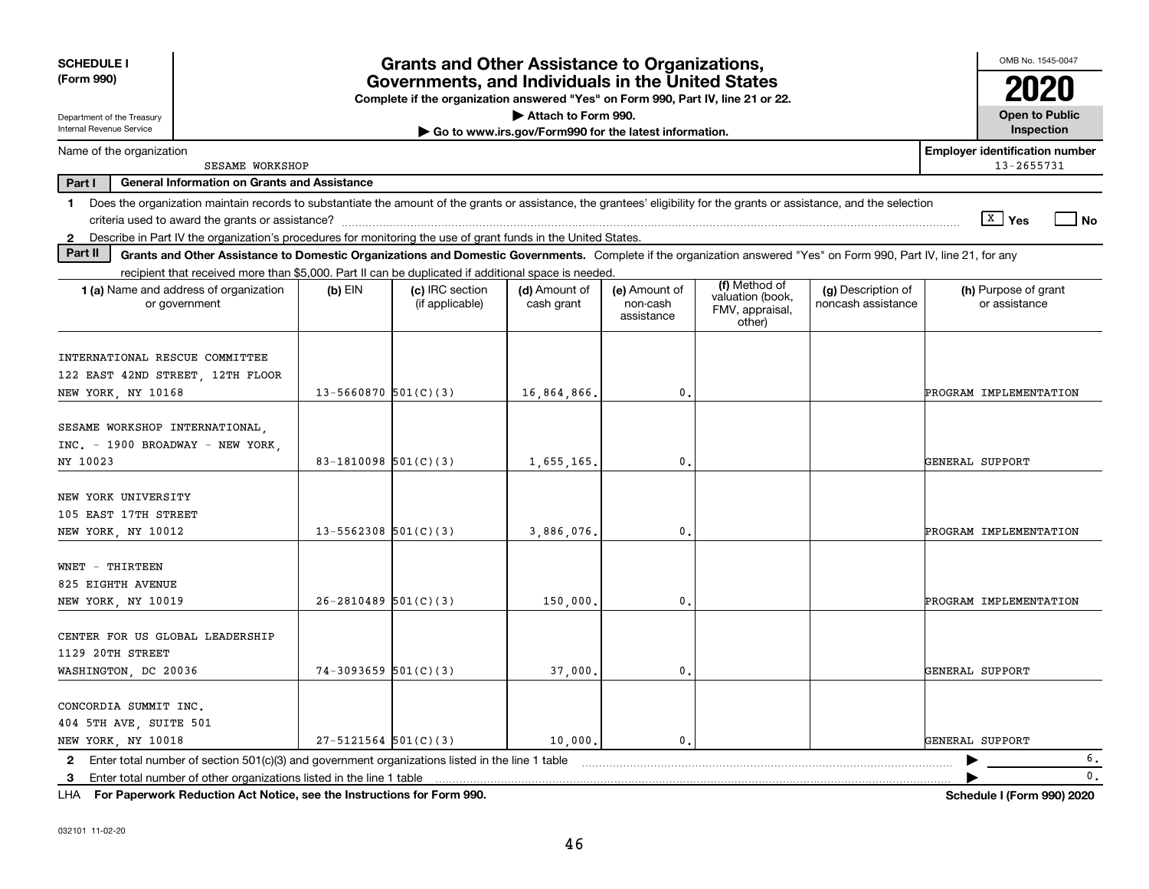| <b>SCHEDULE I</b><br>(Form 990)                                                                                                                                                |                            | <b>Grants and Other Assistance to Organizations,</b><br>Governments, and Individuals in the United States |                                                       |                                         |                                               |                                          | OMB No. 1545-0047                                   |
|--------------------------------------------------------------------------------------------------------------------------------------------------------------------------------|----------------------------|-----------------------------------------------------------------------------------------------------------|-------------------------------------------------------|-----------------------------------------|-----------------------------------------------|------------------------------------------|-----------------------------------------------------|
|                                                                                                                                                                                |                            | Complete if the organization answered "Yes" on Form 990, Part IV, line 21 or 22.                          |                                                       |                                         |                                               |                                          |                                                     |
| Department of the Treasury                                                                                                                                                     |                            |                                                                                                           | Attach to Form 990.                                   |                                         |                                               |                                          | <b>Open to Public</b>                               |
| Internal Revenue Service                                                                                                                                                       |                            |                                                                                                           | Go to www.irs.gov/Form990 for the latest information. |                                         |                                               |                                          | Inspection                                          |
| Name of the organization<br><b>SESAME WORKSHOP</b>                                                                                                                             |                            |                                                                                                           |                                                       |                                         |                                               |                                          | <b>Employer identification number</b><br>13-2655731 |
| <b>General Information on Grants and Assistance</b><br>Part I                                                                                                                  |                            |                                                                                                           |                                                       |                                         |                                               |                                          |                                                     |
| Does the organization maintain records to substantiate the amount of the grants or assistance, the grantees' eligibility for the grants or assistance, and the selection<br>1. |                            |                                                                                                           |                                                       |                                         |                                               |                                          |                                                     |
|                                                                                                                                                                                |                            |                                                                                                           |                                                       |                                         |                                               |                                          | $\sqrt{X}$ Yes<br>l No                              |
| Describe in Part IV the organization's procedures for monitoring the use of grant funds in the United States.<br>$\mathbf{2}$                                                  |                            |                                                                                                           |                                                       |                                         |                                               |                                          |                                                     |
| Part II<br>Grants and Other Assistance to Domestic Organizations and Domestic Governments. Complete if the organization answered "Yes" on Form 990, Part IV, line 21, for any  |                            |                                                                                                           |                                                       |                                         |                                               |                                          |                                                     |
| recipient that received more than \$5,000. Part II can be duplicated if additional space is needed.                                                                            |                            |                                                                                                           |                                                       |                                         | (f) Method of                                 |                                          |                                                     |
| 1 (a) Name and address of organization<br>or government                                                                                                                        | $(b)$ EIN                  | (c) IRC section<br>(if applicable)                                                                        | (d) Amount of<br>cash grant                           | (e) Amount of<br>non-cash<br>assistance | valuation (book,<br>FMV, appraisal,<br>other) | (g) Description of<br>noncash assistance | (h) Purpose of grant<br>or assistance               |
| INTERNATIONAL RESCUE COMMITTEE<br>122 EAST 42ND STREET, 12TH FLOOR                                                                                                             | $13 - 5660870$ 501(C)(3)   |                                                                                                           |                                                       | 0.                                      |                                               |                                          | PROGRAM IMPLEMENTATION                              |
| NEW YORK, NY 10168                                                                                                                                                             |                            |                                                                                                           | 16,864,866.                                           |                                         |                                               |                                          |                                                     |
| SESAME WORKSHOP INTERNATIONAL,<br>INC. - 1900 BROADWAY - NEW YORK<br>NY 10023                                                                                                  | 83-1810098 $501(C)(3)$     |                                                                                                           | 1,655,165,                                            | $\mathbf{0}$ .                          |                                               |                                          | GENERAL SUPPORT                                     |
| NEW YORK UNIVERSITY<br>105 EAST 17TH STREET<br>NEW YORK, NY 10012                                                                                                              | $13 - 5562308$ $501(C)(3)$ |                                                                                                           | 3,886,076                                             | 0.                                      |                                               |                                          | PROGRAM IMPLEMENTATION                              |
| WNET - THIRTEEN<br>825 EIGHTH AVENUE<br>NEW YORK, NY 10019                                                                                                                     | $26 - 2810489$ 501(C)(3)   |                                                                                                           | 150,000                                               | 0.                                      |                                               |                                          | PROGRAM IMPLEMENTATION                              |
| CENTER FOR US GLOBAL LEADERSHIP<br>1129 20TH STREET<br>WASHINGTON, DC 20036                                                                                                    | $74-3093659$ 501(C)(3)     |                                                                                                           | 37,000                                                | 0.                                      |                                               |                                          | GENERAL SUPPORT                                     |
| CONCORDIA SUMMIT INC.<br>404 5TH AVE, SUITE 501<br>NEW YORK, NY 10018                                                                                                          | $27 - 5121564$ 501(C)(3)   |                                                                                                           | 10,000,                                               | $\mathbf{0}$ .                          |                                               |                                          | GENERAL SUPPORT                                     |
| Enter total number of section $501(c)(3)$ and government organizations listed in the line 1 table<br>$\mathbf{2}$                                                              |                            |                                                                                                           |                                                       |                                         |                                               |                                          | 6.                                                  |
| Enter total number of other organizations listed in the line 1 table<br>-3                                                                                                     |                            |                                                                                                           |                                                       |                                         |                                               |                                          | $\mathbf{0}$ .                                      |

**For Paperwork Reduction Act Notice, see the Instructions for Form 990. Schedule I (Form 990) 2020** LHA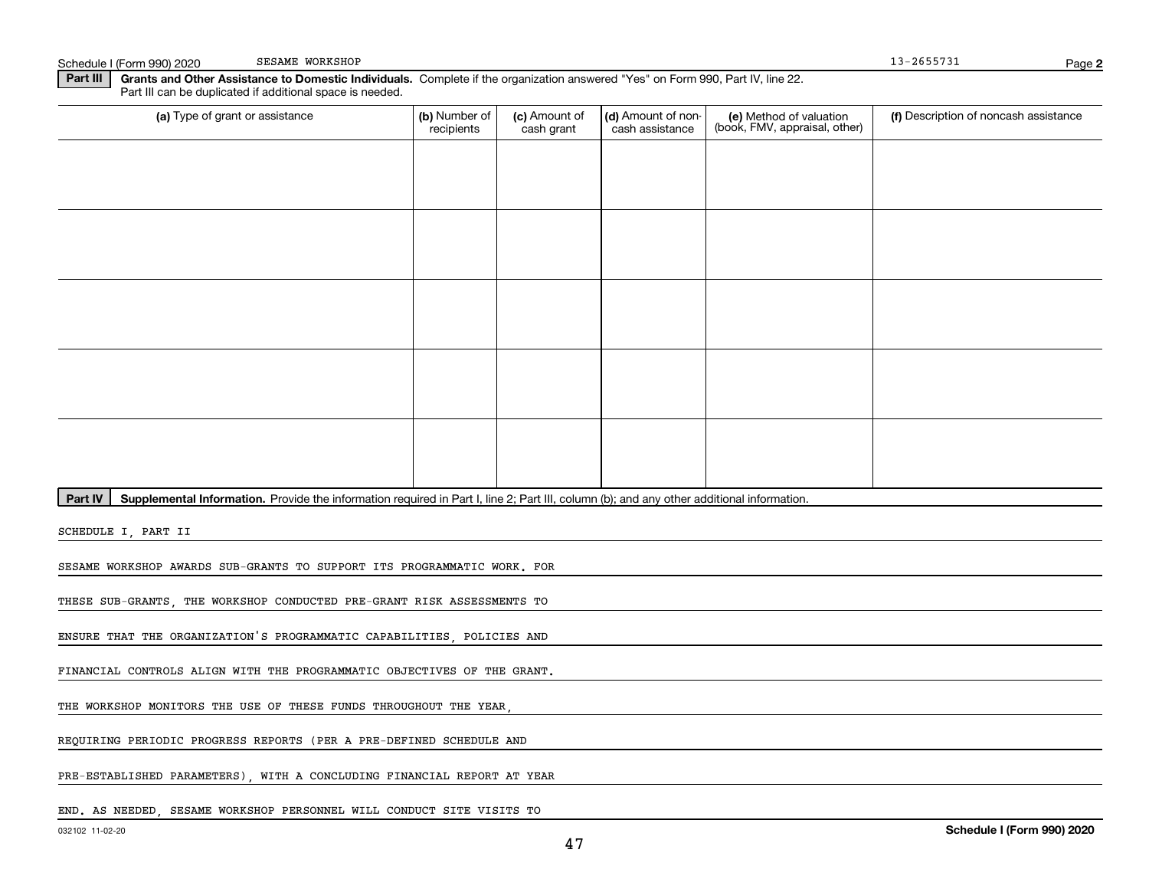Schedule I (Form 990) 2020 SESAME WORKSHOP SESAME (STATES) AND RESERVED ASSESSED A SERVED ASSESSED A SERVED AS SESAME WORKSHOP

**2**

**Part III | Grants and Other Assistance to Domestic Individuals. Complete if the organization answered "Yes" on Form 990, Part IV, line 22.** Part III can be duplicated if additional space is needed.

| (a) Type of grant or assistance | (b) Number of<br>recipients | (c) Amount of<br>cash grant | (d) Amount of non-<br>cash assistance | (e) Method of valuation<br>(book, FMV, appraisal, other) | (f) Description of noncash assistance |
|---------------------------------|-----------------------------|-----------------------------|---------------------------------------|----------------------------------------------------------|---------------------------------------|
|                                 |                             |                             |                                       |                                                          |                                       |
|                                 |                             |                             |                                       |                                                          |                                       |
|                                 |                             |                             |                                       |                                                          |                                       |
|                                 |                             |                             |                                       |                                                          |                                       |
|                                 |                             |                             |                                       |                                                          |                                       |
|                                 |                             |                             |                                       |                                                          |                                       |
|                                 |                             |                             |                                       |                                                          |                                       |
|                                 |                             |                             |                                       |                                                          |                                       |
|                                 |                             |                             |                                       |                                                          |                                       |
|                                 |                             |                             |                                       |                                                          |                                       |

Part IV | Supplemental Information. Provide the information required in Part I, line 2; Part III, column (b); and any other additional information.

SCHEDULE I, PART II

SESAME WORKSHOP AWARDS SUB-GRANTS TO SUPPORT ITS PROGRAMMATIC WORK. FOR

THESE SUB-GRANTS, THE WORKSHOP CONDUCTED PRE-GRANT RISK ASSESSMENTS TO

ENSURE THAT THE ORGANIZATION'S PROGRAMMATIC CAPABILITIES, POLICIES AND

FINANCIAL CONTROLS ALIGN WITH THE PROGRAMMATIC OBJECTIVES OF THE GRANT.

THE WORKSHOP MONITORS THE USE OF THESE FUNDS THROUGHOUT THE YEAR,

REQUIRING PERIODIC PROGRESS REPORTS (PER A PRE-DEFINED SCHEDULE AND

PRE-ESTABLISHED PARAMETERS), WITH A CONCLUDING FINANCIAL REPORT AT YEAR

END. AS NEEDED, SESAME WORKSHOP PERSONNEL WILL CONDUCT SITE VISITS TO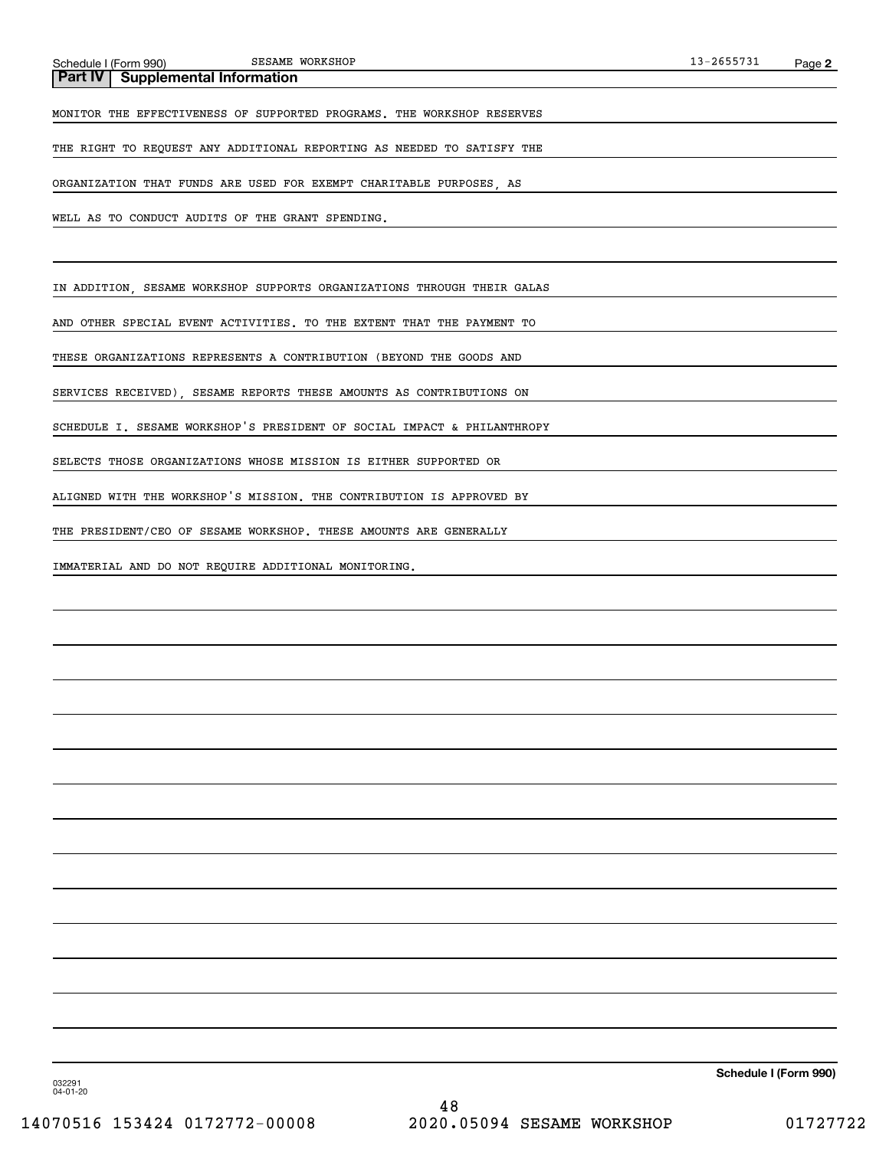#### **Part IV Supplemental Information**

MONITOR THE EFFECTIVENESS OF SUPPORTED PROGRAMS. THE WORKSHOP RESERVES

THE RIGHT TO REQUEST ANY ADDITIONAL REPORTING AS NEEDED TO SATISFY THE

ORGANIZATION THAT FUNDS ARE USED FOR EXEMPT CHARITABLE PURPOSES, AS

WELL AS TO CONDUCT AUDITS OF THE GRANT SPENDING.

IN ADDITION, SESAME WORKSHOP SUPPORTS ORGANIZATIONS THROUGH THEIR GALAS

AND OTHER SPECIAL EVENT ACTIVITIES. TO THE EXTENT THAT THE PAYMENT TO

THESE ORGANIZATIONS REPRESENTS A CONTRIBUTION (BEYOND THE GOODS AND

SERVICES RECEIVED), SESAME REPORTS THESE AMOUNTS AS CONTRIBUTIONS ON

SCHEDULE I. SESAME WORKSHOP'S PRESIDENT OF SOCIAL IMPACT & PHILANTHROPY

SELECTS THOSE ORGANIZATIONS WHOSE MISSION IS EITHER SUPPORTED OR

ALIGNED WITH THE WORKSHOP'S MISSION. THE CONTRIBUTION IS APPROVED BY

THE PRESIDENT/CEO OF SESAME WORKSHOP. THESE AMOUNTS ARE GENERALLY

IMMATERIAL AND DO NOT REQUIRE ADDITIONAL MONITORING.

**Schedule I (Form 990)**

032291 04-01-20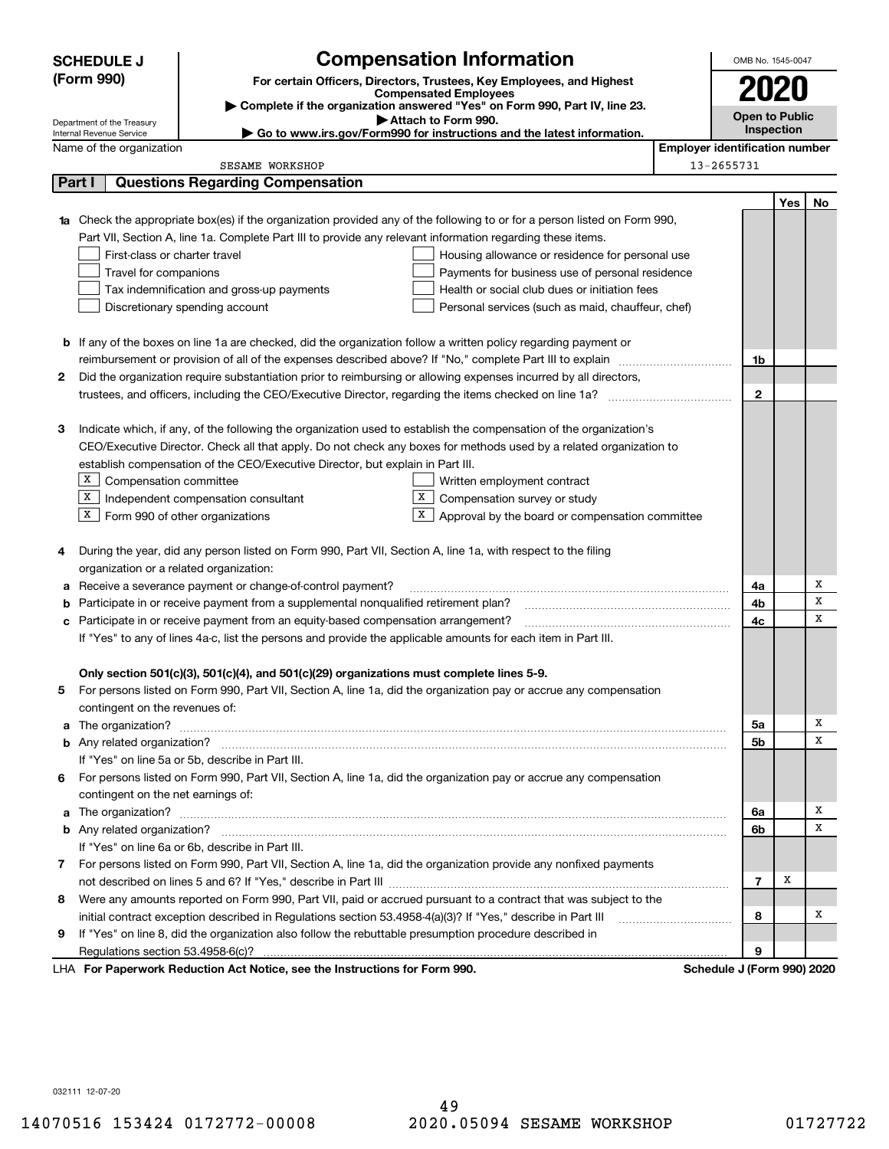|   | <b>SCHEDULE J</b>                                      |                                                                                                                        | OMB No. 1545-0047                                                                                                                                                                                                                    |                                       |                            |     |    |
|---|--------------------------------------------------------|------------------------------------------------------------------------------------------------------------------------|--------------------------------------------------------------------------------------------------------------------------------------------------------------------------------------------------------------------------------------|---------------------------------------|----------------------------|-----|----|
|   | (Form 990)                                             |                                                                                                                        | <b>Compensation Information</b><br>For certain Officers, Directors, Trustees, Key Employees, and Highest                                                                                                                             |                                       |                            |     |    |
|   |                                                        |                                                                                                                        | <b>Compensated Employees</b>                                                                                                                                                                                                         |                                       | 2020                       |     |    |
|   |                                                        |                                                                                                                        | Complete if the organization answered "Yes" on Form 990, Part IV, line 23.<br>Attach to Form 990.                                                                                                                                    |                                       | <b>Open to Public</b>      |     |    |
|   | Department of the Treasury<br>Internal Revenue Service |                                                                                                                        | Go to www.irs.gov/Form990 for instructions and the latest information.                                                                                                                                                               |                                       | Inspection                 |     |    |
|   | Name of the organization                               |                                                                                                                        |                                                                                                                                                                                                                                      | <b>Employer identification number</b> |                            |     |    |
|   |                                                        | <b>SESAME WORKSHOP</b>                                                                                                 |                                                                                                                                                                                                                                      | 13-2655731                            |                            |     |    |
|   | Part I                                                 | <b>Questions Regarding Compensation</b>                                                                                |                                                                                                                                                                                                                                      |                                       |                            |     |    |
|   |                                                        |                                                                                                                        |                                                                                                                                                                                                                                      |                                       |                            | Yes | No |
|   |                                                        |                                                                                                                        | Check the appropriate box(es) if the organization provided any of the following to or for a person listed on Form 990,                                                                                                               |                                       |                            |     |    |
|   |                                                        | Part VII, Section A, line 1a. Complete Part III to provide any relevant information regarding these items.             |                                                                                                                                                                                                                                      |                                       |                            |     |    |
|   | First-class or charter travel                          |                                                                                                                        | Housing allowance or residence for personal use                                                                                                                                                                                      |                                       |                            |     |    |
|   | Travel for companions                                  |                                                                                                                        | Payments for business use of personal residence                                                                                                                                                                                      |                                       |                            |     |    |
|   |                                                        | Tax indemnification and gross-up payments                                                                              | Health or social club dues or initiation fees                                                                                                                                                                                        |                                       |                            |     |    |
|   |                                                        | Discretionary spending account                                                                                         | Personal services (such as maid, chauffeur, chef)                                                                                                                                                                                    |                                       |                            |     |    |
|   |                                                        |                                                                                                                        |                                                                                                                                                                                                                                      |                                       |                            |     |    |
|   |                                                        | <b>b</b> If any of the boxes on line 1a are checked, did the organization follow a written policy regarding payment or |                                                                                                                                                                                                                                      |                                       |                            |     |    |
|   |                                                        |                                                                                                                        |                                                                                                                                                                                                                                      |                                       | 1b                         |     |    |
| 2 |                                                        | Did the organization require substantiation prior to reimbursing or allowing expenses incurred by all directors,       |                                                                                                                                                                                                                                      |                                       |                            |     |    |
|   |                                                        |                                                                                                                        |                                                                                                                                                                                                                                      |                                       | $\mathbf{2}$               |     |    |
|   |                                                        |                                                                                                                        |                                                                                                                                                                                                                                      |                                       |                            |     |    |
| З |                                                        |                                                                                                                        | Indicate which, if any, of the following the organization used to establish the compensation of the organization's                                                                                                                   |                                       |                            |     |    |
|   |                                                        |                                                                                                                        | CEO/Executive Director. Check all that apply. Do not check any boxes for methods used by a related organization to                                                                                                                   |                                       |                            |     |    |
|   |                                                        | establish compensation of the CEO/Executive Director, but explain in Part III.                                         |                                                                                                                                                                                                                                      |                                       |                            |     |    |
|   | $X$ Compensation committee<br>x                        |                                                                                                                        | Written employment contract<br>X                                                                                                                                                                                                     |                                       |                            |     |    |
|   |                                                        | $\perp$ Independent compensation consultant                                                                            | Compensation survey or study                                                                                                                                                                                                         |                                       |                            |     |    |
|   | $X$ Form 990 of other organizations                    |                                                                                                                        | Approval by the board or compensation committee                                                                                                                                                                                      |                                       |                            |     |    |
| 4 |                                                        | During the year, did any person listed on Form 990, Part VII, Section A, line 1a, with respect to the filing           |                                                                                                                                                                                                                                      |                                       |                            |     |    |
|   | organization or a related organization:                |                                                                                                                        |                                                                                                                                                                                                                                      |                                       |                            |     |    |
| а |                                                        | Receive a severance payment or change-of-control payment?                                                              |                                                                                                                                                                                                                                      |                                       | 4a                         |     | х  |
| b |                                                        | Participate in or receive payment from a supplemental nonqualified retirement plan?                                    |                                                                                                                                                                                                                                      |                                       | 4b                         |     | х  |
| с |                                                        | Participate in or receive payment from an equity-based compensation arrangement?                                       |                                                                                                                                                                                                                                      |                                       | 4c                         |     | X  |
|   |                                                        | If "Yes" to any of lines 4a-c, list the persons and provide the applicable amounts for each item in Part III.          |                                                                                                                                                                                                                                      |                                       |                            |     |    |
|   |                                                        |                                                                                                                        |                                                                                                                                                                                                                                      |                                       |                            |     |    |
|   |                                                        | Only section 501(c)(3), 501(c)(4), and 501(c)(29) organizations must complete lines 5-9.                               |                                                                                                                                                                                                                                      |                                       |                            |     |    |
|   |                                                        |                                                                                                                        | For persons listed on Form 990, Part VII, Section A, line 1a, did the organization pay or accrue any compensation                                                                                                                    |                                       |                            |     |    |
|   | contingent on the revenues of:                         |                                                                                                                        |                                                                                                                                                                                                                                      |                                       |                            |     |    |
|   |                                                        |                                                                                                                        | The organization? <b>With the contract of the contract of the contract of the contract of the contract of the contract of the contract of the contract of the contract of the contract of the contract of the contract of the co</b> |                                       | 5a                         |     | х  |
|   |                                                        |                                                                                                                        |                                                                                                                                                                                                                                      |                                       | 5b                         |     | x  |
|   |                                                        | If "Yes" on line 5a or 5b, describe in Part III.                                                                       |                                                                                                                                                                                                                                      |                                       |                            |     |    |
| 6 |                                                        |                                                                                                                        | For persons listed on Form 990, Part VII, Section A, line 1a, did the organization pay or accrue any compensation                                                                                                                    |                                       |                            |     |    |
|   | contingent on the net earnings of:                     |                                                                                                                        |                                                                                                                                                                                                                                      |                                       |                            |     |    |
|   |                                                        |                                                                                                                        |                                                                                                                                                                                                                                      |                                       | 6a                         |     | Х  |
|   |                                                        |                                                                                                                        |                                                                                                                                                                                                                                      |                                       | 6b                         |     | х  |
|   |                                                        | If "Yes" on line 6a or 6b, describe in Part III.                                                                       |                                                                                                                                                                                                                                      |                                       |                            |     |    |
|   |                                                        |                                                                                                                        | 7 For persons listed on Form 990, Part VII, Section A, line 1a, did the organization provide any nonfixed payments                                                                                                                   |                                       |                            |     |    |
|   |                                                        |                                                                                                                        |                                                                                                                                                                                                                                      |                                       | 7                          | х   |    |
| 8 |                                                        |                                                                                                                        | Were any amounts reported on Form 990, Part VII, paid or accrued pursuant to a contract that was subject to the                                                                                                                      |                                       |                            |     |    |
|   |                                                        | initial contract exception described in Regulations section 53.4958-4(a)(3)? If "Yes," describe in Part III            |                                                                                                                                                                                                                                      |                                       | 8                          |     | х  |
| 9 |                                                        | If "Yes" on line 8, did the organization also follow the rebuttable presumption procedure described in                 |                                                                                                                                                                                                                                      |                                       |                            |     |    |
|   | Regulations section 53.4958-6(c)?                      |                                                                                                                        |                                                                                                                                                                                                                                      |                                       | 9                          |     |    |
|   |                                                        | LHA For Paperwork Reduction Act Notice, see the Instructions for Form 990.                                             |                                                                                                                                                                                                                                      |                                       | Schedule J (Form 990) 2020 |     |    |

032111 12-07-20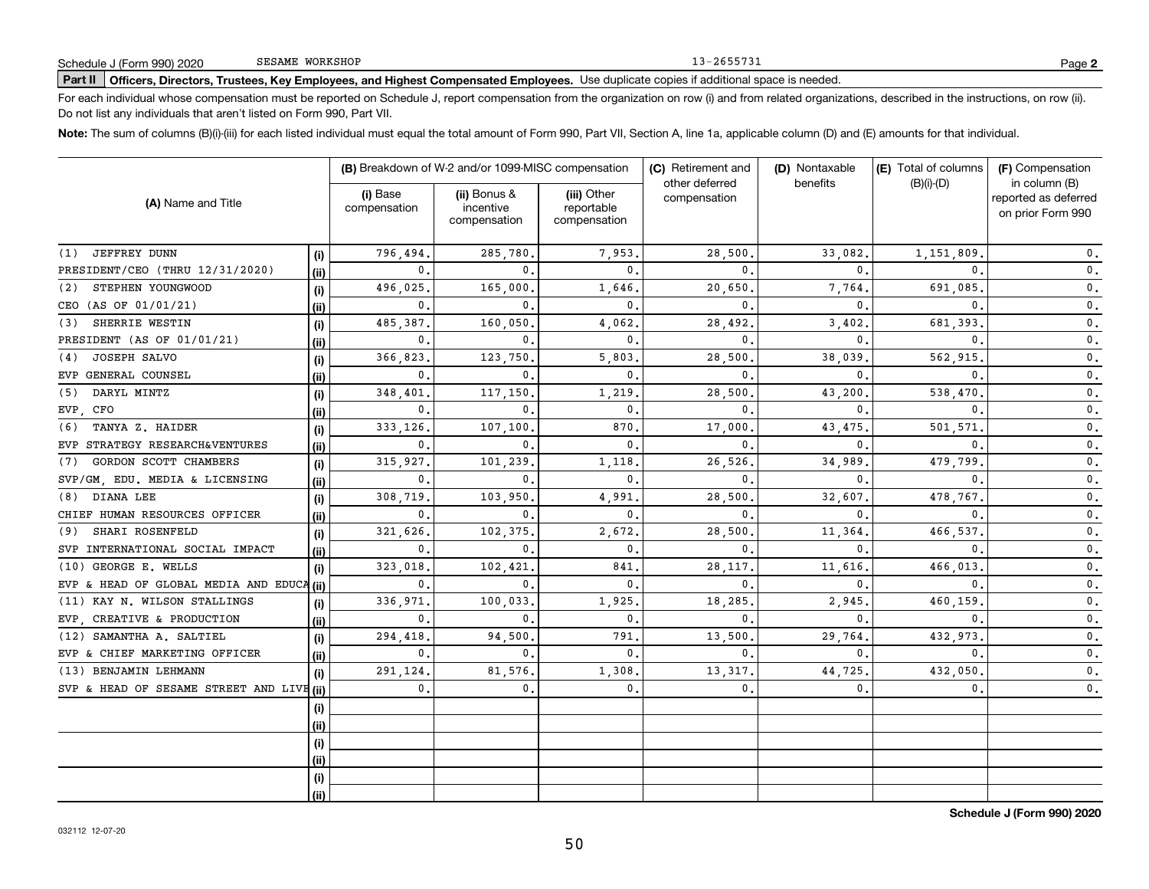## **Part II Officers, Directors, Trustees, Key Employees, and Highest Compensated Employees.**  Schedule J (Form 990) 2020 Page Use duplicate copies if additional space is needed.

For each individual whose compensation must be reported on Schedule J, report compensation from the organization on row (i) and from related organizations, described in the instructions, on row (ii). Do not list any individuals that aren't listed on Form 990, Part VII.

**Note:**  The sum of columns (B)(i)-(iii) for each listed individual must equal the total amount of Form 990, Part VII, Section A, line 1a, applicable column (D) and (E) amounts for that individual.

|                                           |      |                          | (B) Breakdown of W-2 and/or 1099-MISC compensation |                                           | (C) Retirement and<br>other deferred | (D) Nontaxable<br>benefits | (E) Total of columns | (F) Compensation<br>in column (B)         |  |
|-------------------------------------------|------|--------------------------|----------------------------------------------------|-------------------------------------------|--------------------------------------|----------------------------|----------------------|-------------------------------------------|--|
| (A) Name and Title                        |      | (i) Base<br>compensation | (ii) Bonus &<br>incentive<br>compensation          | (iii) Other<br>reportable<br>compensation | compensation                         |                            | $(B)(i)-(D)$         | reported as deferred<br>on prior Form 990 |  |
| <b>JEFFREY DUNN</b><br>(1)                | (i)  | 796,494.                 | 285,780.                                           | 7,953.                                    | 28,500                               | 33,082                     | 1,151,809            | $0$ .                                     |  |
| PRESIDENT/CEO (THRU 12/31/2020)           | (ii) | $\mathbf{0}$ .           | $\Omega$                                           | $\mathbf{0}$ .                            | $\mathbf{0}$ .                       | $\Omega$                   | $\Omega$             | $\mathbf 0$ .                             |  |
| STEPHEN YOUNGWOOD<br>(2)                  | (i)  | 496,025.                 | 165,000.                                           | 1,646.                                    | 20,650                               | 7,764                      | 691,085.             | $\mathbf{0}$ .                            |  |
| CEO (AS OF 01/01/21)                      | (ii) | 0.                       | $\Omega$                                           | $\mathbf{0}$ .                            | $\mathbf{0}$ .                       | $\mathbf{0}$ .             | $\mathbf{0}$ .       | $\mathbf{0}$ .                            |  |
| SHERRIE WESTIN<br>(3)                     | (i)  | 485,387.                 | 160,050.                                           | 4,062.                                    | 28,492                               | 3,402                      | 681,393              | $\mathbf 0$ .                             |  |
| PRESIDENT (AS OF 01/01/21)                | (ii) | 0.                       | $\Omega$                                           | 0.                                        | 0                                    | $\Omega$                   | $\mathbf{0}$ .       | $\mathbf 0$ .                             |  |
| JOSEPH SALVO<br>(4)                       | (i)  | 366,823.                 | 123,750.                                           | 5,803,                                    | 28,500                               | 38,039                     | 562,915              | $\mathbf 0$ .                             |  |
| EVP GENERAL COUNSEL                       | (ii) | $\mathbf{0}$ .           | $\Omega$                                           | $\mathbf{0}$ .                            | $\Omega$                             | $\Omega$                   | $\Omega$             | $\mathbf 0$ .                             |  |
| DARYL MINTZ<br>(5)                        | (i)  | 348,401.                 | 117,150.                                           | 1,219                                     | 28,500                               | 43,200                     | 538,470              | $\mathbf 0$ .                             |  |
| EVP, CFO                                  | (i)  | 0.                       | $\Omega$                                           | $\mathbf{0}$ .                            | $\Omega$                             | $\Omega$                   | $\mathbf{0}$ .       | $\mathbf 0$ .                             |  |
| TANYA Z. HAIDER<br>(6)                    | (i)  | 333,126                  | 107,100.                                           | 870,                                      | 17,000                               | 43,475                     | 501,571              | 0.                                        |  |
| EVP STRATEGY RESEARCH&VENTURES            | (i)  | 0.                       | $\mathbf{0}$ .                                     | $\mathbf{0}$ .                            | 0                                    | 0                          | $\mathbf{0}$ .       | 0.                                        |  |
| GORDON SCOTT CHAMBERS<br>(7)              | (i)  | 315,927.                 | 101,239.                                           | 1,118,                                    | 26,526                               | 34,989                     | 479,799              | $0$ .                                     |  |
| SVP/GM, EDU. MEDIA & LICENSING            | (ii) | 0.                       | $\mathbf{0}$ .                                     | $\mathbf{0}$ .                            | $\mathbf{0}$ .                       | 0                          | $\mathbf{0}$ .       | $\mathbf{0}$ .                            |  |
| DIANA LEE<br>(8)                          | (i)  | 308,719.                 | 103,950.                                           | 4,991.                                    | 28,500                               | 32,607.                    | 478,767              | 0.                                        |  |
| CHIEF HUMAN RESOURCES OFFICER             | (ii) | $\mathbf{0}$ .           | $\mathbf{0}$ .                                     | $\mathbf{0}$ .                            | $\mathbf{0}$ .                       | $\mathbf{0}$               | $\Omega$             | 0.                                        |  |
| SHARI ROSENFELD<br>(9)                    | (i)  | 321,626.                 | 102,375.                                           | 2,672.                                    | 28,500                               | 11,364                     | 466,537              | 0.                                        |  |
| SVP INTERNATIONAL SOCIAL IMPACT           | (ii) | 0.                       | $\mathbf{0}$ .                                     | $\mathbf 0$ .                             | $\mathbf 0$ .                        | $\mathbf{0}$               | $\Omega$             | 0.                                        |  |
| (10) GEORGE E. WELLS                      | (i)  | 323,018.                 | 102,421                                            | 841,                                      | 28,117                               | 11,616                     | 466,013              | $0$ .                                     |  |
| EVP & HEAD OF GLOBAL MEDIA AND EDUCA (ii) |      | 0.                       | $\mathbf{0}$ .                                     | $\mathbf 0$ .                             | $\mathbf 0$ .                        | 0.                         | 0                    | $0$ .                                     |  |
| (11) KAY N. WILSON STALLINGS              | (i)  | 336,971.                 | 100,033                                            | 1,925.                                    | 18,285                               | 2,945                      | 460,159              | $0$ .                                     |  |
| EVP, CREATIVE & PRODUCTION                | (ii) | 0.                       | $\mathbf{0}$ .                                     | $\mathbf 0$ .                             | 0.                                   | $\mathbf{0}$ .             | $\mathbf{0}$ .       | $0$ .                                     |  |
| (12) SAMANTHA A. SALTIEL                  | (i)  | 294,418                  | 94,500                                             | 791.                                      | 13,500                               | 29,764.                    | 432,973              | $0$ .                                     |  |
| EVP & CHIEF MARKETING OFFICER             | (ii) | 0.                       | 0.                                                 | $\mathbf 0$ .                             | 0.                                   | $\mathfrak{o}$ .           | $\mathbf{0}$ .       | $0$ .                                     |  |
| (13) BENJAMIN LEHMANN                     | (i)  | 291,124.                 | 81,576.                                            | 1,308.                                    | 13, 317.                             | 44,725.                    | 432,050              | $0$ .                                     |  |
| SVP & HEAD OF SESAME STREET AND LIVE (ii) |      | 0.                       | $^{\rm 0}$ .                                       | $^{\rm 0}$ .                              | 0.                                   | 0.                         | 0.                   | 0.                                        |  |
|                                           | (i)  |                          |                                                    |                                           |                                      |                            |                      |                                           |  |
|                                           | (ii) |                          |                                                    |                                           |                                      |                            |                      |                                           |  |
|                                           | (i)  |                          |                                                    |                                           |                                      |                            |                      |                                           |  |
|                                           | (ii) |                          |                                                    |                                           |                                      |                            |                      |                                           |  |
|                                           | (i)  |                          |                                                    |                                           |                                      |                            |                      |                                           |  |
|                                           | (ii) |                          |                                                    |                                           |                                      |                            |                      |                                           |  |

**Schedule J (Form 990) 2020**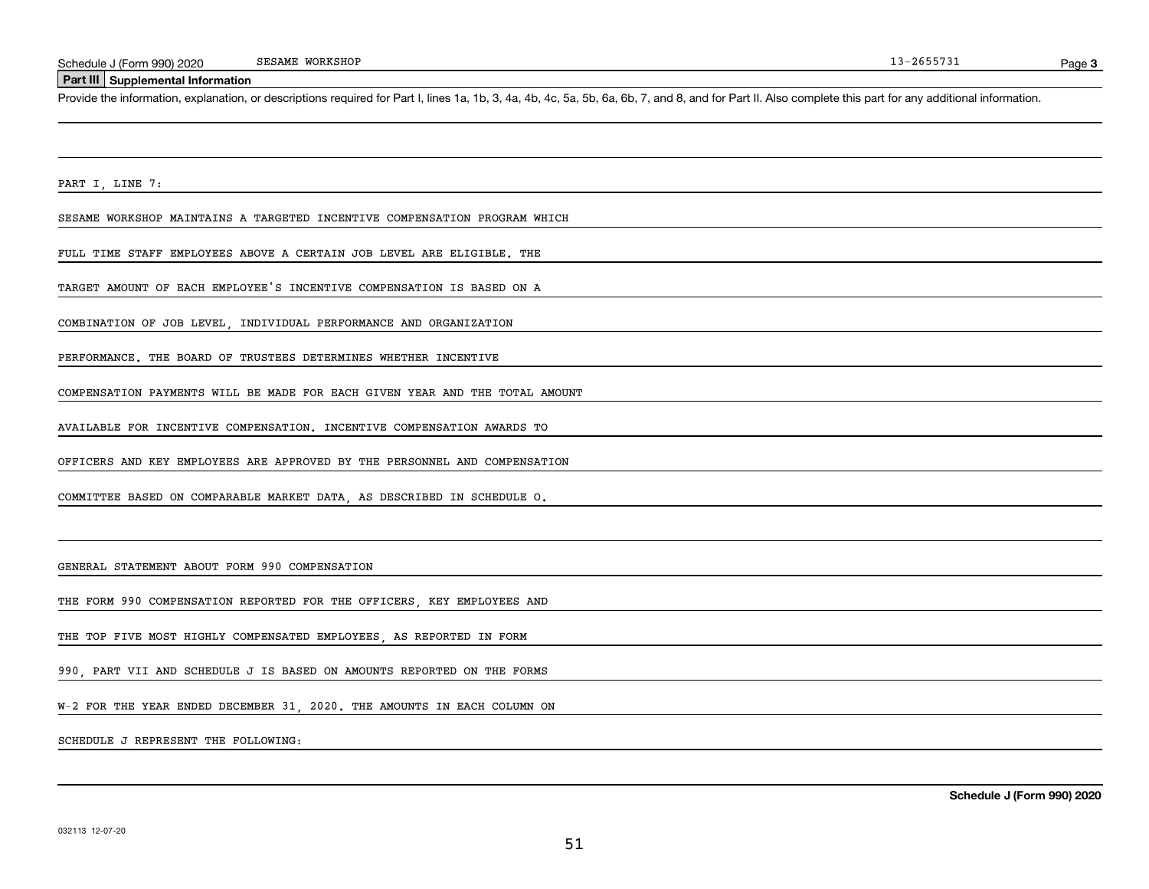#### **Part III Supplemental Information**

Schedule J (Form 990) 2020 SESAME WORKSHOP<br>
Part III Supplemental Information<br>
Provide the information, explanation, or descriptions required for Part I, lines 1a, 1b, 3, 4a, 4b, 4c, 5a, 5b, 6a, 6b, 7, and 8, and for Part

PART I, LINE 7:

SESAME WORKSHOP MAINTAINS A TARGETED INCENTIVE COMPENSATION PROGRAM WHICH

FULL TIME STAFF EMPLOYEES ABOVE A CERTAIN JOB LEVEL ARE ELIGIBLE. THE

TARGET AMOUNT OF EACH EMPLOYEE'S INCENTIVE COMPENSATION IS BASED ON A

COMBINATION OF JOB LEVEL, INDIVIDUAL PERFORMANCE AND ORGANIZATION

PERFORMANCE. THE BOARD OF TRUSTEES DETERMINES WHETHER INCENTIVE

COMPENSATION PAYMENTS WILL BE MADE FOR EACH GIVEN YEAR AND THE TOTAL AMOUNT

AVAILABLE FOR INCENTIVE COMPENSATION. INCENTIVE COMPENSATION AWARDS TO

OFFICERS AND KEY EMPLOYEES ARE APPROVED BY THE PERSONNEL AND COMPENSATION

COMMITTEE BASED ON COMPARABLE MARKET DATA, AS DESCRIBED IN SCHEDULE O.

GENERAL STATEMENT ABOUT FORM 990 COMPENSATION

THE FORM 990 COMPENSATION REPORTED FOR THE OFFICERS, KEY EMPLOYEES AND

THE TOP FIVE MOST HIGHLY COMPENSATED EMPLOYEES AS REPORTED IN FORM

990, PART VII AND SCHEDULE J IS BASED ON AMOUNTS REPORTED ON THE FORMS

W-2 FOR THE YEAR ENDED DECEMBER 31, 2020. THE AMOUNTS IN EACH COLUMN ON

SCHEDULE J REPRESENT THE FOLLOWING: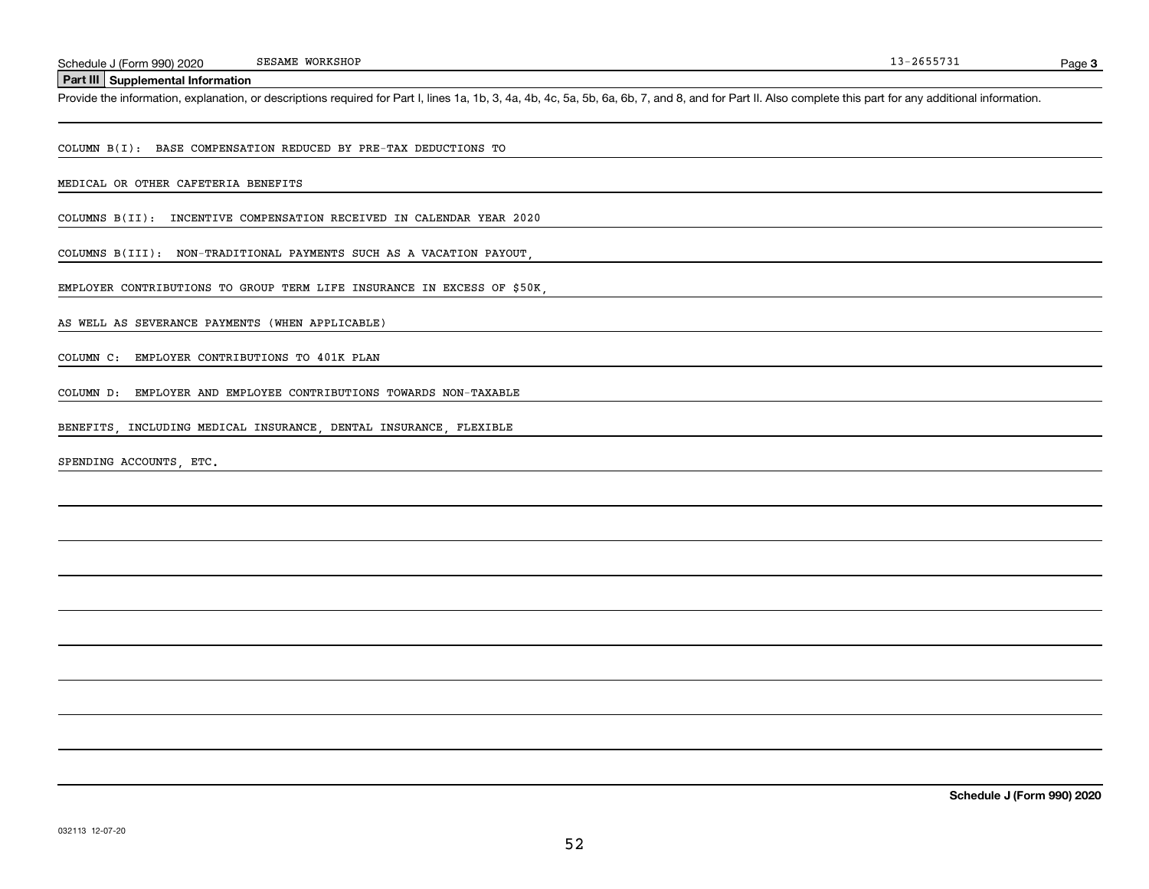SESAME WORKSHOP

**3**

#### **Part III Supplemental Information**

Schedule J (Form 990) 2020 SESAME WORKSHOP<br>
Part III Supplemental Information<br>
Provide the information, explanation, or descriptions required for Part I, lines 1a, 1b, 3, 4a, 4b, 4c, 5a, 5b, 6a, 6b, 7, and 8, and for Part

COLUMN B(I): BASE COMPENSATION REDUCED BY PRE-TAX DEDUCTIONS TO

MEDICAL OR OTHER CAFETERIA BENEFITS

COLUMNS B(II): INCENTIVE COMPENSATION RECEIVED IN CALENDAR YEAR 2020

COLUMNS B(III): NON-TRADITIONAL PAYMENTS SUCH AS A VACATION PAYOUT,

EMPLOYER CONTRIBUTIONS TO GROUP TERM LIFE INSURANCE IN EXCESS OF \$50K,

AS WELL AS SEVERANCE PAYMENTS (WHEN APPLICABLE)

COLUMN C: EMPLOYER CONTRIBUTIONS TO 401K PLAN

COLUMN D: EMPLOYER AND EMPLOYEE CONTRIBUTIONS TOWARDS NON-TAXABLE

BENEFITS, INCLUDING MEDICAL INSURANCE, DENTAL INSURANCE, FLEXIBLE

SPENDING ACCOUNTS, ETC.

**Schedule J (Form 990) 2020**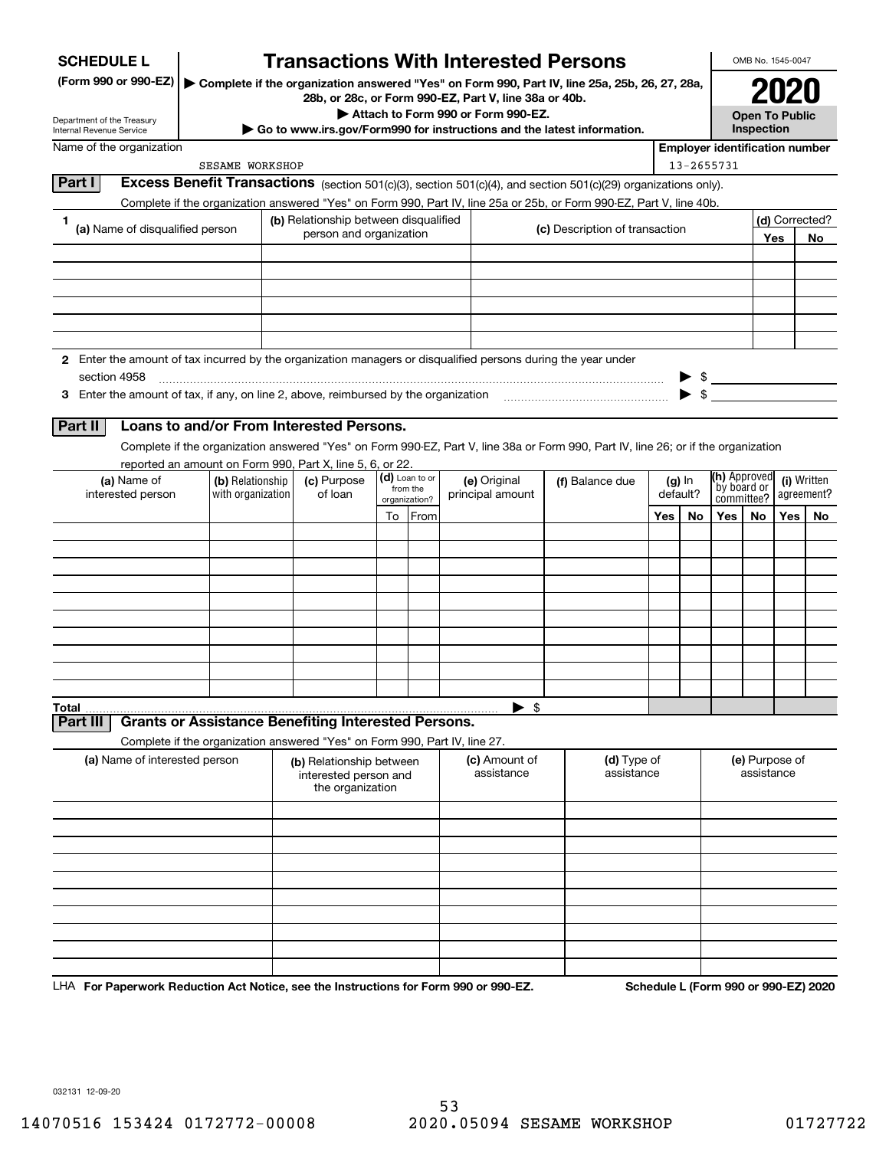| <b>SCHEDULE L</b>                                      |                                  |                                                                                                                                          |  | <b>Transactions With Interested Persons</b> |    |                            |  |                                  |  |                                                                                                                                                                                                                                        |                                                                                  |    |                                       | OMB No. 1545-0047 |     |                |
|--------------------------------------------------------|----------------------------------|------------------------------------------------------------------------------------------------------------------------------------------|--|---------------------------------------------|----|----------------------------|--|----------------------------------|--|----------------------------------------------------------------------------------------------------------------------------------------------------------------------------------------------------------------------------------------|----------------------------------------------------------------------------------|----|---------------------------------------|-------------------|-----|----------------|
|                                                        | (Form 990 or 990-EZ)             | Complete if the organization answered "Yes" on Form 990, Part IV, line 25a, 25b, 26, 27, 28a,                                            |  |                                             |    |                            |  |                                  |  |                                                                                                                                                                                                                                        |                                                                                  |    |                                       |                   |     |                |
|                                                        |                                  | 28b, or 28c, or Form 990-EZ, Part V, line 38a or 40b.<br>Attach to Form 990 or Form 990-EZ.                                              |  |                                             |    |                            |  | <b>Open To Public</b>            |  |                                                                                                                                                                                                                                        |                                                                                  |    |                                       |                   |     |                |
| Department of the Treasury<br>Internal Revenue Service |                                  |                                                                                                                                          |  |                                             |    |                            |  |                                  |  | Go to www.irs.gov/Form990 for instructions and the latest information.                                                                                                                                                                 |                                                                                  |    |                                       | Inspection        |     |                |
|                                                        | Name of the organization         |                                                                                                                                          |  |                                             |    |                            |  |                                  |  |                                                                                                                                                                                                                                        |                                                                                  |    | <b>Employer identification number</b> |                   |     |                |
| Part I                                                 |                                  | <b>SESAME WORKSHOP</b>                                                                                                                   |  |                                             |    |                            |  |                                  |  |                                                                                                                                                                                                                                        |                                                                                  |    | 13-2655731                            |                   |     |                |
|                                                        |                                  |                                                                                                                                          |  |                                             |    |                            |  |                                  |  | Excess Benefit Transactions (section 501(c)(3), section 501(c)(4), and section 501(c)(29) organizations only).<br>Complete if the organization answered "Yes" on Form 990, Part IV, line 25a or 25b, or Form 990-EZ, Part V, line 40b. |                                                                                  |    |                                       |                   |     |                |
| 1.                                                     |                                  |                                                                                                                                          |  | (b) Relationship between disqualified       |    |                            |  |                                  |  |                                                                                                                                                                                                                                        |                                                                                  |    |                                       |                   |     | (d) Corrected? |
|                                                        | (a) Name of disqualified person  |                                                                                                                                          |  | person and organization                     |    |                            |  |                                  |  | (c) Description of transaction                                                                                                                                                                                                         |                                                                                  |    |                                       |                   | Yes | No             |
|                                                        |                                  |                                                                                                                                          |  |                                             |    |                            |  |                                  |  |                                                                                                                                                                                                                                        |                                                                                  |    |                                       |                   |     |                |
|                                                        |                                  |                                                                                                                                          |  |                                             |    |                            |  |                                  |  |                                                                                                                                                                                                                                        |                                                                                  |    |                                       |                   |     |                |
|                                                        |                                  |                                                                                                                                          |  |                                             |    |                            |  |                                  |  |                                                                                                                                                                                                                                        |                                                                                  |    |                                       |                   |     |                |
|                                                        |                                  |                                                                                                                                          |  |                                             |    |                            |  |                                  |  |                                                                                                                                                                                                                                        |                                                                                  |    |                                       |                   |     |                |
|                                                        |                                  | 2 Enter the amount of tax incurred by the organization managers or disqualified persons during the year under                            |  |                                             |    |                            |  |                                  |  |                                                                                                                                                                                                                                        |                                                                                  |    |                                       |                   |     |                |
|                                                        | section 4958                     |                                                                                                                                          |  |                                             |    |                            |  |                                  |  |                                                                                                                                                                                                                                        |                                                                                  |    | $\frac{1}{2}$                         |                   |     |                |
|                                                        |                                  | 3 Enter the amount of tax, if any, on line 2, above, reimbursed by the organization                                                      |  |                                             |    |                            |  |                                  |  |                                                                                                                                                                                                                                        |                                                                                  |    |                                       |                   |     |                |
| Part II                                                |                                  | Loans to and/or From Interested Persons.                                                                                                 |  |                                             |    |                            |  |                                  |  |                                                                                                                                                                                                                                        |                                                                                  |    |                                       |                   |     |                |
|                                                        |                                  |                                                                                                                                          |  |                                             |    |                            |  |                                  |  | Complete if the organization answered "Yes" on Form 990-EZ, Part V, line 38a or Form 990, Part IV, line 26; or if the organization                                                                                                     |                                                                                  |    |                                       |                   |     |                |
|                                                        |                                  | reported an amount on Form 990, Part X, line 5, 6, or 22.                                                                                |  |                                             |    |                            |  |                                  |  |                                                                                                                                                                                                                                        |                                                                                  |    |                                       |                   |     |                |
|                                                        | (a) Name of<br>interested person | (b) Relationship<br>with organization                                                                                                    |  | (c) Purpose<br>of loan                      |    | (d) Loan to or<br>from the |  | (e) Original<br>principal amount |  | (f) Balance due                                                                                                                                                                                                                        | (h) Approved<br>(i) Written<br>$(g)$ In<br>by board or<br>default?<br>agreement? |    |                                       |                   |     |                |
|                                                        |                                  |                                                                                                                                          |  |                                             | To | organization?<br>From      |  |                                  |  |                                                                                                                                                                                                                                        | Yes                                                                              | No | committee?<br>Yes $ $                 | No                | Yes | No.            |
|                                                        |                                  |                                                                                                                                          |  |                                             |    |                            |  |                                  |  |                                                                                                                                                                                                                                        |                                                                                  |    |                                       |                   |     |                |
|                                                        |                                  |                                                                                                                                          |  |                                             |    |                            |  |                                  |  |                                                                                                                                                                                                                                        |                                                                                  |    |                                       |                   |     |                |
|                                                        |                                  |                                                                                                                                          |  |                                             |    |                            |  |                                  |  |                                                                                                                                                                                                                                        |                                                                                  |    |                                       |                   |     |                |
|                                                        |                                  |                                                                                                                                          |  |                                             |    |                            |  |                                  |  |                                                                                                                                                                                                                                        |                                                                                  |    |                                       |                   |     |                |
|                                                        |                                  |                                                                                                                                          |  |                                             |    |                            |  |                                  |  |                                                                                                                                                                                                                                        |                                                                                  |    |                                       |                   |     |                |
|                                                        |                                  |                                                                                                                                          |  |                                             |    |                            |  |                                  |  |                                                                                                                                                                                                                                        |                                                                                  |    |                                       |                   |     |                |
|                                                        |                                  |                                                                                                                                          |  |                                             |    |                            |  |                                  |  |                                                                                                                                                                                                                                        |                                                                                  |    |                                       |                   |     |                |
|                                                        |                                  |                                                                                                                                          |  |                                             |    |                            |  |                                  |  |                                                                                                                                                                                                                                        |                                                                                  |    |                                       |                   |     |                |
| <b>Total</b>                                           |                                  |                                                                                                                                          |  |                                             |    |                            |  | \$                               |  |                                                                                                                                                                                                                                        |                                                                                  |    |                                       |                   |     |                |
| Part III                                               |                                  | <b>Grants or Assistance Benefiting Interested Persons.</b><br>Complete if the organization answered "Yes" on Form 990, Part IV, line 27. |  |                                             |    |                            |  |                                  |  |                                                                                                                                                                                                                                        |                                                                                  |    |                                       |                   |     |                |
|                                                        | (a) Name of interested person    |                                                                                                                                          |  | (b) Relationship between                    |    |                            |  | (c) Amount of                    |  | (d) Type of                                                                                                                                                                                                                            |                                                                                  |    |                                       |                   |     |                |
|                                                        |                                  | assistance<br>interested person and<br>the organization                                                                                  |  | assistance                                  |    |                            |  | (e) Purpose of<br>assistance     |  |                                                                                                                                                                                                                                        |                                                                                  |    |                                       |                   |     |                |
|                                                        |                                  |                                                                                                                                          |  |                                             |    |                            |  |                                  |  |                                                                                                                                                                                                                                        |                                                                                  |    |                                       |                   |     |                |
|                                                        |                                  |                                                                                                                                          |  |                                             |    |                            |  |                                  |  |                                                                                                                                                                                                                                        |                                                                                  |    |                                       |                   |     |                |
|                                                        |                                  |                                                                                                                                          |  |                                             |    |                            |  |                                  |  |                                                                                                                                                                                                                                        |                                                                                  |    |                                       |                   |     |                |
|                                                        |                                  |                                                                                                                                          |  |                                             |    |                            |  |                                  |  |                                                                                                                                                                                                                                        |                                                                                  |    |                                       |                   |     |                |
|                                                        |                                  |                                                                                                                                          |  |                                             |    |                            |  |                                  |  |                                                                                                                                                                                                                                        |                                                                                  |    |                                       |                   |     |                |
|                                                        |                                  |                                                                                                                                          |  |                                             |    |                            |  |                                  |  |                                                                                                                                                                                                                                        |                                                                                  |    |                                       |                   |     |                |
|                                                        |                                  |                                                                                                                                          |  |                                             |    |                            |  |                                  |  |                                                                                                                                                                                                                                        |                                                                                  |    |                                       |                   |     |                |
|                                                        |                                  |                                                                                                                                          |  |                                             |    |                            |  |                                  |  |                                                                                                                                                                                                                                        |                                                                                  |    |                                       |                   |     |                |

LHA For Paperwork Reduction Act Notice, see the Instructions for Form 990 or 990-EZ. Schedule L (Form 990 or 990-EZ) 2020

032131 12-09-20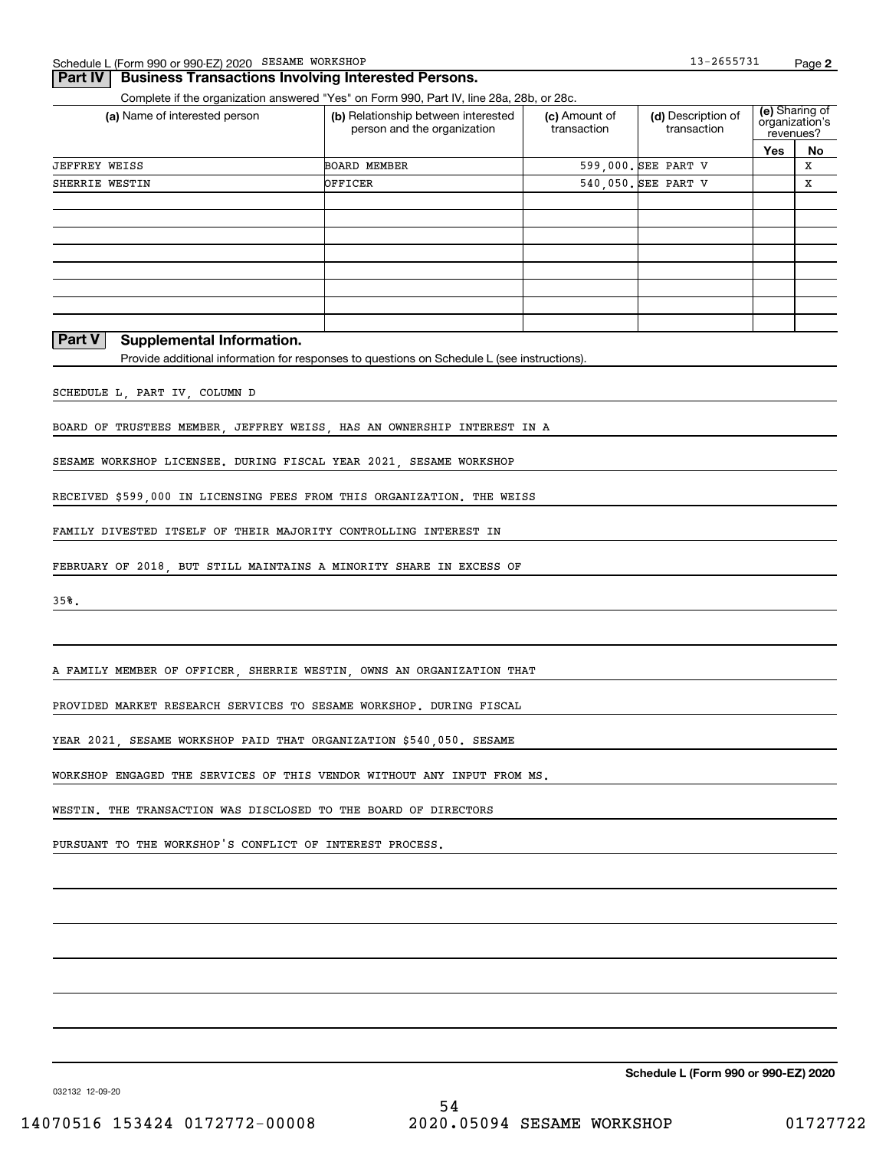**Yes**

**(e)**  Sharing of

organization's revenues?

**No**

XX

# **(a)** Name of interested person **Relationship between interested (c)** Amount of **(d) (d)** Schedule L (Form 990 or 990-EZ) 2020 Page SESAME WORKSHOP Complete if the organization answered "Yes" on Form 990, Part IV, line 28a, 28b, or 28c. person and the organization (c) Amount of transaction(d) Description of transactionProvide additional information for responses to questions on Schedule L (see instructions). **Part IV Business Transactions Involving Interested Persons. Part V** | Supplemental Information. 13-2655731SCHEDULE L, PART IV, COLUMN D BOARD OF TRUSTEES MEMBER, JEFFREY WEISS, HAS AN OWNERSHIP INTEREST IN A SESAME WORKSHOP LICENSEE. DURING FISCAL YEAR 2021, SESAME WORKSHOP RECEIVED \$599,000 IN LICENSING FEES FROM THIS ORGANIZATION. THE WEISS FAMILY DIVESTED ITSELF OF THEIR MAJORITY CONTROLLING INTEREST IN FEBRUARY OF 2018, BUT STILL MAINTAINS A MINORITY SHARE IN EXCESS OF 35%.A FAMILY MEMBER OF OFFICER, SHERRIE WESTIN, OWNS AN ORGANIZATION THAT PROVIDED MARKET RESEARCH SERVICES TO SESAME WORKSHOP. DURING FISCAL YEAR 2021, SESAME WORKSHOP PAID THAT ORGANIZATION \$540,050. SESAME WORKSHOP ENGAGED THE SERVICES OF THIS VENDOR WITHOUT ANY INPUT FROM MS. WESTIN. THE TRANSACTION WAS DISCLOSED TO THE BOARD OF DIRECTORS PURSUANT TO THE WORKSHOP'S CONFLICT OF INTEREST PROCESS. 599,000. SEE PART V 540,050. SEE PART V JEFFREY WEISS SHERRIE WESTIN BOARD MEMBER OFFICER

**Schedule L (Form 990 or 990-EZ) 2020**

032132 12-09-20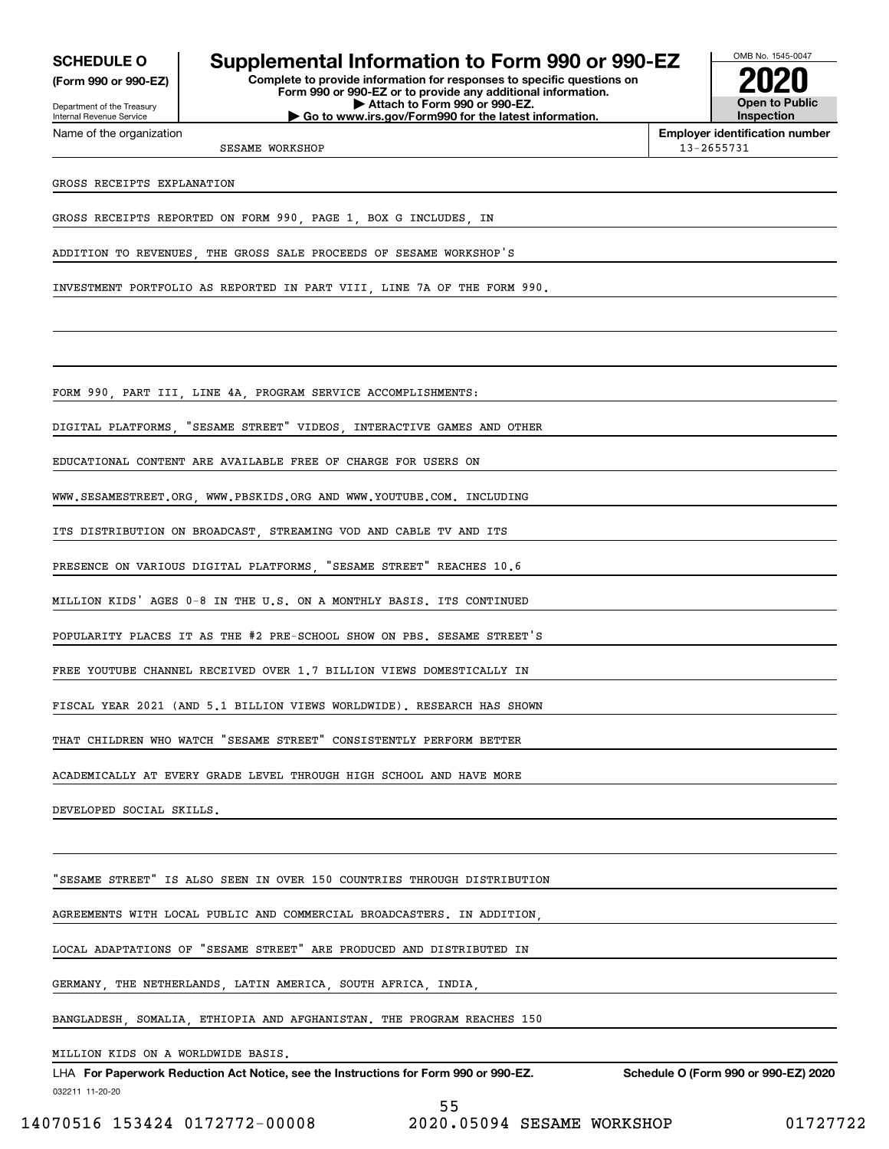**(Form 990 or 990-EZ)**

Department of the Treasury Internal Revenue Service Name of the organization

## **SCHEDULE O Supplemental Information to Form 990 or 990-EZ**

**Complete to provide information for responses to specific questions on Form 990 or 990-EZ or to provide any additional information. | Attach to Form 990 or 990-EZ. | Go to www.irs.gov/Form990 for the latest information.**



**Employer identification number**

SESAME WORKSHOP 13-2655731

#### GROSS RECEIPTS EXPLANATION

GROSS RECEIPTS REPORTED ON FORM 990, PAGE 1, BOX G INCLUDES, IN

ADDITION TO REVENUES, THE GROSS SALE PROCEEDS OF SESAME WORKSHOP'S

INVESTMENT PORTFOLIO AS REPORTED IN PART VIII, LINE 7A OF THE FORM 990.

FORM 990, PART III, LINE 4A, PROGRAM SERVICE ACCOMPLISHMENTS:

DIGITAL PLATFORMS, "SESAME STREET" VIDEOS, INTERACTIVE GAMES AND OTHER

EDUCATIONAL CONTENT ARE AVAILABLE FREE OF CHARGE FOR USERS ON

WWW.SESAMESTREET.ORG, WWW.PBSKIDS.ORG AND WWW.YOUTUBE.COM. INCLUDING

ITS DISTRIBUTION ON BROADCAST, STREAMING VOD AND CABLE TV AND ITS

PRESENCE ON VARIOUS DIGITAL PLATFORMS, "SESAME STREET" REACHES 10.6

MILLION KIDS' AGES 0-8 IN THE U.S. ON A MONTHLY BASIS. ITS CONTINUED

POPULARITY PLACES IT AS THE #2 PRE-SCHOOL SHOW ON PBS. SESAME STREET'S

FREE YOUTUBE CHANNEL RECEIVED OVER 1.7 BILLION VIEWS DOMESTICALLY IN

FISCAL YEAR 2021 (AND 5.1 BILLION VIEWS WORLDWIDE). RESEARCH HAS SHOWN

THAT CHILDREN WHO WATCH "SESAME STREET" CONSISTENTLY PERFORM BETTER

ACADEMICALLY AT EVERY GRADE LEVEL THROUGH HIGH SCHOOL AND HAVE MORE

DEVELOPED SOCIAL SKILLS.

"SESAME STREET" IS ALSO SEEN IN OVER 150 COUNTRIES THROUGH DISTRIBUTION

AGREEMENTS WITH LOCAL PUBLIC AND COMMERCIAL BROADCASTERS. IN ADDITION,

LOCAL ADAPTATIONS OF "SESAME STREET" ARE PRODUCED AND DISTRIBUTED IN

GERMANY, THE NETHERLANDS, LATIN AMERICA, SOUTH AFRICA, INDIA,

BANGLADESH, SOMALIA, ETHIOPIA AND AFGHANISTAN. THE PROGRAM REACHES 150

MILLION KIDS ON A WORLDWIDE BASIS.

032211 11-20-20 LHA For Paperwork Reduction Act Notice, see the Instructions for Form 990 or 990-EZ. Schedule O (Form 990 or 990-EZ) 2020 55

14070516 153424 0172772-00008 2020.05094 SESAME WORKSHOP 01727722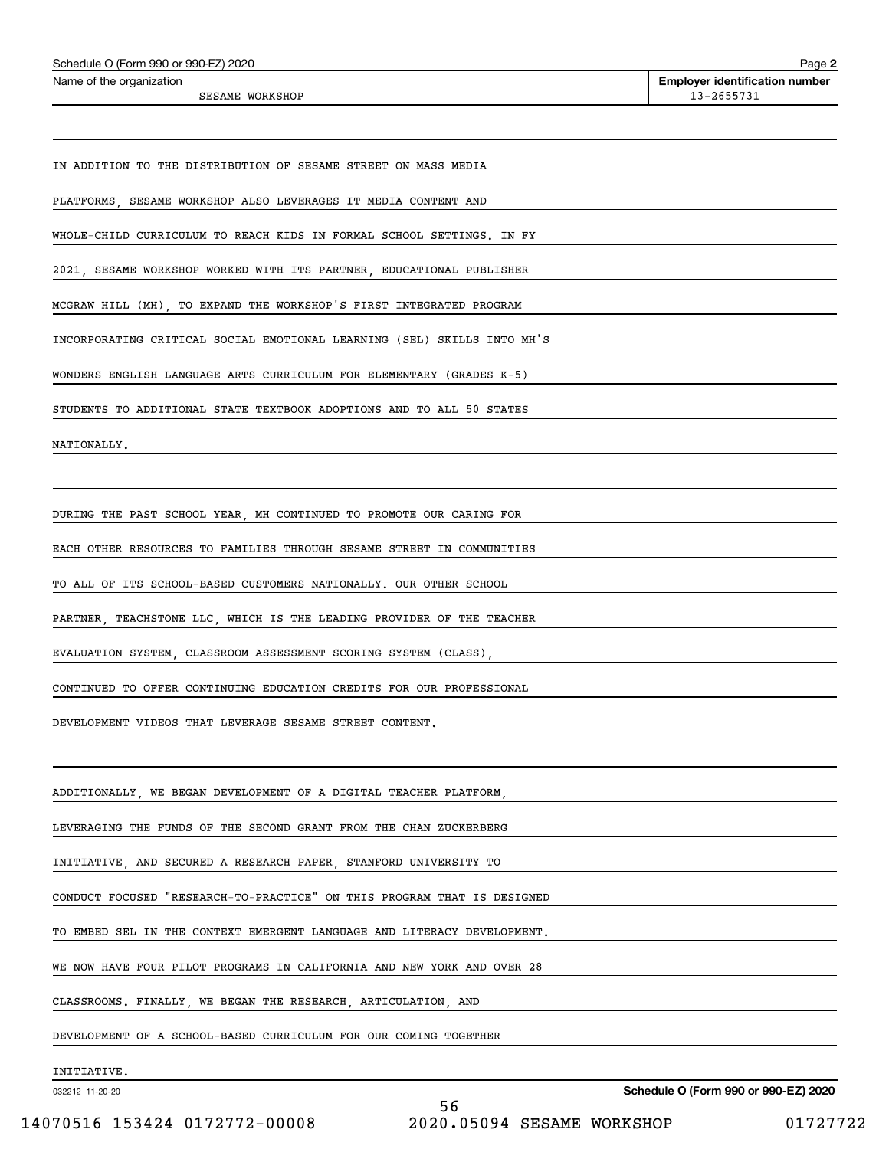| Schedule O (Form 990 or 990-EZ) 2020 |  |
|--------------------------------------|--|
|--------------------------------------|--|

**2Employer identification number** Schedule O (Form 990 or 990-EZ) 2020<br>Name of the organization **provided by the organization number of the organization number** 

IN ADDITION TO THE DISTRIBUTION OF SESAME STREET ON MASS MEDIA

PLATFORMS, SESAME WORKSHOP ALSO LEVERAGES IT MEDIA CONTENT AND

WHOLE-CHILD CURRICULUM TO REACH KIDS IN FORMAL SCHOOL SETTINGS. IN FY

2021, SESAME WORKSHOP WORKED WITH ITS PARTNER, EDUCATIONAL PUBLISHER

MCGRAW HILL (MH), TO EXPAND THE WORKSHOP'S FIRST INTEGRATED PROGRAM

INCORPORATING CRITICAL SOCIAL EMOTIONAL LEARNING (SEL) SKILLS INTO MH'S

WONDERS ENGLISH LANGUAGE ARTS CURRICULUM FOR ELEMENTARY (GRADES K-5)

STUDENTS TO ADDITIONAL STATE TEXTBOOK ADOPTIONS AND TO ALL 50 STATES

NATIONALLY.

DURING THE PAST SCHOOL YEAR, MH CONTINUED TO PROMOTE OUR CARING FOR

EACH OTHER RESOURCES TO FAMILIES THROUGH SESAME STREET IN COMMUNITIES

TO ALL OF ITS SCHOOL-BASED CUSTOMERS NATIONALLY. OUR OTHER SCHOOL

PARTNER, TEACHSTONE LLC, WHICH IS THE LEADING PROVIDER OF THE TEACHER

EVALUATION SYSTEM, CLASSROOM ASSESSMENT SCORING SYSTEM (CLASS),

CONTINUED TO OFFER CONTINUING EDUCATION CREDITS FOR OUR PROFESSIONAL

DEVELOPMENT VIDEOS THAT LEVERAGE SESAME STREET CONTENT.

ADDITIONALLY, WE BEGAN DEVELOPMENT OF A DIGITAL TEACHER PLATFORM,

LEVERAGING THE FUNDS OF THE SECOND GRANT FROM THE CHAN ZUCKERBERG

INITIATIVE, AND SECURED A RESEARCH PAPER, STANFORD UNIVERSITY TO

CONDUCT FOCUSED "RESEARCH-TO-PRACTICE" ON THIS PROGRAM THAT IS DESIGNED

TO EMBED SEL IN THE CONTEXT EMERGENT LANGUAGE AND LITERACY DEVELOPMENT.

WE NOW HAVE FOUR PILOT PROGRAMS IN CALIFORNIA AND NEW YORK AND OVER 28

CLASSROOMS. FINALLY, WE BEGAN THE RESEARCH, ARTICULATION, AND

DEVELOPMENT OF A SCHOOL-BASED CURRICULUM FOR OUR COMING TOGETHER

032212 11-20-20 INITIATIVE.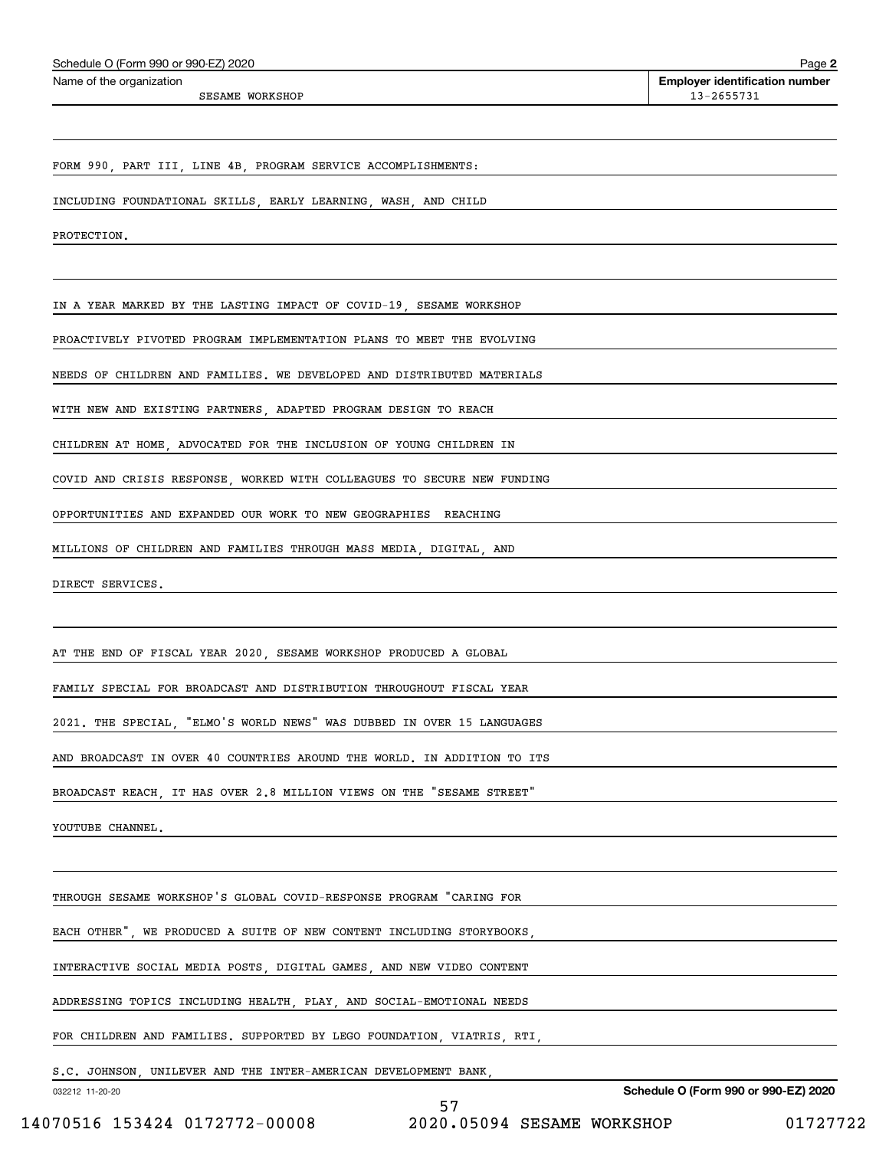| Schedule O (Form 990 or 990-EZ) 2020 |  |  |
|--------------------------------------|--|--|
|                                      |  |  |

**Employer identification number** Schedule O (Form 990 or 990-EZ) 2020<br>Name of the organization **provided by the organization number of the organization number** 

FORM 990, PART III, LINE 4B, PROGRAM SERVICE ACCOMPLISHMENTS:

INCLUDING FOUNDATIONAL SKILLS, EARLY LEARNING, WASH, AND CHILD

PROTECTION.

IN A YEAR MARKED BY THE LASTING IMPACT OF COVID-19, SESAME WORKSHOP

PROACTIVELY PIVOTED PROGRAM IMPLEMENTATION PLANS TO MEET THE EVOLVING

NEEDS OF CHILDREN AND FAMILIES. WE DEVELOPED AND DISTRIBUTED MATERIALS

WITH NEW AND EXISTING PARTNERS, ADAPTED PROGRAM DESIGN TO REACH

CHILDREN AT HOME, ADVOCATED FOR THE INCLUSION OF YOUNG CHILDREN IN

COVID AND CRISIS RESPONSE, WORKED WITH COLLEAGUES TO SECURE NEW FUNDING

OPPORTUNITIES AND EXPANDED OUR WORK TO NEW GEOGRAPHIES REACHING

MILLIONS OF CHILDREN AND FAMILIES THROUGH MASS MEDIA, DIGITAL, AND

DIRECT SERVICES.

AT THE END OF FISCAL YEAR 2020, SESAME WORKSHOP PRODUCED A GLOBAL

FAMILY SPECIAL FOR BROADCAST AND DISTRIBUTION THROUGHOUT FISCAL YEAR

2021. THE SPECIAL, "ELMO'S WORLD NEWS" WAS DUBBED IN OVER 15 LANGUAGES

AND BROADCAST IN OVER 40 COUNTRIES AROUND THE WORLD. IN ADDITION TO ITS

BROADCAST REACH, IT HAS OVER 2.8 MILLION VIEWS ON THE "SESAME STREET"

YOUTUBE CHANNEL.

THROUGH SESAME WORKSHOP'S GLOBAL COVID-RESPONSE PROGRAM "CARING FOR

EACH OTHER", WE PRODUCED A SUITE OF NEW CONTENT INCLUDING STORYBOOKS,

INTERACTIVE SOCIAL MEDIA POSTS, DIGITAL GAMES, AND NEW VIDEO CONTENT

ADDRESSING TOPICS INCLUDING HEALTH, PLAY, AND SOCIAL-EMOTIONAL NEEDS

FOR CHILDREN AND FAMILIES. SUPPORTED BY LEGO FOUNDATION, VIATRIS, RTI,

S.C. JOHNSON, UNILEVER AND THE INTER-AMERICAN DEVELOPMENT BANK,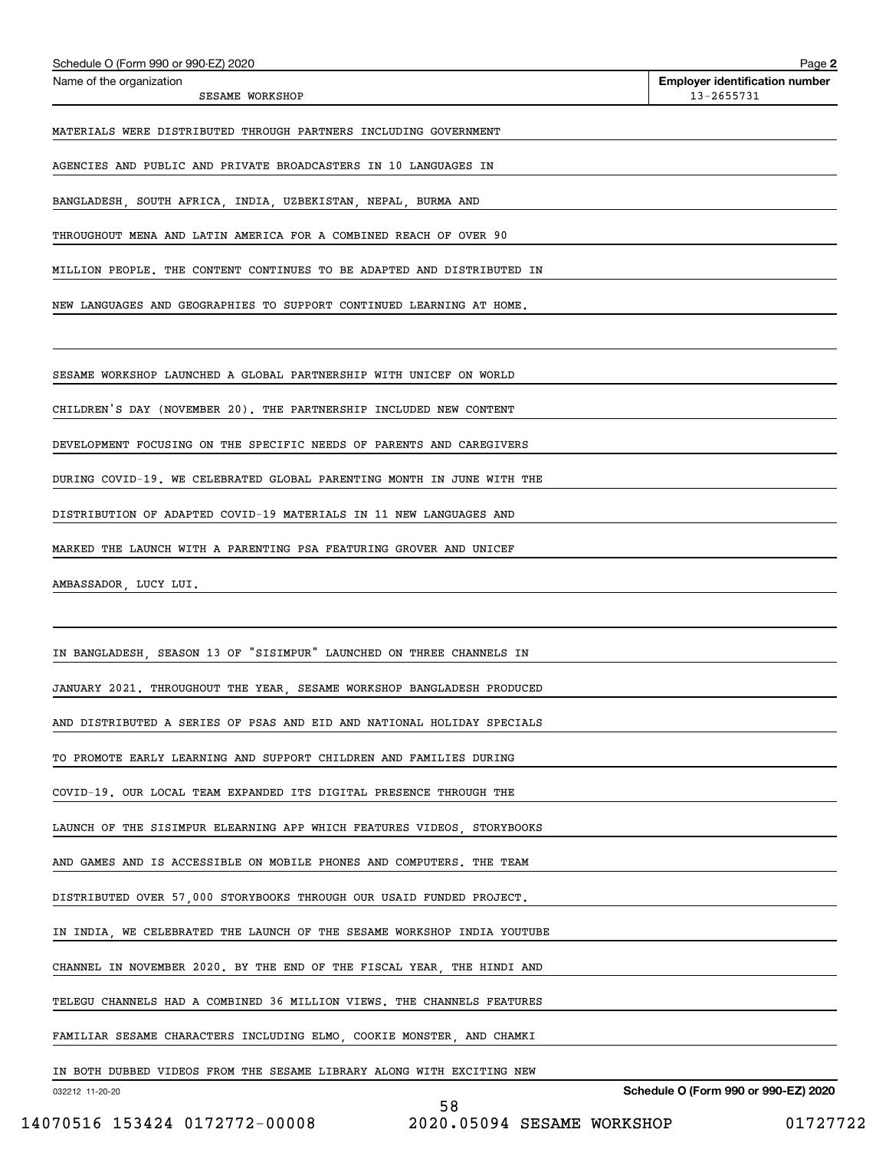| Schedule O (Form 990 or 990-EZ) 2020                                    | Page 2                                              |
|-------------------------------------------------------------------------|-----------------------------------------------------|
| Name of the organization<br><b>SESAME WORKSHOP</b>                      | <b>Employer identification number</b><br>13-2655731 |
| MATERIALS WERE DISTRIBUTED THROUGH PARTNERS INCLUDING GOVERNMENT        |                                                     |
| AGENCIES AND PUBLIC AND PRIVATE BROADCASTERS IN 10 LANGUAGES IN         |                                                     |
| BANGLADESH, SOUTH AFRICA, INDIA, UZBEKISTAN, NEPAL, BURMA AND           |                                                     |
| THROUGHOUT MENA AND LATIN AMERICA FOR A COMBINED REACH OF OVER 90       |                                                     |
| MILLION PEOPLE. THE CONTENT CONTINUES TO BE ADAPTED AND DISTRIBUTED IN  |                                                     |
| NEW LANGUAGES AND GEOGRAPHIES TO SUPPORT CONTINUED LEARNING AT HOME.    |                                                     |
|                                                                         |                                                     |
| SESAME WORKSHOP LAUNCHED A GLOBAL PARTNERSHIP WITH UNICEF ON WORLD      |                                                     |
| CHILDREN'S DAY (NOVEMBER 20). THE PARTNERSHIP INCLUDED NEW CONTENT      |                                                     |
| DEVELOPMENT FOCUSING ON THE SPECIFIC NEEDS OF PARENTS AND CAREGIVERS    |                                                     |
| DURING COVID-19. WE CELEBRATED GLOBAL PARENTING MONTH IN JUNE WITH THE  |                                                     |
| DISTRIBUTION OF ADAPTED COVID-19 MATERIALS IN 11 NEW LANGUAGES AND      |                                                     |
| MARKED THE LAUNCH WITH A PARENTING PSA FEATURING GROVER AND UNICEF      |                                                     |
| AMBASSADOR, LUCY LUI.                                                   |                                                     |
|                                                                         |                                                     |
| IN BANGLADESH, SEASON 13 OF "SISIMPUR" LAUNCHED ON THREE CHANNELS IN    |                                                     |
| JANUARY 2021. THROUGHOUT THE YEAR, SESAME WORKSHOP BANGLADESH PRODUCED  |                                                     |
| AND DISTRIBUTED A SERIES OF PSAS AND EID AND NATIONAL HOLIDAY SPECIALS  |                                                     |
| TO PROMOTE EARLY LEARNING AND SUPPORT CHILDREN AND FAMILIES DURING      |                                                     |
| COVID-19. OUR LOCAL TEAM EXPANDED ITS DIGITAL PRESENCE THROUGH THE      |                                                     |
| LAUNCH OF THE SISIMPUR ELEARNING APP WHICH FEATURES VIDEOS, STORYBOOKS  |                                                     |
| AND GAMES AND IS ACCESSIBLE ON MOBILE PHONES AND COMPUTERS. THE TEAM    |                                                     |
| DISTRIBUTED OVER 57,000 STORYBOOKS THROUGH OUR USAID FUNDED PROJECT.    |                                                     |
| IN INDIA, WE CELEBRATED THE LAUNCH OF THE SESAME WORKSHOP INDIA YOUTUBE |                                                     |
| CHANNEL IN NOVEMBER 2020. BY THE END OF THE FISCAL YEAR, THE HINDI AND  |                                                     |
| TELEGU CHANNELS HAD A COMBINED 36 MILLION VIEWS. THE CHANNELS FEATURES  |                                                     |
| FAMILIAR SESAME CHARACTERS INCLUDING ELMO, COOKIE MONSTER, AND CHAMKI   |                                                     |
| IN BOTH DUBBED VIDEOS FROM THE SESAME LIBRARY ALONG WITH EXCITING NEW   |                                                     |
| 032212 11-20-20                                                         | Schedule O (Form 990 or 990-EZ) 2020                |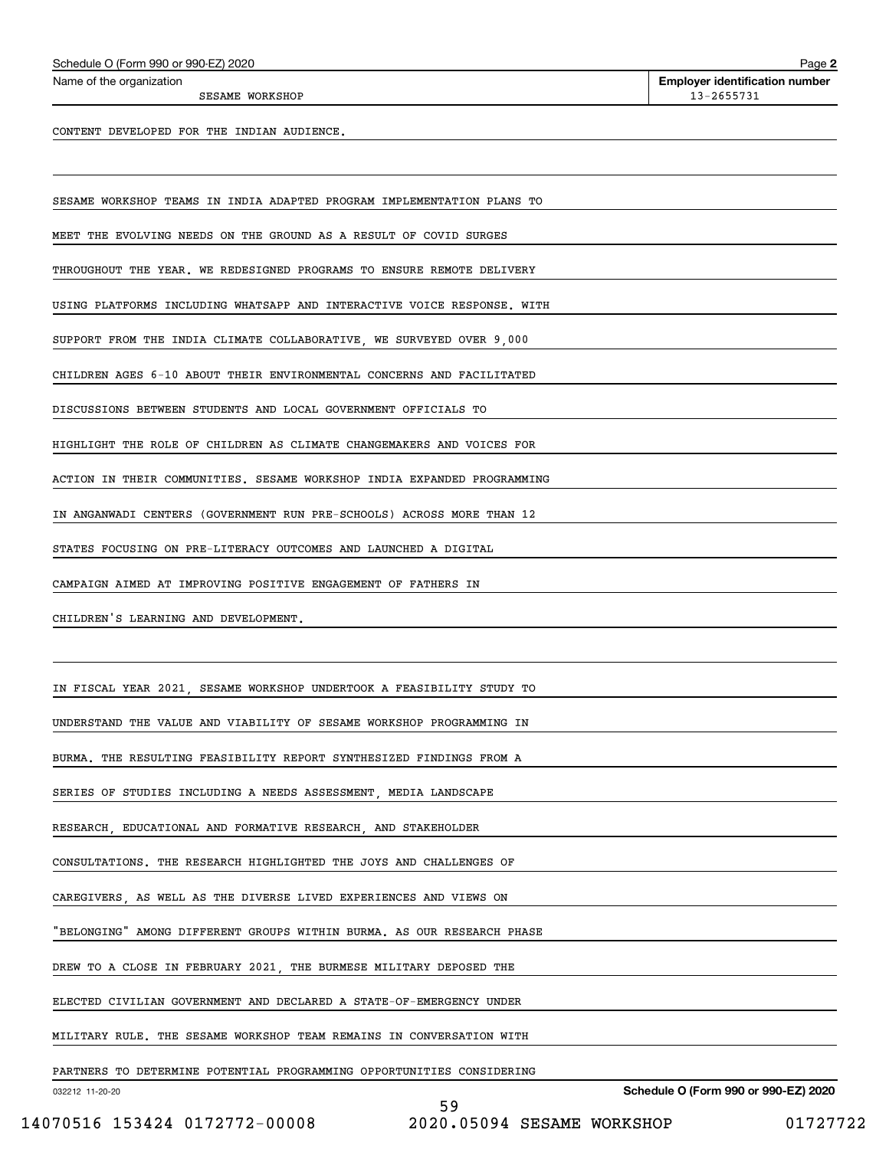| Schedule O (Form 990 or 990-EZ) 2020 |  |  |
|--------------------------------------|--|--|
|                                      |  |  |

**2**Echedule O (Form 990 or 990-EZ) 2020<br>Name of the organization **number** Name of the organization **number** SESAME WORKSHOP 13-2655731

CONTENT DEVELOPED FOR THE INDIAN AUDIENCE.

SESAME WORKSHOP TEAMS IN INDIA ADAPTED PROGRAM IMPLEMENTATION PLANS TO

MEET THE EVOLVING NEEDS ON THE GROUND AS A RESULT OF COVID SURGES

THROUGHOUT THE YEAR. WE REDESIGNED PROGRAMS TO ENSURE REMOTE DELIVERY

USING PLATFORMS INCLUDING WHATSAPP AND INTERACTIVE VOICE RESPONSE. WITH

SUPPORT FROM THE INDIA CLIMATE COLLABORATIVE, WE SURVEYED OVER 9,000

CHILDREN AGES 6-10 ABOUT THEIR ENVIRONMENTAL CONCERNS AND FACILITATED

DISCUSSIONS BETWEEN STUDENTS AND LOCAL GOVERNMENT OFFICIALS TO

HIGHLIGHT THE ROLE OF CHILDREN AS CLIMATE CHANGEMAKERS AND VOICES FOR

ACTION IN THEIR COMMUNITIES. SESAME WORKSHOP INDIA EXPANDED PROGRAMMING

IN ANGANWADI CENTERS (GOVERNMENT RUN PRE-SCHOOLS) ACROSS MORE THAN 12

STATES FOCUSING ON PRE-LITERACY OUTCOMES AND LAUNCHED A DIGITAL

CAMPAIGN AIMED AT IMPROVING POSITIVE ENGAGEMENT OF FATHERS IN

CHILDREN'S LEARNING AND DEVELOPMENT.

IN FISCAL YEAR 2021, SESAME WORKSHOP UNDERTOOK A FEASIBILITY STUDY TO

UNDERSTAND THE VALUE AND VIABILITY OF SESAME WORKSHOP PROGRAMMING IN

BURMA. THE RESULTING FEASIBILITY REPORT SYNTHESIZED FINDINGS FROM A

SERIES OF STUDIES INCLUDING A NEEDS ASSESSMENT, MEDIA LANDSCAPE

RESEARCH, EDUCATIONAL AND FORMATIVE RESEARCH, AND STAKEHOLDER

CONSULTATIONS. THE RESEARCH HIGHLIGHTED THE JOYS AND CHALLENGES OF

CAREGIVERS, AS WELL AS THE DIVERSE LIVED EXPERIENCES AND VIEWS ON

"BELONGING" AMONG DIFFERENT GROUPS WITHIN BURMA. AS OUR RESEARCH PHASE

DREW TO A CLOSE IN FEBRUARY 2021, THE BURMESE MILITARY DEPOSED THE

ELECTED CIVILIAN GOVERNMENT AND DECLARED A STATE-OF-EMERGENCY UNDER

MILITARY RULE. THE SESAME WORKSHOP TEAM REMAINS IN CONVERSATION WITH

PARTNERS TO DETERMINE POTENTIAL PROGRAMMING OPPORTUNITIES CONSIDERING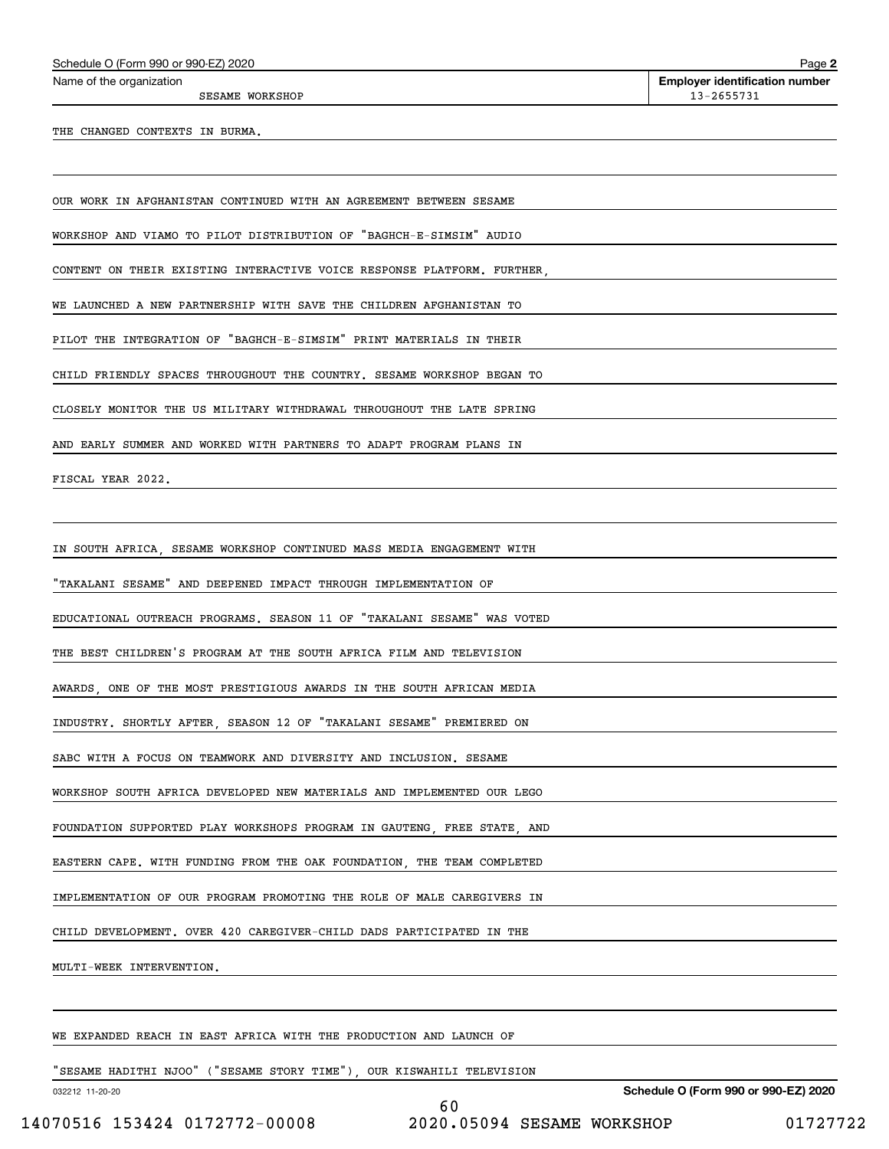| Schedule O (Form 990 or 990-EZ) 2020 |  |  |  |  |
|--------------------------------------|--|--|--|--|
|--------------------------------------|--|--|--|--|

THE CHANGED CONTEXTS IN BURMA.

OUR WORK IN AFGHANISTAN CONTINUED WITH AN AGREEMENT BETWEEN SESAME

WORKSHOP AND VIAMO TO PILOT DISTRIBUTION OF "BAGHCH-E-SIMSIM" AUDIO

CONTENT ON THEIR EXISTING INTERACTIVE VOICE RESPONSE PLATFORM. FURTHER,

WE LAUNCHED A NEW PARTNERSHIP WITH SAVE THE CHILDREN AFGHANISTAN TO

PILOT THE INTEGRATION OF "BAGHCH-E-SIMSIM" PRINT MATERIALS IN THEIR

CHILD FRIENDLY SPACES THROUGHOUT THE COUNTRY. SESAME WORKSHOP BEGAN TO

CLOSELY MONITOR THE US MILITARY WITHDRAWAL THROUGHOUT THE LATE SPRING

AND EARLY SUMMER AND WORKED WITH PARTNERS TO ADAPT PROGRAM PLANS IN

FISCAL YEAR 2022.

IN SOUTH AFRICA, SESAME WORKSHOP CONTINUED MASS MEDIA ENGAGEMENT WITH

"TAKALANI SESAME" AND DEEPENED IMPACT THROUGH IMPLEMENTATION OF

EDUCATIONAL OUTREACH PROGRAMS. SEASON 11 OF "TAKALANI SESAME" WAS VOTED

THE BEST CHILDREN'S PROGRAM AT THE SOUTH AFRICA FILM AND TELEVISION

AWARDS, ONE OF THE MOST PRESTIGIOUS AWARDS IN THE SOUTH AFRICAN MEDIA

INDUSTRY. SHORTLY AFTER, SEASON 12 OF "TAKALANI SESAME" PREMIERED ON

SABC WITH A FOCUS ON TEAMWORK AND DIVERSITY AND INCLUSION. SESAME

WORKSHOP SOUTH AFRICA DEVELOPED NEW MATERIALS AND IMPLEMENTED OUR LEGO

FOUNDATION SUPPORTED PLAY WORKSHOPS PROGRAM IN GAUTENG, FREE STATE, AND

EASTERN CAPE. WITH FUNDING FROM THE OAK FOUNDATION, THE TEAM COMPLETED

IMPLEMENTATION OF OUR PROGRAM PROMOTING THE ROLE OF MALE CAREGIVERS IN

CHILD DEVELOPMENT. OVER 420 CAREGIVER-CHILD DADS PARTICIPATED IN THE

MULTI-WEEK INTERVENTION.

WE EXPANDED REACH IN EAST AFRICA WITH THE PRODUCTION AND LAUNCH OF

"SESAME HADITHI NJOO" ("SESAME STORY TIME"), OUR KISWAHILI TELEVISION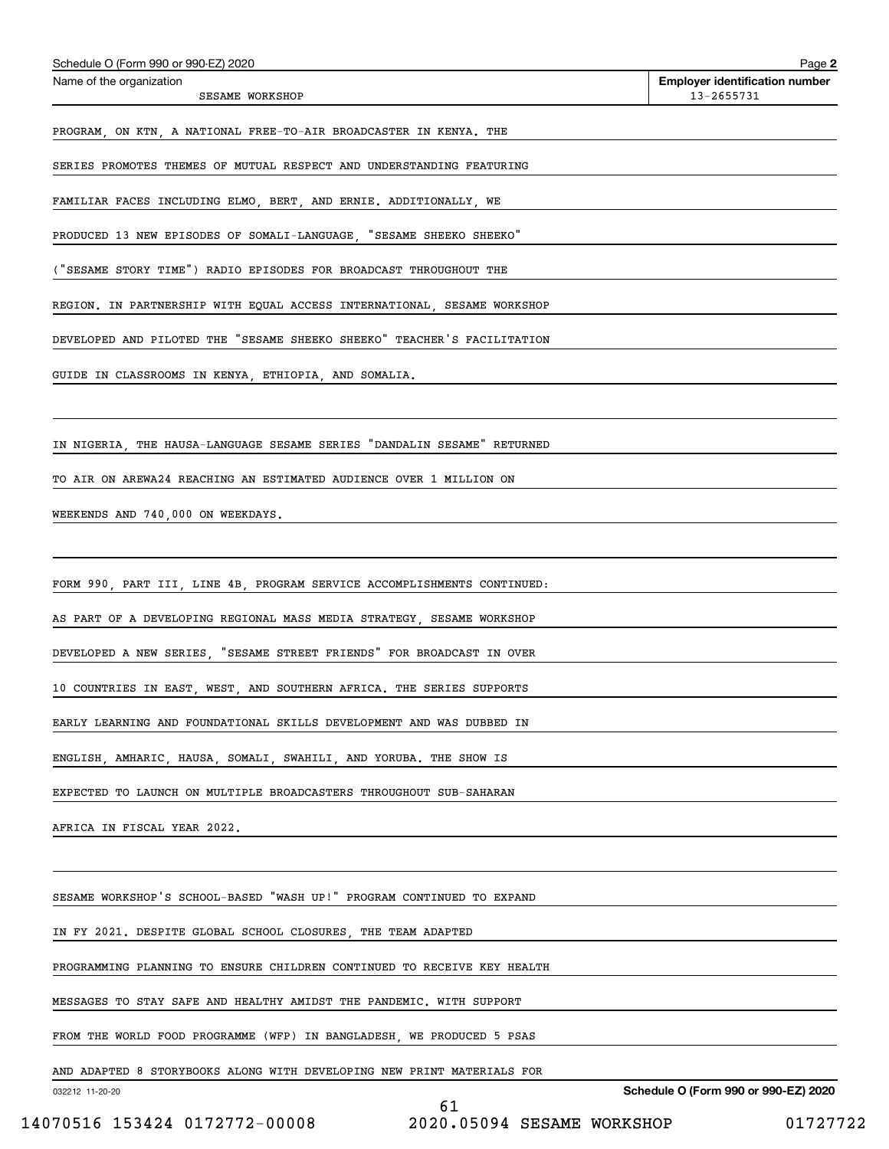| Schedule O (Form 990 or 990-EZ) 2020                                    |                                  | Page 2                                              |
|-------------------------------------------------------------------------|----------------------------------|-----------------------------------------------------|
| Name of the organization<br>SESAME WORKSHOP                             |                                  | <b>Employer identification number</b><br>13-2655731 |
| PROGRAM, ON KTN, A NATIONAL FREE-TO-AIR BROADCASTER IN KENYA. THE       |                                  |                                                     |
| SERIES PROMOTES THEMES OF MUTUAL RESPECT AND UNDERSTANDING FEATURING    |                                  |                                                     |
| FAMILIAR FACES INCLUDING ELMO, BERT, AND ERNIE. ADDITIONALLY, WE        |                                  |                                                     |
| PRODUCED 13 NEW EPISODES OF SOMALI-LANGUAGE, "SESAME SHEEKO SHEEKO"     |                                  |                                                     |
| ("SESAME STORY TIME") RADIO EPISODES FOR BROADCAST THROUGHOUT THE       |                                  |                                                     |
| REGION. IN PARTNERSHIP WITH EQUAL ACCESS INTERNATIONAL, SESAME WORKSHOP |                                  |                                                     |
| DEVELOPED AND PILOTED THE "SESAME SHEEKO SHEEKO" TEACHER'S FACILITATION |                                  |                                                     |
| GUIDE IN CLASSROOMS IN KENYA, ETHIOPIA, AND SOMALIA.                    |                                  |                                                     |
|                                                                         |                                  |                                                     |
| IN NIGERIA, THE HAUSA-LANGUAGE SESAME SERIES "DANDALIN SESAME" RETURNED |                                  |                                                     |
| TO AIR ON AREWA24 REACHING AN ESTIMATED AUDIENCE OVER 1 MILLION ON      |                                  |                                                     |
| WEEKENDS AND 740,000 ON WEEKDAYS.                                       |                                  |                                                     |
|                                                                         |                                  |                                                     |
| FORM 990, PART III, LINE 4B, PROGRAM SERVICE ACCOMPLISHMENTS CONTINUED: |                                  |                                                     |
| AS PART OF A DEVELOPING REGIONAL MASS MEDIA STRATEGY, SESAME WORKSHOP   |                                  |                                                     |
| DEVELOPED A NEW SERIES, "SESAME STREET FRIENDS" FOR BROADCAST IN OVER   |                                  |                                                     |
| 10 COUNTRIES IN EAST, WEST, AND SOUTHERN AFRICA. THE SERIES SUPPORTS    |                                  |                                                     |
| EARLY LEARNING AND FOUNDATIONAL SKILLS DEVELOPMENT AND WAS DUBBED IN    |                                  |                                                     |
| ENGLISH, AMHARIC, HAUSA, SOMALI, SWAHILI, AND YORUBA. THE SHOW IS       |                                  |                                                     |
| EXPECTED TO LAUNCH ON MULTIPLE BROADCASTERS THROUGHOUT SUB-SAHARAN      |                                  |                                                     |
| AFRICA IN FISCAL YEAR 2022.                                             |                                  |                                                     |
|                                                                         |                                  |                                                     |
| SESAME WORKSHOP'S SCHOOL-BASED "WASH UP!" PROGRAM CONTINUED TO EXPAND   |                                  |                                                     |
| IN FY 2021. DESPITE GLOBAL SCHOOL CLOSURES, THE TEAM ADAPTED            |                                  |                                                     |
| PROGRAMMING PLANNING TO ENSURE CHILDREN CONTINUED TO RECEIVE KEY HEALTH |                                  |                                                     |
| MESSAGES TO STAY SAFE AND HEALTHY AMIDST THE PANDEMIC. WITH SUPPORT     |                                  |                                                     |
| FROM THE WORLD FOOD PROGRAMME (WFP) IN BANGLADESH, WE PRODUCED 5 PSAS   |                                  |                                                     |
| AND ADAPTED 8 STORYBOOKS ALONG WITH DEVELOPING NEW PRINT MATERIALS FOR  |                                  |                                                     |
| 032212 11-20-20                                                         |                                  | Schedule O (Form 990 or 990-EZ) 2020                |
| 14070516 153424 0172772-00008                                           | 61<br>2020.05094 SESAME WORKSHOP | 01727722                                            |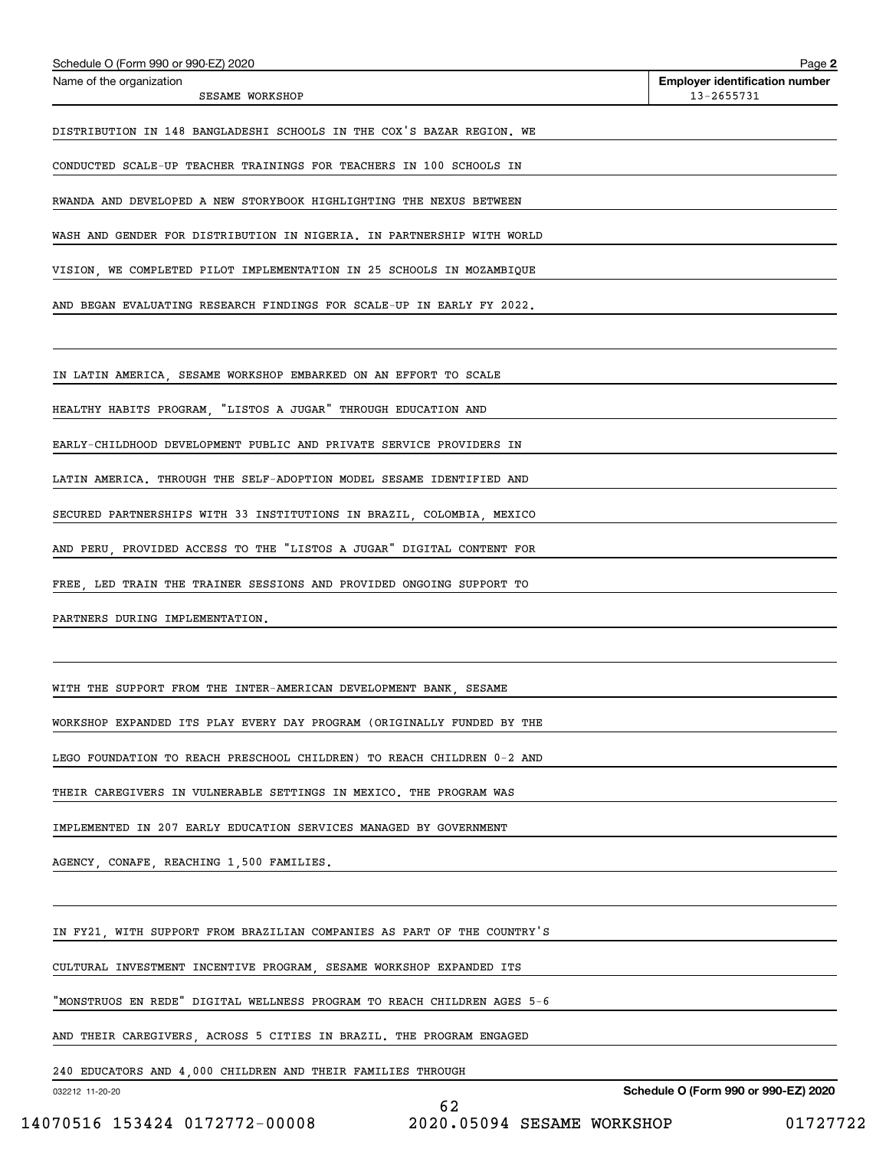| Schedule O (Form 990 or 990-EZ) 2020<br>Name of the organization                      | Page 2<br><b>Employer identification number</b> |
|---------------------------------------------------------------------------------------|-------------------------------------------------|
| <b>SESAME WORKSHOP</b>                                                                | 13-2655731                                      |
| DISTRIBUTION IN 148 BANGLADESHI SCHOOLS IN THE COX'S BAZAR REGION. WE                 |                                                 |
| CONDUCTED SCALE-UP TEACHER TRAININGS FOR TEACHERS IN 100 SCHOOLS IN                   |                                                 |
| RWANDA AND DEVELOPED A NEW STORYBOOK HIGHLIGHTING THE NEXUS BETWEEN                   |                                                 |
| WASH AND GENDER FOR DISTRIBUTION IN NIGERIA. IN PARTNERSHIP WITH WORLD                |                                                 |
| VISION, WE COMPLETED PILOT IMPLEMENTATION IN 25 SCHOOLS IN MOZAMBIQUE                 |                                                 |
| AND BEGAN EVALUATING RESEARCH FINDINGS FOR SCALE-UP IN EARLY FY 2022.                 |                                                 |
| IN LATIN AMERICA, SESAME WORKSHOP EMBARKED ON AN EFFORT TO SCALE                      |                                                 |
| HEALTHY HABITS PROGRAM, "LISTOS A JUGAR" THROUGH EDUCATION AND                        |                                                 |
| EARLY-CHILDHOOD DEVELOPMENT PUBLIC AND PRIVATE SERVICE PROVIDERS IN                   |                                                 |
| LATIN AMERICA. THROUGH THE SELF-ADOPTION MODEL SESAME IDENTIFIED AND                  |                                                 |
| SECURED PARTNERSHIPS WITH 33 INSTITUTIONS IN BRAZIL, COLOMBIA, MEXICO                 |                                                 |
| AND PERU, PROVIDED ACCESS TO THE "LISTOS A JUGAR" DIGITAL CONTENT FOR                 |                                                 |
| FREE, LED TRAIN THE TRAINER SESSIONS AND PROVIDED ONGOING SUPPORT TO                  |                                                 |
| PARTNERS DURING IMPLEMENTATION.                                                       |                                                 |
|                                                                                       |                                                 |
| WITH THE SUPPORT FROM THE INTER-AMERICAN DEVELOPMENT BANK                      SESAME |                                                 |
| WORKSHOP EXPANDED ITS PLAY EVERY DAY PROGRAM (ORIGINALLY FUNDED BY THE                |                                                 |
| LEGO FOUNDATION TO REACH PRESCHOOL CHILDREN) TO REACH CHILDREN 0-2 AND                |                                                 |
| THEIR CAREGIVERS IN VULNERABLE SETTINGS IN MEXICO. THE PROGRAM WAS                    |                                                 |
| IMPLEMENTED IN 207 EARLY EDUCATION SERVICES MANAGED BY GOVERNMENT                     |                                                 |
| AGENCY, CONAFE, REACHING 1,500 FAMILIES.                                              |                                                 |
| IN FY21, WITH SUPPORT FROM BRAZILIAN COMPANIES AS PART OF THE COUNTRY'S               |                                                 |
| CULTURAL INVESTMENT INCENTIVE PROGRAM, SESAME WORKSHOP EXPANDED ITS                   |                                                 |
| "MONSTRUOS EN REDE" DIGITAL WELLNESS PROGRAM TO REACH CHILDREN AGES 5-6               |                                                 |
| AND THEIR CAREGIVERS, ACROSS 5 CITIES IN BRAZIL. THE PROGRAM ENGAGED                  |                                                 |
| 240 EDUCATORS AND 4,000 CHILDREN AND THEIR FAMILIES THROUGH                           |                                                 |
| 032212 11-20-20<br>62                                                                 | Schedule O (Form 990 or 990-EZ) 2020            |
| 14070516 153424 0172772-00008<br>2020.05094 SESAME WORKSHOP                           | 01727722                                        |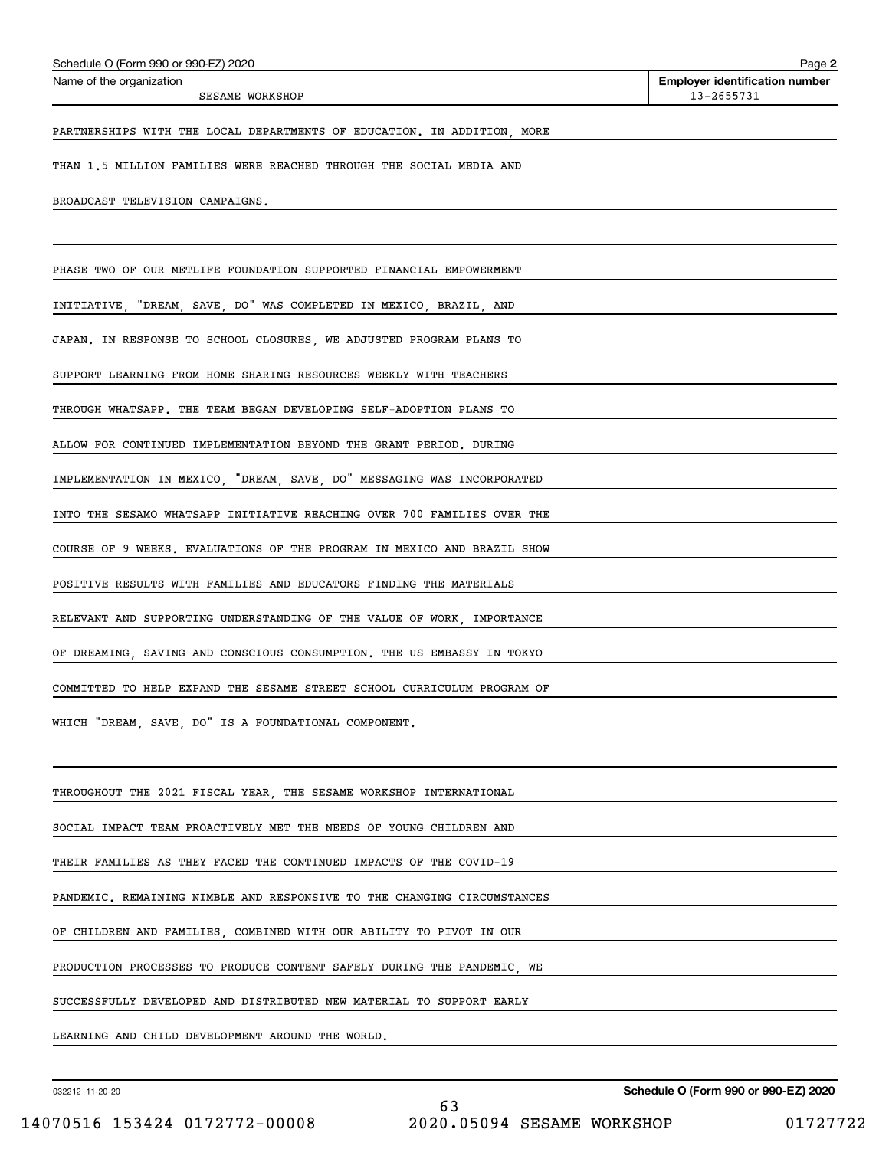| PARTNERSHIPS WITH THE LOCAL DEPARTMENTS OF EDUCATION. IN ADDITION, MORE |
|-------------------------------------------------------------------------|
| THAN 1.5 MILLION FAMILIES WERE REACHED THROUGH THE SOCIAL MEDIA AND     |
| BROADCAST TELEVISION CAMPAIGNS.                                         |
|                                                                         |
| PHASE TWO OF OUR METLIFE FOUNDATION SUPPORTED FINANCIAL EMPOWERMENT     |
| INITIATIVE, "DREAM, SAVE, DO" WAS COMPLETED IN MEXICO, BRAZIL, AND      |
| JAPAN. IN RESPONSE TO SCHOOL CLOSURES, WE ADJUSTED PROGRAM PLANS TO     |
| SUPPORT LEARNING FROM HOME SHARING RESOURCES WEEKLY WITH TEACHERS       |
| THROUGH WHATSAPP. THE TEAM BEGAN DEVELOPING SELF-ADOPTION PLANS TO      |
| ALLOW FOR CONTINUED IMPLEMENTATION BEYOND THE GRANT PERIOD. DURING      |
| IMPLEMENTATION IN MEXICO, "DREAM, SAVE, DO" MESSAGING WAS INCORPORATED  |
| INTO THE SESAMO WHATSAPP INITIATIVE REACHING OVER 700 FAMILIES OVER THE |
| COURSE OF 9 WEEKS. EVALUATIONS OF THE PROGRAM IN MEXICO AND BRAZIL SHOW |
| POSITIVE RESULTS WITH FAMILIES AND EDUCATORS FINDING THE MATERIALS      |
| RELEVANT AND SUPPORTING UNDERSTANDING OF THE VALUE OF WORK, IMPORTANCE  |
| OF DREAMING, SAVING AND CONSCIOUS CONSUMPTION. THE US EMBASSY IN TOKYO  |
| COMMITTED TO HELP EXPAND THE SESAME STREET SCHOOL CURRICULUM PROGRAM OF |
| WHICH "DREAM, SAVE, DO" IS A FOUNDATIONAL COMPONENT.                    |
|                                                                         |
| THROUGHOUT THE 2021 FISCAL YEAR, THE SESAME WORKSHOP INTERNATIONAL      |
| SOCIAL IMPACT TEAM PROACTIVELY MET THE NEEDS OF YOUNG CHILDREN AND      |
| THEIR FAMILIES AS THEY FACED THE CONTINUED IMPACTS OF THE COVID-19      |
| PANDEMIC. REMAINING NIMBLE AND RESPONSIVE TO THE CHANGING CIRCUMSTANCES |
| OF CHILDREN AND FAMILIES, COMBINED WITH OUR ABILITY TO PIVOT IN OUR     |
| PRODUCTION PROCESSES TO PRODUCE CONTENT SAFELY DURING THE PANDEMIC, WE  |
| SUCCESSFULLY DEVELOPED AND DISTRIBUTED NEW MATERIAL TO SUPPORT EARLY    |
| LEARNING AND CHILD DEVELOPMENT AROUND THE WORLD.                        |
|                                                                         |

Echedule O (Form 990 or 990-EZ) 2020<br>Name of the organization **number** Name of the organization **number** 

SESAME WORKSHOP 13-2655731

032212 11-20-20

**2**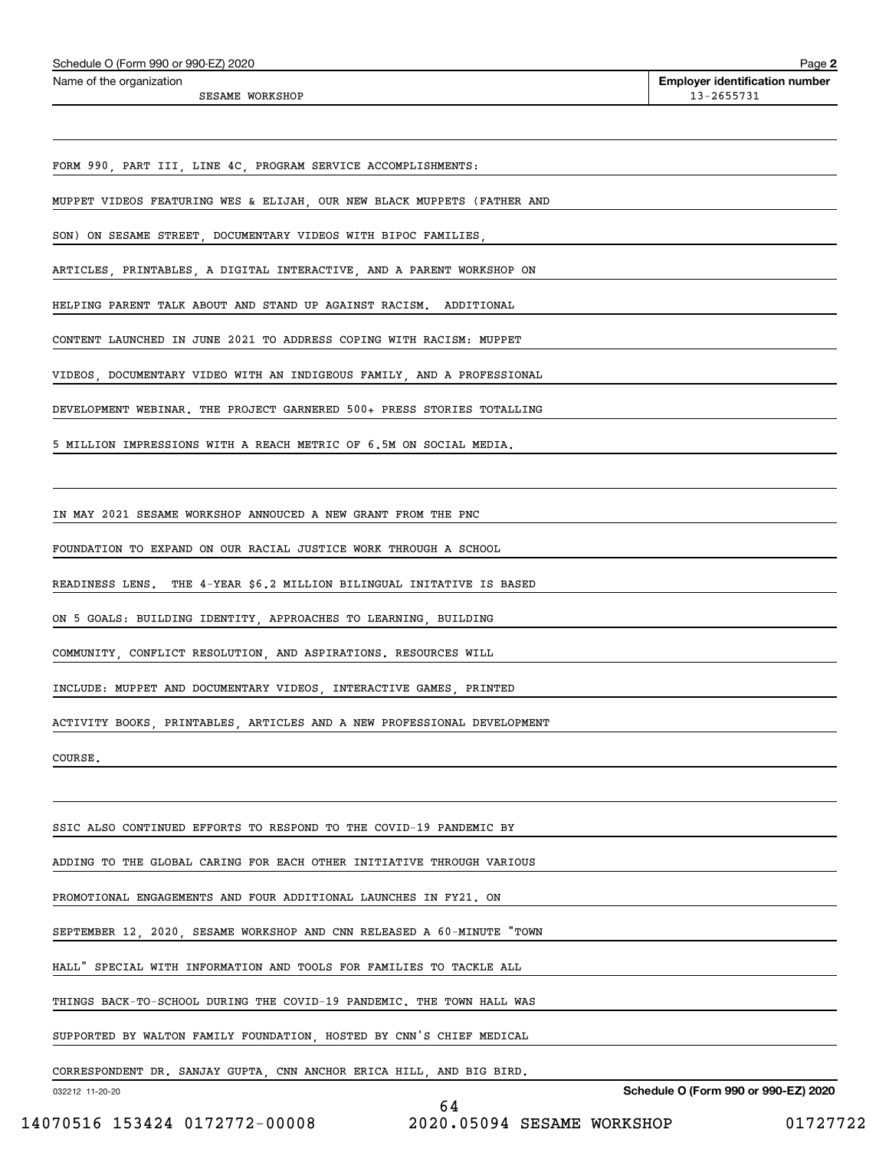|  | Schedule O (Form 990 or 990-EZ) 2020 |  |  |  |  |
|--|--------------------------------------|--|--|--|--|
|--|--------------------------------------|--|--|--|--|

**2**Echedule O (Form 990 or 990-EZ) 2020<br>Name of the organization **number** Name of the organization **number** SESAME WORKSHOP 13-2655731

FORM 990, PART III, LINE 4C, PROGRAM SERVICE ACCOMPLISHMENTS:

MUPPET VIDEOS FEATURING WES & ELIJAH, OUR NEW BLACK MUPPETS (FATHER AND

SON) ON SESAME STREET, DOCUMENTARY VIDEOS WITH BIPOC FAMILIES

ARTICLES, PRINTABLES, A DIGITAL INTERACTIVE, AND A PARENT WORKSHOP ON

HELPING PARENT TALK ABOUT AND STAND UP AGAINST RACISM. ADDITIONAL

CONTENT LAUNCHED IN JUNE 2021 TO ADDRESS COPING WITH RACISM: MUPPET

VIDEOS, DOCUMENTARY VIDEO WITH AN INDIGEOUS FAMILY, AND A PROFESSIONAL

DEVELOPMENT WEBINAR. THE PROJECT GARNERED 500+ PRESS STORIES TOTALLING

5 MILLION IMPRESSIONS WITH A REACH METRIC OF 6.5M ON SOCIAL MEDIA.

IN MAY 2021 SESAME WORKSHOP ANNOUCED A NEW GRANT FROM THE PNC

FOUNDATION TO EXPAND ON OUR RACIAL JUSTICE WORK THROUGH A SCHOOL

READINESS LENS. THE 4-YEAR \$6.2 MILLION BILINGUAL INITATIVE IS BASED

ON 5 GOALS: BUILDING IDENTITY, APPROACHES TO LEARNING, BUILDING

COMMUNITY, CONFLICT RESOLUTION, AND ASPIRATIONS. RESOURCES WILL

INCLUDE: MUPPET AND DOCUMENTARY VIDEOS, INTERACTIVE GAMES, PRINTED

ACTIVITY BOOKS, PRINTABLES, ARTICLES AND A NEW PROFESSIONAL DEVELOPMENT

COURSE.

SSIC ALSO CONTINUED EFFORTS TO RESPOND TO THE COVID-19 PANDEMIC BY

ADDING TO THE GLOBAL CARING FOR EACH OTHER INITIATIVE THROUGH VARIOUS

PROMOTIONAL ENGAGEMENTS AND FOUR ADDITIONAL LAUNCHES IN FY21. ON

SEPTEMBER 12, 2020, SESAME WORKSHOP AND CNN RELEASED A 60-MINUTE "TOWN

HALL" SPECIAL WITH INFORMATION AND TOOLS FOR FAMILIES TO TACKLE ALL

THINGS BACK-TO-SCHOOL DURING THE COVID-19 PANDEMIC. THE TOWN HALL WAS

SUPPORTED BY WALTON FAMILY FOUNDATION, HOSTED BY CNN'S CHIEF MEDICAL

CORRESPONDENT DR. SANJAY GUPTA, CNN ANCHOR ERICA HILL, AND BIG BIRD.

032212 11-20-20

**Schedule O (Form 990 or 990-EZ) 2020**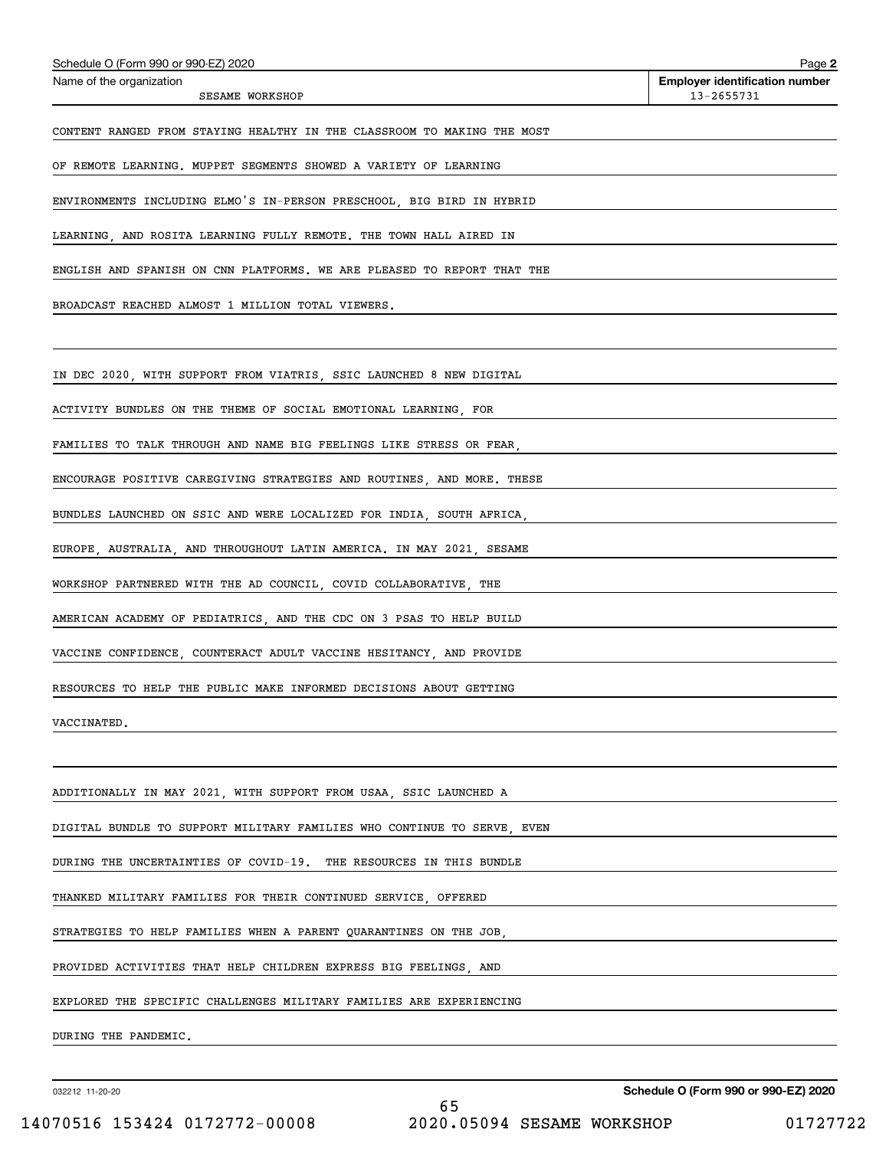| Schedule O (Form 990 or 990-EZ) 2020                                    | Page 2                                              |
|-------------------------------------------------------------------------|-----------------------------------------------------|
| Name of the organization<br><b>SESAME WORKSHOP</b>                      | <b>Employer identification number</b><br>13-2655731 |
| CONTENT RANGED FROM STAYING HEALTHY IN THE CLASSROOM TO MAKING THE MOST |                                                     |
| OF REMOTE LEARNING. MUPPET SEGMENTS SHOWED A VARIETY OF LEARNING        |                                                     |
| ENVIRONMENTS INCLUDING ELMO'S IN-PERSON PRESCHOOL, BIG BIRD IN HYBRID   |                                                     |
| LEARNING, AND ROSITA LEARNING FULLY REMOTE. THE TOWN HALL AIRED IN      |                                                     |
| ENGLISH AND SPANISH ON CNN PLATFORMS. WE ARE PLEASED TO REPORT THAT THE |                                                     |
| BROADCAST REACHED ALMOST 1 MILLION TOTAL VIEWERS.                       |                                                     |
|                                                                         |                                                     |
| IN DEC 2020, WITH SUPPORT FROM VIATRIS, SSIC LAUNCHED 8 NEW DIGITAL     |                                                     |
| ACTIVITY BUNDLES ON THE THEME OF SOCIAL EMOTIONAL LEARNING, FOR         |                                                     |
| FAMILIES TO TALK THROUGH AND NAME BIG FEELINGS LIKE STRESS OR FEAR,     |                                                     |
| ENCOURAGE POSITIVE CAREGIVING STRATEGIES AND ROUTINES, AND MORE. THESE  |                                                     |
| BUNDLES LAUNCHED ON SSIC AND WERE LOCALIZED FOR INDIA, SOUTH AFRICA,    |                                                     |
| EUROPE, AUSTRALIA, AND THROUGHOUT LATIN AMERICA. IN MAY 2021, SESAME    |                                                     |
| WORKSHOP PARTNERED WITH THE AD COUNCIL, COVID COLLABORATIVE, THE        |                                                     |
| AMERICAN ACADEMY OF PEDIATRICS, AND THE CDC ON 3 PSAS TO HELP BUILD     |                                                     |
| VACCINE CONFIDENCE, COUNTERACT ADULT VACCINE HESITANCY, AND PROVIDE     |                                                     |
| RESOURCES TO HELP THE PUBLIC MAKE INFORMED DECISIONS ABOUT GETTING      |                                                     |
| VACCINATED.                                                             |                                                     |
|                                                                         |                                                     |
| ADDITIONALLY IN MAY 2021, WITH SUPPORT FROM USAA, SSIC LAUNCHED A       |                                                     |
| DIGITAL BUNDLE TO SUPPORT MILITARY FAMILIES WHO CONTINUE TO SERVE, EVEN |                                                     |
| DURING THE UNCERTAINTIES OF COVID-19. THE RESOURCES IN THIS BUNDLE      |                                                     |
| THANKED MILITARY FAMILIES FOR THEIR CONTINUED SERVICE, OFFERED          |                                                     |
| STRATEGIES TO HELP FAMILIES WHEN A PARENT QUARANTINES ON THE JOB,       |                                                     |
| PROVIDED ACTIVITIES THAT HELP CHILDREN EXPRESS BIG FEELINGS, AND        |                                                     |
| EXPLORED THE SPECIFIC CHALLENGES MILITARY FAMILIES ARE EXPERIENCING     |                                                     |
| DURING THE PANDEMIC.                                                    |                                                     |
|                                                                         |                                                     |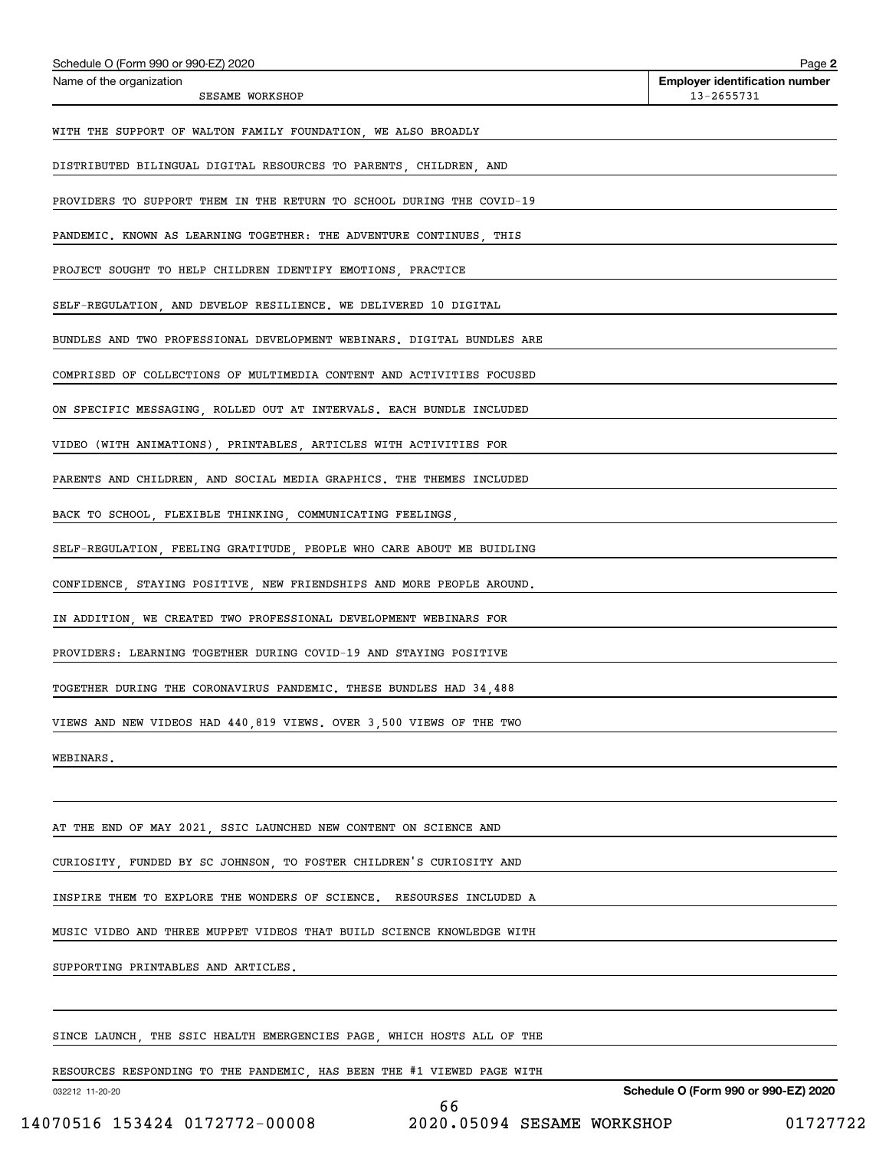| Schedule O (Form 990 or 990-EZ) 2020                                   | Page 2                                              |
|------------------------------------------------------------------------|-----------------------------------------------------|
| Name of the organization<br><b>SESAME WORKSHOP</b>                     | <b>Employer identification number</b><br>13-2655731 |
| WITH THE SUPPORT OF WALTON FAMILY FOUNDATION, WE ALSO BROADLY          |                                                     |
| DISTRIBUTED BILINGUAL DIGITAL RESOURCES TO PARENTS, CHILDREN, AND      |                                                     |
| PROVIDERS TO SUPPORT THEM IN THE RETURN TO SCHOOL DURING THE COVID-19  |                                                     |
| PANDEMIC. KNOWN AS LEARNING TOGETHER: THE ADVENTURE CONTINUES, THIS    |                                                     |
| PROJECT SOUGHT TO HELP CHILDREN IDENTIFY EMOTIONS, PRACTICE            |                                                     |
| SELF-REGULATION, AND DEVELOP RESILIENCE. WE DELIVERED 10 DIGITAL       |                                                     |
| BUNDLES AND TWO PROFESSIONAL DEVELOPMENT WEBINARS. DIGITAL BUNDLES ARE |                                                     |
| COMPRISED OF COLLECTIONS OF MULTIMEDIA CONTENT AND ACTIVITIES FOCUSED  |                                                     |
| ON SPECIFIC MESSAGING, ROLLED OUT AT INTERVALS. EACH BUNDLE INCLUDED   |                                                     |
| VIDEO (WITH ANIMATIONS), PRINTABLES, ARTICLES WITH ACTIVITIES FOR      |                                                     |
| PARENTS AND CHILDREN, AND SOCIAL MEDIA GRAPHICS. THE THEMES INCLUDED   |                                                     |
| BACK TO SCHOOL, FLEXIBLE THINKING, COMMUNICATING FEELINGS,             |                                                     |
| SELF-REGULATION, FEELING GRATITUDE, PEOPLE WHO CARE ABOUT ME BUIDLING  |                                                     |
| CONFIDENCE, STAYING POSITIVE, NEW FRIENDSHIPS AND MORE PEOPLE AROUND.  |                                                     |
| IN ADDITION, WE CREATED TWO PROFESSIONAL DEVELOPMENT WEBINARS FOR      |                                                     |
| PROVIDERS: LEARNING TOGETHER DURING COVID-19 AND STAYING POSITIVE      |                                                     |
| TOGETHER DURING THE CORONAVIRUS PANDEMIC. THESE BUNDLES HAD 34, 488    |                                                     |
| VIEWS AND NEW VIDEOS HAD 440,819 VIEWS. OVER 3,500 VIEWS OF THE TWO    |                                                     |
| WEBINARS.                                                              |                                                     |
|                                                                        |                                                     |
| AT THE END OF MAY 2021, SSIC LAUNCHED NEW CONTENT ON SCIENCE AND       |                                                     |
| CURIOSITY, FUNDED BY SC JOHNSON, TO FOSTER CHILDREN'S CURIOSITY AND    |                                                     |
| INSPIRE THEM TO EXPLORE THE WONDERS OF SCIENCE. RESOURSES INCLUDED A   |                                                     |
| MUSIC VIDEO AND THREE MUPPET VIDEOS THAT BUILD SCIENCE KNOWLEDGE WITH  |                                                     |
| SUPPORTING PRINTABLES AND ARTICLES.                                    |                                                     |
| SINCE LAUNCH, THE SSIC HEALTH EMERGENCIES PAGE, WHICH HOSTS ALL OF THE |                                                     |
| RESOURCES RESPONDING TO THE PANDEMIC, HAS BEEN THE #1 VIEWED PAGE WITH |                                                     |
| 032212 11-20-20<br>66                                                  | Schedule O (Form 990 or 990-EZ) 2020                |
| 14070516 153424 0172772-00008<br>2020.05094 SESAME WORKSHOP            | 01727722                                            |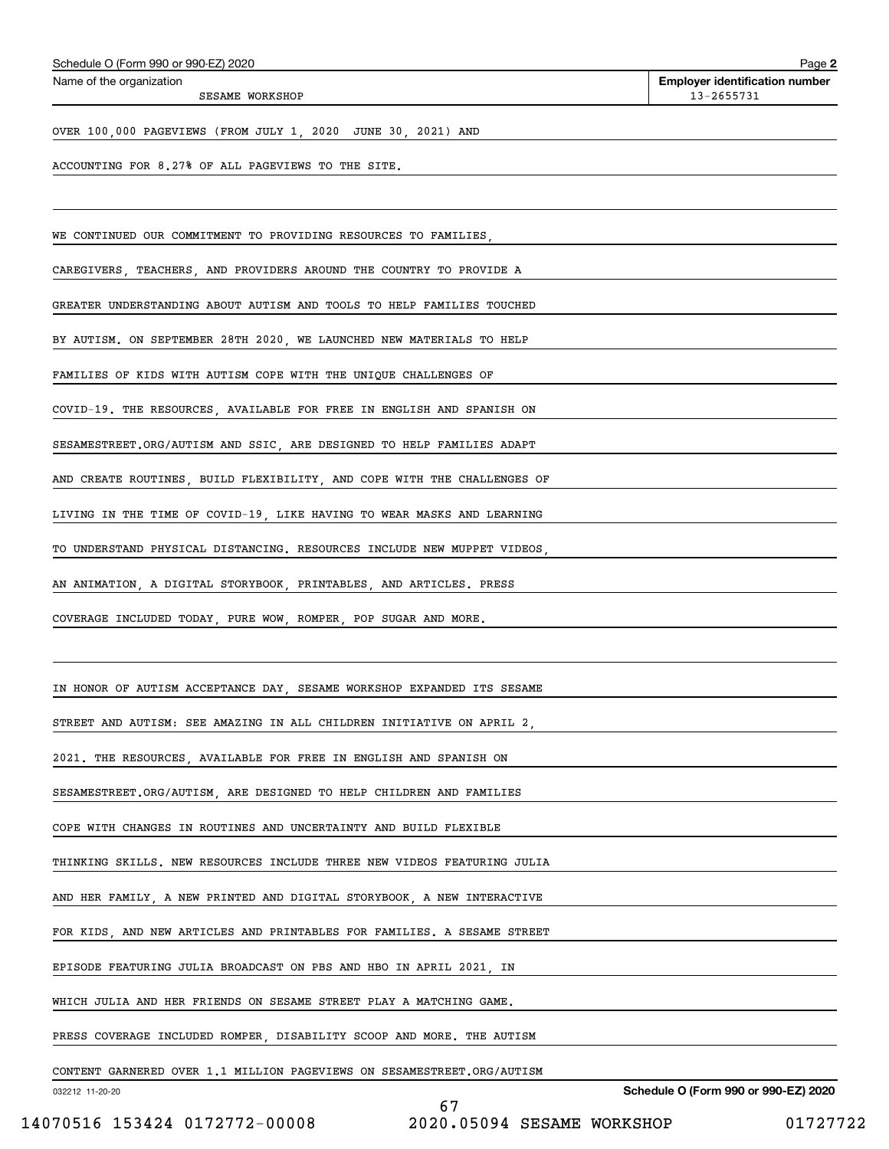| Schedule O (Form 990 or 990-EZ) 2020 | Page                           |
|--------------------------------------|--------------------------------|
| Name of the organization             | Emplover identification number |

OVER 100,000 PAGEVIEWS (FROM JULY 1, 2020 JUNE 30, 2021) AND

ACCOUNTING FOR 8.27% OF ALL PAGEVIEWS TO THE SITE.

WE CONTINUED OUR COMMITMENT TO PROVIDING RESOURCES TO FAMILIES,

CAREGIVERS, TEACHERS, AND PROVIDERS AROUND THE COUNTRY TO PROVIDE A

GREATER UNDERSTANDING ABOUT AUTISM AND TOOLS TO HELP FAMILIES TOUCHED

BY AUTISM. ON SEPTEMBER 28TH 2020, WE LAUNCHED NEW MATERIALS TO HELP

FAMILIES OF KIDS WITH AUTISM COPE WITH THE UNIQUE CHALLENGES OF

COVID-19. THE RESOURCES, AVAILABLE FOR FREE IN ENGLISH AND SPANISH ON

SESAMESTREET.ORG/AUTISM AND SSIC, ARE DESIGNED TO HELP FAMILIES ADAPT

AND CREATE ROUTINES, BUILD FLEXIBILITY, AND COPE WITH THE CHALLENGES OF

LIVING IN THE TIME OF COVID-19, LIKE HAVING TO WEAR MASKS AND LEARNING

TO UNDERSTAND PHYSICAL DISTANCING. RESOURCES INCLUDE NEW MUPPET VIDEOS,

AN ANIMATION, A DIGITAL STORYBOOK, PRINTABLES, AND ARTICLES. PRESS

COVERAGE INCLUDED TODAY, PURE WOW, ROMPER, POP SUGAR AND MORE.

IN HONOR OF AUTISM ACCEPTANCE DAY, SESAME WORKSHOP EXPANDED ITS SESAME

STREET AND AUTISM: SEE AMAZING IN ALL CHILDREN INITIATIVE ON APRIL 2,

2021. THE RESOURCES, AVAILABLE FOR FREE IN ENGLISH AND SPANISH ON

SESAMESTREET.ORG/AUTISM, ARE DESIGNED TO HELP CHILDREN AND FAMILIES

COPE WITH CHANGES IN ROUTINES AND UNCERTAINTY AND BUILD FLEXIBLE

THINKING SKILLS. NEW RESOURCES INCLUDE THREE NEW VIDEOS FEATURING JULIA

AND HER FAMILY, A NEW PRINTED AND DIGITAL STORYBOOK, A NEW INTERACTIVE

FOR KIDS, AND NEW ARTICLES AND PRINTABLES FOR FAMILIES. A SESAME STREET

EPISODE FEATURING JULIA BROADCAST ON PBS AND HBO IN APRIL 2021, IN

WHICH JULIA AND HER FRIENDS ON SESAME STREET PLAY A MATCHING GAME.

PRESS COVERAGE INCLUDED ROMPER, DISABILITY SCOOP AND MORE. THE AUTISM

CONTENT GARNERED OVER 1.1 MILLION PAGEVIEWS ON SESAMESTREET.ORG/AUTISM

032212 11-20-20

**Schedule O (Form 990 or 990-EZ) 2020**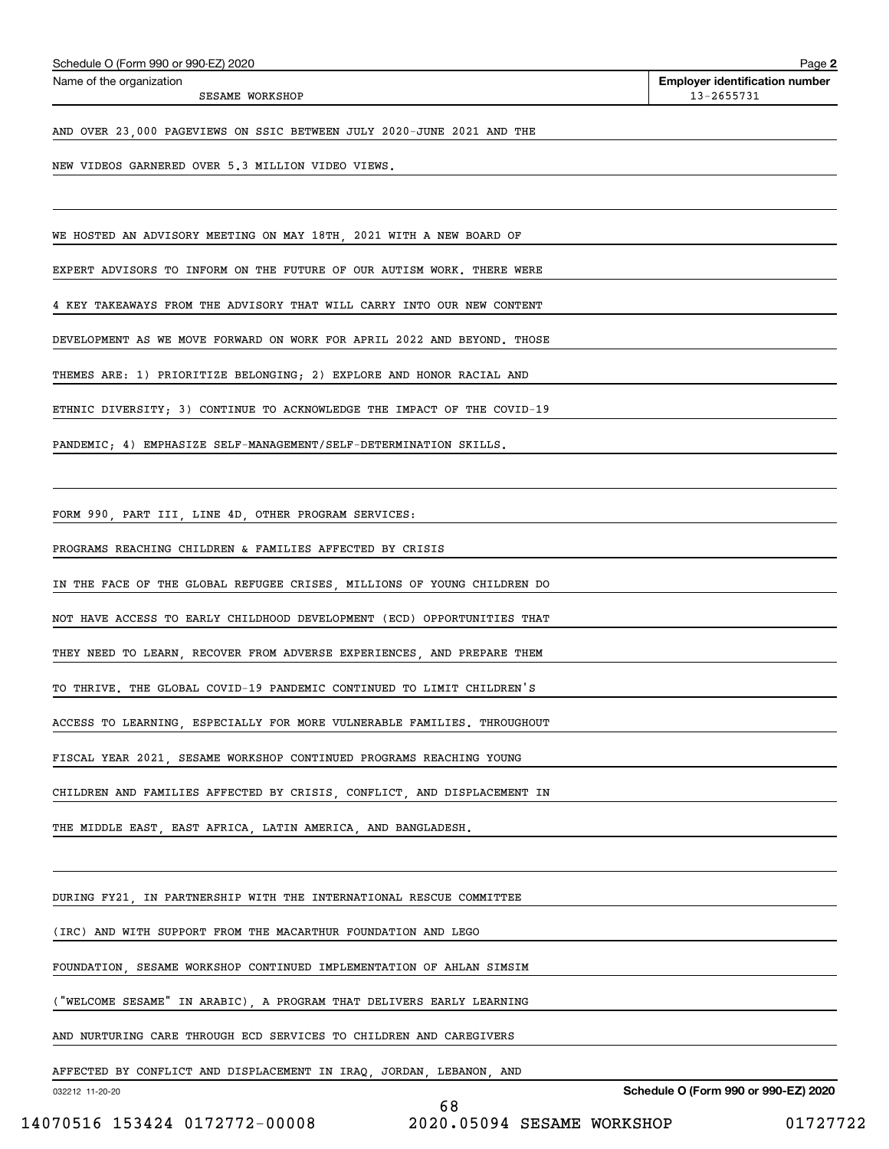|  | Schedule O (Form 990 or 990-EZ) 2020 |  |  |  |  |
|--|--------------------------------------|--|--|--|--|
|--|--------------------------------------|--|--|--|--|

**2**Echedule O (Form 990 or 990-EZ) 2020<br>Name of the organization **number** Name of the organization **number** 

AND OVER 23,000 PAGEVIEWS ON SSIC BETWEEN JULY 2020-JUNE 2021 AND THE

NEW VIDEOS GARNERED OVER 5.3 MILLION VIDEO VIEWS.

WE HOSTED AN ADVISORY MEETING ON MAY 18TH, 2021 WITH A NEW BOARD OF

EXPERT ADVISORS TO INFORM ON THE FUTURE OF OUR AUTISM WORK. THERE WERE

4 KEY TAKEAWAYS FROM THE ADVISORY THAT WILL CARRY INTO OUR NEW CONTENT

DEVELOPMENT AS WE MOVE FORWARD ON WORK FOR APRIL 2022 AND BEYOND. THOSE

THEMES ARE: 1) PRIORITIZE BELONGING; 2) EXPLORE AND HONOR RACIAL AND

ETHNIC DIVERSITY; 3) CONTINUE TO ACKNOWLEDGE THE IMPACT OF THE COVID-19

PANDEMIC; 4) EMPHASIZE SELF-MANAGEMENT/SELF-DETERMINATION SKILLS.

FORM 990, PART III, LINE 4D, OTHER PROGRAM SERVICES:

PROGRAMS REACHING CHILDREN & FAMILIES AFFECTED BY CRISIS

IN THE FACE OF THE GLOBAL REFUGEE CRISES, MILLIONS OF YOUNG CHILDREN DO

NOT HAVE ACCESS TO EARLY CHILDHOOD DEVELOPMENT (ECD) OPPORTUNITIES THAT

THEY NEED TO LEARN, RECOVER FROM ADVERSE EXPERIENCES, AND PREPARE THEM

TO THRIVE. THE GLOBAL COVID-19 PANDEMIC CONTINUED TO LIMIT CHILDREN'S

ACCESS TO LEARNING, ESPECIALLY FOR MORE VULNERABLE FAMILIES. THROUGHOUT

FISCAL YEAR 2021, SESAME WORKSHOP CONTINUED PROGRAMS REACHING YOUNG

CHILDREN AND FAMILIES AFFECTED BY CRISIS, CONFLICT, AND DISPLACEMENT IN

THE MIDDLE EAST, EAST AFRICA, LATIN AMERICA, AND BANGLADESH.

DURING FY21, IN PARTNERSHIP WITH THE INTERNATIONAL RESCUE COMMITTEE

(IRC) AND WITH SUPPORT FROM THE MACARTHUR FOUNDATION AND LEGO

FOUNDATION, SESAME WORKSHOP CONTINUED IMPLEMENTATION OF AHLAN SIMSIM

("WELCOME SESAME" IN ARABIC), A PROGRAM THAT DELIVERS EARLY LEARNING

AND NURTURING CARE THROUGH ECD SERVICES TO CHILDREN AND CAREGIVERS

AFFECTED BY CONFLICT AND DISPLACEMENT IN IRAQ, JORDAN, LEBANON, AND

032212 11-20-20

**Schedule O (Form 990 or 990-EZ) 2020**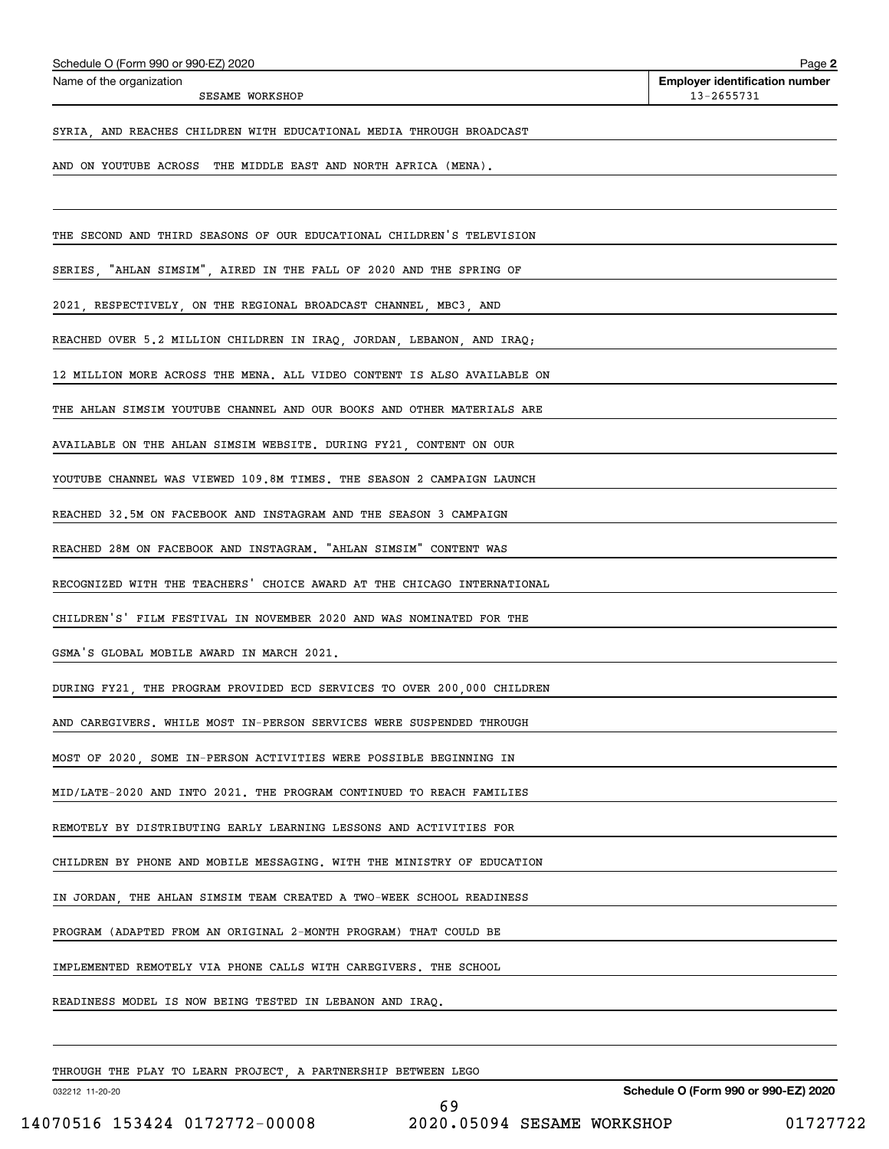| <b>SESAME WORKSHOP</b>                                                  | 13-2655731 |
|-------------------------------------------------------------------------|------------|
| SYRIA, AND REACHES CHILDREN WITH EDUCATIONAL MEDIA THROUGH BROADCAST    |            |
| AND ON YOUTUBE ACROSS THE MIDDLE EAST AND NORTH AFRICA (MENA).          |            |
|                                                                         |            |
| THE SECOND AND THIRD SEASONS OF OUR EDUCATIONAL CHILDREN'S TELEVISION   |            |
| SERIES, "AHLAN SIMSIM", AIRED IN THE FALL OF 2020 AND THE SPRING OF     |            |
| 2021, RESPECTIVELY, ON THE REGIONAL BROADCAST CHANNEL, MBC3, AND        |            |
| REACHED OVER 5.2 MILLION CHILDREN IN IRAQ, JORDAN, LEBANON, AND IRAQ;   |            |
| 12 MILLION MORE ACROSS THE MENA. ALL VIDEO CONTENT IS ALSO AVAILABLE ON |            |
| THE AHLAN SIMSIM YOUTUBE CHANNEL AND OUR BOOKS AND OTHER MATERIALS ARE  |            |
| AVAILABLE ON THE AHLAN SIMSIM WEBSITE. DURING FY21, CONTENT ON OUR      |            |
| YOUTUBE CHANNEL WAS VIEWED 109.8M TIMES. THE SEASON 2 CAMPAIGN LAUNCH   |            |
| REACHED 32.5M ON FACEBOOK AND INSTAGRAM AND THE SEASON 3 CAMPAIGN       |            |
| REACHED 28M ON FACEBOOK AND INSTAGRAM. "AHLAN SIMSIM" CONTENT WAS       |            |
| RECOGNIZED WITH THE TEACHERS' CHOICE AWARD AT THE CHICAGO INTERNATIONAL |            |
| CHILDREN'S' FILM FESTIVAL IN NOVEMBER 2020 AND WAS NOMINATED FOR THE    |            |
| GSMA'S GLOBAL MOBILE AWARD IN MARCH 2021.                               |            |
| DURING FY21, THE PROGRAM PROVIDED ECD SERVICES TO OVER 200,000 CHILDREN |            |
| AND CAREGIVERS. WHILE MOST IN-PERSON SERVICES WERE SUSPENDED THROUGH    |            |
| MOST OF 2020, SOME IN-PERSON ACTIVITIES WERE POSSIBLE BEGINNING IN      |            |
| MID/LATE-2020 AND INTO 2021. THE PROGRAM CONTINUED TO REACH FAMILIES    |            |
| REMOTELY BY DISTRIBUTING EARLY LEARNING LESSONS AND ACTIVITIES FOR      |            |
| CHILDREN BY PHONE AND MOBILE MESSAGING. WITH THE MINISTRY OF EDUCATION  |            |
| IN JORDAN, THE AHLAN SIMSIM TEAM CREATED A TWO-WEEK SCHOOL READINESS    |            |
| PROGRAM (ADAPTED FROM AN ORIGINAL 2-MONTH PROGRAM) THAT COULD BE        |            |
| IMPLEMENTED REMOTELY VIA PHONE CALLS WITH CAREGIVERS. THE SCHOOL        |            |
| READINESS MODEL IS NOW BEING TESTED IN LEBANON AND IRAQ.                |            |
|                                                                         |            |
|                                                                         |            |

Echedule O (Form 990 or 990-EZ) 2020<br>Name of the organization **number** Name of the organization **number** 

THROUGH THE PLAY TO LEARN PROJECT, A PARTNERSHIP BETWEEN LEGO

032212 11-20-20

**Schedule O (Form 990 or 990-EZ) 2020**

**2**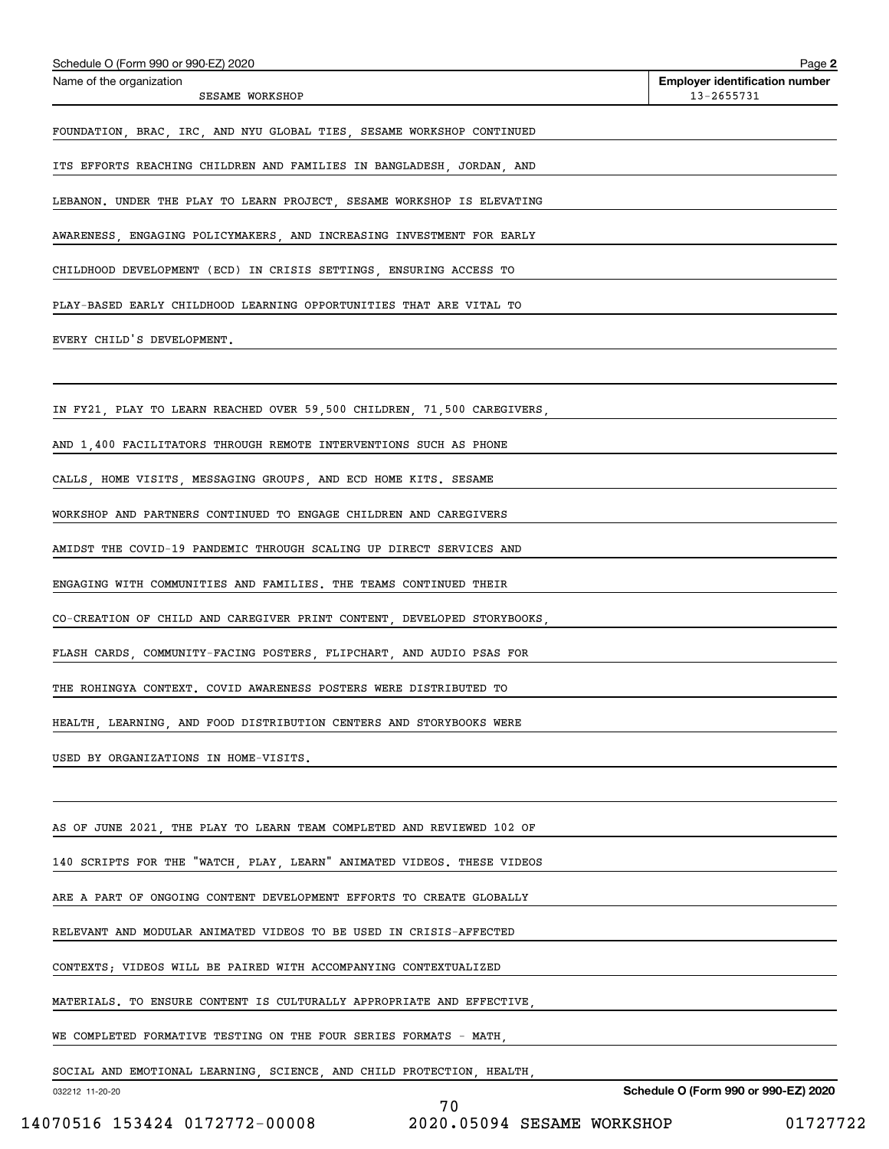| Schedule O (Form 990 or 990-EZ) 2020                                    | Page 2                                              |
|-------------------------------------------------------------------------|-----------------------------------------------------|
| Name of the organization<br><b>SESAME WORKSHOP</b>                      | <b>Employer identification number</b><br>13-2655731 |
| FOUNDATION, BRAC, IRC, AND NYU GLOBAL TIES, SESAME WORKSHOP CONTINUED   |                                                     |
| ITS EFFORTS REACHING CHILDREN AND FAMILIES IN BANGLADESH, JORDAN, AND   |                                                     |
| LEBANON. UNDER THE PLAY TO LEARN PROJECT, SESAME WORKSHOP IS ELEVATING  |                                                     |
| AWARENESS, ENGAGING POLICYMAKERS, AND INCREASING INVESTMENT FOR EARLY   |                                                     |
| CHILDHOOD DEVELOPMENT (ECD) IN CRISIS SETTINGS, ENSURING ACCESS TO      |                                                     |
| PLAY-BASED EARLY CHILDHOOD LEARNING OPPORTUNITIES THAT ARE VITAL TO     |                                                     |
| EVERY CHILD'S DEVELOPMENT.                                              |                                                     |
|                                                                         |                                                     |
| IN FY21, PLAY TO LEARN REACHED OVER 59,500 CHILDREN, 71,500 CAREGIVERS, |                                                     |
| AND 1,400 FACILITATORS THROUGH REMOTE INTERVENTIONS SUCH AS PHONE       |                                                     |
| CALLS, HOME VISITS, MESSAGING GROUPS, AND ECD HOME KITS. SESAME         |                                                     |
| WORKSHOP AND PARTNERS CONTINUED TO ENGAGE CHILDREN AND CAREGIVERS       |                                                     |
| AMIDST THE COVID-19 PANDEMIC THROUGH SCALING UP DIRECT SERVICES AND     |                                                     |
| ENGAGING WITH COMMUNITIES AND FAMILIES. THE TEAMS CONTINUED THEIR       |                                                     |
| CO-CREATION OF CHILD AND CAREGIVER PRINT CONTENT, DEVELOPED STORYBOOKS, |                                                     |
| FLASH CARDS, COMMUNITY-FACING POSTERS, FLIPCHART, AND AUDIO PSAS FOR    |                                                     |
| THE ROHINGYA CONTEXT. COVID AWARENESS POSTERS WERE DISTRIBUTED TO       |                                                     |
| HEALTH LEARNING AND FOOD DISTRIBUTION CENTERS AND STORYBOOKS WERE       |                                                     |
| USED BY ORGANIZATIONS IN HOME-VISITS.                                   |                                                     |
|                                                                         |                                                     |
| AS OF JUNE 2021, THE PLAY TO LEARN TEAM COMPLETED AND REVIEWED 102 OF   |                                                     |
| 140 SCRIPTS FOR THE "WATCH, PLAY, LEARN" ANIMATED VIDEOS. THESE VIDEOS  |                                                     |
| ARE A PART OF ONGOING CONTENT DEVELOPMENT EFFORTS TO CREATE GLOBALLY    |                                                     |
| RELEVANT AND MODULAR ANIMATED VIDEOS TO BE USED IN CRISIS-AFFECTED      |                                                     |
| CONTEXTS; VIDEOS WILL BE PAIRED WITH ACCOMPANYING CONTEXTUALIZED        |                                                     |
| MATERIALS. TO ENSURE CONTENT IS CULTURALLY APPROPRIATE AND EFFECTIVE.   |                                                     |
| WE COMPLETED FORMATIVE TESTING ON THE FOUR SERIES FORMATS - MATH,       |                                                     |
| SOCIAL AND EMOTIONAL LEARNING, SCIENCE, AND CHILD PROTECTION, HEALTH    |                                                     |
| 032212 11-20-20                                                         | Schedule O (Form 990 or 990-EZ) 2020                |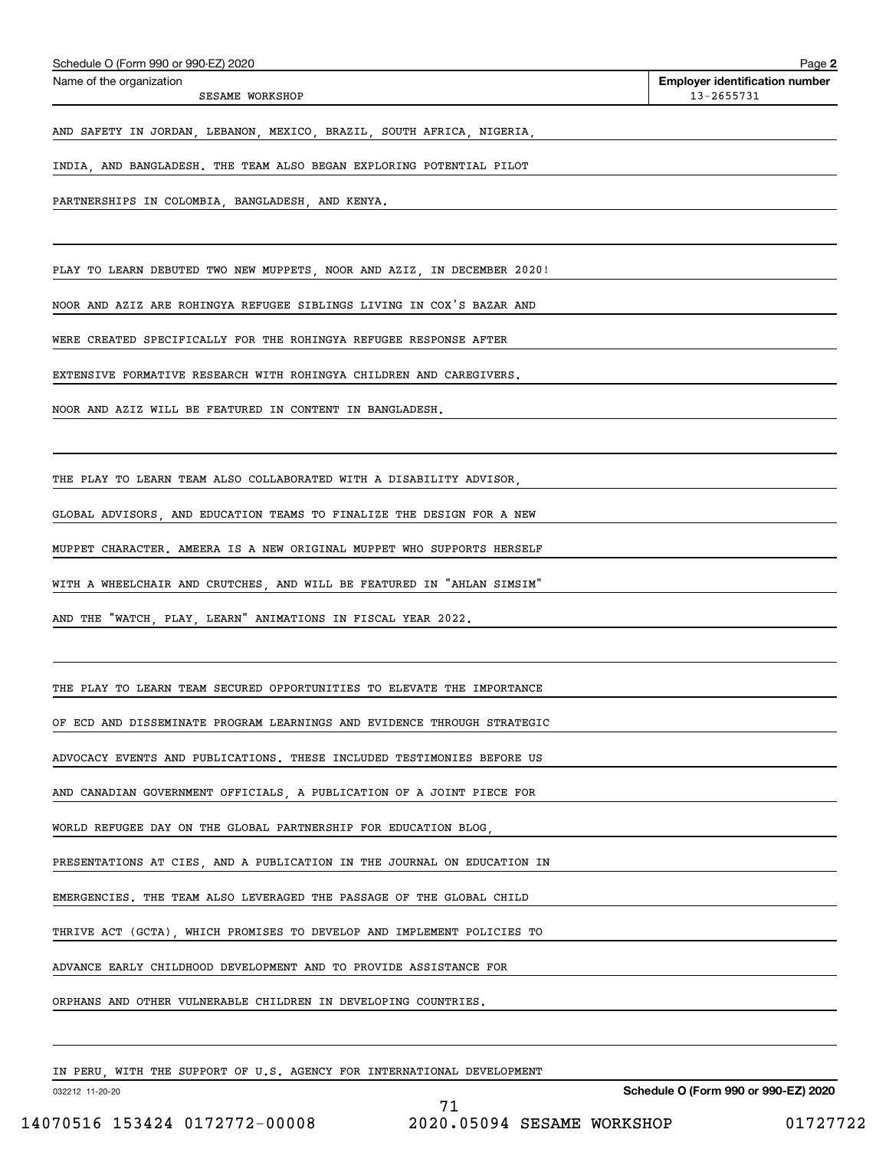| Schedule O (Form 990 or 990-EZ) 2020 |  |
|--------------------------------------|--|
|                                      |  |

Echedule O (Form 990 or 990-EZ) 2020<br>Name of the organization **number** Name of the organization **number** 

AND SAFETY IN JORDAN, LEBANON, MEXICO, BRAZIL, SOUTH AFRICA, NIGERIA,

INDIA, AND BANGLADESH. THE TEAM ALSO BEGAN EXPLORING POTENTIAL PILOT

PARTNERSHIPS IN COLOMBIA, BANGLADESH, AND KENYA.

PLAY TO LEARN DEBUTED TWO NEW MUPPETS, NOOR AND AZIZ, IN DECEMBER 2020!

NOOR AND AZIZ ARE ROHINGYA REFUGEE SIBLINGS LIVING IN COX'S BAZAR AND

WERE CREATED SPECIFICALLY FOR THE ROHINGYA REFUGEE RESPONSE AFTER

EXTENSIVE FORMATIVE RESEARCH WITH ROHINGYA CHILDREN AND CAREGIVERS.

NOOR AND AZIZ WILL BE FEATURED IN CONTENT IN BANGLADESH.

THE PLAY TO LEARN TEAM ALSO COLLABORATED WITH A DISABILITY ADVISOR,

GLOBAL ADVISORS, AND EDUCATION TEAMS TO FINALIZE THE DESIGN FOR A NEW

MUPPET CHARACTER. AMEERA IS A NEW ORIGINAL MUPPET WHO SUPPORTS HERSELF

WITH A WHEELCHAIR AND CRUTCHES, AND WILL BE FEATURED IN "AHLAN SIMSIM"

AND THE "WATCH, PLAY, LEARN" ANIMATIONS IN FISCAL YEAR 2022.

THE PLAY TO LEARN TEAM SECURED OPPORTUNITIES TO ELEVATE THE IMPORTANCE

OF ECD AND DISSEMINATE PROGRAM LEARNINGS AND EVIDENCE THROUGH STRATEGIC

ADVOCACY EVENTS AND PUBLICATIONS. THESE INCLUDED TESTIMONIES BEFORE US

AND CANADIAN GOVERNMENT OFFICIALS, A PUBLICATION OF A JOINT PIECE FOR

WORLD REFUGEE DAY ON THE GLOBAL PARTNERSHIP FOR EDUCATION BLOG,

PRESENTATIONS AT CIES, AND A PUBLICATION IN THE JOURNAL ON EDUCATION IN

EMERGENCIES. THE TEAM ALSO LEVERAGED THE PASSAGE OF THE GLOBAL CHILD

THRIVE ACT (GCTA), WHICH PROMISES TO DEVELOP AND IMPLEMENT POLICIES TO

ADVANCE EARLY CHILDHOOD DEVELOPMENT AND TO PROVIDE ASSISTANCE FOR

ORPHANS AND OTHER VULNERABLE CHILDREN IN DEVELOPING COUNTRIES.

IN PERU, WITH THE SUPPORT OF U.S. AGENCY FOR INTERNATIONAL DEVELOPMENT

032212 11-20-20

**Schedule O (Form 990 or 990-EZ) 2020**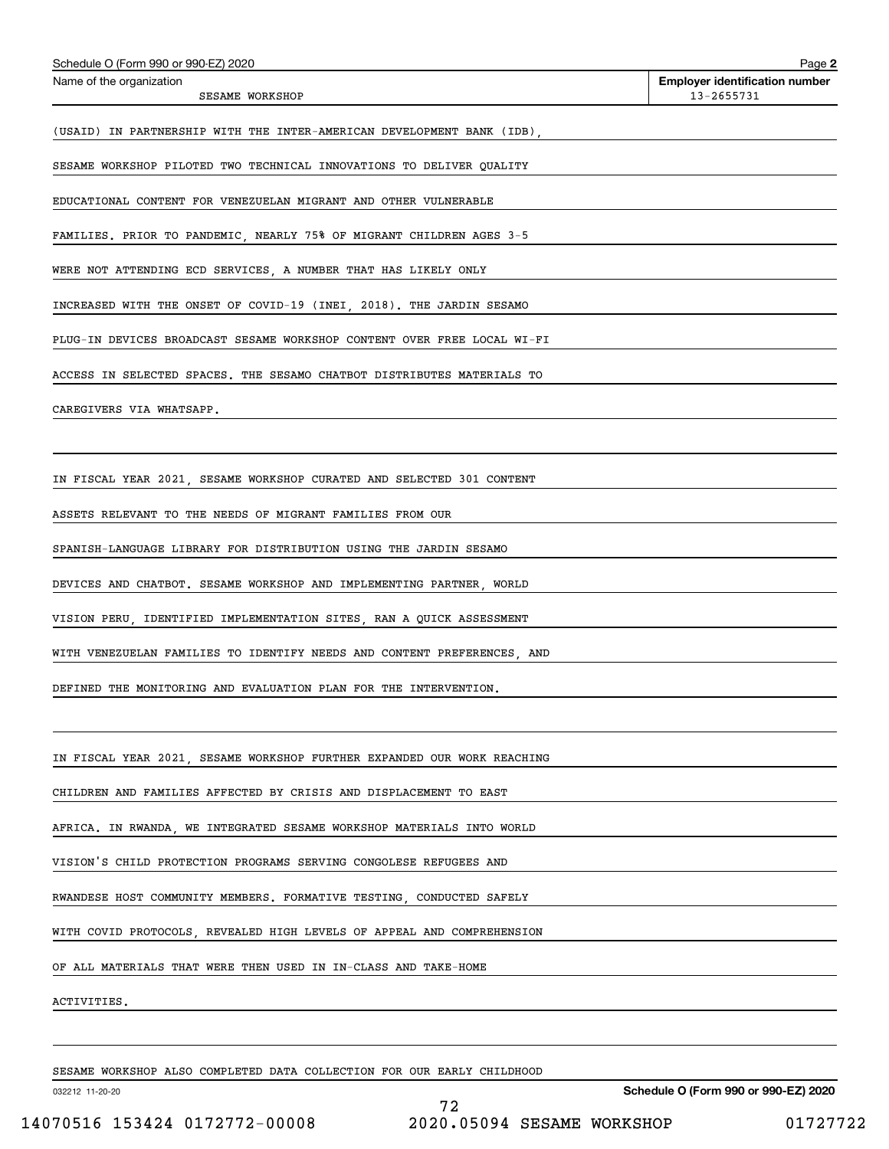| Schedule O (Form 990 or 990-EZ) 2020                                    | Page 2                                              |
|-------------------------------------------------------------------------|-----------------------------------------------------|
| Name of the organization<br><b>SESAME WORKSHOP</b>                      | <b>Employer identification number</b><br>13-2655731 |
| (USAID) IN PARTNERSHIP WITH THE INTER-AMERICAN DEVELOPMENT BANK (IDB),  |                                                     |
| SESAME WORKSHOP PILOTED TWO TECHNICAL INNOVATIONS TO DELIVER QUALITY    |                                                     |
| EDUCATIONAL CONTENT FOR VENEZUELAN MIGRANT AND OTHER VULNERABLE         |                                                     |
| FAMILIES. PRIOR TO PANDEMIC, NEARLY 75% OF MIGRANT CHILDREN AGES 3-5    |                                                     |
| WERE NOT ATTENDING ECD SERVICES, A NUMBER THAT HAS LIKELY ONLY          |                                                     |
| INCREASED WITH THE ONSET OF COVID-19 (INEI, 2018). THE JARDIN SESAMO    |                                                     |
| PLUG-IN DEVICES BROADCAST SESAME WORKSHOP CONTENT OVER FREE LOCAL WI-FI |                                                     |
| ACCESS IN SELECTED SPACES. THE SESAMO CHATBOT DISTRIBUTES MATERIALS TO  |                                                     |
| CAREGIVERS VIA WHATSAPP.                                                |                                                     |
|                                                                         |                                                     |
| IN FISCAL YEAR 2021, SESAME WORKSHOP CURATED AND SELECTED 301 CONTENT   |                                                     |
| ASSETS RELEVANT TO THE NEEDS OF MIGRANT FAMILIES FROM OUR               |                                                     |
| SPANISH-LANGUAGE LIBRARY FOR DISTRIBUTION USING THE JARDIN SESAMO       |                                                     |
| DEVICES AND CHATBOT. SESAME WORKSHOP AND IMPLEMENTING PARTNER, WORLD    |                                                     |
| VISION PERU, IDENTIFIED IMPLEMENTATION SITES, RAN A QUICK ASSESSMENT    |                                                     |
| WITH VENEZUELAN FAMILIES TO IDENTIFY NEEDS AND CONTENT PREFERENCES, AND |                                                     |
| DEFINED THE MONITORING AND EVALUATION PLAN FOR THE INTERVENTION.        |                                                     |
|                                                                         |                                                     |
| IN FISCAL YEAR 2021, SESAME WORKSHOP FURTHER EXPANDED OUR WORK REACHING |                                                     |
| CHILDREN AND FAMILIES AFFECTED BY CRISIS AND DISPLACEMENT TO EAST       |                                                     |
| AFRICA. IN RWANDA, WE INTEGRATED SESAME WORKSHOP MATERIALS INTO WORLD   |                                                     |
| VISION'S CHILD PROTECTION PROGRAMS SERVING CONGOLESE REFUGEES AND       |                                                     |
| RWANDESE HOST COMMUNITY MEMBERS. FORMATIVE TESTING, CONDUCTED SAFELY    |                                                     |
| WITH COVID PROTOCOLS, REVEALED HIGH LEVELS OF APPEAL AND COMPREHENSION  |                                                     |
| OF ALL MATERIALS THAT WERE THEN USED IN IN-CLASS AND TAKE-HOME          |                                                     |
| ACTIVITIES.                                                             |                                                     |
|                                                                         |                                                     |
| SESAME WORKSHOP ALSO COMPLETED DATA COLLECTION FOR OUR EARLY CHILDHOOD  |                                                     |

032212 11-20-20

**Schedule O (Form 990 or 990-EZ) 2020**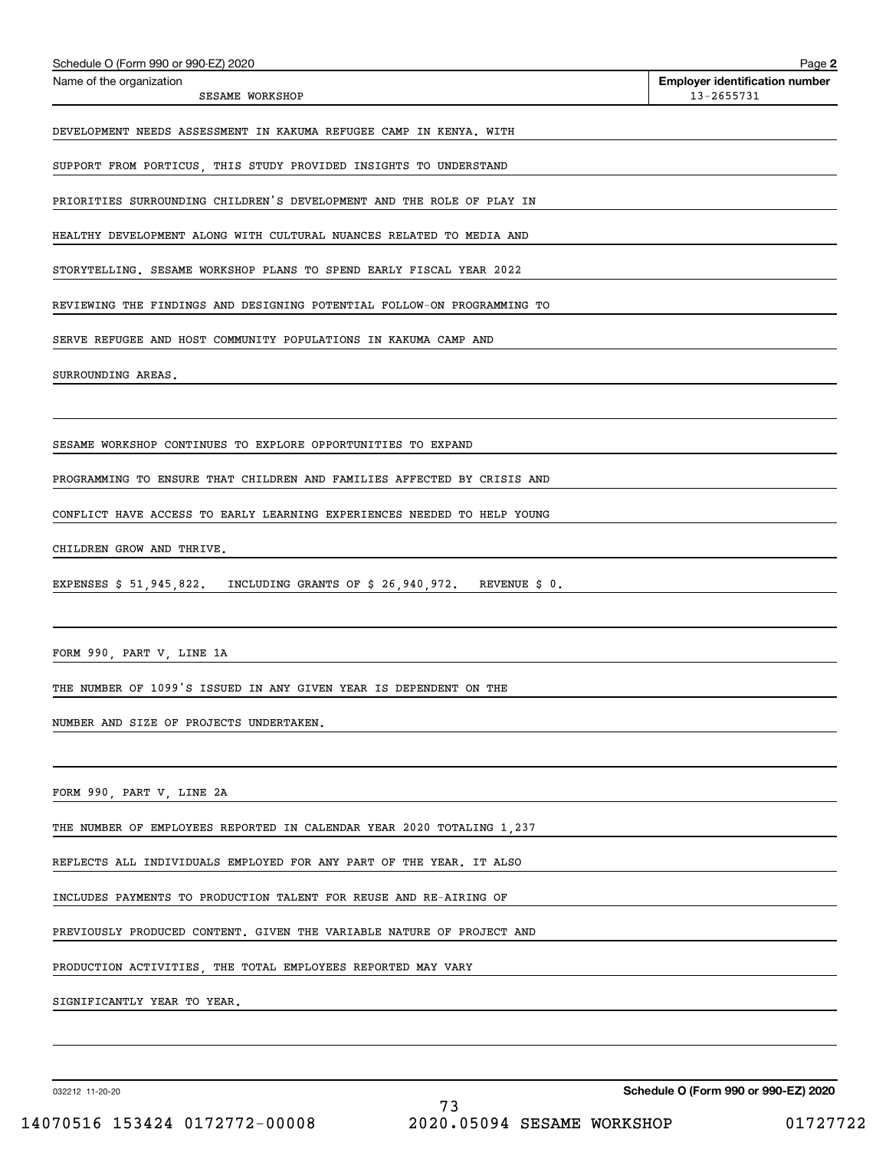| Schedule O (Form 990 or 990-EZ) 2020                                       | Page 2                                              |
|----------------------------------------------------------------------------|-----------------------------------------------------|
| Name of the organization<br><b>SESAME WORKSHOP</b>                         | <b>Employer identification number</b><br>13-2655731 |
| DEVELOPMENT NEEDS ASSESSMENT IN KAKUMA REFUGEE CAMP IN KENYA. WITH         |                                                     |
| SUPPORT FROM PORTICUS, THIS STUDY PROVIDED INSIGHTS TO UNDERSTAND          |                                                     |
| PRIORITIES SURROUNDING CHILDREN'S DEVELOPMENT AND THE ROLE OF PLAY IN      |                                                     |
| HEALTHY DEVELOPMENT ALONG WITH CULTURAL NUANCES RELATED TO MEDIA AND       |                                                     |
| STORYTELLING. SESAME WORKSHOP PLANS TO SPEND EARLY FISCAL YEAR 2022        |                                                     |
| REVIEWING THE FINDINGS AND DESIGNING POTENTIAL FOLLOW-ON PROGRAMMING TO    |                                                     |
| SERVE REFUGEE AND HOST COMMUNITY POPULATIONS IN KAKUMA CAMP AND            |                                                     |
| SURROUNDING AREAS.                                                         |                                                     |
| SESAME WORKSHOP CONTINUES TO EXPLORE OPPORTUNITIES TO EXPAND               |                                                     |
| PROGRAMMING TO ENSURE THAT CHILDREN AND FAMILIES AFFECTED BY CRISIS AND    |                                                     |
| CONFLICT HAVE ACCESS TO EARLY LEARNING EXPERIENCES NEEDED TO HELP YOUNG    |                                                     |
| CHILDREN GROW AND THRIVE.                                                  |                                                     |
| EXPENSES $$51,945,822$ . INCLUDING GRANTS OF $$26,940,972$ . REVENUE $$0.$ |                                                     |
| FORM 990, PART V, LINE 1A                                                  |                                                     |
| THE NUMBER OF 1099'S ISSUED IN ANY GIVEN YEAR IS DEPENDENT ON THE          |                                                     |
| NUMBER AND SIZE OF PROJECTS UNDERTAKEN.                                    |                                                     |
|                                                                            |                                                     |
| FORM 990, PART V, LINE 2A                                                  |                                                     |
| THE NUMBER OF EMPLOYEES REPORTED IN CALENDAR YEAR 2020 TOTALING 1,237      |                                                     |
| REFLECTS ALL INDIVIDUALS EMPLOYED FOR ANY PART OF THE YEAR. IT ALSO        |                                                     |
| INCLUDES PAYMENTS TO PRODUCTION TALENT FOR REUSE AND RE-AIRING OF          |                                                     |
| PREVIOUSLY PRODUCED CONTENT. GIVEN THE VARIABLE NATURE OF PROJECT AND      |                                                     |
| PRODUCTION ACTIVITIES, THE TOTAL EMPLOYEES REPORTED MAY VARY               |                                                     |
| SIGNIFICANTLY YEAR TO YEAR.                                                |                                                     |
|                                                                            |                                                     |
|                                                                            |                                                     |

032212 11-20-20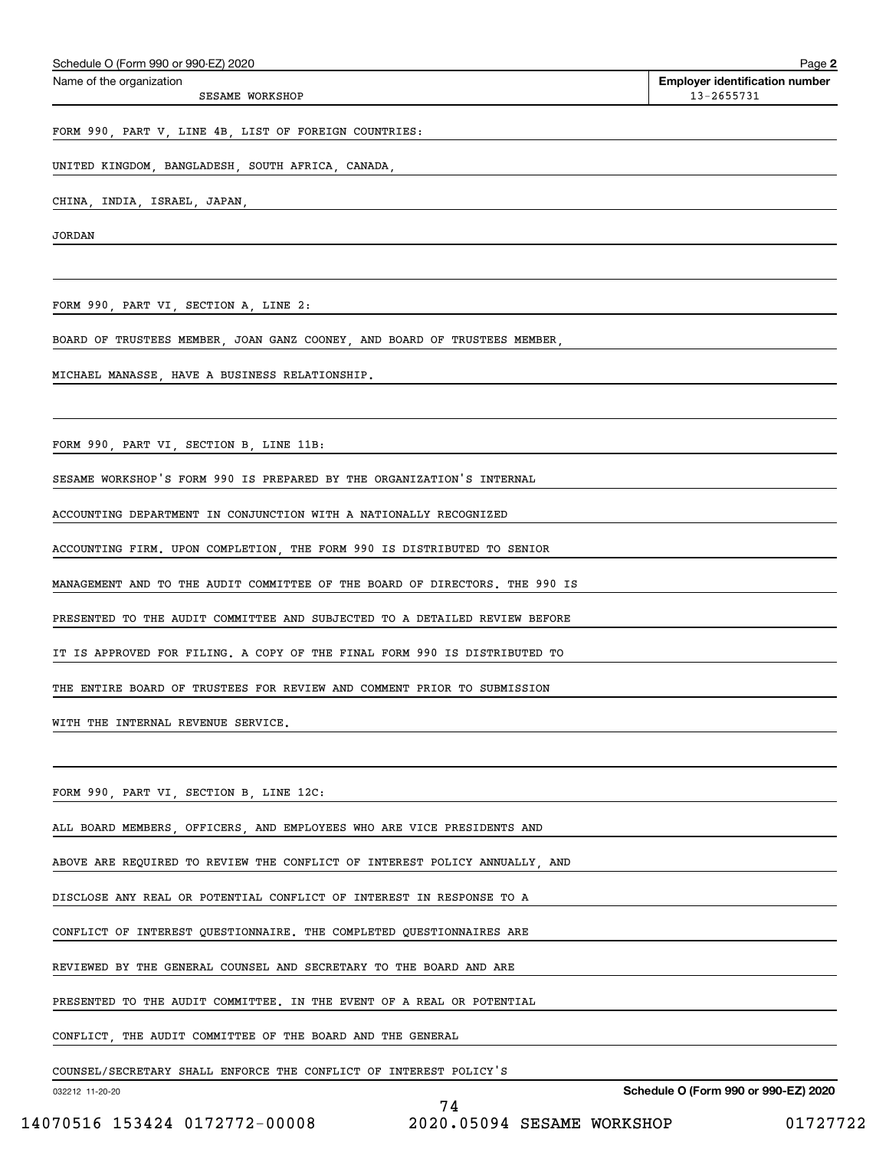| Schedule O (Form 990 or 990-EZ) 2020                                        |     | Page 2                                              |
|-----------------------------------------------------------------------------|-----|-----------------------------------------------------|
| Name of the organization<br><b>SESAME WORKSHOP</b>                          |     | <b>Employer identification number</b><br>13-2655731 |
| FORM 990, PART V, LINE 4B, LIST OF FOREIGN COUNTRIES:                       |     |                                                     |
| UNITED KINGDOM, BANGLADESH, SOUTH AFRICA, CANADA,                           |     |                                                     |
| CHINA, INDIA, ISRAEL, JAPAN,                                                |     |                                                     |
| JORDAN                                                                      |     |                                                     |
|                                                                             |     |                                                     |
| FORM 990, PART VI, SECTION A, LINE 2:                                       |     |                                                     |
| BOARD OF TRUSTEES MEMBER, JOAN GANZ COONEY, AND BOARD OF TRUSTEES MEMBER,   |     |                                                     |
| MICHAEL MANASSE, HAVE A BUSINESS RELATIONSHIP.                              |     |                                                     |
|                                                                             |     |                                                     |
| FORM 990, PART VI, SECTION B, LINE 11B:                                     |     |                                                     |
| SESAME WORKSHOP'S FORM 990 IS PREPARED BY THE ORGANIZATION'S INTERNAL       |     |                                                     |
| ACCOUNTING DEPARTMENT IN CONJUNCTION WITH A NATIONALLY RECOGNIZED           |     |                                                     |
| ACCOUNTING FIRM. UPON COMPLETION, THE FORM 990 IS DISTRIBUTED TO SENIOR     |     |                                                     |
| MANAGEMENT AND TO THE AUDIT COMMITTEE OF THE BOARD OF DIRECTORS. THE 990 IS |     |                                                     |
| PRESENTED TO THE AUDIT COMMITTEE AND SUBJECTED TO A DETAILED REVIEW BEFORE  |     |                                                     |
| IT IS APPROVED FOR FILING. A COPY OF THE FINAL FORM 990 IS DISTRIBUTED TO   |     |                                                     |
| THE ENTIRE BOARD OF TRUSTEES FOR REVIEW AND COMMENT PRIOR TO SUBMISSION     |     |                                                     |
| WITH THE INTERNAL REVENUE SERVICE.                                          |     |                                                     |
|                                                                             |     |                                                     |
| FORM 990, PART VI, SECTION B, LINE 12C:                                     |     |                                                     |
| ALL BOARD MEMBERS, OFFICERS, AND EMPLOYEES WHO ARE VICE PRESIDENTS AND      |     |                                                     |
| ABOVE ARE REQUIRED TO REVIEW THE CONFLICT OF INTEREST POLICY ANNUALLY, AND  |     |                                                     |
| DISCLOSE ANY REAL OR POTENTIAL CONFLICT OF INTEREST IN RESPONSE TO A        |     |                                                     |
| CONFLICT OF INTEREST QUESTIONNAIRE. THE COMPLETED QUESTIONNAIRES ARE        |     |                                                     |
| REVIEWED BY THE GENERAL COUNSEL AND SECRETARY TO THE BOARD AND ARE          |     |                                                     |
| PRESENTED TO THE AUDIT COMMITTEE. IN THE EVENT OF A REAL OR POTENTIAL       |     |                                                     |
| CONFLICT, THE AUDIT COMMITTEE OF THE BOARD AND THE GENERAL                  |     |                                                     |
| COUNSEL/SECRETARY SHALL ENFORCE THE CONFLICT OF INTEREST POLICY'S           |     |                                                     |
| 032212 11-20-20                                                             | 7 A | Schedule O (Form 990 or 990-EZ) 2020                |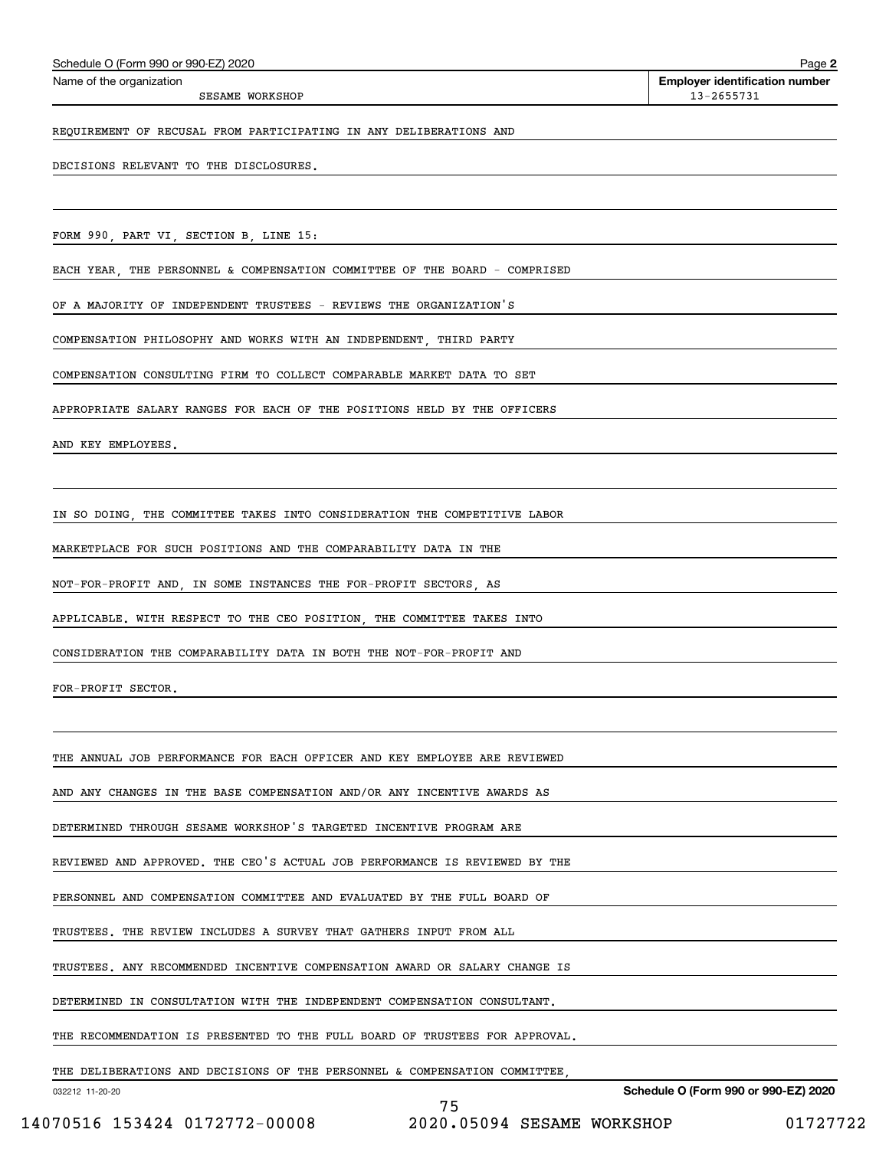Echedule O (Form 990 or 990-EZ) 2020<br>Name of the organization **number** Name of the organization **number** SESAME WORKSHOP 13-2655731

### REQUIREMENT OF RECUSAL FROM PARTICIPATING IN ANY DELIBERATIONS AND

DECISIONS RELEVANT TO THE DISCLOSURES.

FORM 990, PART VI, SECTION B, LINE 15:

EACH YEAR, THE PERSONNEL & COMPENSATION COMMITTEE OF THE BOARD - COMPRISED

OF A MAJORITY OF INDEPENDENT TRUSTEES - REVIEWS THE ORGANIZATION'S

COMPENSATION PHILOSOPHY AND WORKS WITH AN INDEPENDENT, THIRD PARTY

COMPENSATION CONSULTING FIRM TO COLLECT COMPARABLE MARKET DATA TO SET

APPROPRIATE SALARY RANGES FOR EACH OF THE POSITIONS HELD BY THE OFFICERS

AND KEY EMPLOYEES.

IN SO DOING, THE COMMITTEE TAKES INTO CONSIDERATION THE COMPETITIVE LABOR

MARKETPLACE FOR SUCH POSITIONS AND THE COMPARABILITY DATA IN THE

NOT-FOR-PROFIT AND, IN SOME INSTANCES THE FOR-PROFIT SECTORS, AS

APPLICABLE. WITH RESPECT TO THE CEO POSITION, THE COMMITTEE TAKES INTO

CONSIDERATION THE COMPARABILITY DATA IN BOTH THE NOT-FOR-PROFIT AND

FOR-PROFIT SECTOR.

THE ANNUAL JOB PERFORMANCE FOR EACH OFFICER AND KEY EMPLOYEE ARE REVIEWED

AND ANY CHANGES IN THE BASE COMPENSATION AND/OR ANY INCENTIVE AWARDS AS

DETERMINED THROUGH SESAME WORKSHOP'S TARGETED INCENTIVE PROGRAM ARE

REVIEWED AND APPROVED. THE CEO'S ACTUAL JOB PERFORMANCE IS REVIEWED BY THE

PERSONNEL AND COMPENSATION COMMITTEE AND EVALUATED BY THE FULL BOARD OF

TRUSTEES. THE REVIEW INCLUDES A SURVEY THAT GATHERS INPUT FROM ALL

TRUSTEES. ANY RECOMMENDED INCENTIVE COMPENSATION AWARD OR SALARY CHANGE IS

DETERMINED IN CONSULTATION WITH THE INDEPENDENT COMPENSATION CONSULTANT.

THE RECOMMENDATION IS PRESENTED TO THE FULL BOARD OF TRUSTEES FOR APPROVAL.

THE DELIBERATIONS AND DECISIONS OF THE PERSONNEL & COMPENSATION COMMITTEE,

032212 11-20-20

**Schedule O (Form 990 or 990-EZ) 2020**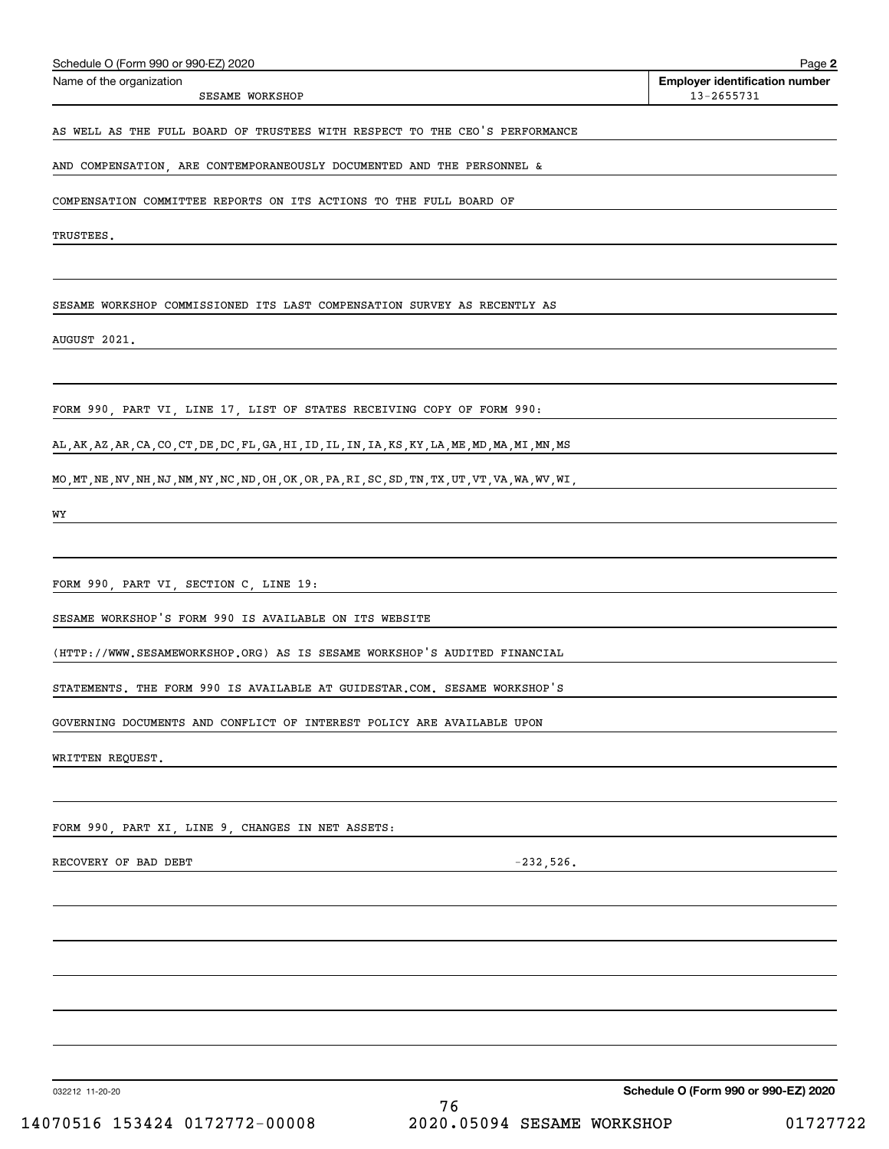| Schedule O (Form 990 or 990-EZ) 2020                                                                | Page 2                                              |
|-----------------------------------------------------------------------------------------------------|-----------------------------------------------------|
| Name of the organization<br><b>SESAME WORKSHOP</b>                                                  | <b>Employer identification number</b><br>13-2655731 |
| AS WELL AS THE FULL BOARD OF TRUSTEES WITH RESPECT TO THE CEO'S PERFORMANCE                         |                                                     |
| AND COMPENSATION, ARE CONTEMPORANEOUSLY DOCUMENTED AND THE PERSONNEL &                              |                                                     |
| COMPENSATION COMMITTEE REPORTS ON ITS ACTIONS TO THE FULL BOARD OF                                  |                                                     |
| TRUSTEES.                                                                                           |                                                     |
|                                                                                                     |                                                     |
| SESAME WORKSHOP COMMISSIONED ITS LAST COMPENSATION SURVEY AS RECENTLY AS                            |                                                     |
| AUGUST 2021.                                                                                        |                                                     |
|                                                                                                     |                                                     |
| FORM 990, PART VI, LINE 17, LIST OF STATES RECEIVING COPY OF FORM 990:                              |                                                     |
| AL, AK, AZ, AR, CA, CO, CT, DE, DC, FL, GA, HI, ID, IL, IN, IA, KS, KY, LA, ME, MD, MA, MI, MN, MS  |                                                     |
| MO, MT, NE, NV, NH, NJ, NM, NY, NC, ND, OH, OK, OR, PA, RI, SC, SD, TN, TX, UT, VT, VA, WA, WV, WI, |                                                     |
| WY                                                                                                  |                                                     |
|                                                                                                     |                                                     |
| FORM 990, PART VI, SECTION C, LINE 19:                                                              |                                                     |
| SESAME WORKSHOP'S FORM 990 IS AVAILABLE ON ITS WEBSITE                                              |                                                     |
| (HTTP://WWW.SESAMEWORKSHOP.ORG) AS IS SESAME WORKSHOP'S AUDITED FINANCIAL                           |                                                     |
| STATEMENTS. THE FORM 990 IS AVAILABLE AT GUIDESTAR.COM. SESAME WORKSHOP'S                           |                                                     |
| GOVERNING DOCUMENTS AND CONFLICT OF INTEREST POLICY ARE AVAILABLE UPON                              |                                                     |
| WRITTEN REQUEST.                                                                                    |                                                     |
|                                                                                                     |                                                     |
| FORM 990, PART XI, LINE 9, CHANGES IN NET ASSETS:                                                   |                                                     |
| $-232,526.$<br>RECOVERY OF BAD DEBT                                                                 |                                                     |
|                                                                                                     |                                                     |
|                                                                                                     |                                                     |
|                                                                                                     |                                                     |
|                                                                                                     |                                                     |
|                                                                                                     |                                                     |
|                                                                                                     |                                                     |
| 032212 11-20-20<br>76                                                                               | Schedule O (Form 990 or 990-EZ) 2020                |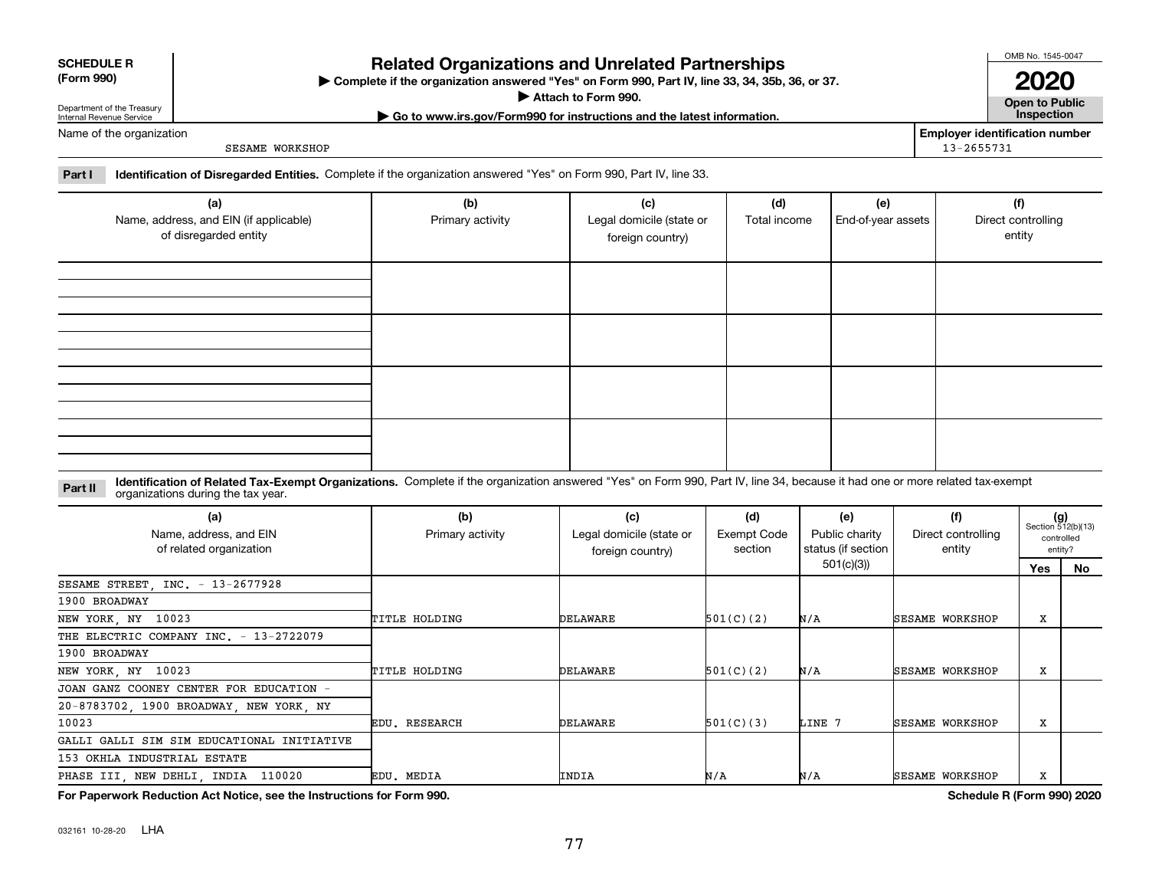| $\sim$ | <u> Пава</u> |  |
|--------|--------------|--|

# **Related Organizations and Unrelated Partnerships**

**Complete if the organization answered "Yes" on Form 990, Part IV, line 33, 34, 35b, 36, or 37.** |

**Attach to Form 990.**  |

### Name of the organization

Department of the Treasury Internal Revenue Service

**SCHEDULE R (Form 990)**

SESAME WORKSHOP

**Part I Identification of Disregarded Entities.**  Complete if the organization answered "Yes" on Form 990, Part IV, line 33.

| (a)<br>Name, address, and EIN (if applicable) | (b)<br>Primary activity | (c)<br>Legal domicile (state or | (d)<br>Total income | (e)<br>End-of-year assets | (f)<br>Direct controlling |
|-----------------------------------------------|-------------------------|---------------------------------|---------------------|---------------------------|---------------------------|
| of disregarded entity                         |                         | foreign country)                |                     |                           | entity                    |
|                                               |                         |                                 |                     |                           |                           |
|                                               |                         |                                 |                     |                           |                           |
|                                               |                         |                                 |                     |                           |                           |
|                                               |                         |                                 |                     |                           |                           |
|                                               |                         |                                 |                     |                           |                           |

#### **Identification of Related Tax-Exempt Organizations.** Complete if the organization answered "Yes" on Form 990, Part IV, line 34, because it had one or more related tax-exempt **Part II** organizations during the tax year.

| (a)<br>Name, address, and EIN<br>of related organization | (b)<br>Primary activity | (c)<br>(d)<br>Exempt Code<br>Legal domicile (state or<br>section<br>foreign country) |           | (e)<br>Public charity<br>status (if section | (f)<br>Direct controlling<br>entity |     | $(g)$<br>Section 512(b)(13)<br>controlled<br>entity? |
|----------------------------------------------------------|-------------------------|--------------------------------------------------------------------------------------|-----------|---------------------------------------------|-------------------------------------|-----|------------------------------------------------------|
|                                                          |                         |                                                                                      |           | 501(c)(3)                                   |                                     | Yes | No.                                                  |
| SESAME STREET, INC. - 13-2677928                         |                         |                                                                                      |           |                                             |                                     |     |                                                      |
| 1900 BROADWAY                                            |                         |                                                                                      |           |                                             |                                     |     |                                                      |
| NEW YORK, NY 10023                                       | TITLE HOLDING           | DELAWARE                                                                             | 501(C)(2) | N/A                                         | <b>SESAME WORKSHOP</b>              | x   |                                                      |
| THE ELECTRIC COMPANY INC. - 13-2722079                   |                         |                                                                                      |           |                                             |                                     |     |                                                      |
| 1900 BROADWAY                                            |                         |                                                                                      |           |                                             |                                     |     |                                                      |
| NEW YORK, NY 10023                                       | TITLE HOLDING           | DELAWARE                                                                             | 501(C)(2) | N/A                                         | <b>SESAME WORKSHOP</b>              | x   |                                                      |
| JOAN GANZ COONEY CENTER FOR EDUCATION -                  |                         |                                                                                      |           |                                             |                                     |     |                                                      |
| 20-8783702, 1900 BROADWAY, NEW YORK, NY                  |                         |                                                                                      |           |                                             |                                     |     |                                                      |
| 10023                                                    | EDU. RESEARCH           | DELAWARE                                                                             | 501(C)(3) | LINE 7                                      | <b>SESAME WORKSHOP</b>              | X   |                                                      |
| GALLI GALLI SIM SIM EDUCATIONAL INITIATIVE               |                         |                                                                                      |           |                                             |                                     |     |                                                      |
| 153 OKHLA INDUSTRIAL ESTATE                              |                         |                                                                                      |           |                                             |                                     |     |                                                      |
| PHASE III, NEW DEHLI, INDIA 110020                       | EDU. MEDIA              | INDIA                                                                                | N/A       | N/A                                         | <b>SESAME WORKSHOP</b>              | х   |                                                      |

77

**For Paperwork Reduction Act Notice, see the Instructions for Form 990. Schedule R (Form 990) 2020**

| <b>Related Organizations and Unrelated Partnershi</b> |  |  |
|-------------------------------------------------------|--|--|

OMB No. 1545-0047

**Employer identification number**

13-2655731

**2020**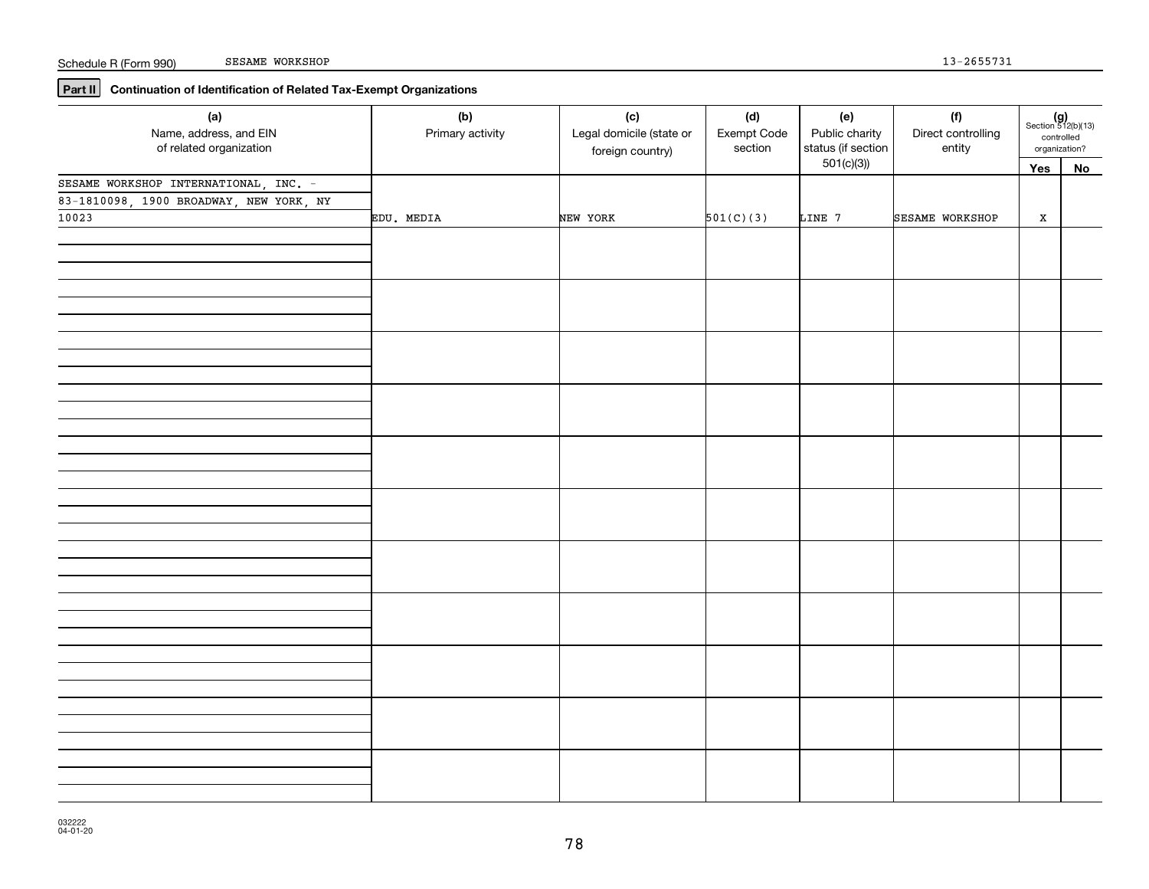**Part II Continuation of Identification of Related Tax-Exempt Organizations**

| (a)<br>Name, address, and EIN<br>of related organization | (b)<br>Primary activity | (c)<br>Legal domicile (state or<br>foreign country) | (d)<br>Exempt Code<br>section | (e)<br>Public charity<br>status (if section | (f)<br>Direct controlling<br>entity | $(g)$<br>Section 512(b)(13)<br>controlled<br>organization? |    |
|----------------------------------------------------------|-------------------------|-----------------------------------------------------|-------------------------------|---------------------------------------------|-------------------------------------|------------------------------------------------------------|----|
|                                                          |                         |                                                     |                               | 501(c)(3)                                   |                                     | Yes                                                        | No |
| SESAME WORKSHOP INTERNATIONAL, INC. -                    |                         |                                                     |                               |                                             |                                     |                                                            |    |
| 83-1810098, 1900 BROADWAY, NEW YORK, NY                  |                         |                                                     |                               |                                             |                                     |                                                            |    |
| 10023                                                    | EDU. MEDIA              | NEW YORK                                            | 501(C)(3)                     | LINE 7                                      | SESAME WORKSHOP                     | $\mathbf X$                                                |    |
|                                                          |                         |                                                     |                               |                                             |                                     |                                                            |    |
|                                                          |                         |                                                     |                               |                                             |                                     |                                                            |    |
|                                                          |                         |                                                     |                               |                                             |                                     |                                                            |    |
|                                                          |                         |                                                     |                               |                                             |                                     |                                                            |    |
|                                                          |                         |                                                     |                               |                                             |                                     |                                                            |    |
|                                                          |                         |                                                     |                               |                                             |                                     |                                                            |    |
|                                                          |                         |                                                     |                               |                                             |                                     |                                                            |    |
|                                                          |                         |                                                     |                               |                                             |                                     |                                                            |    |
|                                                          |                         |                                                     |                               |                                             |                                     |                                                            |    |
|                                                          |                         |                                                     |                               |                                             |                                     |                                                            |    |
|                                                          |                         |                                                     |                               |                                             |                                     |                                                            |    |
|                                                          |                         |                                                     |                               |                                             |                                     |                                                            |    |
|                                                          |                         |                                                     |                               |                                             |                                     |                                                            |    |
|                                                          |                         |                                                     |                               |                                             |                                     |                                                            |    |
|                                                          |                         |                                                     |                               |                                             |                                     |                                                            |    |
|                                                          |                         |                                                     |                               |                                             |                                     |                                                            |    |
|                                                          |                         |                                                     |                               |                                             |                                     |                                                            |    |
|                                                          |                         |                                                     |                               |                                             |                                     |                                                            |    |
|                                                          |                         |                                                     |                               |                                             |                                     |                                                            |    |
|                                                          |                         |                                                     |                               |                                             |                                     |                                                            |    |
|                                                          |                         |                                                     |                               |                                             |                                     |                                                            |    |
|                                                          |                         |                                                     |                               |                                             |                                     |                                                            |    |
|                                                          |                         |                                                     |                               |                                             |                                     |                                                            |    |
|                                                          |                         |                                                     |                               |                                             |                                     |                                                            |    |
|                                                          |                         |                                                     |                               |                                             |                                     |                                                            |    |
|                                                          |                         |                                                     |                               |                                             |                                     |                                                            |    |
|                                                          |                         |                                                     |                               |                                             |                                     |                                                            |    |
|                                                          |                         |                                                     |                               |                                             |                                     |                                                            |    |
|                                                          |                         |                                                     |                               |                                             |                                     |                                                            |    |
|                                                          |                         |                                                     |                               |                                             |                                     |                                                            |    |
|                                                          |                         |                                                     |                               |                                             |                                     |                                                            |    |
|                                                          |                         |                                                     |                               |                                             |                                     |                                                            |    |
|                                                          |                         |                                                     |                               |                                             |                                     |                                                            |    |
|                                                          |                         |                                                     |                               |                                             |                                     |                                                            |    |
|                                                          |                         |                                                     |                               |                                             |                                     |                                                            |    |
|                                                          |                         |                                                     |                               |                                             |                                     |                                                            |    |
|                                                          |                         |                                                     |                               |                                             |                                     |                                                            |    |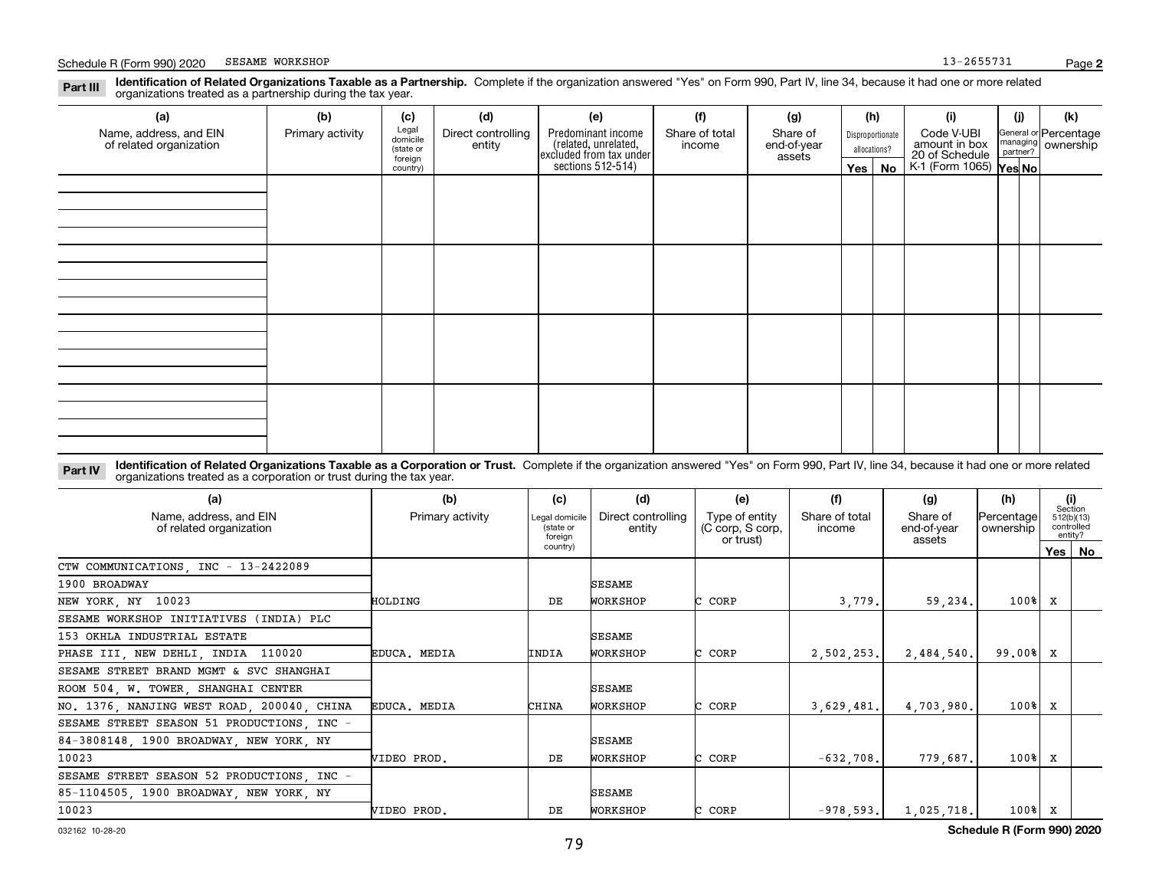#### **Identification of Related Organizations Taxable as a Partnership.** Complete if the organization answered "Yes" on Form 990, Part IV, line 34, because it had one or more related **Part III** organizations treated as a partnership during the tax year.

| (a)                     | (b)              | (c)                  | (d)                | (e)                | (f)                                                                 | (g)    | (h)      | (i)                                                       | (j)          | (k)            |          |                    |            |  |                       |
|-------------------------|------------------|----------------------|--------------------|--------------------|---------------------------------------------------------------------|--------|----------|-----------------------------------------------------------|--------------|----------------|----------|--------------------|------------|--|-----------------------|
| Name, address, and EIN  | Primary activity | Legal<br>domicile    | Direct controlling | Predominant income |                                                                     |        |          |                                                           |              | Share of total | Share of | Disproportionate   | Code V-UBI |  | General or Percentage |
| of related organization |                  | (state or<br>foreign | entity             |                    | related, unrelated,<br>excluded from tax under<br>sections 512-514) | income |          | end-of-year<br>assets                                     | allocations? |                |          | managing ownership |            |  |                       |
|                         |                  | country)             |                    |                    |                                                                     |        | Yes   No | amount in box<br>20 of Schedule<br>K-1 (Form 1065) Yes No |              |                |          |                    |            |  |                       |
|                         |                  |                      |                    |                    |                                                                     |        |          |                                                           |              |                |          |                    |            |  |                       |
|                         |                  |                      |                    |                    |                                                                     |        |          |                                                           |              |                |          |                    |            |  |                       |
|                         |                  |                      |                    |                    |                                                                     |        |          |                                                           |              |                |          |                    |            |  |                       |
|                         |                  |                      |                    |                    |                                                                     |        |          |                                                           |              |                |          |                    |            |  |                       |
|                         |                  |                      |                    |                    |                                                                     |        |          |                                                           |              |                |          |                    |            |  |                       |
|                         |                  |                      |                    |                    |                                                                     |        |          |                                                           |              |                |          |                    |            |  |                       |
|                         |                  |                      |                    |                    |                                                                     |        |          |                                                           |              |                |          |                    |            |  |                       |
|                         |                  |                      |                    |                    |                                                                     |        |          |                                                           |              |                |          |                    |            |  |                       |
|                         |                  |                      |                    |                    |                                                                     |        |          |                                                           |              |                |          |                    |            |  |                       |
|                         |                  |                      |                    |                    |                                                                     |        |          |                                                           |              |                |          |                    |            |  |                       |
|                         |                  |                      |                    |                    |                                                                     |        |          |                                                           |              |                |          |                    |            |  |                       |
|                         |                  |                      |                    |                    |                                                                     |        |          |                                                           |              |                |          |                    |            |  |                       |
|                         |                  |                      |                    |                    |                                                                     |        |          |                                                           |              |                |          |                    |            |  |                       |
|                         |                  |                      |                    |                    |                                                                     |        |          |                                                           |              |                |          |                    |            |  |                       |
|                         |                  |                      |                    |                    |                                                                     |        |          |                                                           |              |                |          |                    |            |  |                       |
|                         |                  |                      |                    |                    |                                                                     |        |          |                                                           |              |                |          |                    |            |  |                       |
|                         |                  |                      |                    |                    |                                                                     |        |          |                                                           |              |                |          |                    |            |  |                       |

**Identification of Related Organizations Taxable as a Corporation or Trust.** Complete if the organization answered "Yes" on Form 990, Part IV, line 34, because it had one or more related **Part IV** organizations treated as a corporation or trust during the tax year.

| (a)<br>Name, address, and EIN<br>of related organization | (b)<br>Primary activity | (c)<br>Legal domicile<br>(state or<br>foreign | (d)<br>Direct controlling<br>entity | (e)<br>Type of entity<br>(C corp, S corp,<br>or trust) | (f)<br>Share of total<br>income | (g)<br>Share of<br>end-of-year<br>assets | (h)<br>Percentage<br>ownership |   | (i)<br>Section<br>512(b)(13)<br>controlled<br>entity? |
|----------------------------------------------------------|-------------------------|-----------------------------------------------|-------------------------------------|--------------------------------------------------------|---------------------------------|------------------------------------------|--------------------------------|---|-------------------------------------------------------|
|                                                          |                         | country)                                      |                                     |                                                        |                                 |                                          |                                |   | Yes   No                                              |
| CTW COMMUNICATIONS INC - 13-2422089                      |                         |                                               |                                     |                                                        |                                 |                                          |                                |   |                                                       |
| 1900 BROADWAY                                            |                         |                                               | SESAME                              |                                                        |                                 |                                          |                                |   |                                                       |
| NEW YORK, NY 10023                                       | HOLDING                 | DE                                            | WORKSHOP                            | C CORP                                                 | 3,779.                          | 59.234.                                  | 100%                           | x |                                                       |
| SESAME WORKSHOP INITIATIVES (INDIA) PLC                  |                         |                                               |                                     |                                                        |                                 |                                          |                                |   |                                                       |
| 153 OKHLA INDUSTRIAL ESTATE                              |                         |                                               | SESAME                              |                                                        |                                 |                                          |                                |   |                                                       |
| PHASE III, NEW DEHLI, INDIA<br>110020                    | EDUCA. MEDIA            | INDIA                                         | WORKSHOP                            | C CORP                                                 | 2,502,253.                      | 2,484,540.                               | 99.00%                         | x |                                                       |
| SESAME STREET BRAND MGMT & SVC SHANGHAI                  |                         |                                               |                                     |                                                        |                                 |                                          |                                |   |                                                       |
| ROOM 504, W. TOWER, SHANGHAI CENTER                      |                         |                                               | SESAME                              |                                                        |                                 |                                          |                                |   |                                                       |
| NO. 1376, NANJING WEST ROAD, 200040, CHINA               | EDUCA. MEDIA            | CHINA                                         | WORKSHOP                            | CORP                                                   | 3,629,481.                      | 4,703,980.                               | 100%                           | x |                                                       |
| SESAME STREET SEASON 51 PRODUCTIONS, INC -               |                         |                                               |                                     |                                                        |                                 |                                          |                                |   |                                                       |
| 84-3808148, 1900 BROADWAY, NEW YORK, NY                  |                         |                                               | SESAME                              |                                                        |                                 |                                          |                                |   |                                                       |
| 10023                                                    | VIDEO PROD.             | DE                                            | WORKSHOP                            | C CORP                                                 | $-632,708.$                     | 779.687.                                 | $100$ <sup>8</sup>             | x |                                                       |
| SESAME STREET SEASON 52 PRODUCTIONS, INC -               |                         |                                               |                                     |                                                        |                                 |                                          |                                |   |                                                       |
| 85-1104505, 1900 BROADWAY, NEW YORK, NY                  |                         |                                               | SESAME                              |                                                        |                                 |                                          |                                |   |                                                       |
| 10023                                                    | WIDEO PROD.             | DE                                            | WORKSHOP                            | C CORP                                                 | $-978, 593.$                    | 1,025,718.                               | 100%                           | x |                                                       |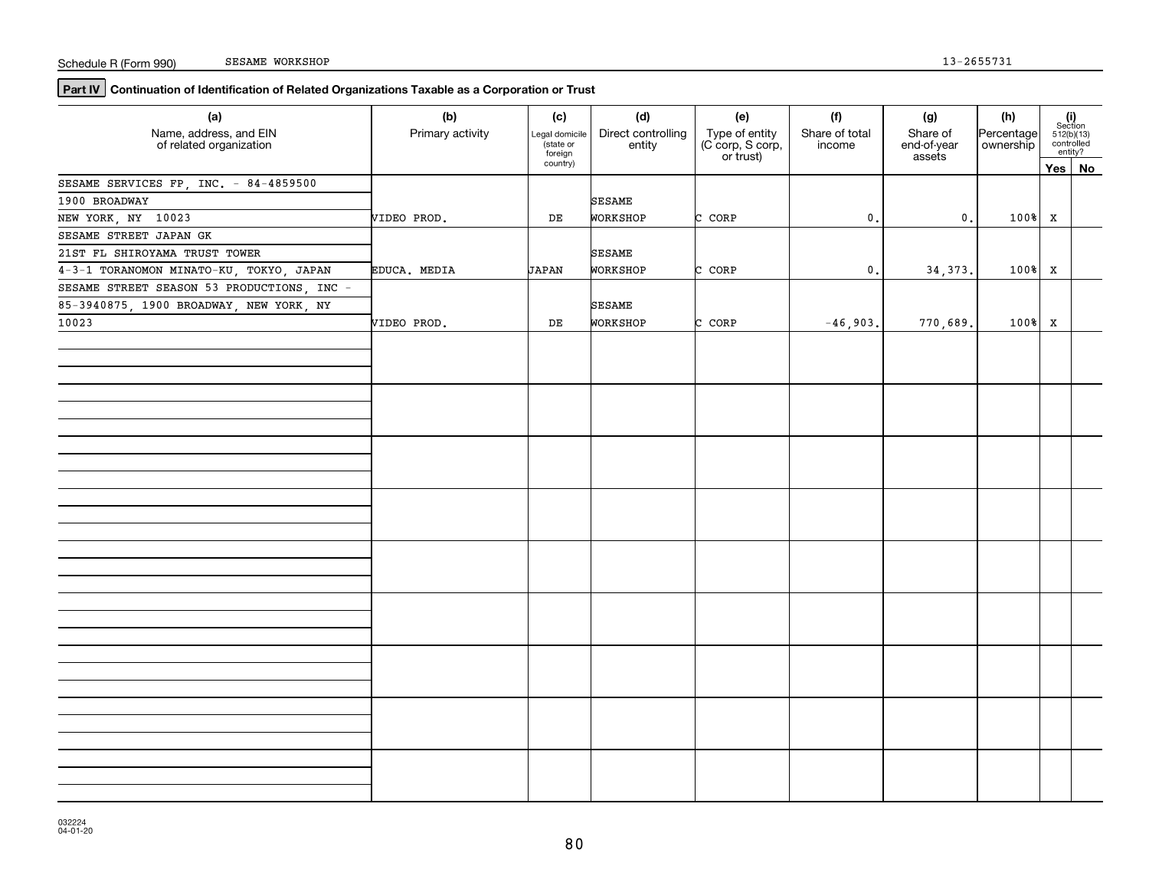**Part IV** Continuation of Identification of Related Organizations Taxable as a Corporation or Trust

| (a)                                               | (b)              | (c)                                                | (d)                          | (e)                                             | (f)                      | (g)                               | (h)                     |             |                                                         |
|---------------------------------------------------|------------------|----------------------------------------------------|------------------------------|-------------------------------------------------|--------------------------|-----------------------------------|-------------------------|-------------|---------------------------------------------------------|
| Name, address, and EIN<br>of related organization | Primary activity | Legal domicile<br>(state or<br>foreign<br>country) | Direct controlling<br>entity | Type of entity<br>(C corp, S corp,<br>or trust) | Share of total<br>income | Share of<br>end-of-year<br>assets | Percentage<br>ownership |             | $(i)$<br>Section<br>512(b)(13)<br>controlled<br>entity? |
|                                                   |                  |                                                    |                              |                                                 |                          |                                   |                         | Yes         | No                                                      |
| SESAME SERVICES FP, INC. - 84-4859500             |                  |                                                    |                              |                                                 |                          |                                   |                         |             |                                                         |
| 1900 BROADWAY                                     |                  |                                                    | <b>SESAME</b>                |                                                 |                          |                                   |                         |             |                                                         |
| NEW YORK, NY 10023                                | VIDEO PROD.      | DE                                                 | WORKSHOP                     | C CORP                                          | $\mathbf{0}$ .           | $\mathbf{0}$ .                    | $100$ <sup>8</sup>      | $\mathbf x$ |                                                         |
| SESAME STREET JAPAN GK                            |                  |                                                    |                              |                                                 |                          |                                   |                         |             |                                                         |
| 21ST FL SHIROYAMA TRUST TOWER                     |                  |                                                    | <b>SESAME</b>                |                                                 |                          |                                   |                         |             |                                                         |
| 4-3-1 TORANOMON MINATO-KU, TOKYO, JAPAN           | EDUCA. MEDIA     | JAPAN                                              | WORKSHOP                     | C CORP                                          | $\mathbf{0}$ .           | 34, 373.                          | 100%                    | X           |                                                         |
| SESAME STREET SEASON 53 PRODUCTIONS, INC -        |                  |                                                    |                              |                                                 |                          |                                   |                         |             |                                                         |
| 85-3940875, 1900 BROADWAY, NEW YORK, NY           |                  |                                                    | <b>SESAME</b>                |                                                 |                          |                                   |                         |             |                                                         |
| 10023                                             | VIDEO PROD.      | DE                                                 | WORKSHOP                     | C CORP                                          | $-46,903.$               | 770,689.                          | $100$ <sup>8</sup> $X$  |             |                                                         |
|                                                   |                  |                                                    |                              |                                                 |                          |                                   |                         |             |                                                         |
|                                                   |                  |                                                    |                              |                                                 |                          |                                   |                         |             |                                                         |
|                                                   |                  |                                                    |                              |                                                 |                          |                                   |                         |             |                                                         |
|                                                   |                  |                                                    |                              |                                                 |                          |                                   |                         |             |                                                         |
|                                                   |                  |                                                    |                              |                                                 |                          |                                   |                         |             |                                                         |
|                                                   |                  |                                                    |                              |                                                 |                          |                                   |                         |             |                                                         |
|                                                   |                  |                                                    |                              |                                                 |                          |                                   |                         |             |                                                         |
|                                                   |                  |                                                    |                              |                                                 |                          |                                   |                         |             |                                                         |
|                                                   |                  |                                                    |                              |                                                 |                          |                                   |                         |             |                                                         |
|                                                   |                  |                                                    |                              |                                                 |                          |                                   |                         |             |                                                         |
|                                                   |                  |                                                    |                              |                                                 |                          |                                   |                         |             |                                                         |
|                                                   |                  |                                                    |                              |                                                 |                          |                                   |                         |             |                                                         |
|                                                   |                  |                                                    |                              |                                                 |                          |                                   |                         |             |                                                         |
|                                                   |                  |                                                    |                              |                                                 |                          |                                   |                         |             |                                                         |
|                                                   |                  |                                                    |                              |                                                 |                          |                                   |                         |             |                                                         |
|                                                   |                  |                                                    |                              |                                                 |                          |                                   |                         |             |                                                         |
|                                                   |                  |                                                    |                              |                                                 |                          |                                   |                         |             |                                                         |
|                                                   |                  |                                                    |                              |                                                 |                          |                                   |                         |             |                                                         |
|                                                   |                  |                                                    |                              |                                                 |                          |                                   |                         |             |                                                         |
|                                                   |                  |                                                    |                              |                                                 |                          |                                   |                         |             |                                                         |
|                                                   |                  |                                                    |                              |                                                 |                          |                                   |                         |             |                                                         |
|                                                   |                  |                                                    |                              |                                                 |                          |                                   |                         |             |                                                         |
|                                                   |                  |                                                    |                              |                                                 |                          |                                   |                         |             |                                                         |
|                                                   |                  |                                                    |                              |                                                 |                          |                                   |                         |             |                                                         |
|                                                   |                  |                                                    |                              |                                                 |                          |                                   |                         |             |                                                         |
|                                                   |                  |                                                    |                              |                                                 |                          |                                   |                         |             |                                                         |
|                                                   |                  |                                                    |                              |                                                 |                          |                                   |                         |             |                                                         |
|                                                   |                  |                                                    |                              |                                                 |                          |                                   |                         |             |                                                         |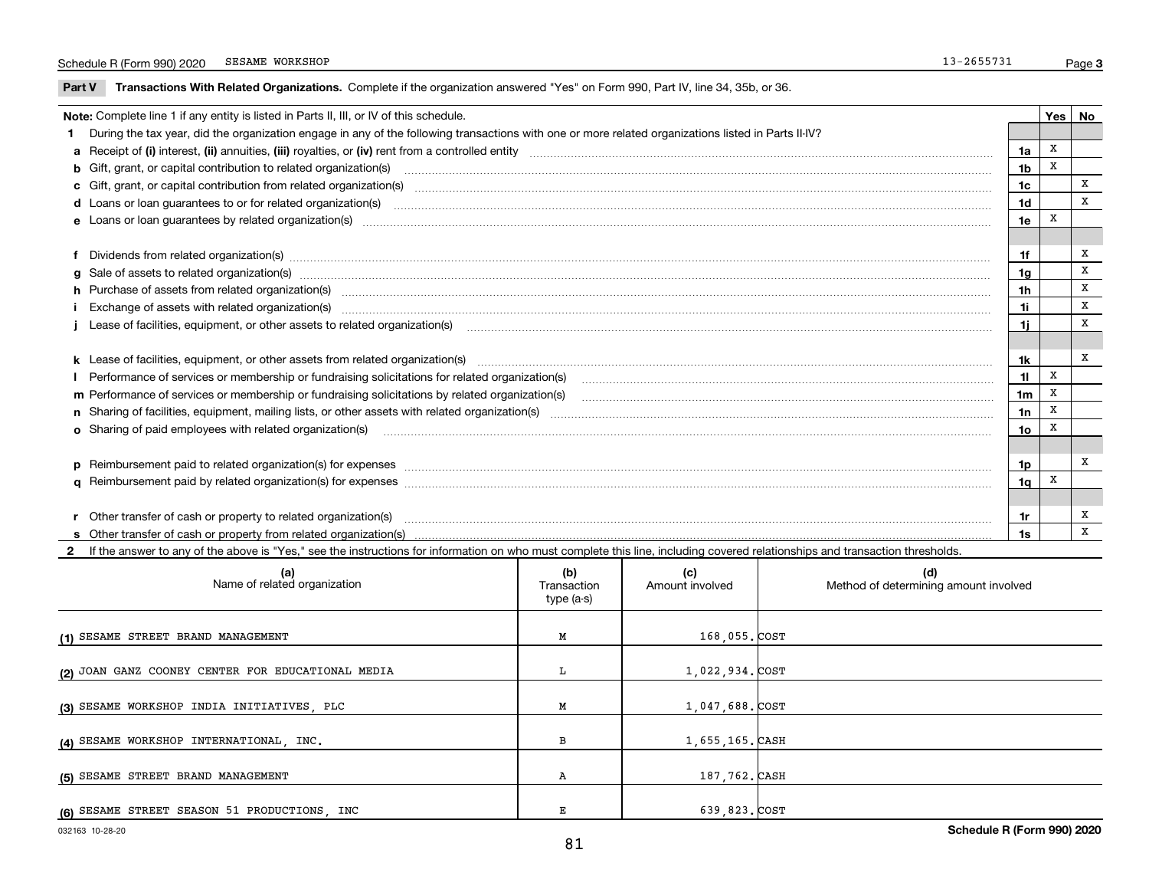#### Schedule R (Form 990) 2020 BESAME WORKSHOP **Example 2018** 2019 13-2655731 SESAME WORKSHOP

 $\overline{\phantom{a}}$ 

**Part V** T**ransactions With Related Organizations.** Complete if the organization answered "Yes" on Form 990, Part IV, line 34, 35b, or 36.

| Note: Complete line 1 if any entity is listed in Parts II, III, or IV of this schedule. |                                                                                                                                                                                                                                |                |   |   |  |
|-----------------------------------------------------------------------------------------|--------------------------------------------------------------------------------------------------------------------------------------------------------------------------------------------------------------------------------|----------------|---|---|--|
|                                                                                         | 1 During the tax year, did the organization engage in any of the following transactions with one or more related organizations listed in Parts II-IV?                                                                          |                |   |   |  |
|                                                                                         |                                                                                                                                                                                                                                | 1a             | X |   |  |
|                                                                                         | <b>b</b> Gift, grant, or capital contribution to related organization(s)                                                                                                                                                       | 1 <sub>b</sub> | X |   |  |
|                                                                                         | c Gift, grant, or capital contribution from related organization(s)                                                                                                                                                            | 1c             |   | X |  |
|                                                                                         | d Loans or loan guarantees to or for related organization(s) committion contains and contains and contains and contains and contains and contains and contains and contains and contains and contains and contains and contain | 1 <sub>d</sub> |   | x |  |
|                                                                                         | e Loans or loan quarantees by related organization(s)                                                                                                                                                                          | 1e             | X |   |  |
|                                                                                         |                                                                                                                                                                                                                                |                |   |   |  |
|                                                                                         | f Dividends from related organization(s) manufactured contains and contained a series of the contact of the contact of the contact of the contact of the contact of the contact of the contact of the contact of the contact o | 1f             |   | х |  |
|                                                                                         | g Sale of assets to related organization(s) www.assettion.com/www.assettion.com/www.assettion.com/www.assettion.com/www.assettion.com/www.assettion.com/www.assettion.com/www.assettion.com/www.assettion.com/www.assettion.co | 1g             |   | X |  |
|                                                                                         | h Purchase of assets from related organization(s) manufactured and content to content the content of assets from related organization(s)                                                                                       | 1h             |   | X |  |
|                                                                                         | Exchange of assets with related organization(s) www.communically.communically contract and a set of assets with related organization(s) www.communically.communically and a set of a set or manufacture of the set of a set of | 1i             |   | х |  |
|                                                                                         |                                                                                                                                                                                                                                | 1i             |   | X |  |
|                                                                                         |                                                                                                                                                                                                                                |                |   |   |  |
|                                                                                         |                                                                                                                                                                                                                                | 1k             |   | X |  |
|                                                                                         | Performance of services or membership or fundraising solicitations for related organization(s)                                                                                                                                 | 11             | X |   |  |
|                                                                                         | m Performance of services or membership or fundraising solicitations by related organization(s)                                                                                                                                | 1 <sub>m</sub> | X |   |  |
|                                                                                         |                                                                                                                                                                                                                                | 1n             | X |   |  |
|                                                                                         | o Sharing of paid employees with related organization(s) matches and contain an account of the state of paid employees with related organization(s) matches and contained and account of the state of Sharing of District of t | 10             | x |   |  |
|                                                                                         |                                                                                                                                                                                                                                |                |   |   |  |
|                                                                                         | p Reimbursement paid to related organization(s) for expenses [111] and the material content of the separation (s) for expenses [11] and the separation content of the separation of the separation of the separation of the se | 1p             |   | X |  |
|                                                                                         |                                                                                                                                                                                                                                | 1q             | X |   |  |
|                                                                                         |                                                                                                                                                                                                                                |                |   |   |  |
|                                                                                         | r Other transfer of cash or property to related organization(s)                                                                                                                                                                | 1r             |   | х |  |
|                                                                                         |                                                                                                                                                                                                                                | 1s             |   | x |  |

**2**If the answer to any of the above is "Yes," see the instructions for information on who must complete this line, including covered relationships and transaction thresholds.

| (a)<br>Name of related organization               | (b)<br>Transaction<br>type (a-s) | (c)<br>Amount involved | (d)<br>Method of determining amount involved |
|---------------------------------------------------|----------------------------------|------------------------|----------------------------------------------|
| (1) SESAME STREET BRAND MANAGEMENT                | М                                | 168,055. COST          |                                              |
| (2) JOAN GANZ COONEY CENTER FOR EDUCATIONAL MEDIA | L                                | 1,022,934. COST        |                                              |
| (3) SESAME WORKSHOP INDIA INITIATIVES, PLC        | М                                | 1,047,688. COST        |                                              |
| (4) SESAME WORKSHOP INTERNATIONAL, INC.           | в                                | 1,655,165. CASH        |                                              |
| (5) SESAME STREET BRAND MANAGEMENT                | Α                                | 187,762. CASH          |                                              |
| (6) SESAME STREET SEASON 51 PRODUCTIONS, INC      | Ε                                | 639,823. COST          |                                              |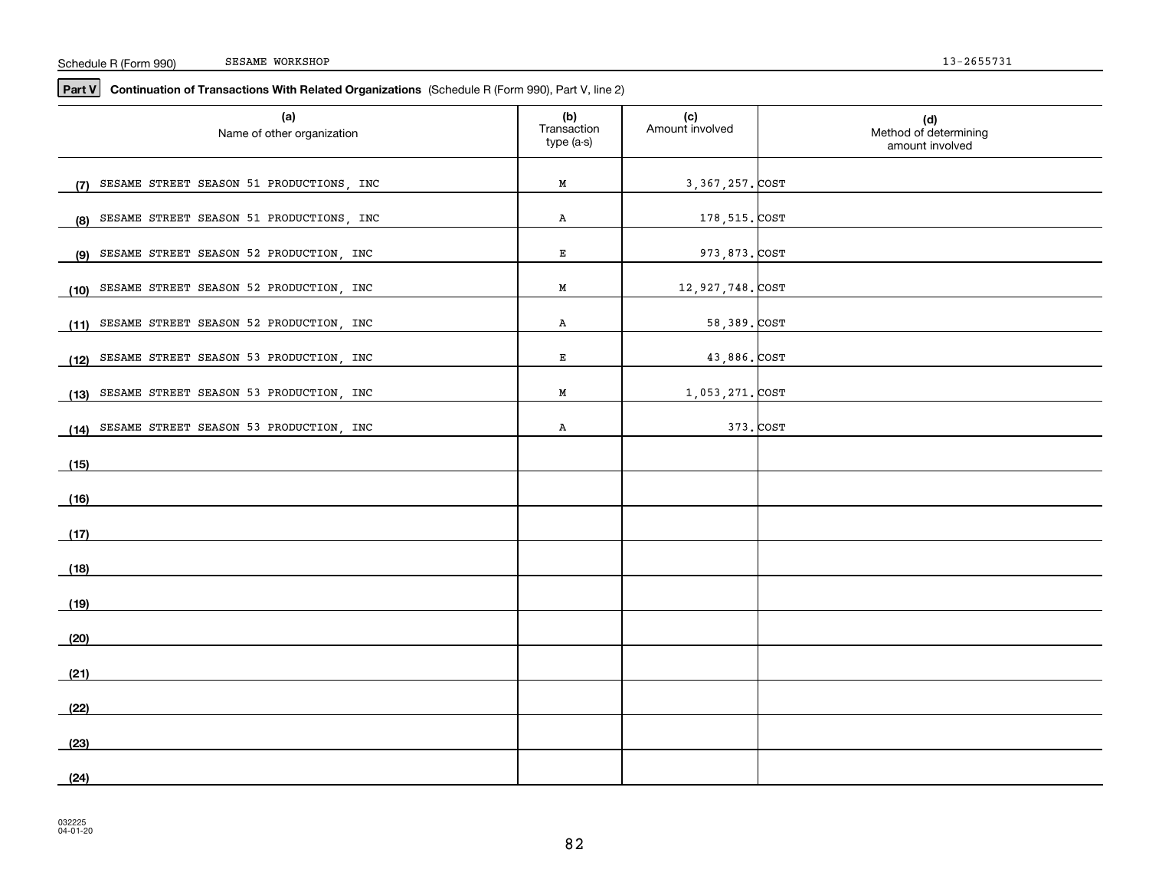#### Schedule R (Form 990) SESAME WORKSHOP 13-2655731

**Part V Continuation of Transactions With Related Organizations**  (Schedule R (Form 990), Part V, line 2)

| (a)<br>Name of other organization               | (b)<br>Transaction<br>type (a-s) | (c)<br>Amount involved | (d)<br>Method of determining<br>amount involved |
|-------------------------------------------------|----------------------------------|------------------------|-------------------------------------------------|
| (7) SESAME STREET SEASON 51 PRODUCTIONS, INC    | M                                | 3, 367, 257. COST      |                                                 |
| SESAME STREET SEASON 51 PRODUCTIONS, INC<br>(8) | A                                | 178,515.COST           |                                                 |
| (9) SESAME STREET SEASON 52 PRODUCTION, INC     | Е                                | 973,873.COST           |                                                 |
| (10) SESAME STREET SEASON 52 PRODUCTION, INC    | М                                | 12,927,748. COST       |                                                 |
| (11) SESAME STREET SEASON 52 PRODUCTION, INC    | Α                                | 58,389. COST           |                                                 |
| (12) SESAME STREET SEASON 53 PRODUCTION, INC    | Е                                | 43,886.COST            |                                                 |
| (13) SESAME STREET SEASON 53 PRODUCTION, INC    | М                                | 1,053,271. COST        |                                                 |
| (14) SESAME STREET SEASON 53 PRODUCTION, INC    | A                                |                        | 373. COST                                       |
| (15)                                            |                                  |                        |                                                 |
|                                                 |                                  |                        |                                                 |
| (16)                                            |                                  |                        |                                                 |
| (17)                                            |                                  |                        |                                                 |
| (18)                                            |                                  |                        |                                                 |
| (19)                                            |                                  |                        |                                                 |
| (20)                                            |                                  |                        |                                                 |
| (21)                                            |                                  |                        |                                                 |
| (22)                                            |                                  |                        |                                                 |
| (23)                                            |                                  |                        |                                                 |
| (24)                                            |                                  |                        |                                                 |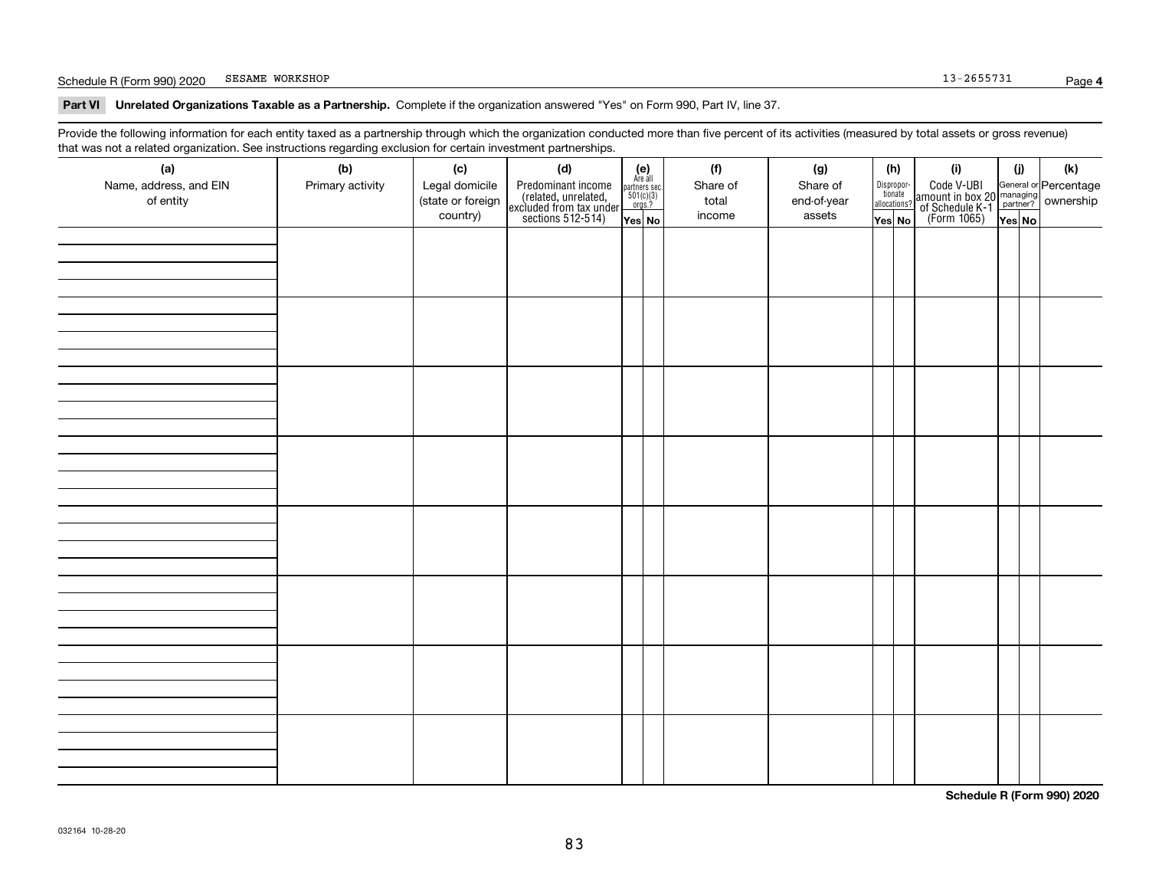#### Schedule R (Form 990) 2020 SESAME WORKSHOP 313-2655731 SESAME WORKSHOP

**Part VI Unrelated Organizations Taxable as a Partnership. Complete if the organization answered "Yes" on Form 990, Part IV, line 37.** 

Provide the following information for each entity taxed as a partnership through which the organization conducted more than five percent of its activities (measured by total assets or gross revenue) that was not a related organization. See instructions regarding exclusion for certain investment partnerships.

| (a)                    | .<br>(b)         | (c)               | <br><br>(d)                                                                                |                                                                                                                  | (f)      | (g)         | (h)                   |  | (i)                                                                                          | (i)    | $(\mathsf{k})$ |
|------------------------|------------------|-------------------|--------------------------------------------------------------------------------------------|------------------------------------------------------------------------------------------------------------------|----------|-------------|-----------------------|--|----------------------------------------------------------------------------------------------|--------|----------------|
| Name, address, and EIN | Primary activity | Legal domicile    |                                                                                            | $\begin{array}{c} \textbf{(e)}\\ \text{Are all} \\ \text{partners sec.}\\ 501(c)(3)\\ \text{orgs.?} \end{array}$ | Share of | Share of    | Dispropor-<br>tionate |  |                                                                                              |        |                |
| of entity              |                  | (state or foreign | Predominant income<br>(related, unrelated,<br>excluded from tax under<br>sections 512-514) |                                                                                                                  | total    | end-of-year | allocations?          |  | Code V-UBI<br>amount in box 20 managing<br>of Schedule K-1 partner?<br>(Form 1065)<br>ves No |        |                |
|                        |                  | country)          |                                                                                            | Yes No                                                                                                           | income   | assets      | Yes No                |  |                                                                                              | Yes No |                |
|                        |                  |                   |                                                                                            |                                                                                                                  |          |             |                       |  |                                                                                              |        |                |
|                        |                  |                   |                                                                                            |                                                                                                                  |          |             |                       |  |                                                                                              |        |                |
|                        |                  |                   |                                                                                            |                                                                                                                  |          |             |                       |  |                                                                                              |        |                |
|                        |                  |                   |                                                                                            |                                                                                                                  |          |             |                       |  |                                                                                              |        |                |
|                        |                  |                   |                                                                                            |                                                                                                                  |          |             |                       |  |                                                                                              |        |                |
|                        |                  |                   |                                                                                            |                                                                                                                  |          |             |                       |  |                                                                                              |        |                |
|                        |                  |                   |                                                                                            |                                                                                                                  |          |             |                       |  |                                                                                              |        |                |
|                        |                  |                   |                                                                                            |                                                                                                                  |          |             |                       |  |                                                                                              |        |                |
|                        |                  |                   |                                                                                            |                                                                                                                  |          |             |                       |  |                                                                                              |        |                |
|                        |                  |                   |                                                                                            |                                                                                                                  |          |             |                       |  |                                                                                              |        |                |
|                        |                  |                   |                                                                                            |                                                                                                                  |          |             |                       |  |                                                                                              |        |                |
|                        |                  |                   |                                                                                            |                                                                                                                  |          |             |                       |  |                                                                                              |        |                |
|                        |                  |                   |                                                                                            |                                                                                                                  |          |             |                       |  |                                                                                              |        |                |
|                        |                  |                   |                                                                                            |                                                                                                                  |          |             |                       |  |                                                                                              |        |                |
|                        |                  |                   |                                                                                            |                                                                                                                  |          |             |                       |  |                                                                                              |        |                |
|                        |                  |                   |                                                                                            |                                                                                                                  |          |             |                       |  |                                                                                              |        |                |
|                        |                  |                   |                                                                                            |                                                                                                                  |          |             |                       |  |                                                                                              |        |                |
|                        |                  |                   |                                                                                            |                                                                                                                  |          |             |                       |  |                                                                                              |        |                |
|                        |                  |                   |                                                                                            |                                                                                                                  |          |             |                       |  |                                                                                              |        |                |
|                        |                  |                   |                                                                                            |                                                                                                                  |          |             |                       |  |                                                                                              |        |                |
|                        |                  |                   |                                                                                            |                                                                                                                  |          |             |                       |  |                                                                                              |        |                |
|                        |                  |                   |                                                                                            |                                                                                                                  |          |             |                       |  |                                                                                              |        |                |
|                        |                  |                   |                                                                                            |                                                                                                                  |          |             |                       |  |                                                                                              |        |                |
|                        |                  |                   |                                                                                            |                                                                                                                  |          |             |                       |  |                                                                                              |        |                |
|                        |                  |                   |                                                                                            |                                                                                                                  |          |             |                       |  |                                                                                              |        |                |
|                        |                  |                   |                                                                                            |                                                                                                                  |          |             |                       |  |                                                                                              |        |                |
|                        |                  |                   |                                                                                            |                                                                                                                  |          |             |                       |  |                                                                                              |        |                |
|                        |                  |                   |                                                                                            |                                                                                                                  |          |             |                       |  |                                                                                              |        |                |
|                        |                  |                   |                                                                                            |                                                                                                                  |          |             |                       |  |                                                                                              |        |                |
|                        |                  |                   |                                                                                            |                                                                                                                  |          |             |                       |  |                                                                                              |        |                |
|                        |                  |                   |                                                                                            |                                                                                                                  |          |             |                       |  |                                                                                              |        |                |
|                        |                  |                   |                                                                                            |                                                                                                                  |          |             |                       |  |                                                                                              |        |                |

**Schedule R (Form 990) 2020**